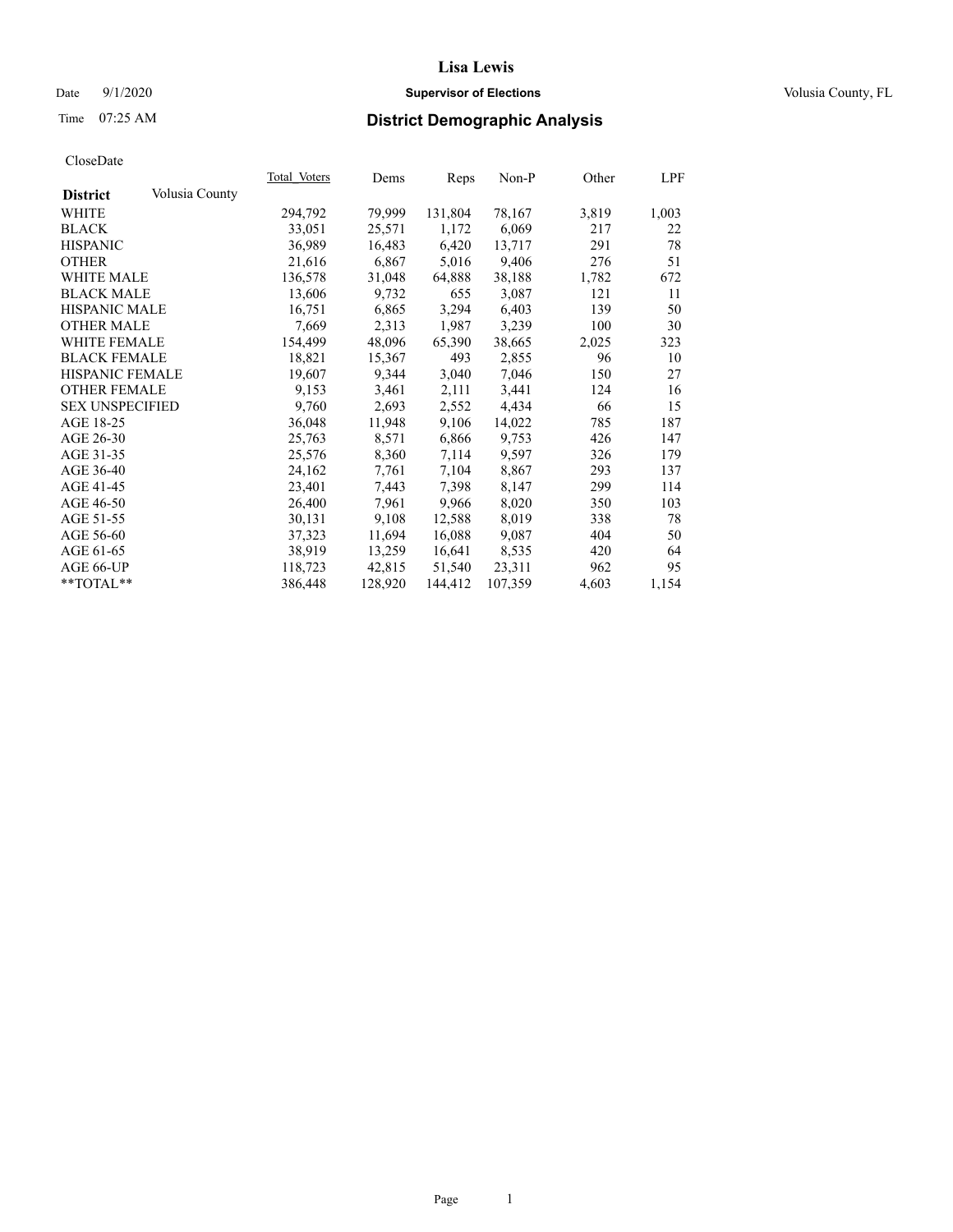# Date  $9/1/2020$  **Supervisor of Elections Supervisor of Elections** Volusia County, FL

# Time 07:25 AM **District Demographic Analysis**

|                        |                | Total Voters | Dems    | Reps    | $Non-P$ | Other | <u>LPF</u> |
|------------------------|----------------|--------------|---------|---------|---------|-------|------------|
| <b>District</b>        | Volusia County |              |         |         |         |       |            |
| WHITE                  |                | 294,792      | 79,999  | 131,804 | 78,167  | 3,819 | 1,003      |
| <b>BLACK</b>           |                | 33,051       | 25,571  | 1,172   | 6,069   | 217   | 22         |
| <b>HISPANIC</b>        |                | 36,989       | 16,483  | 6,420   | 13,717  | 291   | 78         |
| <b>OTHER</b>           |                | 21,616       | 6,867   | 5,016   | 9,406   | 276   | 51         |
| WHITE MALE             |                | 136,578      | 31,048  | 64,888  | 38,188  | 1,782 | 672        |
| <b>BLACK MALE</b>      |                | 13,606       | 9,732   | 655     | 3,087   | 121   | 11         |
| <b>HISPANIC MALE</b>   |                | 16,751       | 6,865   | 3,294   | 6,403   | 139   | 50         |
| <b>OTHER MALE</b>      |                | 7,669        | 2,313   | 1,987   | 3,239   | 100   | 30         |
| <b>WHITE FEMALE</b>    |                | 154,499      | 48,096  | 65,390  | 38,665  | 2,025 | 323        |
| <b>BLACK FEMALE</b>    |                | 18,821       | 15,367  | 493     | 2,855   | 96    | 10         |
| HISPANIC FEMALE        |                | 19,607       | 9,344   | 3,040   | 7,046   | 150   | 27         |
| <b>OTHER FEMALE</b>    |                | 9,153        | 3,461   | 2,111   | 3,441   | 124   | 16         |
| <b>SEX UNSPECIFIED</b> |                | 9,760        | 2,693   | 2,552   | 4,434   | 66    | 15         |
| AGE 18-25              |                | 36,048       | 11,948  | 9,106   | 14,022  | 785   | 187        |
| AGE 26-30              |                | 25,763       | 8,571   | 6,866   | 9,753   | 426   | 147        |
| AGE 31-35              |                | 25,576       | 8,360   | 7,114   | 9,597   | 326   | 179        |
| AGE 36-40              |                | 24,162       | 7,761   | 7,104   | 8,867   | 293   | 137        |
| AGE 41-45              |                | 23,401       | 7,443   | 7,398   | 8,147   | 299   | 114        |
| AGE 46-50              |                | 26,400       | 7,961   | 9,966   | 8,020   | 350   | 103        |
| AGE 51-55              |                | 30,131       | 9,108   | 12,588  | 8,019   | 338   | 78         |
| AGE 56-60              |                | 37,323       | 11,694  | 16,088  | 9,087   | 404   | 50         |
| AGE 61-65              |                | 38,919       | 13,259  | 16,641  | 8,535   | 420   | 64         |
| AGE 66-UP              |                | 118,723      | 42,815  | 51,540  | 23,311  | 962   | 95         |
| $*$ TOTAL $*$          |                | 386,448      | 128,920 | 144,412 | 107,359 | 4,603 | 1,154      |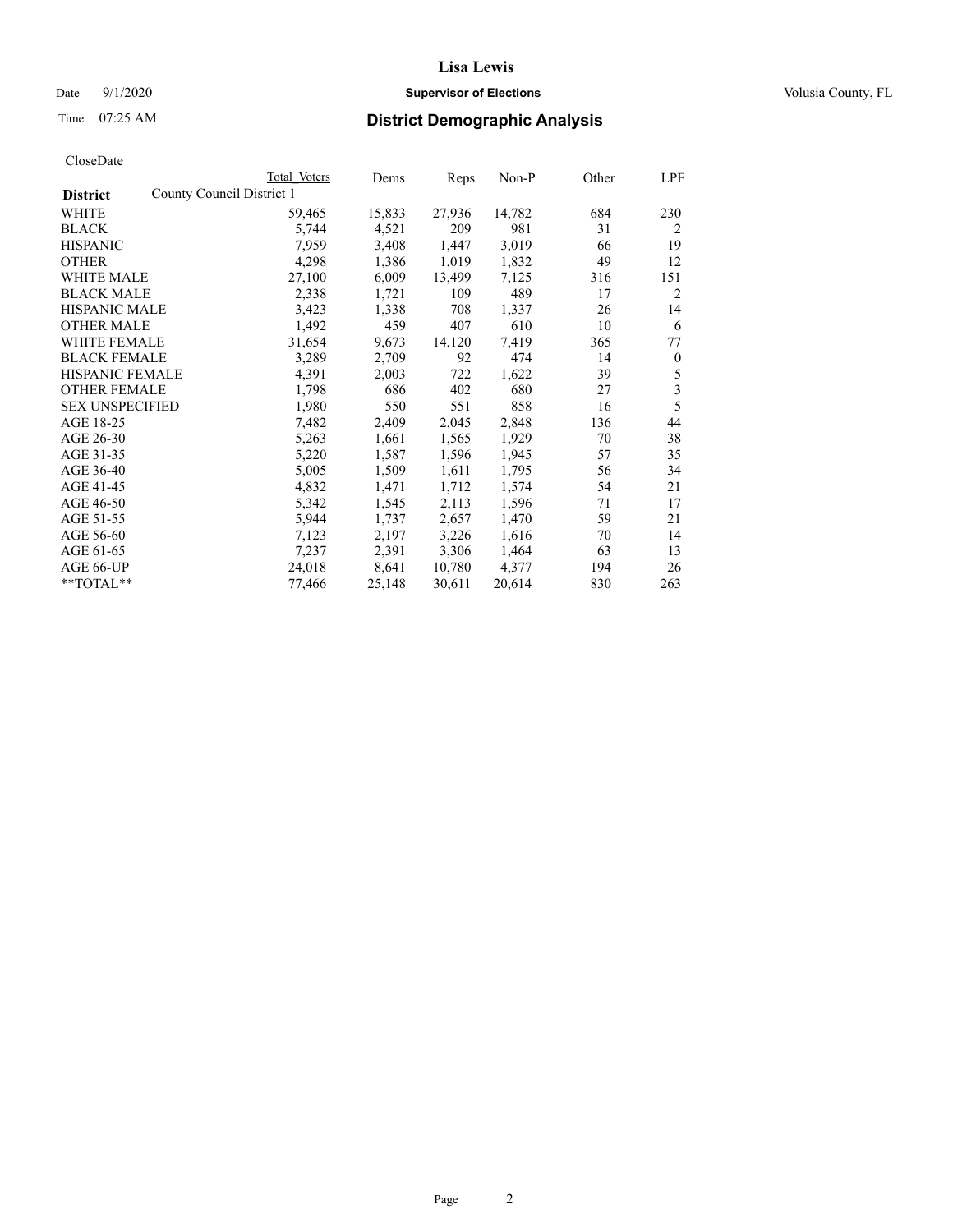# Date  $9/1/2020$  **Supervisor of Elections Supervisor of Elections** Volusia County, FL

|                                              | Total Voters | Dems   | Reps   | Non-P  | Other | LPF              |
|----------------------------------------------|--------------|--------|--------|--------|-------|------------------|
| County Council District 1<br><b>District</b> |              |        |        |        |       |                  |
| WHITE                                        | 59,465       | 15,833 | 27,936 | 14,782 | 684   | 230              |
| <b>BLACK</b>                                 | 5,744        | 4,521  | 209    | 981    | 31    | 2                |
| <b>HISPANIC</b>                              | 7,959        | 3,408  | 1,447  | 3,019  | 66    | 19               |
| <b>OTHER</b>                                 | 4,298        | 1,386  | 1,019  | 1,832  | 49    | 12               |
| WHITE MALE                                   | 27,100       | 6,009  | 13,499 | 7,125  | 316   | 151              |
| <b>BLACK MALE</b>                            | 2,338        | 1,721  | 109    | 489    | 17    | 2                |
| <b>HISPANIC MALE</b>                         | 3,423        | 1,338  | 708    | 1,337  | 26    | 14               |
| <b>OTHER MALE</b>                            | 1,492        | 459    | 407    | 610    | 10    | 6                |
| <b>WHITE FEMALE</b>                          | 31,654       | 9,673  | 14,120 | 7,419  | 365   | 77               |
| <b>BLACK FEMALE</b>                          | 3,289        | 2,709  | 92     | 474    | 14    | $\boldsymbol{0}$ |
| HISPANIC FEMALE                              | 4,391        | 2,003  | 722    | 1,622  | 39    | 5                |
| <b>OTHER FEMALE</b>                          | 1,798        | 686    | 402    | 680    | 27    | 3                |
| <b>SEX UNSPECIFIED</b>                       | 1,980        | 550    | 551    | 858    | 16    | 5                |
| AGE 18-25                                    | 7,482        | 2,409  | 2,045  | 2,848  | 136   | 44               |
| AGE 26-30                                    | 5,263        | 1,661  | 1,565  | 1,929  | 70    | 38               |
| AGE 31-35                                    | 5,220        | 1,587  | 1,596  | 1,945  | 57    | 35               |
| AGE 36-40                                    | 5,005        | 1,509  | 1,611  | 1,795  | 56    | 34               |
| AGE 41-45                                    | 4,832        | 1,471  | 1,712  | 1,574  | 54    | 21               |
| AGE 46-50                                    | 5,342        | 1,545  | 2,113  | 1,596  | 71    | 17               |
| AGE 51-55                                    | 5,944        | 1,737  | 2,657  | 1,470  | 59    | 21               |
| AGE 56-60                                    | 7,123        | 2,197  | 3,226  | 1,616  | 70    | 14               |
| AGE 61-65                                    | 7,237        | 2,391  | 3,306  | 1,464  | 63    | 13               |
| AGE 66-UP                                    | 24,018       | 8,641  | 10,780 | 4,377  | 194   | 26               |
| **TOTAL**                                    | 77,466       | 25,148 | 30,611 | 20,614 | 830   | 263              |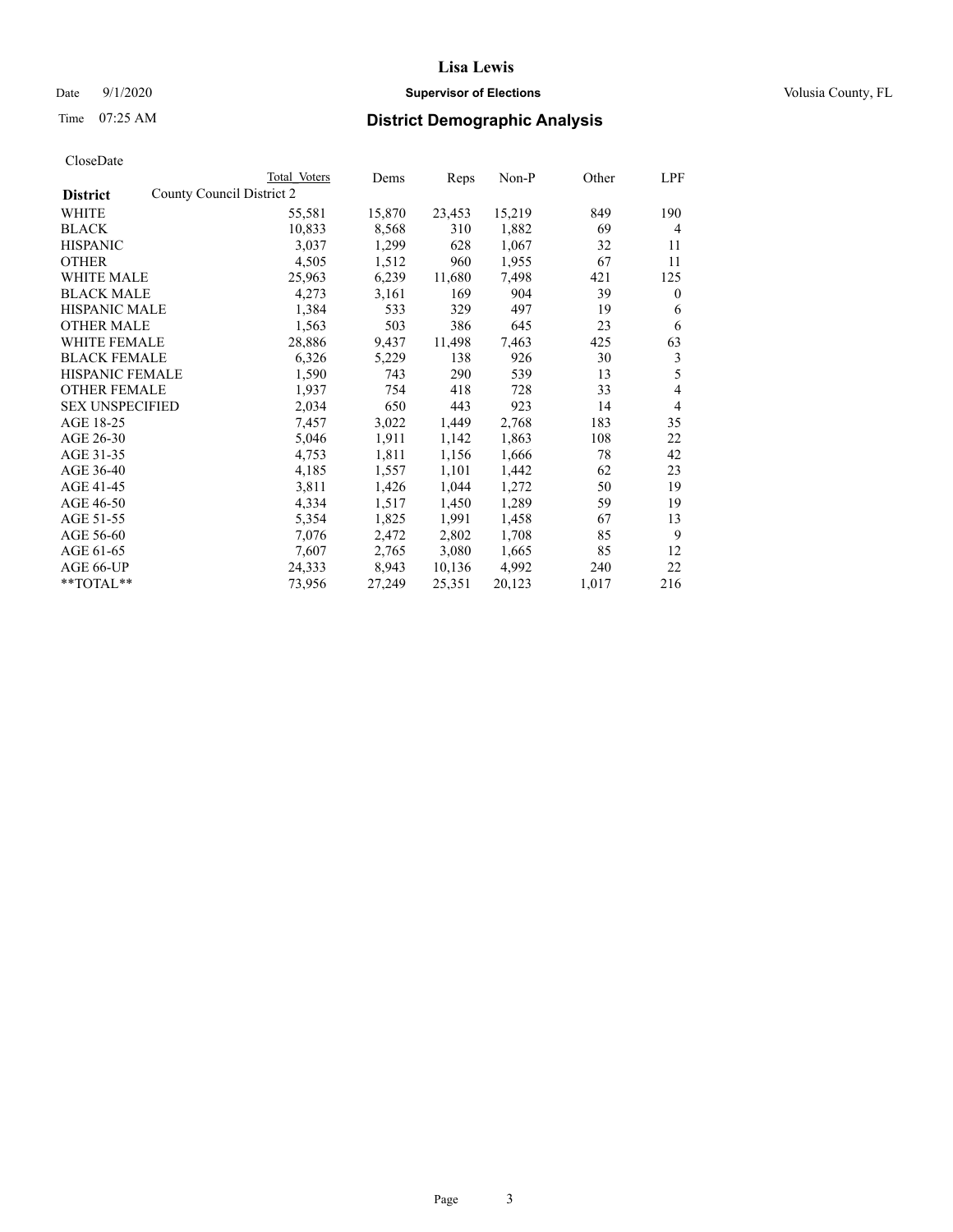# Date  $9/1/2020$  **Supervisor of Elections Supervisor of Elections** Volusia County, FL

|                                              | Total Voters | Dems   | Reps   | Non-P  | Other | LPF            |
|----------------------------------------------|--------------|--------|--------|--------|-------|----------------|
| County Council District 2<br><b>District</b> |              |        |        |        |       |                |
| WHITE                                        | 55,581       | 15,870 | 23,453 | 15,219 | 849   | 190            |
| <b>BLACK</b>                                 | 10,833       | 8,568  | 310    | 1,882  | 69    | 4              |
| <b>HISPANIC</b>                              | 3,037        | 1,299  | 628    | 1,067  | 32    | 11             |
| <b>OTHER</b>                                 | 4,505        | 1,512  | 960    | 1,955  | 67    | 11             |
| WHITE MALE                                   | 25,963       | 6,239  | 11,680 | 7,498  | 421   | 125            |
| <b>BLACK MALE</b>                            | 4,273        | 3,161  | 169    | 904    | 39    | $\theta$       |
| <b>HISPANIC MALE</b>                         | 1,384        | 533    | 329    | 497    | 19    | 6              |
| <b>OTHER MALE</b>                            | 1,563        | 503    | 386    | 645    | 23    | 6              |
| <b>WHITE FEMALE</b>                          | 28,886       | 9,437  | 11,498 | 7,463  | 425   | 63             |
| <b>BLACK FEMALE</b>                          | 6,326        | 5,229  | 138    | 926    | 30    | 3              |
| <b>HISPANIC FEMALE</b>                       | 1,590        | 743    | 290    | 539    | 13    | 5              |
| <b>OTHER FEMALE</b>                          | 1,937        | 754    | 418    | 728    | 33    | 4              |
| <b>SEX UNSPECIFIED</b>                       | 2,034        | 650    | 443    | 923    | 14    | $\overline{4}$ |
| AGE 18-25                                    | 7,457        | 3,022  | 1,449  | 2,768  | 183   | 35             |
| AGE 26-30                                    | 5,046        | 1,911  | 1,142  | 1,863  | 108   | 22             |
| AGE 31-35                                    | 4,753        | 1,811  | 1,156  | 1,666  | 78    | 42             |
| AGE 36-40                                    | 4,185        | 1,557  | 1,101  | 1,442  | 62    | 23             |
| AGE 41-45                                    | 3,811        | 1,426  | 1,044  | 1,272  | 50    | 19             |
| AGE 46-50                                    | 4,334        | 1,517  | 1,450  | 1,289  | 59    | 19             |
| AGE 51-55                                    | 5,354        | 1,825  | 1,991  | 1,458  | 67    | 13             |
| AGE 56-60                                    | 7,076        | 2,472  | 2,802  | 1,708  | 85    | 9              |
| AGE 61-65                                    | 7,607        | 2,765  | 3,080  | 1,665  | 85    | 12             |
| AGE 66-UP                                    | 24,333       | 8,943  | 10,136 | 4,992  | 240   | 22             |
| $**TOTAL**$                                  | 73,956       | 27,249 | 25,351 | 20,123 | 1,017 | 216            |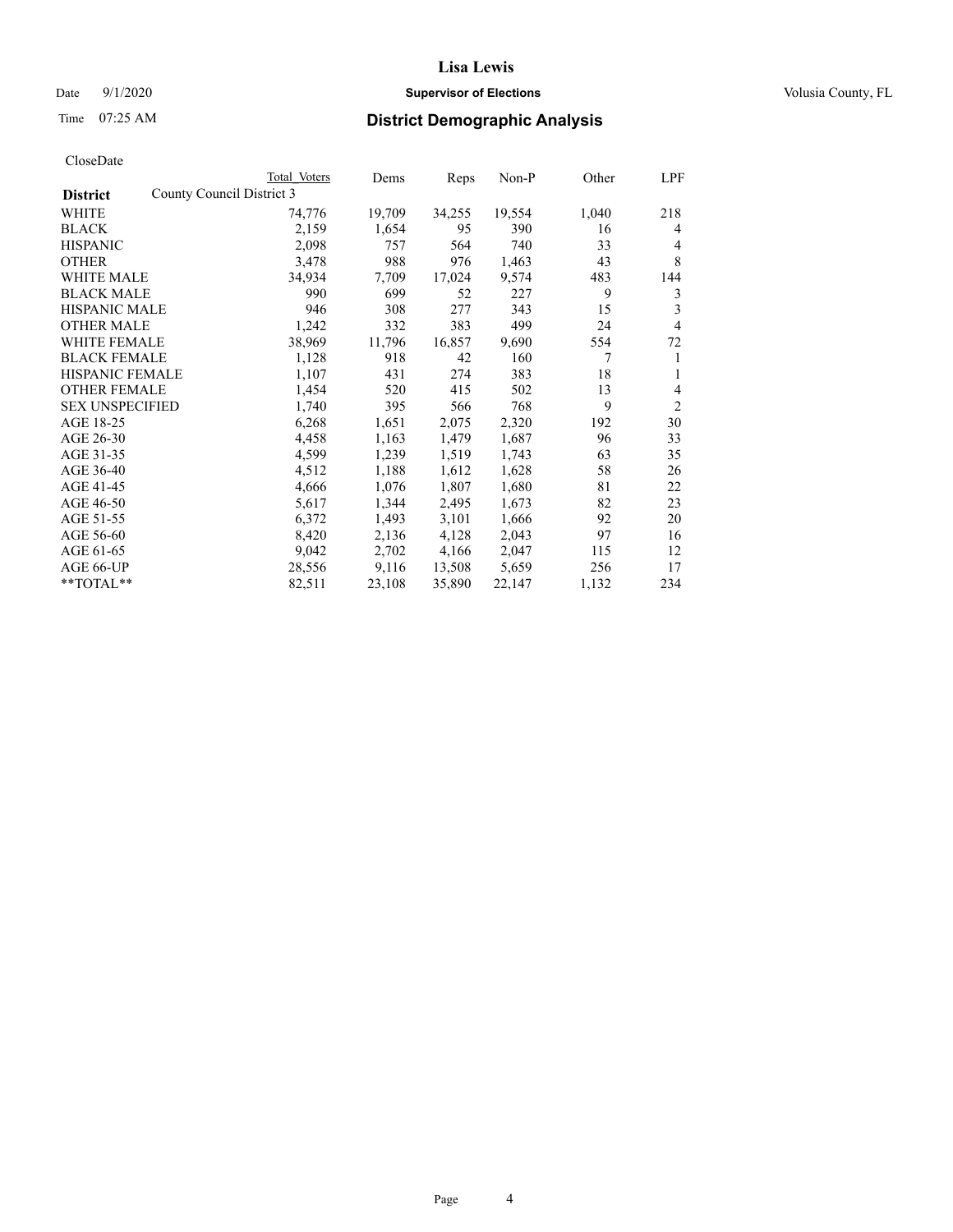# Date  $9/1/2020$  **Supervisor of Elections Supervisor of Elections** Volusia County, FL

# Time 07:25 AM **District Demographic Analysis**

|                        | Total Voters              | Dems   | Reps   | Non-P  | Other | LPF            |
|------------------------|---------------------------|--------|--------|--------|-------|----------------|
| <b>District</b>        | County Council District 3 |        |        |        |       |                |
| WHITE                  | 74,776                    | 19,709 | 34,255 | 19,554 | 1,040 | 218            |
| <b>BLACK</b>           | 2,159                     | 1,654  | 95     | 390    | 16    | 4              |
| <b>HISPANIC</b>        | 2,098                     | 757    | 564    | 740    | 33    | $\overline{4}$ |
| <b>OTHER</b>           | 3,478                     | 988    | 976    | 1,463  | 43    | 8              |
| <b>WHITE MALE</b>      | 34,934                    | 7,709  | 17,024 | 9,574  | 483   | 144            |
| <b>BLACK MALE</b>      | 990                       | 699    | 52     | 227    | 9     | 3              |
| <b>HISPANIC MALE</b>   | 946                       | 308    | 277    | 343    | 15    | 3              |
| <b>OTHER MALE</b>      | 1,242                     | 332    | 383    | 499    | 24    | $\overline{4}$ |
| <b>WHITE FEMALE</b>    | 38,969                    | 11,796 | 16,857 | 9,690  | 554   | 72             |
| <b>BLACK FEMALE</b>    | 1,128                     | 918    | 42     | 160    | 7     | 1              |
| <b>HISPANIC FEMALE</b> | 1,107                     | 431    | 274    | 383    | 18    | 1              |
| <b>OTHER FEMALE</b>    | 1,454                     | 520    | 415    | 502    | 13    | 4              |
| <b>SEX UNSPECIFIED</b> | 1,740                     | 395    | 566    | 768    | 9     | $\overline{2}$ |
| AGE 18-25              | 6,268                     | 1,651  | 2,075  | 2,320  | 192   | 30             |
| AGE 26-30              | 4,458                     | 1,163  | 1,479  | 1,687  | 96    | 33             |
| AGE 31-35              | 4,599                     | 1,239  | 1,519  | 1,743  | 63    | 35             |
| AGE 36-40              | 4,512                     | 1,188  | 1,612  | 1,628  | 58    | 26             |
| AGE 41-45              | 4,666                     | 1,076  | 1,807  | 1,680  | 81    | 22             |
| AGE 46-50              | 5,617                     | 1,344  | 2,495  | 1,673  | 82    | 23             |
| AGE 51-55              | 6,372                     | 1,493  | 3,101  | 1,666  | 92    | 20             |
| AGE 56-60              | 8,420                     | 2,136  | 4,128  | 2,043  | 97    | 16             |
| AGE 61-65              | 9,042                     | 2,702  | 4,166  | 2,047  | 115   | 12             |
| AGE 66-UP              | 28,556                    | 9,116  | 13,508 | 5,659  | 256   | 17             |
| $*$ $TOTAL**$          | 82,511                    | 23,108 | 35,890 | 22,147 | 1,132 | 234            |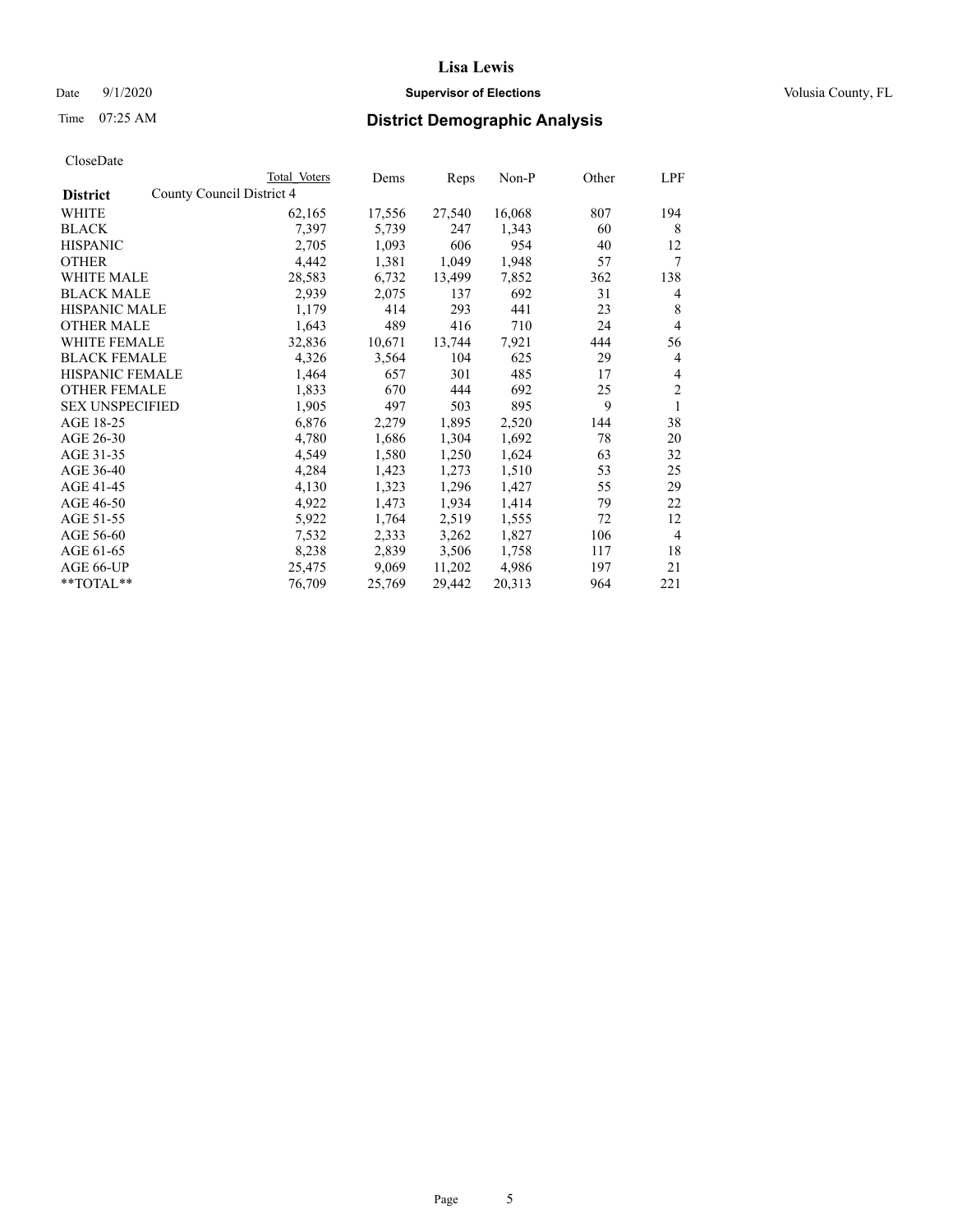# Date  $9/1/2020$  **Supervisor of Elections Supervisor of Elections** Volusia County, FL

|                                              | Total Voters | Dems   | Reps   | Non-P  | Other | LPF            |
|----------------------------------------------|--------------|--------|--------|--------|-------|----------------|
| County Council District 4<br><b>District</b> |              |        |        |        |       |                |
| WHITE                                        | 62,165       | 17,556 | 27,540 | 16,068 | 807   | 194            |
| <b>BLACK</b>                                 | 7,397        | 5,739  | 247    | 1,343  | 60    | 8              |
| <b>HISPANIC</b>                              | 2,705        | 1,093  | 606    | 954    | 40    | 12             |
| <b>OTHER</b>                                 | 4,442        | 1,381  | 1,049  | 1,948  | 57    | 7              |
| WHITE MALE                                   | 28,583       | 6,732  | 13,499 | 7,852  | 362   | 138            |
| <b>BLACK MALE</b>                            | 2,939        | 2,075  | 137    | 692    | 31    | 4              |
| <b>HISPANIC MALE</b>                         | 1,179        | 414    | 293    | 441    | 23    | 8              |
| <b>OTHER MALE</b>                            | 1,643        | 489    | 416    | 710    | 24    | 4              |
| <b>WHITE FEMALE</b>                          | 32,836       | 10,671 | 13,744 | 7,921  | 444   | 56             |
| <b>BLACK FEMALE</b>                          | 4,326        | 3,564  | 104    | 625    | 29    | 4              |
| HISPANIC FEMALE                              | 1,464        | 657    | 301    | 485    | 17    | 4              |
| <b>OTHER FEMALE</b>                          | 1,833        | 670    | 444    | 692    | 25    | $\overline{2}$ |
| <b>SEX UNSPECIFIED</b>                       | 1,905        | 497    | 503    | 895    | 9     | 1              |
| AGE 18-25                                    | 6,876        | 2,279  | 1,895  | 2,520  | 144   | 38             |
| AGE 26-30                                    | 4,780        | 1,686  | 1,304  | 1,692  | 78    | 20             |
| AGE 31-35                                    | 4,549        | 1,580  | 1,250  | 1,624  | 63    | 32             |
| AGE 36-40                                    | 4,284        | 1,423  | 1,273  | 1,510  | 53    | 25             |
| AGE 41-45                                    | 4,130        | 1,323  | 1,296  | 1,427  | 55    | 29             |
| AGE 46-50                                    | 4,922        | 1,473  | 1,934  | 1,414  | 79    | 22             |
| AGE 51-55                                    | 5,922        | 1,764  | 2,519  | 1,555  | 72    | 12             |
| AGE 56-60                                    | 7,532        | 2,333  | 3,262  | 1,827  | 106   | $\overline{4}$ |
| AGE 61-65                                    | 8,238        | 2,839  | 3,506  | 1,758  | 117   | 18             |
| AGE 66-UP                                    | 25,475       | 9,069  | 11,202 | 4,986  | 197   | 21             |
| $**TOTAL**$                                  | 76,709       | 25,769 | 29,442 | 20,313 | 964   | 221            |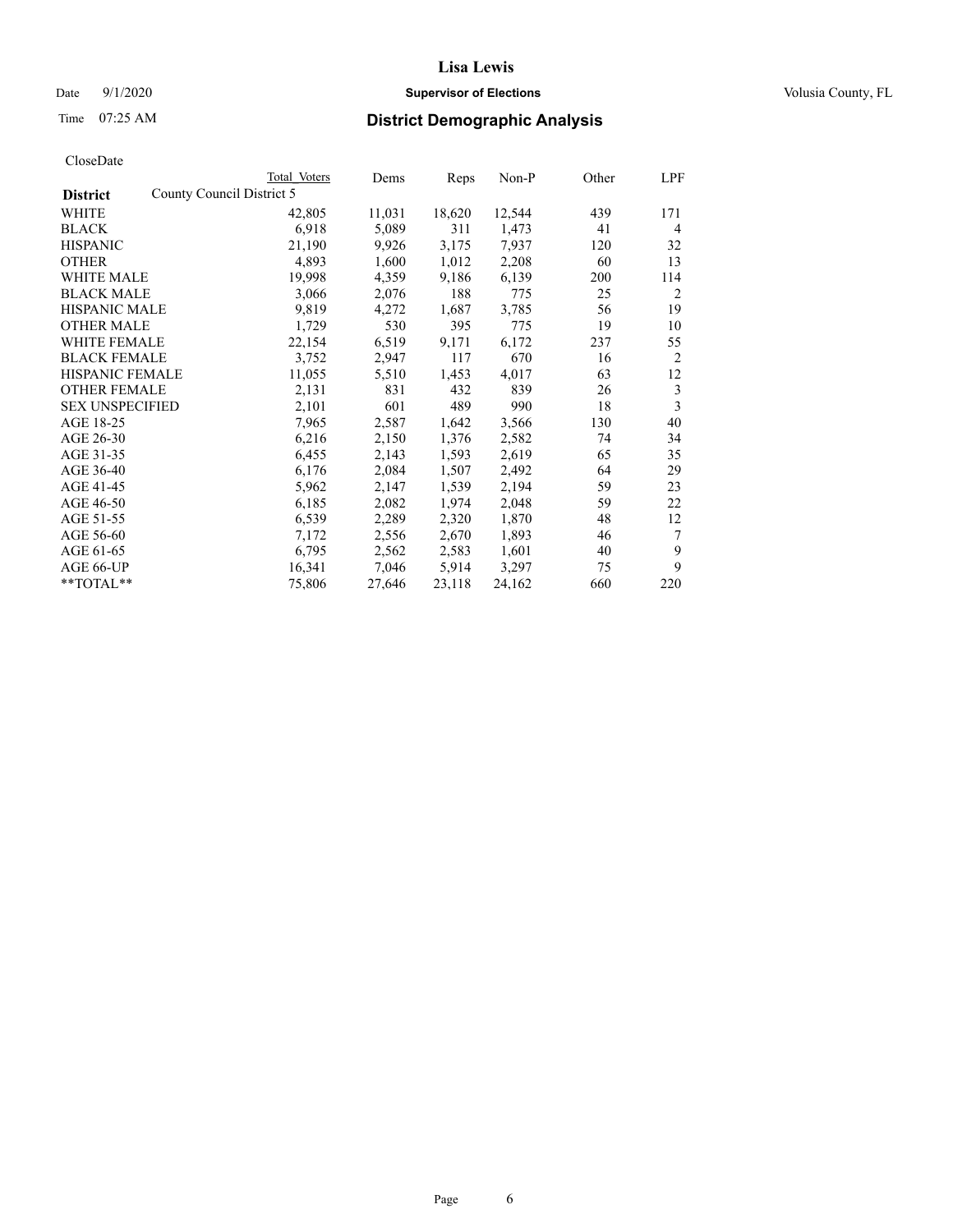# Date  $9/1/2020$  **Supervisor of Elections Supervisor of Elections** Volusia County, FL

| Total Voters | Dems                      |        | Non-P  | Other | LPF            |
|--------------|---------------------------|--------|--------|-------|----------------|
|              |                           |        |        |       |                |
| 42,805       | 11,031                    | 18,620 | 12,544 | 439   | 171            |
| 6,918        | 5,089                     | 311    | 1,473  | 41    | 4              |
| 21,190       | 9,926                     | 3,175  | 7,937  | 120   | 32             |
| 4,893        | 1,600                     | 1,012  | 2,208  | 60    | 13             |
| 19,998       | 4,359                     | 9,186  | 6,139  | 200   | 114            |
| 3,066        | 2,076                     | 188    | 775    | 25    | 2              |
| 9,819        | 4,272                     | 1,687  | 3,785  | 56    | 19             |
| 1,729        | 530                       | 395    | 775    | 19    | 10             |
| 22,154       | 6,519                     | 9,171  | 6,172  | 237   | 55             |
| 3,752        | 2,947                     | 117    | 670    | 16    | $\overline{2}$ |
| 11,055       | 5,510                     | 1,453  | 4,017  | 63    | 12             |
| 2,131        | 831                       | 432    | 839    | 26    | 3              |
| 2,101        | 601                       | 489    | 990    | 18    | 3              |
| 7,965        | 2,587                     | 1,642  | 3,566  | 130   | 40             |
| 6,216        | 2,150                     | 1,376  | 2,582  | 74    | 34             |
| 6,455        | 2,143                     | 1,593  | 2,619  | 65    | 35             |
| 6,176        | 2,084                     | 1,507  | 2,492  | 64    | 29             |
| 5,962        | 2,147                     | 1,539  | 2,194  | 59    | 23             |
| 6,185        | 2,082                     | 1,974  | 2,048  | 59    | 22             |
| 6,539        | 2,289                     | 2,320  | 1,870  | 48    | 12             |
| 7,172        | 2,556                     | 2,670  | 1,893  | 46    | 7              |
| 6,795        | 2,562                     | 2,583  | 1,601  | 40    | 9              |
| 16,341       | 7,046                     | 5,914  | 3,297  | 75    | 9              |
| 75,806       | 27,646                    | 23,118 | 24,162 | 660   | 220            |
|              | County Council District 5 |        | Reps   |       |                |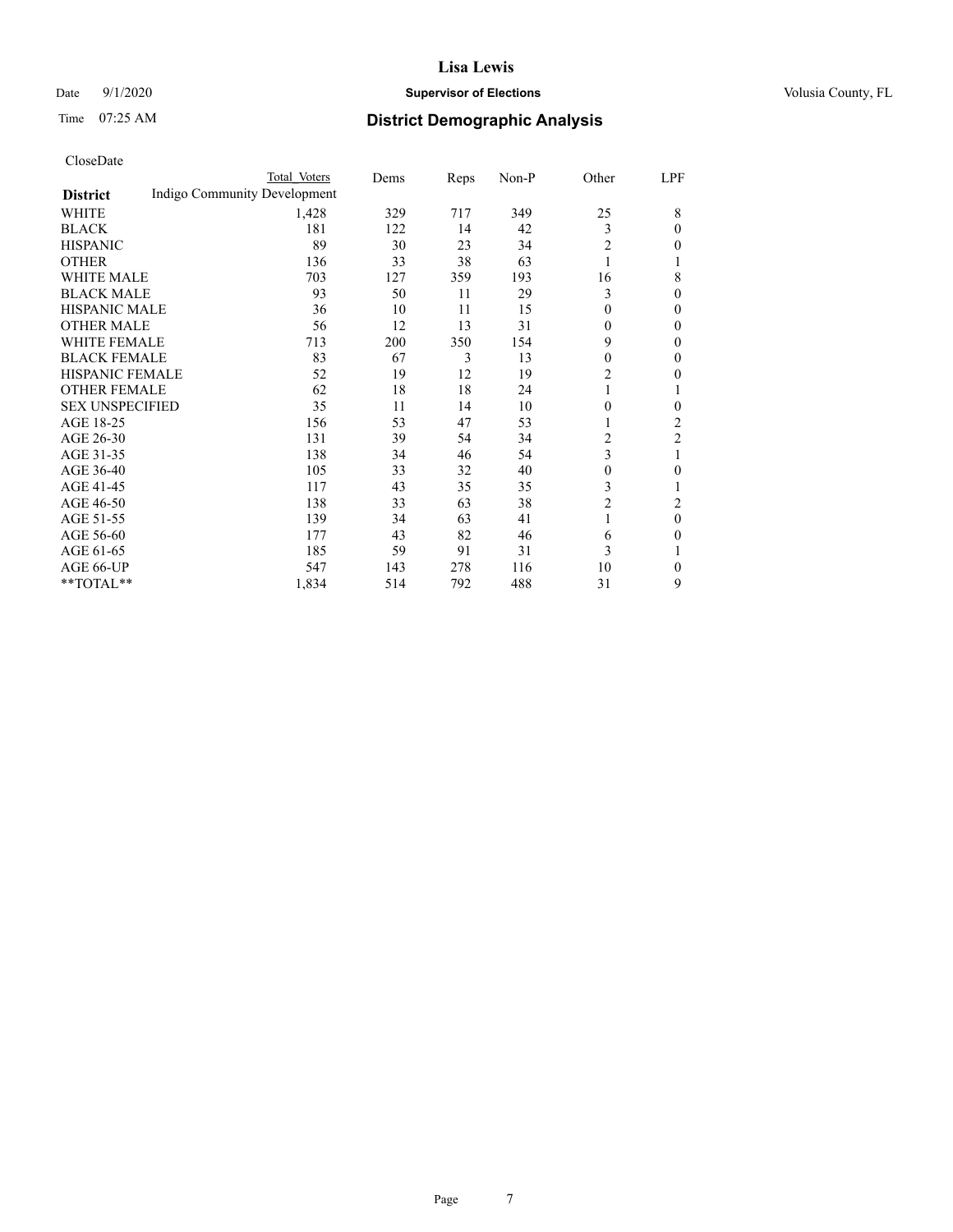# Date  $9/1/2020$  **Supervisor of Elections Supervisor of Elections** Volusia County, FL

# Time 07:25 AM **District Demographic Analysis**

|                        |                              | Total Voters | Dems | Reps | Non-P | Other          | LPF |
|------------------------|------------------------------|--------------|------|------|-------|----------------|-----|
| <b>District</b>        | Indigo Community Development |              |      |      |       |                |     |
| WHITE                  |                              | 1,428        | 329  | 717  | 349   | 25             | 8   |
| <b>BLACK</b>           |                              | 181          | 122  | 14   | 42    | 3              | 0   |
| <b>HISPANIC</b>        |                              | 89           | 30   | 23   | 34    | $\overline{2}$ | 0   |
| <b>OTHER</b>           |                              | 136          | 33   | 38   | 63    | 1              |     |
| <b>WHITE MALE</b>      |                              | 703          | 127  | 359  | 193   | 16             | 8   |
| <b>BLACK MALE</b>      |                              | 93           | 50   | 11   | 29    | 3              | 0   |
| <b>HISPANIC MALE</b>   |                              | 36           | 10   | 11   | 15    | $\overline{0}$ | 0   |
| <b>OTHER MALE</b>      |                              | 56           | 12   | 13   | 31    | $\overline{0}$ | 0   |
| <b>WHITE FEMALE</b>    |                              | 713          | 200  | 350  | 154   | 9              | 0   |
| <b>BLACK FEMALE</b>    |                              | 83           | 67   | 3    | 13    | 0              | 0   |
| HISPANIC FEMALE        |                              | 52           | 19   | 12   | 19    | 2              | 0   |
| <b>OTHER FEMALE</b>    |                              | 62           | 18   | 18   | 24    | 1              |     |
| <b>SEX UNSPECIFIED</b> |                              | 35           | 11   | 14   | 10    | 0              | 0   |
| AGE 18-25              |                              | 156          | 53   | 47   | 53    | 1              | 2   |
| AGE 26-30              |                              | 131          | 39   | 54   | 34    | 2              | 2   |
| AGE 31-35              |                              | 138          | 34   | 46   | 54    | 3              | 1   |
| AGE 36-40              |                              | 105          | 33   | 32   | 40    | $\theta$       | 0   |
| AGE 41-45              |                              | 117          | 43   | 35   | 35    | 3              |     |
| AGE 46-50              |                              | 138          | 33   | 63   | 38    | $\overline{2}$ | 2   |
| AGE 51-55              |                              | 139          | 34   | 63   | 41    | 1              | 0   |
| AGE 56-60              |                              | 177          | 43   | 82   | 46    | 6              | 0   |
| AGE 61-65              |                              | 185          | 59   | 91   | 31    | 3              |     |
| AGE 66-UP              |                              | 547          | 143  | 278  | 116   | 10             | 0   |
| **TOTAL**              |                              | 1,834        | 514  | 792  | 488   | 31             | 9   |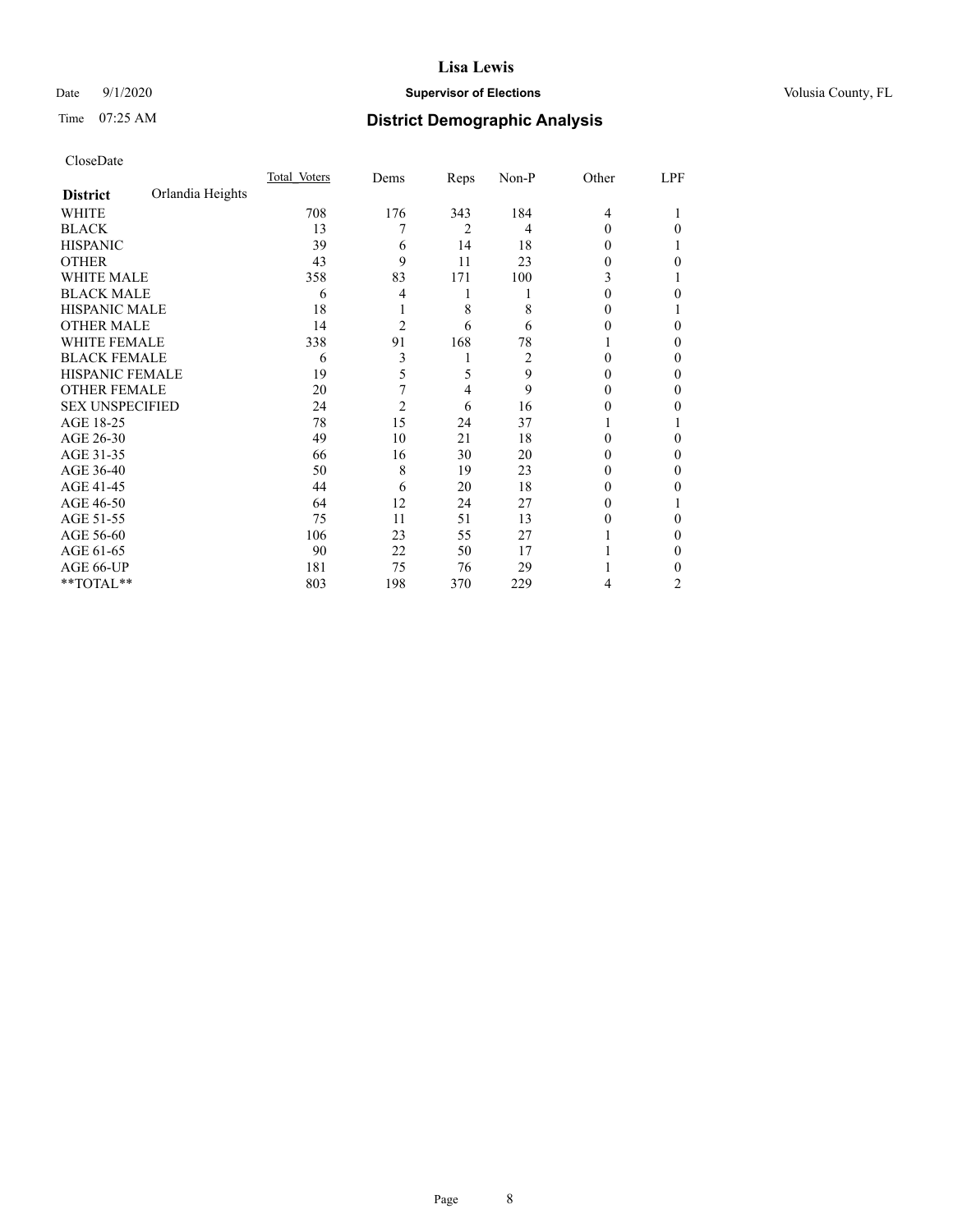# Date  $9/1/2020$  **Supervisor of Elections Supervisor of Elections** Volusia County, FL

# Time 07:25 AM **District Demographic Analysis**

|                        |                  | Total Voters | Dems           | Reps | Non-P | Other    | LPF |
|------------------------|------------------|--------------|----------------|------|-------|----------|-----|
| <b>District</b>        | Orlandia Heights |              |                |      |       |          |     |
| WHITE                  |                  | 708          | 176            | 343  | 184   | 4        |     |
| <b>BLACK</b>           |                  | 13           | 7              | 2    | 4     | $\Omega$ | 0   |
| <b>HISPANIC</b>        |                  | 39           | 6              | 14   | 18    | 0        |     |
| <b>OTHER</b>           |                  | 43           | 9              | 11   | 23    | 0        | 0   |
| <b>WHITE MALE</b>      |                  | 358          | 83             | 171  | 100   | 3        |     |
| <b>BLACK MALE</b>      |                  | 6            | 4              | 1    |       | 0        | 0   |
| <b>HISPANIC MALE</b>   |                  | 18           |                | 8    | 8     | 0        |     |
| <b>OTHER MALE</b>      |                  | 14           | $\overline{2}$ | 6    | 6     | 0        | 0   |
| <b>WHITE FEMALE</b>    |                  | 338          | 91             | 168  | 78    |          | 0   |
| <b>BLACK FEMALE</b>    |                  | 6            | 3              |      | 2     | 0        | 0   |
| HISPANIC FEMALE        |                  | 19           | 5              | 5    | 9     | 0        | 0   |
| <b>OTHER FEMALE</b>    |                  | 20           | 7              | 4    | 9     | 0        | 0   |
| <b>SEX UNSPECIFIED</b> |                  | 24           | $\overline{c}$ | 6    | 16    | 0        | 0   |
| AGE 18-25              |                  | 78           | 15             | 24   | 37    |          |     |
| AGE 26-30              |                  | 49           | 10             | 21   | 18    | 0        | 0   |
| AGE 31-35              |                  | 66           | 16             | 30   | 20    | 0        | 0   |
| AGE 36-40              |                  | 50           | 8              | 19   | 23    | 0        | 0   |
| AGE 41-45              |                  | 44           | 6              | 20   | 18    | 0        | 0   |
| AGE 46-50              |                  | 64           | 12             | 24   | 27    | 0        |     |
| AGE 51-55              |                  | 75           | 11             | 51   | 13    | 0        | 0   |
| AGE 56-60              |                  | 106          | 23             | 55   | 27    |          | 0   |
| AGE 61-65              |                  | 90           | 22             | 50   | 17    |          | 0   |
| AGE 66-UP              |                  | 181          | 75             | 76   | 29    |          | 0   |
| **TOTAL**              |                  | 803          | 198            | 370  | 229   | 4        | 2   |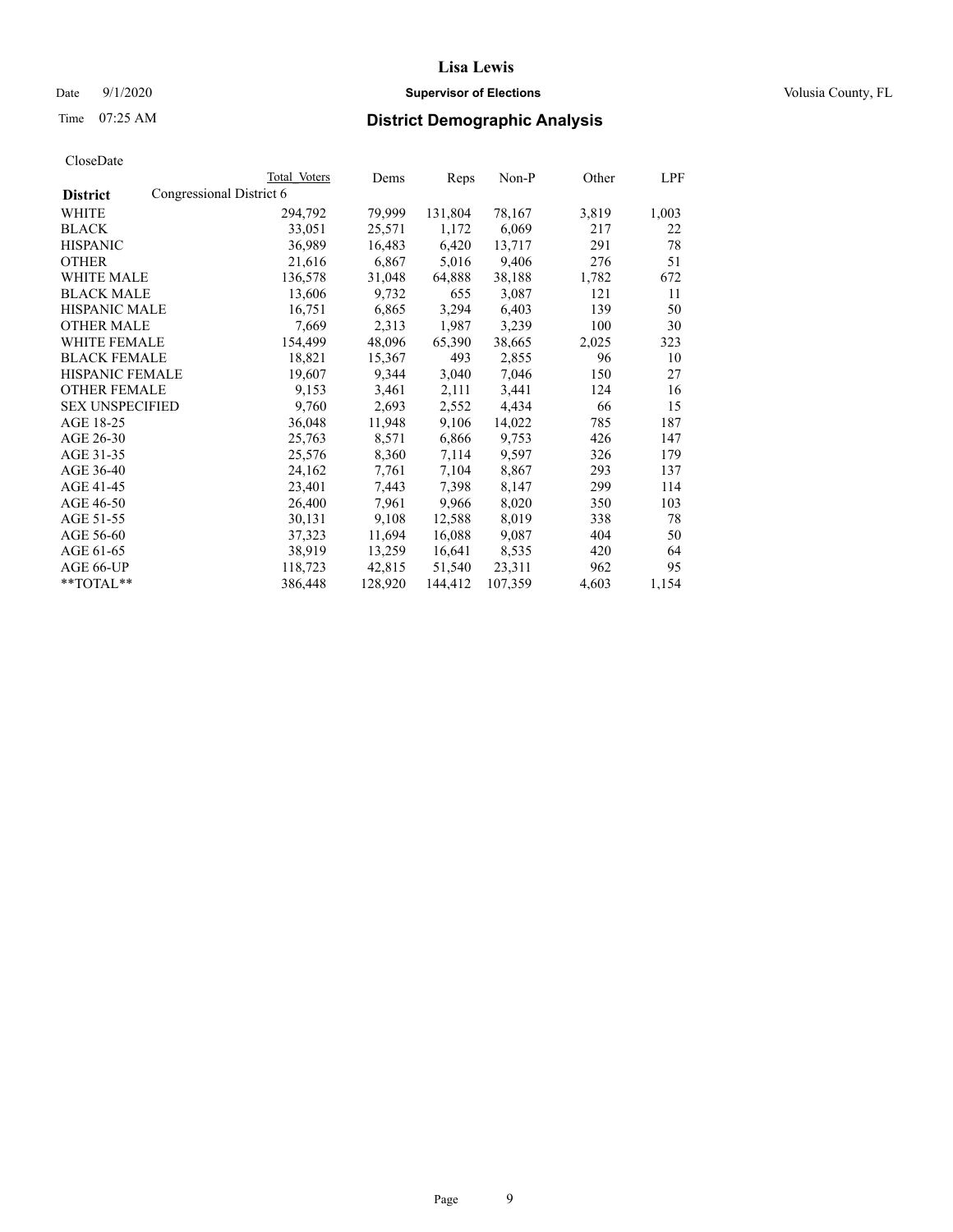# Date  $9/1/2020$  **Supervisor of Elections Supervisor of Elections** Volusia County, FL

| CloseDate |
|-----------|
|-----------|

|                        | Total Voters             | Dems    | Reps    | Non-P   | Other | LPF   |
|------------------------|--------------------------|---------|---------|---------|-------|-------|
| <b>District</b>        | Congressional District 6 |         |         |         |       |       |
| WHITE                  | 294,792                  | 79,999  | 131,804 | 78,167  | 3,819 | 1,003 |
| <b>BLACK</b>           | 33,051                   | 25,571  | 1,172   | 6,069   | 217   | 22    |
| <b>HISPANIC</b>        | 36,989                   | 16,483  | 6,420   | 13,717  | 291   | 78    |
| <b>OTHER</b>           | 21,616                   | 6,867   | 5,016   | 9,406   | 276   | 51    |
| <b>WHITE MALE</b>      | 136,578                  | 31,048  | 64,888  | 38,188  | 1,782 | 672   |
| <b>BLACK MALE</b>      | 13,606                   | 9,732   | 655     | 3,087   | 121   | 11    |
| <b>HISPANIC MALE</b>   | 16,751                   | 6,865   | 3,294   | 6,403   | 139   | 50    |
| <b>OTHER MALE</b>      | 7,669                    | 2,313   | 1,987   | 3,239   | 100   | 30    |
| <b>WHITE FEMALE</b>    | 154,499                  | 48,096  | 65,390  | 38,665  | 2,025 | 323   |
| <b>BLACK FEMALE</b>    | 18,821                   | 15,367  | 493     | 2,855   | 96    | 10    |
| HISPANIC FEMALE        | 19,607                   | 9,344   | 3,040   | 7,046   | 150   | 27    |
| <b>OTHER FEMALE</b>    | 9,153                    | 3,461   | 2,111   | 3,441   | 124   | 16    |
| <b>SEX UNSPECIFIED</b> | 9,760                    | 2,693   | 2,552   | 4,434   | 66    | 15    |
| AGE 18-25              | 36,048                   | 11,948  | 9,106   | 14,022  | 785   | 187   |
| AGE 26-30              | 25,763                   | 8,571   | 6,866   | 9,753   | 426   | 147   |
| AGE 31-35              | 25,576                   | 8,360   | 7,114   | 9,597   | 326   | 179   |
| AGE 36-40              | 24,162                   | 7,761   | 7,104   | 8,867   | 293   | 137   |
| AGE 41-45              | 23,401                   | 7,443   | 7,398   | 8,147   | 299   | 114   |
| AGE 46-50              | 26,400                   | 7,961   | 9,966   | 8,020   | 350   | 103   |
| AGE 51-55              | 30,131                   | 9,108   | 12,588  | 8,019   | 338   | 78    |
| AGE 56-60              | 37,323                   | 11,694  | 16,088  | 9,087   | 404   | 50    |
| AGE 61-65              | 38,919                   | 13,259  | 16,641  | 8,535   | 420   | 64    |
| AGE 66-UP              | 118,723                  | 42,815  | 51,540  | 23,311  | 962   | 95    |
| $*$ TOTAL $*$          | 386,448                  | 128,920 | 144,412 | 107,359 | 4,603 | 1,154 |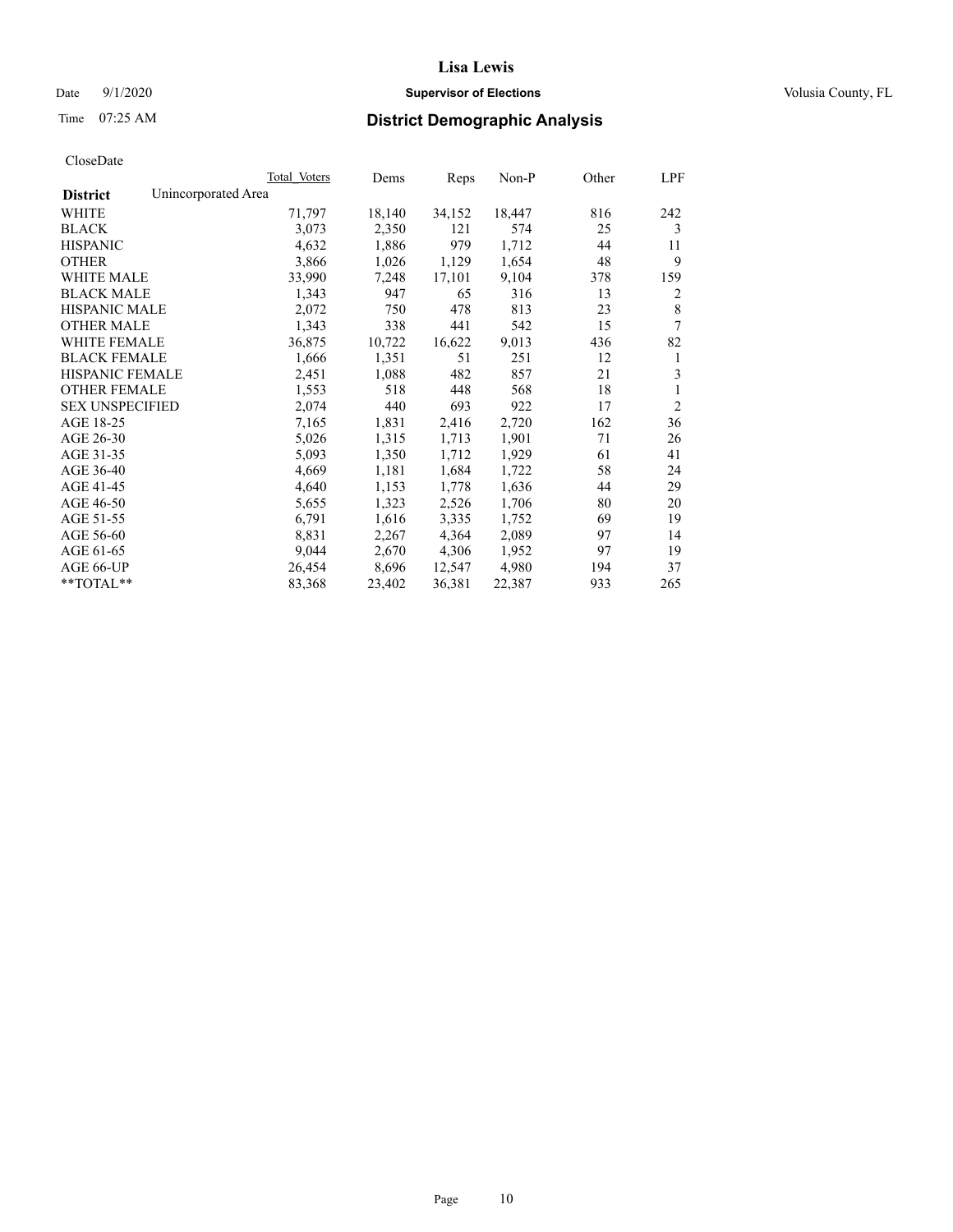# Date  $9/1/2020$  **Supervisor of Elections Supervisor of Elections** Volusia County, FL

# Time 07:25 AM **District Demographic Analysis**

|                        | Total Voters        | Dems   | Reps   | Non-P  | Other | LPF            |
|------------------------|---------------------|--------|--------|--------|-------|----------------|
| <b>District</b>        | Unincorporated Area |        |        |        |       |                |
| WHITE                  | 71,797              | 18,140 | 34,152 | 18,447 | 816   | 242            |
| <b>BLACK</b>           | 3,073               | 2,350  | 121    | 574    | 25    | 3              |
| <b>HISPANIC</b>        | 4,632               | 1,886  | 979    | 1,712  | 44    | 11             |
| <b>OTHER</b>           | 3,866               | 1,026  | 1,129  | 1,654  | 48    | 9              |
| <b>WHITE MALE</b>      | 33,990              | 7,248  | 17,101 | 9,104  | 378   | 159            |
| <b>BLACK MALE</b>      | 1,343               | 947    | 65     | 316    | 13    | 2              |
| <b>HISPANIC MALE</b>   | 2,072               | 750    | 478    | 813    | 23    | 8              |
| <b>OTHER MALE</b>      | 1,343               | 338    | 441    | 542    | 15    | 7              |
| <b>WHITE FEMALE</b>    | 36,875              | 10,722 | 16,622 | 9,013  | 436   | 82             |
| <b>BLACK FEMALE</b>    | 1,666               | 1,351  | 51     | 251    | 12    | 1              |
| <b>HISPANIC FEMALE</b> | 2,451               | 1,088  | 482    | 857    | 21    | 3              |
| <b>OTHER FEMALE</b>    | 1,553               | 518    | 448    | 568    | 18    | 1              |
| <b>SEX UNSPECIFIED</b> | 2,074               | 440    | 693    | 922    | 17    | $\overline{2}$ |
| AGE 18-25              | 7,165               | 1,831  | 2,416  | 2,720  | 162   | 36             |
| AGE 26-30              | 5,026               | 1,315  | 1,713  | 1,901  | 71    | 26             |
| AGE 31-35              | 5,093               | 1,350  | 1,712  | 1,929  | 61    | 41             |
| AGE 36-40              | 4,669               | 1,181  | 1,684  | 1,722  | 58    | 24             |
| AGE 41-45              | 4,640               | 1,153  | 1,778  | 1,636  | 44    | 29             |
| AGE 46-50              | 5,655               | 1,323  | 2,526  | 1,706  | 80    | 20             |
| AGE 51-55              | 6,791               | 1,616  | 3,335  | 1,752  | 69    | 19             |
| AGE 56-60              | 8,831               | 2,267  | 4,364  | 2,089  | 97    | 14             |
| AGE 61-65              | 9,044               | 2,670  | 4,306  | 1,952  | 97    | 19             |
| AGE 66-UP              | 26,454              | 8,696  | 12,547 | 4,980  | 194   | 37             |
| $*$ $TOTAL**$          | 83,368              | 23,402 | 36,381 | 22,387 | 933   | 265            |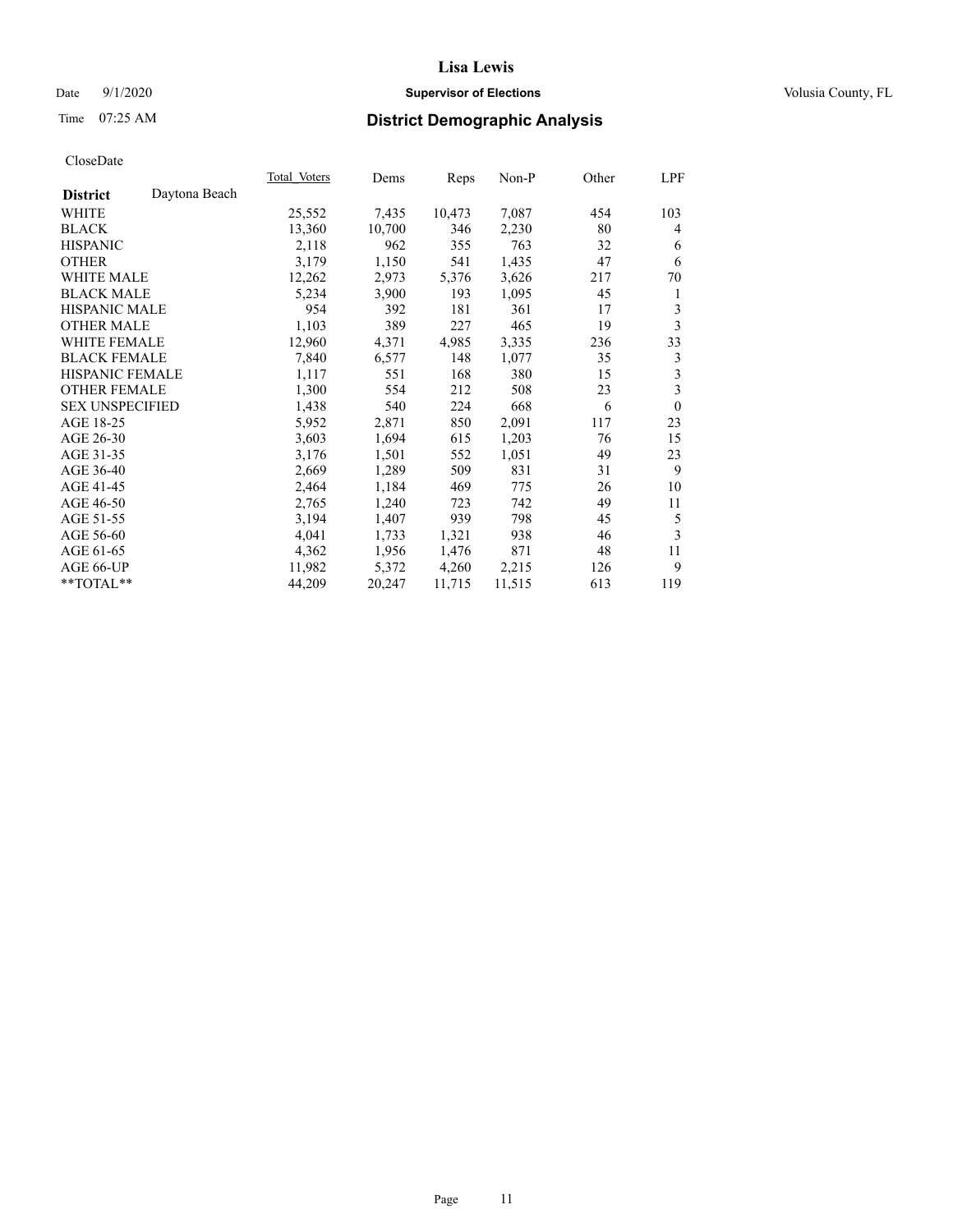# Date  $9/1/2020$  **Supervisor of Elections Supervisor of Elections** Volusia County, FL

# Time 07:25 AM **District Demographic Analysis**

|                        |               | Total Voters | Dems   | Reps   | Non-P  | Other | LPF            |
|------------------------|---------------|--------------|--------|--------|--------|-------|----------------|
| <b>District</b>        | Daytona Beach |              |        |        |        |       |                |
| WHITE                  |               | 25,552       | 7,435  | 10,473 | 7,087  | 454   | 103            |
| <b>BLACK</b>           |               | 13,360       | 10,700 | 346    | 2,230  | 80    | 4              |
| <b>HISPANIC</b>        |               | 2,118        | 962    | 355    | 763    | 32    | 6              |
| <b>OTHER</b>           |               | 3,179        | 1,150  | 541    | 1,435  | 47    | 6              |
| <b>WHITE MALE</b>      |               | 12,262       | 2,973  | 5,376  | 3,626  | 217   | 70             |
| <b>BLACK MALE</b>      |               | 5,234        | 3,900  | 193    | 1,095  | 45    | 1              |
| <b>HISPANIC MALE</b>   |               | 954          | 392    | 181    | 361    | 17    | 3              |
| <b>OTHER MALE</b>      |               | 1,103        | 389    | 227    | 465    | 19    | 3              |
| WHITE FEMALE           |               | 12,960       | 4,371  | 4,985  | 3,335  | 236   | 33             |
| <b>BLACK FEMALE</b>    |               | 7,840        | 6,577  | 148    | 1,077  | 35    | 3              |
| <b>HISPANIC FEMALE</b> |               | 1,117        | 551    | 168    | 380    | 15    | 3              |
| <b>OTHER FEMALE</b>    |               | 1,300        | 554    | 212    | 508    | 23    | 3              |
| <b>SEX UNSPECIFIED</b> |               | 1,438        | 540    | 224    | 668    | 6     | $\overline{0}$ |
| AGE 18-25              |               | 5,952        | 2,871  | 850    | 2,091  | 117   | 23             |
| AGE 26-30              |               | 3,603        | 1,694  | 615    | 1,203  | 76    | 15             |
| AGE 31-35              |               | 3,176        | 1,501  | 552    | 1,051  | 49    | 23             |
| AGE 36-40              |               | 2,669        | 1,289  | 509    | 831    | 31    | 9              |
| AGE 41-45              |               | 2,464        | 1,184  | 469    | 775    | 26    | 10             |
| AGE 46-50              |               | 2,765        | 1,240  | 723    | 742    | 49    | 11             |
| AGE 51-55              |               | 3,194        | 1,407  | 939    | 798    | 45    | 5              |
| AGE 56-60              |               | 4,041        | 1,733  | 1,321  | 938    | 46    | 3              |
| AGE 61-65              |               | 4,362        | 1,956  | 1,476  | 871    | 48    | 11             |
| AGE 66-UP              |               | 11,982       | 5,372  | 4,260  | 2,215  | 126   | 9              |
| $*$ TOTAL $*$          |               | 44,209       | 20,247 | 11,715 | 11,515 | 613   | 119            |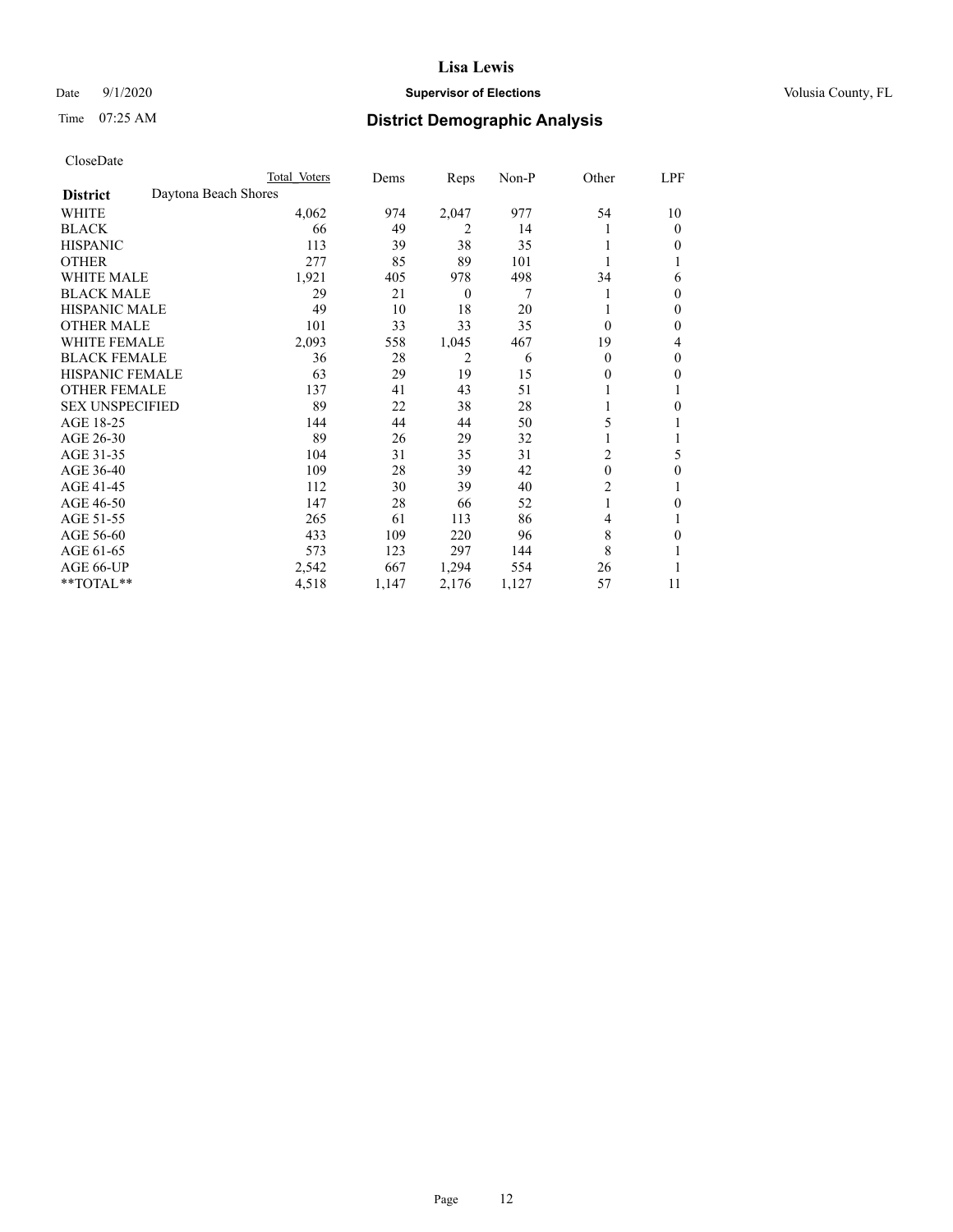# Date  $9/1/2020$  **Supervisor of Elections Supervisor of Elections** Volusia County, FL

# Time 07:25 AM **District Demographic Analysis**

|                                         | Total Voters | Dems  | Reps     | $Non-P$ | Other          | LPF |
|-----------------------------------------|--------------|-------|----------|---------|----------------|-----|
| Daytona Beach Shores<br><b>District</b> |              |       |          |         |                |     |
| WHITE                                   | 4,062        | 974   | 2,047    | 977     | 54             | 10  |
| <b>BLACK</b>                            | 66           | 49    | 2        | 14      |                | 0   |
| <b>HISPANIC</b>                         | 113          | 39    | 38       | 35      |                | 0   |
| <b>OTHER</b>                            | 277          | 85    | 89       | 101     |                |     |
| <b>WHITE MALE</b>                       | 1,921        | 405   | 978      | 498     | 34             | 6   |
| <b>BLACK MALE</b>                       | 29           | 21    | $\theta$ | 7       |                | 0   |
| <b>HISPANIC MALE</b>                    | 49           | 10    | 18       | 20      |                | 0   |
| <b>OTHER MALE</b>                       | 101          | 33    | 33       | 35      | $\Omega$       | 0   |
| <b>WHITE FEMALE</b>                     | 2,093        | 558   | 1,045    | 467     | 19             | 4   |
| <b>BLACK FEMALE</b>                     | 36           | 28    | 2        | 6       | $\theta$       | 0   |
| <b>HISPANIC FEMALE</b>                  | 63           | 29    | 19       | 15      | $\theta$       | 0   |
| <b>OTHER FEMALE</b>                     | 137          | 41    | 43       | 51      |                |     |
| <b>SEX UNSPECIFIED</b>                  | 89           | 22    | 38       | 28      |                | 0   |
| AGE 18-25                               | 144          | 44    | 44       | 50      | 5              |     |
| AGE 26-30                               | 89           | 26    | 29       | 32      |                |     |
| AGE 31-35                               | 104          | 31    | 35       | 31      | $\overline{2}$ | 5   |
| AGE 36-40                               | 109          | 28    | 39       | 42      | $\theta$       | 0   |
| AGE 41-45                               | 112          | 30    | 39       | 40      | 2              | 1   |
| AGE 46-50                               | 147          | 28    | 66       | 52      |                | 0   |
| AGE 51-55                               | 265          | 61    | 113      | 86      | $\overline{4}$ |     |
| AGE 56-60                               | 433          | 109   | 220      | 96      | 8              | 0   |
| AGE 61-65                               | 573          | 123   | 297      | 144     | 8              |     |
| AGE 66-UP                               | 2,542        | 667   | 1,294    | 554     | 26             |     |
| **TOTAL**                               | 4,518        | 1,147 | 2,176    | 1,127   | 57             | 11  |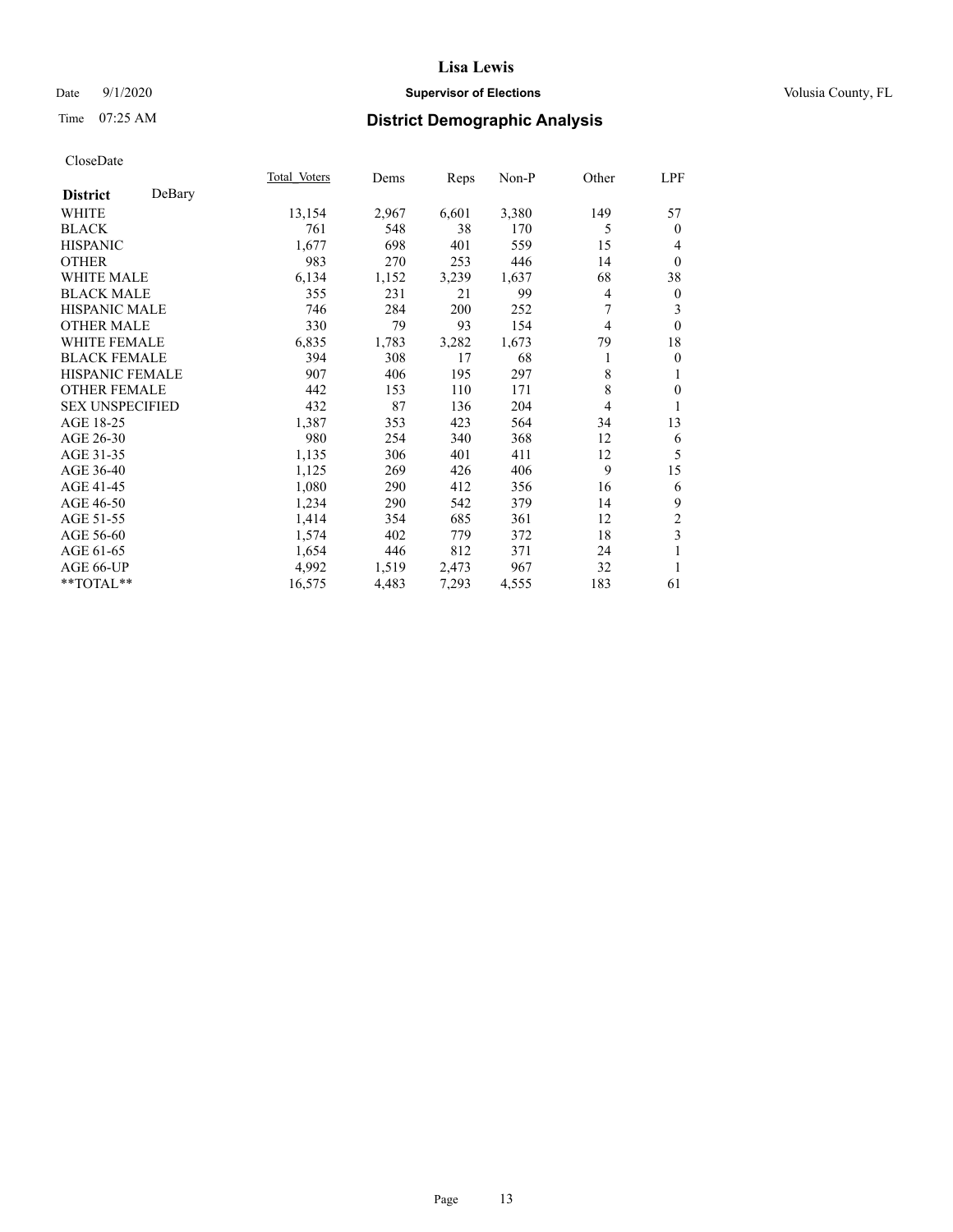# Date  $9/1/2020$  **Supervisor of Elections Supervisor of Elections** Volusia County, FL

# Time 07:25 AM **District Demographic Analysis**

|                        |        | Total Voters | Dems  | Reps  | Non-P | Other | LPF              |
|------------------------|--------|--------------|-------|-------|-------|-------|------------------|
| <b>District</b>        | DeBary |              |       |       |       |       |                  |
| WHITE                  |        | 13,154       | 2,967 | 6,601 | 3,380 | 149   | 57               |
| <b>BLACK</b>           |        | 761          | 548   | 38    | 170   | 5     | $\mathbf{0}$     |
| <b>HISPANIC</b>        |        | 1,677        | 698   | 401   | 559   | 15    | 4                |
| <b>OTHER</b>           |        | 983          | 270   | 253   | 446   | 14    | $\mathbf{0}$     |
| <b>WHITE MALE</b>      |        | 6,134        | 1,152 | 3,239 | 1,637 | 68    | 38               |
| <b>BLACK MALE</b>      |        | 355          | 231   | 21    | 99    | 4     | $\boldsymbol{0}$ |
| <b>HISPANIC MALE</b>   |        | 746          | 284   | 200   | 252   | 7     | 3                |
| <b>OTHER MALE</b>      |        | 330          | 79    | 93    | 154   | 4     | $\theta$         |
| <b>WHITE FEMALE</b>    |        | 6,835        | 1,783 | 3,282 | 1,673 | 79    | 18               |
| <b>BLACK FEMALE</b>    |        | 394          | 308   | 17    | 68    | 1     | $\mathbf{0}$     |
| <b>HISPANIC FEMALE</b> |        | 907          | 406   | 195   | 297   | 8     | 1                |
| <b>OTHER FEMALE</b>    |        | 442          | 153   | 110   | 171   | 8     | $\mathbf{0}$     |
| <b>SEX UNSPECIFIED</b> |        | 432          | 87    | 136   | 204   | 4     | 1                |
| AGE 18-25              |        | 1,387        | 353   | 423   | 564   | 34    | 13               |
| AGE 26-30              |        | 980          | 254   | 340   | 368   | 12    | 6                |
| AGE 31-35              |        | 1,135        | 306   | 401   | 411   | 12    | 5                |
| AGE 36-40              |        | 1,125        | 269   | 426   | 406   | 9     | 15               |
| AGE 41-45              |        | 1,080        | 290   | 412   | 356   | 16    | 6                |
| AGE 46-50              |        | 1,234        | 290   | 542   | 379   | 14    | 9                |
| AGE 51-55              |        | 1,414        | 354   | 685   | 361   | 12    | $\overline{c}$   |
| AGE 56-60              |        | 1,574        | 402   | 779   | 372   | 18    | 3                |
| AGE 61-65              |        | 1,654        | 446   | 812   | 371   | 24    | 1                |
| AGE 66-UP              |        | 4,992        | 1,519 | 2,473 | 967   | 32    | 1                |
| $*$ $TOTAL**$          |        | 16,575       | 4,483 | 7,293 | 4,555 | 183   | 61               |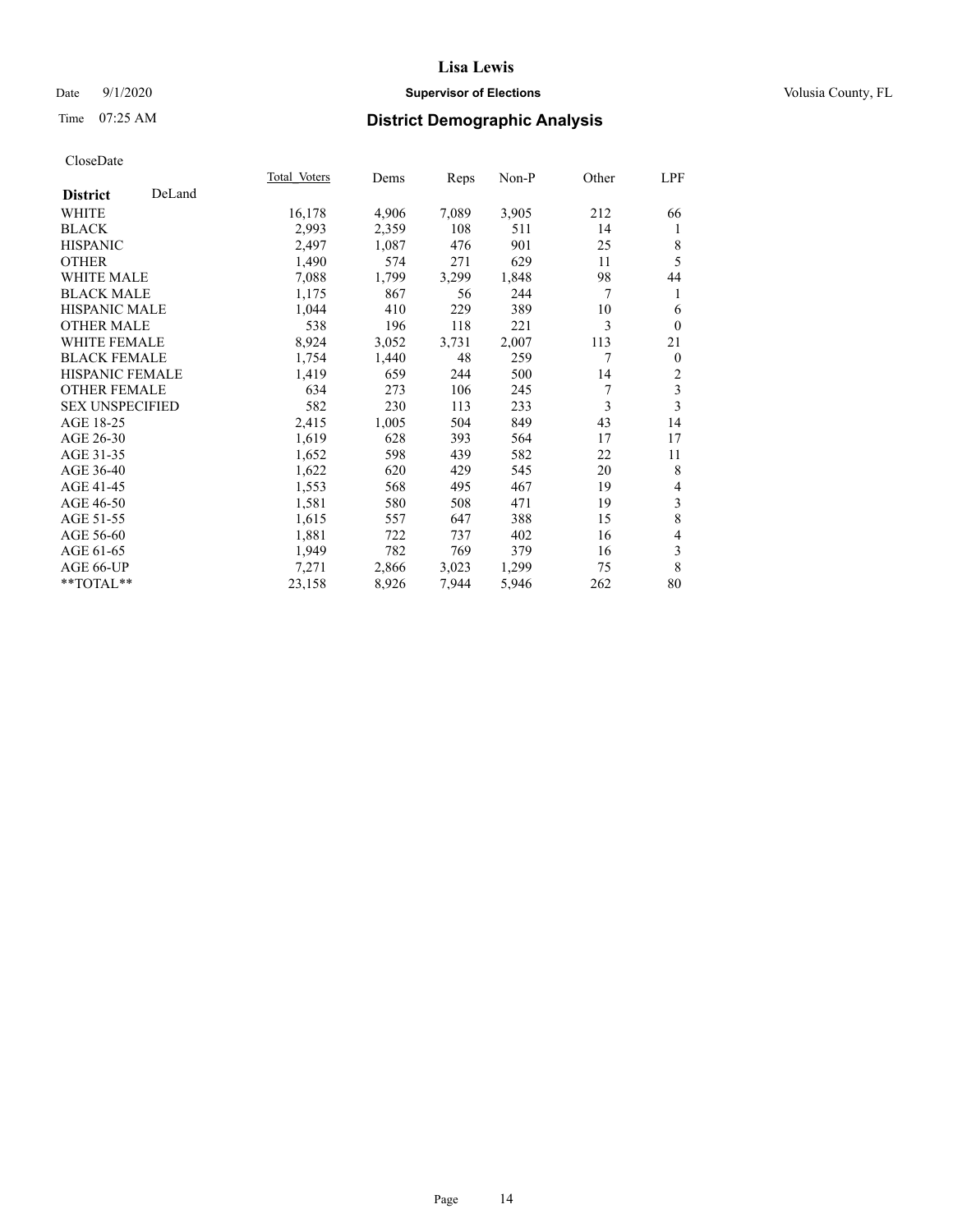# Date  $9/1/2020$  **Supervisor of Elections Supervisor of Elections** Volusia County, FL

# Time 07:25 AM **District Demographic Analysis**

|                        |        | Total Voters | Dems  | Reps  | Non-P | Other | LPF            |
|------------------------|--------|--------------|-------|-------|-------|-------|----------------|
| <b>District</b>        | DeLand |              |       |       |       |       |                |
| WHITE                  |        | 16,178       | 4,906 | 7,089 | 3,905 | 212   | 66             |
| <b>BLACK</b>           |        | 2,993        | 2,359 | 108   | 511   | 14    | 1              |
| <b>HISPANIC</b>        |        | 2,497        | 1,087 | 476   | 901   | 25    | 8              |
| <b>OTHER</b>           |        | 1,490        | 574   | 271   | 629   | 11    | 5              |
| <b>WHITE MALE</b>      |        | 7,088        | 1,799 | 3,299 | 1,848 | 98    | 44             |
| <b>BLACK MALE</b>      |        | 1,175        | 867   | 56    | 244   | 7     | 1              |
| <b>HISPANIC MALE</b>   |        | 1,044        | 410   | 229   | 389   | 10    | 6              |
| <b>OTHER MALE</b>      |        | 538          | 196   | 118   | 221   | 3     | $\mathbf{0}$   |
| <b>WHITE FEMALE</b>    |        | 8,924        | 3,052 | 3,731 | 2,007 | 113   | 21             |
| <b>BLACK FEMALE</b>    |        | 1,754        | 1,440 | 48    | 259   | 7     | $\mathbf{0}$   |
| <b>HISPANIC FEMALE</b> |        | 1,419        | 659   | 244   | 500   | 14    | $\overline{c}$ |
| <b>OTHER FEMALE</b>    |        | 634          | 273   | 106   | 245   | 7     | $\mathfrak{Z}$ |
| <b>SEX UNSPECIFIED</b> |        | 582          | 230   | 113   | 233   | 3     | 3              |
| AGE 18-25              |        | 2,415        | 1,005 | 504   | 849   | 43    | 14             |
| AGE 26-30              |        | 1,619        | 628   | 393   | 564   | 17    | 17             |
| AGE 31-35              |        | 1,652        | 598   | 439   | 582   | 22    | 11             |
| AGE 36-40              |        | 1,622        | 620   | 429   | 545   | 20    | 8              |
| AGE 41-45              |        | 1,553        | 568   | 495   | 467   | 19    | $\overline{4}$ |
| AGE 46-50              |        | 1,581        | 580   | 508   | 471   | 19    | $\mathfrak{Z}$ |
| AGE 51-55              |        | 1,615        | 557   | 647   | 388   | 15    | $\,$ 8 $\,$    |
| AGE 56-60              |        | 1,881        | 722   | 737   | 402   | 16    | $\overline{4}$ |
| AGE 61-65              |        | 1,949        | 782   | 769   | 379   | 16    | 3              |
| AGE 66-UP              |        | 7,271        | 2,866 | 3,023 | 1,299 | 75    | 8              |
| **TOTAL**              |        | 23,158       | 8,926 | 7,944 | 5,946 | 262   | 80             |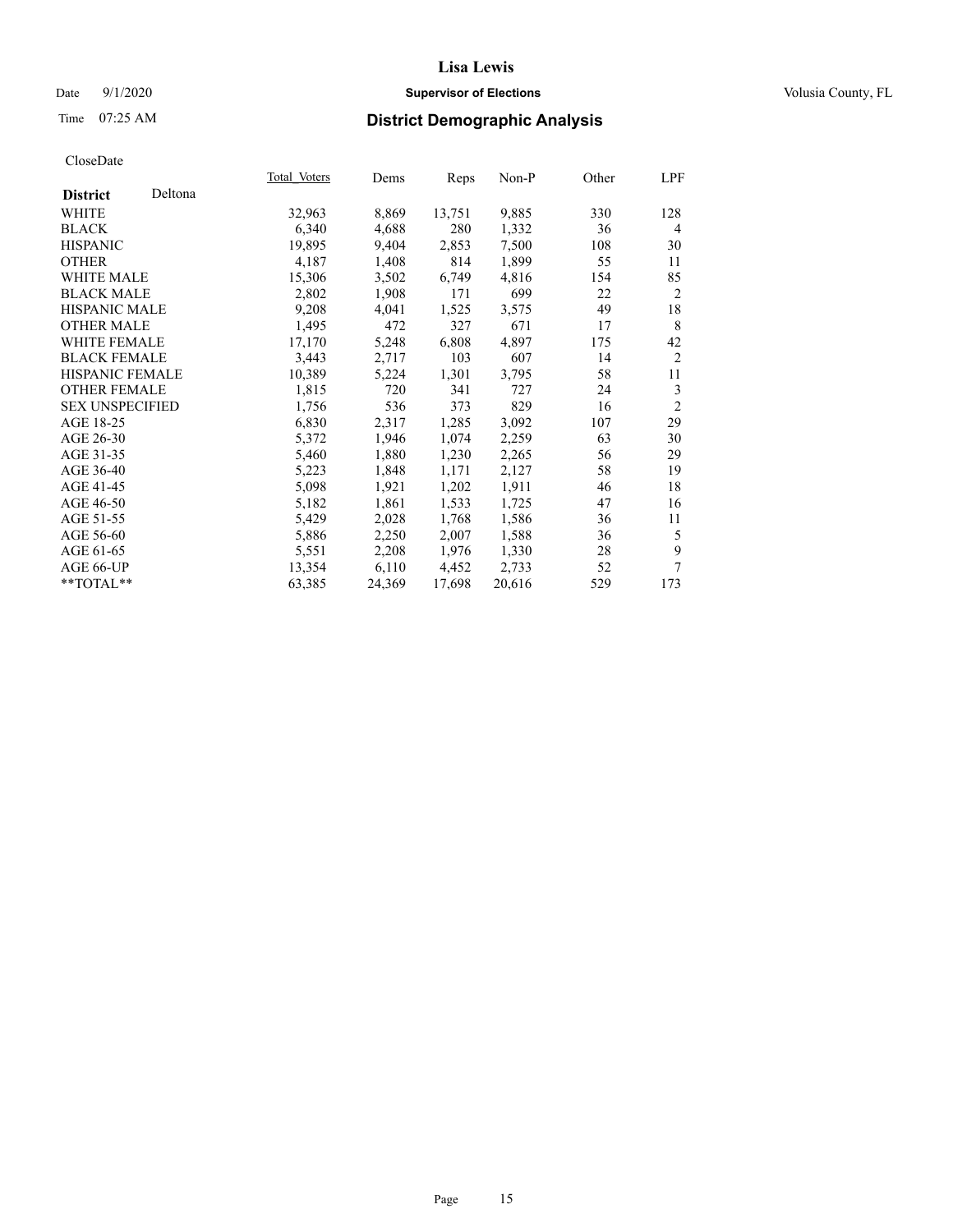# Date  $9/1/2020$  **Supervisor of Elections Supervisor of Elections** Volusia County, FL

# Time 07:25 AM **District Demographic Analysis**

|                        |         | Total Voters | Dems   | Reps   | Non-P  | Other | LPF            |
|------------------------|---------|--------------|--------|--------|--------|-------|----------------|
| <b>District</b>        | Deltona |              |        |        |        |       |                |
| WHITE                  |         | 32,963       | 8,869  | 13,751 | 9,885  | 330   | 128            |
| <b>BLACK</b>           |         | 6,340        | 4,688  | 280    | 1,332  | 36    | 4              |
| <b>HISPANIC</b>        |         | 19,895       | 9,404  | 2,853  | 7,500  | 108   | 30             |
| <b>OTHER</b>           |         | 4,187        | 1,408  | 814    | 1,899  | 55    | 11             |
| WHITE MALE             |         | 15,306       | 3,502  | 6,749  | 4,816  | 154   | 85             |
| <b>BLACK MALE</b>      |         | 2,802        | 1,908  | 171    | 699    | 22    | $\overline{2}$ |
| <b>HISPANIC MALE</b>   |         | 9,208        | 4,041  | 1,525  | 3,575  | 49    | 18             |
| <b>OTHER MALE</b>      |         | 1,495        | 472    | 327    | 671    | 17    | 8              |
| WHITE FEMALE           |         | 17,170       | 5,248  | 6,808  | 4,897  | 175   | 42             |
| <b>BLACK FEMALE</b>    |         | 3,443        | 2,717  | 103    | 607    | 14    | $\overline{2}$ |
| <b>HISPANIC FEMALE</b> |         | 10,389       | 5,224  | 1,301  | 3,795  | 58    | 11             |
| <b>OTHER FEMALE</b>    |         | 1,815        | 720    | 341    | 727    | 24    | 3              |
| <b>SEX UNSPECIFIED</b> |         | 1,756        | 536    | 373    | 829    | 16    | $\overline{2}$ |
| AGE 18-25              |         | 6,830        | 2,317  | 1,285  | 3,092  | 107   | 29             |
| AGE 26-30              |         | 5,372        | 1,946  | 1,074  | 2,259  | 63    | 30             |
| AGE 31-35              |         | 5,460        | 1,880  | 1,230  | 2,265  | 56    | 29             |
| AGE 36-40              |         | 5,223        | 1,848  | 1,171  | 2,127  | 58    | 19             |
| AGE 41-45              |         | 5,098        | 1,921  | 1,202  | 1,911  | 46    | 18             |
| AGE 46-50              |         | 5,182        | 1,861  | 1,533  | 1,725  | 47    | 16             |
| AGE 51-55              |         | 5,429        | 2,028  | 1,768  | 1,586  | 36    | 11             |
| AGE 56-60              |         | 5,886        | 2,250  | 2,007  | 1,588  | 36    | 5              |
| AGE 61-65              |         | 5,551        | 2,208  | 1,976  | 1,330  | 28    | 9              |
| AGE 66-UP              |         | 13,354       | 6,110  | 4,452  | 2,733  | 52    | 7              |
| $*$ $TOTAL**$          |         | 63,385       | 24,369 | 17,698 | 20,616 | 529   | 173            |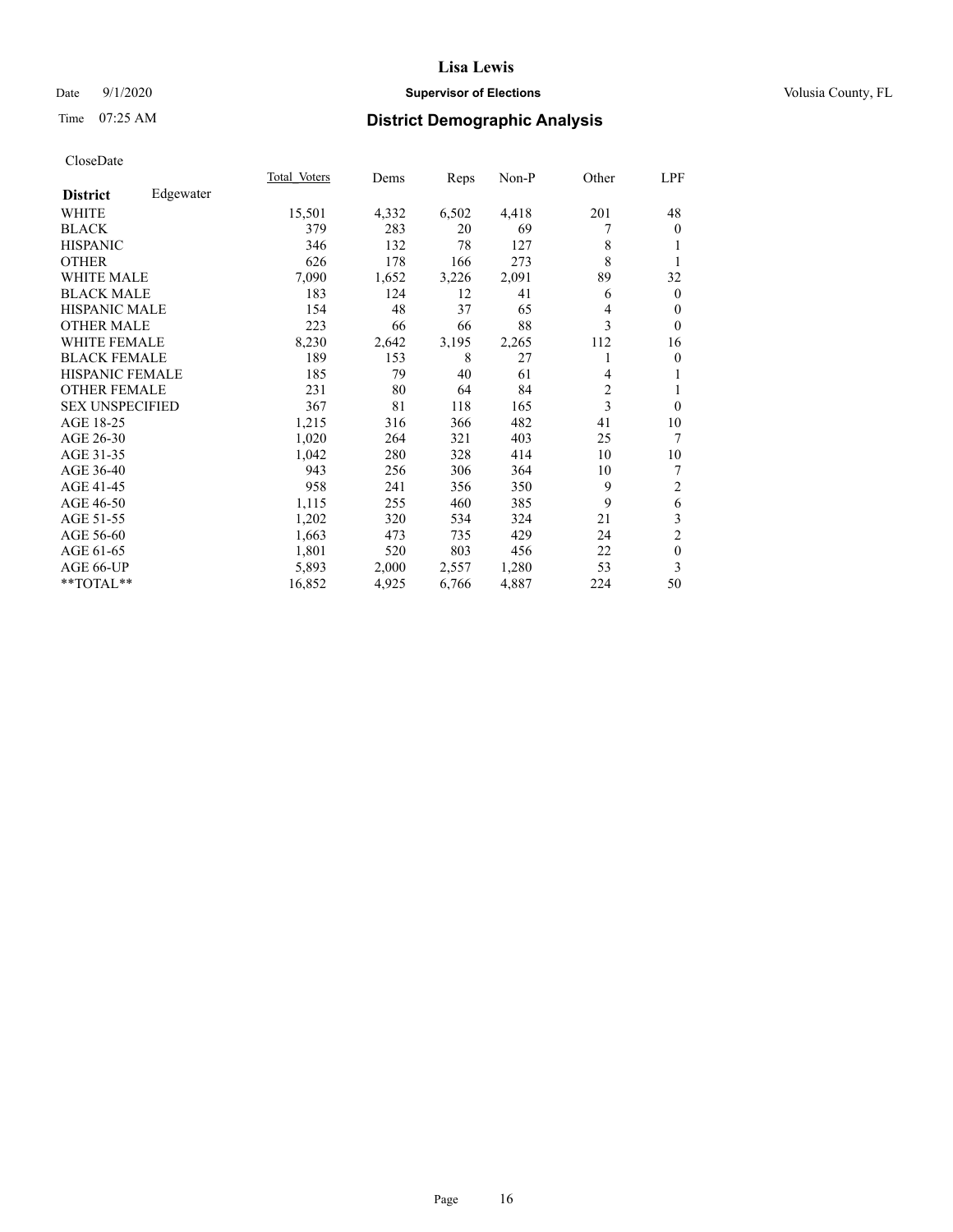# Date  $9/1/2020$  **Supervisor of Elections Supervisor of Elections** Volusia County, FL

# Time 07:25 AM **District Demographic Analysis**

|                        |           | Total Voters | Dems  | Reps  | Non-P | Other | LPF            |
|------------------------|-----------|--------------|-------|-------|-------|-------|----------------|
| <b>District</b>        | Edgewater |              |       |       |       |       |                |
| WHITE                  |           | 15,501       | 4,332 | 6,502 | 4,418 | 201   | 48             |
| <b>BLACK</b>           |           | 379          | 283   | 20    | 69    |       | $\theta$       |
| <b>HISPANIC</b>        |           | 346          | 132   | 78    | 127   | 8     | 1              |
| <b>OTHER</b>           |           | 626          | 178   | 166   | 273   | 8     | 1              |
| WHITE MALE             |           | 7,090        | 1,652 | 3,226 | 2,091 | 89    | 32             |
| <b>BLACK MALE</b>      |           | 183          | 124   | 12    | 41    | 6     | $\mathbf{0}$   |
| HISPANIC MALE          |           | 154          | 48    | 37    | 65    | 4     | $\theta$       |
| <b>OTHER MALE</b>      |           | 223          | 66    | 66    | 88    | 3     | $\theta$       |
| <b>WHITE FEMALE</b>    |           | 8,230        | 2,642 | 3,195 | 2,265 | 112   | 16             |
| <b>BLACK FEMALE</b>    |           | 189          | 153   | 8     | 27    |       | $\mathbf{0}$   |
| HISPANIC FEMALE        |           | 185          | 79    | 40    | 61    | 4     | 1              |
| <b>OTHER FEMALE</b>    |           | 231          | 80    | 64    | 84    | 2     | 1              |
| <b>SEX UNSPECIFIED</b> |           | 367          | 81    | 118   | 165   | 3     | $\theta$       |
| AGE 18-25              |           | 1,215        | 316   | 366   | 482   | 41    | 10             |
| AGE 26-30              |           | 1,020        | 264   | 321   | 403   | 25    | 7              |
| AGE 31-35              |           | 1,042        | 280   | 328   | 414   | 10    | 10             |
| AGE 36-40              |           | 943          | 256   | 306   | 364   | 10    | 7              |
| AGE 41-45              |           | 958          | 241   | 356   | 350   | 9     | $\overline{2}$ |
| AGE 46-50              |           | 1,115        | 255   | 460   | 385   | 9     | 6              |
| AGE 51-55              |           | 1,202        | 320   | 534   | 324   | 21    | 3              |
| AGE 56-60              |           | 1,663        | 473   | 735   | 429   | 24    | $\overline{2}$ |
| AGE 61-65              |           | 1,801        | 520   | 803   | 456   | 22    | $\mathbf{0}$   |
| AGE 66-UP              |           | 5,893        | 2,000 | 2,557 | 1,280 | 53    | 3              |
| **TOTAL**              |           | 16,852       | 4,925 | 6,766 | 4,887 | 224   | 50             |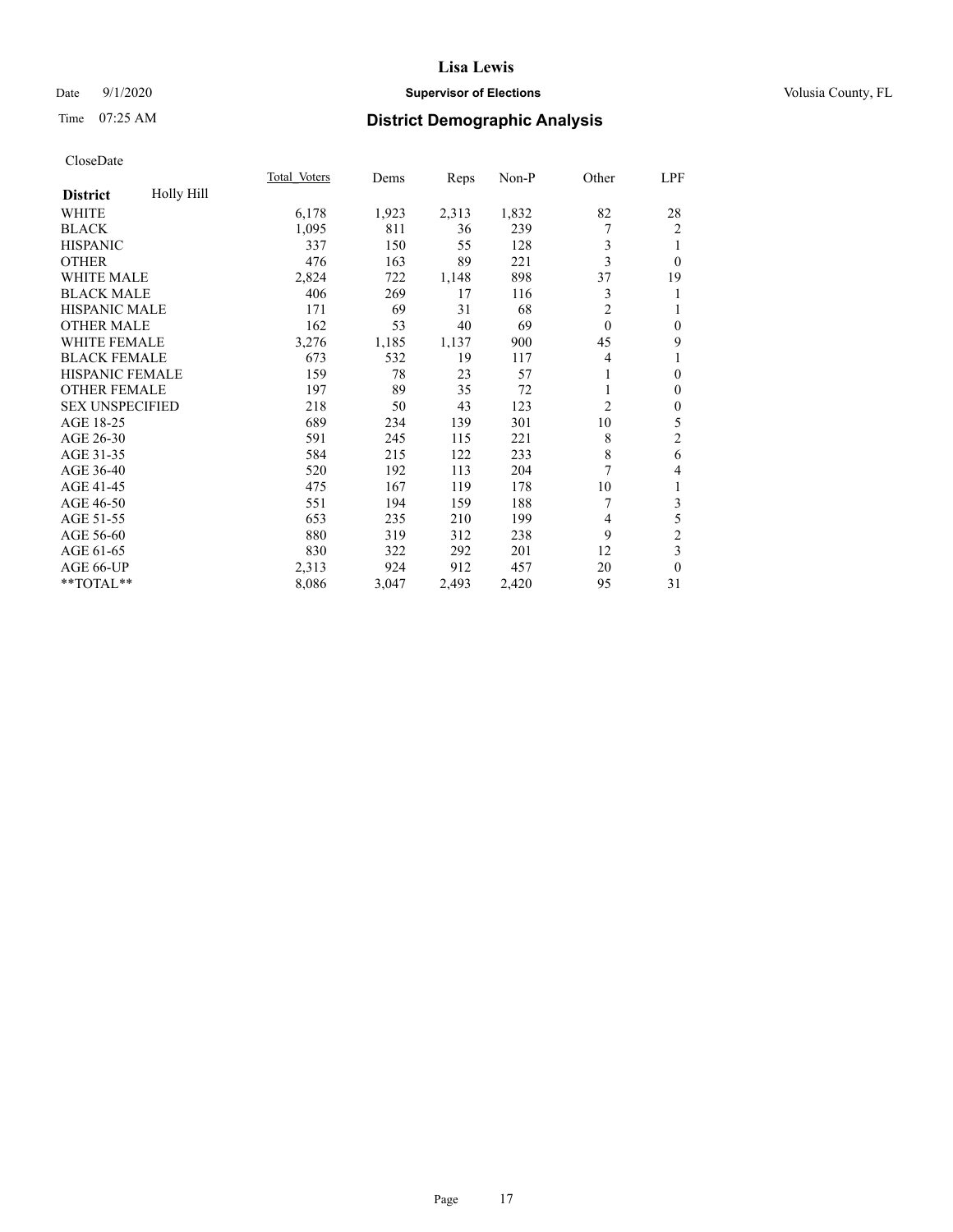# Date  $9/1/2020$  **Supervisor of Elections Supervisor of Elections** Volusia County, FL

# Time 07:25 AM **District Demographic Analysis**

|                               | Total Voters | Dems  | Reps  | Non-P | Other          | LPF              |
|-------------------------------|--------------|-------|-------|-------|----------------|------------------|
| Holly Hill<br><b>District</b> |              |       |       |       |                |                  |
| WHITE                         | 6,178        | 1,923 | 2,313 | 1,832 | 82             | 28               |
| <b>BLACK</b>                  | 1,095        | 811   | 36    | 239   | 7              | 2                |
| <b>HISPANIC</b>               | 337          | 150   | 55    | 128   | 3              | 1                |
| <b>OTHER</b>                  | 476          | 163   | 89    | 221   | 3              | $\theta$         |
| WHITE MALE                    | 2,824        | 722   | 1,148 | 898   | 37             | 19               |
| <b>BLACK MALE</b>             | 406          | 269   | 17    | 116   | 3              | 1                |
| <b>HISPANIC MALE</b>          | 171          | 69    | 31    | 68    | $\overline{c}$ | 1                |
| <b>OTHER MALE</b>             | 162          | 53    | 40    | 69    | $\theta$       | $\mathbf{0}$     |
| WHITE FEMALE                  | 3,276        | 1,185 | 1,137 | 900   | 45             | 9                |
| <b>BLACK FEMALE</b>           | 673          | 532   | 19    | 117   | $\overline{4}$ | 1                |
| <b>HISPANIC FEMALE</b>        | 159          | 78    | 23    | 57    |                | $\mathbf{0}$     |
| <b>OTHER FEMALE</b>           | 197          | 89    | 35    | 72    | 1              | $\mathbf{0}$     |
| <b>SEX UNSPECIFIED</b>        | 218          | 50    | 43    | 123   | $\overline{2}$ | $\boldsymbol{0}$ |
| AGE 18-25                     | 689          | 234   | 139   | 301   | 10             | 5                |
| AGE 26-30                     | 591          | 245   | 115   | 221   | 8              | $\mathfrak{2}$   |
| AGE 31-35                     | 584          | 215   | 122   | 233   | 8              | 6                |
| AGE 36-40                     | 520          | 192   | 113   | 204   | 7              | 4                |
| AGE 41-45                     | 475          | 167   | 119   | 178   | 10             | 1                |
| AGE 46-50                     | 551          | 194   | 159   | 188   | 7              | 3                |
| AGE 51-55                     | 653          | 235   | 210   | 199   | $\overline{4}$ | 5                |
| AGE 56-60                     | 880          | 319   | 312   | 238   | 9              | $\overline{c}$   |
| AGE 61-65                     | 830          | 322   | 292   | 201   | 12             | 3                |
| AGE 66-UP                     | 2,313        | 924   | 912   | 457   | 20             | $\theta$         |
| **TOTAL**                     | 8,086        | 3,047 | 2,493 | 2,420 | 95             | 31               |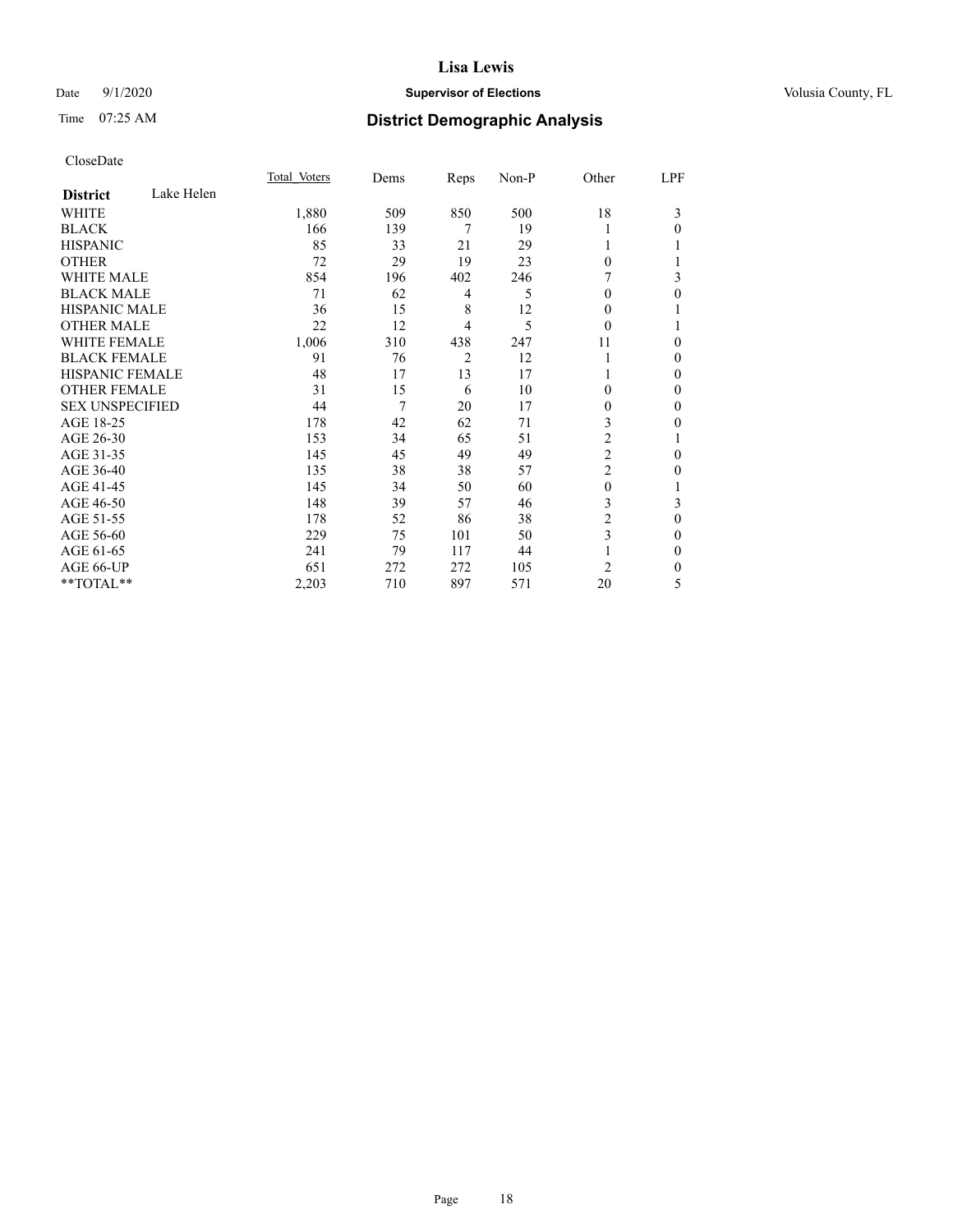# Date  $9/1/2020$  **Supervisor of Elections Supervisor of Elections** Volusia County, FL

# Time 07:25 AM **District Demographic Analysis**

|                        |            | Total Voters | Dems | Reps | Non-P | Other          | LPF          |
|------------------------|------------|--------------|------|------|-------|----------------|--------------|
| <b>District</b>        | Lake Helen |              |      |      |       |                |              |
| WHITE                  |            | 1,880        | 509  | 850  | 500   | 18             | 3            |
| <b>BLACK</b>           |            | 166          | 139  | 7    | 19    |                | $\theta$     |
| <b>HISPANIC</b>        |            | 85           | 33   | 21   | 29    |                |              |
| <b>OTHER</b>           |            | 72           | 29   | 19   | 23    | $\theta$       |              |
| WHITE MALE             |            | 854          | 196  | 402  | 246   |                | 3            |
| <b>BLACK MALE</b>      |            | 71           | 62   | 4    | 5     | 0              | $\theta$     |
| <b>HISPANIC MALE</b>   |            | 36           | 15   | 8    | 12    | 0              |              |
| <b>OTHER MALE</b>      |            | 22           | 12   | 4    | 5     | $\Omega$       | 1            |
| <b>WHITE FEMALE</b>    |            | 1,006        | 310  | 438  | 247   | 11             | 0            |
| <b>BLACK FEMALE</b>    |            | 91           | 76   | 2    | 12    |                | 0            |
| <b>HISPANIC FEMALE</b> |            | 48           | 17   | 13   | 17    |                | $\Omega$     |
| <b>OTHER FEMALE</b>    |            | 31           | 15   | 6    | 10    | $\theta$       | 0            |
| <b>SEX UNSPECIFIED</b> |            | 44           | 7    | 20   | 17    | 0              | 0            |
| AGE 18-25              |            | 178          | 42   | 62   | 71    | 3              | 0            |
| AGE 26-30              |            | 153          | 34   | 65   | 51    | 2              | 1            |
| AGE 31-35              |            | 145          | 45   | 49   | 49    | $\overline{c}$ | 0            |
| AGE 36-40              |            | 135          | 38   | 38   | 57    | $\overline{c}$ | 0            |
| AGE 41-45              |            | 145          | 34   | 50   | 60    | $\mathbf{0}$   |              |
| AGE 46-50              |            | 148          | 39   | 57   | 46    | 3              | 3            |
| AGE 51-55              |            | 178          | 52   | 86   | 38    | 2              | 0            |
| AGE 56-60              |            | 229          | 75   | 101  | 50    | 3              | $\mathbf{0}$ |
| AGE 61-65              |            | 241          | 79   | 117  | 44    |                | $\mathbf{0}$ |
| AGE 66-UP              |            | 651          | 272  | 272  | 105   | 2              | 0            |
| **TOTAL**              |            | 2,203        | 710  | 897  | 571   | 20             | 5            |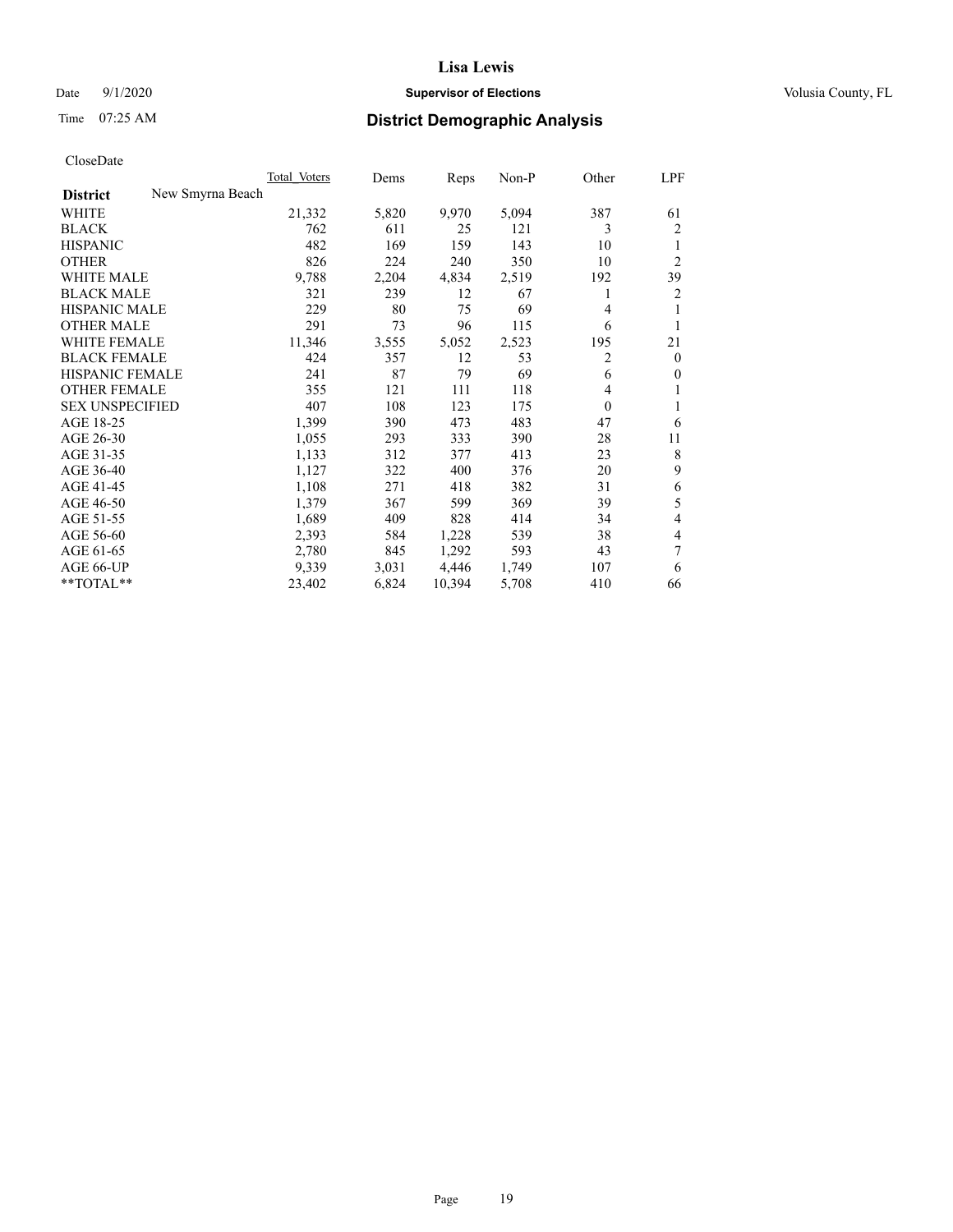# Date  $9/1/2020$  **Supervisor of Elections Supervisor of Elections** Volusia County, FL

# Time 07:25 AM **District Demographic Analysis**

| Total Voters | Dems             | Reps   | Non-P | Other        | LPF            |
|--------------|------------------|--------|-------|--------------|----------------|
|              |                  |        |       |              |                |
| 21,332       | 5,820            | 9,970  | 5,094 | 387          | 61             |
| 762          | 611              | 25     | 121   | 3            | 2              |
| 482          | 169              | 159    | 143   | 10           | 1              |
| 826          | 224              | 240    | 350   | 10           | $\overline{2}$ |
| 9,788        | 2,204            | 4,834  | 2,519 | 192          | 39             |
| 321          | 239              | 12     | 67    | 1            | $\overline{2}$ |
| 229          | 80               | 75     | 69    | 4            | 1              |
| 291          | 73               | 96     | 115   | 6            | 1              |
| 11,346       | 3,555            | 5,052  | 2,523 | 195          | 21             |
| 424          | 357              | 12     | 53    | 2            | $\overline{0}$ |
| 241          | 87               | 79     | 69    | 6            | $\overline{0}$ |
| 355          | 121              | 111    | 118   | 4            | 1              |
| 407          | 108              | 123    | 175   | $\mathbf{0}$ |                |
| 1,399        | 390              | 473    | 483   | 47           | 6              |
| 1,055        | 293              | 333    | 390   | 28           | 11             |
| 1,133        | 312              | 377    | 413   | 23           | 8              |
| 1,127        | 322              | 400    | 376   | 20           | 9              |
| 1,108        | 271              | 418    | 382   | 31           | 6              |
| 1,379        | 367              | 599    | 369   | 39           | 5              |
| 1,689        | 409              | 828    | 414   | 34           | $\overline{4}$ |
| 2,393        | 584              | 1,228  | 539   | 38           | 4              |
| 2,780        | 845              | 1,292  | 593   | 43           | 7              |
| 9,339        | 3,031            | 4,446  | 1,749 | 107          | 6              |
| 23,402       | 6,824            | 10,394 | 5,708 | 410          | 66             |
|              | New Smyrna Beach |        |       |              |                |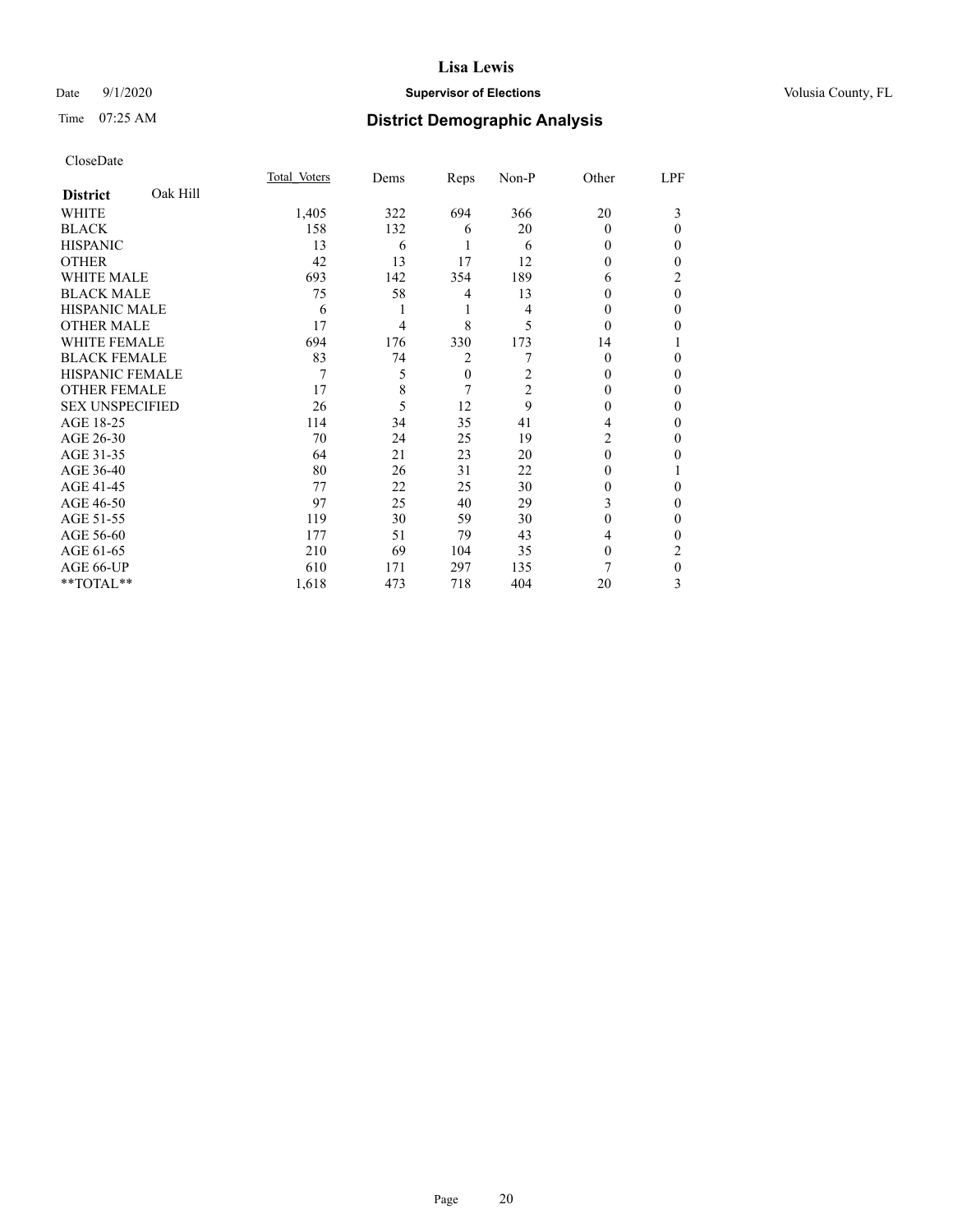# Date  $9/1/2020$  **Supervisor of Elections Supervisor of Elections** Volusia County, FL

# Time 07:25 AM **District Demographic Analysis**

|                        |          | Total Voters | Dems | Reps         | Non-P          | Other    | LPF      |
|------------------------|----------|--------------|------|--------------|----------------|----------|----------|
| <b>District</b>        | Oak Hill |              |      |              |                |          |          |
| WHITE                  |          | 1,405        | 322  | 694          | 366            | 20       | 3        |
| <b>BLACK</b>           |          | 158          | 132  | 6            | 20             | $\Omega$ | 0        |
| <b>HISPANIC</b>        |          | 13           | 6    |              | 6              | 0        | 0        |
| <b>OTHER</b>           |          | 42           | 13   | 17           | 12             | 0        | 0        |
| WHITE MALE             |          | 693          | 142  | 354          | 189            | 6        | 2        |
| <b>BLACK MALE</b>      |          | 75           | 58   | 4            | 13             | 0        | $\theta$ |
| <b>HISPANIC MALE</b>   |          | 6            |      | 1            | 4              | $_{0}$   | 0        |
| <b>OTHER MALE</b>      |          | 17           | 4    | 8            | 5              | $\Omega$ | 0        |
| WHITE FEMALE           |          | 694          | 176  | 330          | 173            | 14       |          |
| <b>BLACK FEMALE</b>    |          | 83           | 74   | 2            |                | 0        | 0        |
| <b>HISPANIC FEMALE</b> |          | 7            | 5    | $\mathbf{0}$ | 2              | 0        | 0        |
| <b>OTHER FEMALE</b>    |          | 17           | 8    | 7            | $\overline{2}$ | 0        | 0        |
| <b>SEX UNSPECIFIED</b> |          | 26           | 5    | 12           | 9              | $_{0}$   | 0        |
| AGE 18-25              |          | 114          | 34   | 35           | 41             | 4        | 0        |
| AGE 26-30              |          | 70           | 24   | 25           | 19             | 2        | 0        |
| AGE 31-35              |          | 64           | 21   | 23           | 20             | 0        | 0        |
| AGE 36-40              |          | 80           | 26   | 31           | 22             | 0        |          |
| AGE 41-45              |          | 77           | 22   | 25           | 30             | 0        | 0        |
| AGE 46-50              |          | 97           | 25   | 40           | 29             | 3        | 0        |
| AGE 51-55              |          | 119          | 30   | 59           | 30             | 0        | 0        |
| AGE 56-60              |          | 177          | 51   | 79           | 43             | 4        | 0        |
| AGE 61-65              |          | 210          | 69   | 104          | 35             | 0        | 2        |
| AGE 66-UP              |          | 610          | 171  | 297          | 135            | 7        | 0        |
| **TOTAL**              |          | 1,618        | 473  | 718          | 404            | 20       | 3        |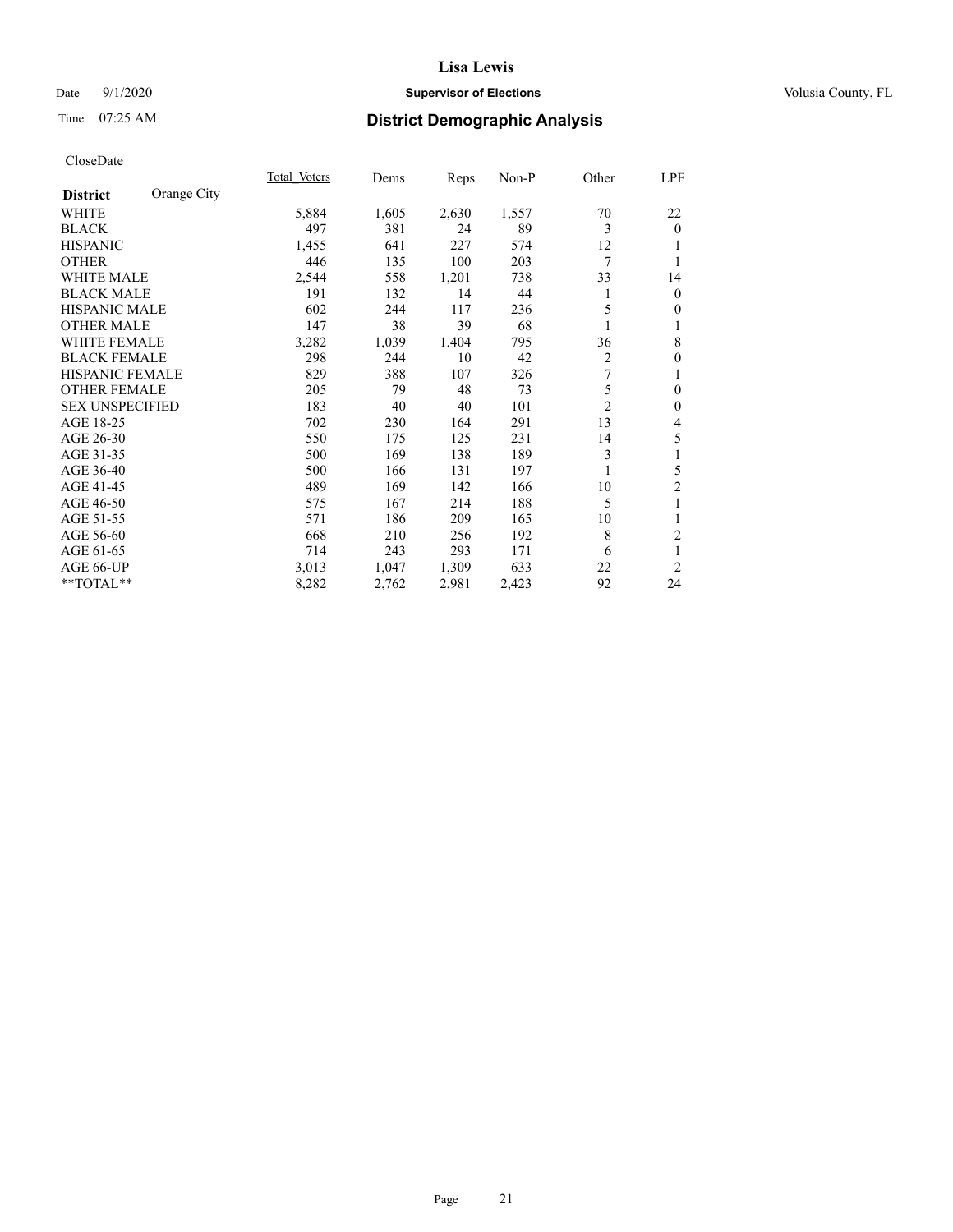# Date  $9/1/2020$  **Supervisor of Elections Supervisor of Elections** Volusia County, FL

# Time 07:25 AM **District Demographic Analysis**

|                                | Total Voters | Dems  | Reps  | Non-P | Other          | LPF            |
|--------------------------------|--------------|-------|-------|-------|----------------|----------------|
| Orange City<br><b>District</b> |              |       |       |       |                |                |
| WHITE                          | 5,884        | 1,605 | 2,630 | 1,557 | 70             | 22             |
| <b>BLACK</b>                   | 497          | 381   | 24    | 89    | 3              | $\mathbf{0}$   |
| <b>HISPANIC</b>                | 1,455        | 641   | 227   | 574   | 12             |                |
| <b>OTHER</b>                   | 446          | 135   | 100   | 203   | 7              |                |
| <b>WHITE MALE</b>              | 2,544        | 558   | 1,201 | 738   | 33             | 14             |
| <b>BLACK MALE</b>              | 191          | 132   | 14    | 44    | 1              | $\bf{0}$       |
| HISPANIC MALE                  | 602          | 244   | 117   | 236   | 5              | $\theta$       |
| <b>OTHER MALE</b>              | 147          | 38    | 39    | 68    |                | 1              |
| <b>WHITE FEMALE</b>            | 3,282        | 1,039 | 1,404 | 795   | 36             | 8              |
| <b>BLACK FEMALE</b>            | 298          | 244   | 10    | 42    | $\overline{2}$ | $\mathbf{0}$   |
| <b>HISPANIC FEMALE</b>         | 829          | 388   | 107   | 326   | 7              | 1              |
| <b>OTHER FEMALE</b>            | 205          | 79    | 48    | 73    | 5              | $\mathbf{0}$   |
| <b>SEX UNSPECIFIED</b>         | 183          | 40    | 40    | 101   | $\overline{2}$ | $\mathbf{0}$   |
| AGE 18-25                      | 702          | 230   | 164   | 291   | 13             | 4              |
| AGE 26-30                      | 550          | 175   | 125   | 231   | 14             | 5              |
| AGE 31-35                      | 500          | 169   | 138   | 189   | 3              | 1              |
| AGE 36-40                      | 500          | 166   | 131   | 197   |                | 5              |
| AGE 41-45                      | 489          | 169   | 142   | 166   | 10             | 2              |
| AGE 46-50                      | 575          | 167   | 214   | 188   | 5              | 1              |
| AGE 51-55                      | 571          | 186   | 209   | 165   | 10             | 1              |
| AGE 56-60                      | 668          | 210   | 256   | 192   | 8              | $\overline{c}$ |
| AGE 61-65                      | 714          | 243   | 293   | 171   | 6              | 1              |
| AGE 66-UP                      | 3,013        | 1,047 | 1,309 | 633   | 22             | $\overline{2}$ |
| **TOTAL**                      | 8,282        | 2,762 | 2,981 | 2,423 | 92             | 24             |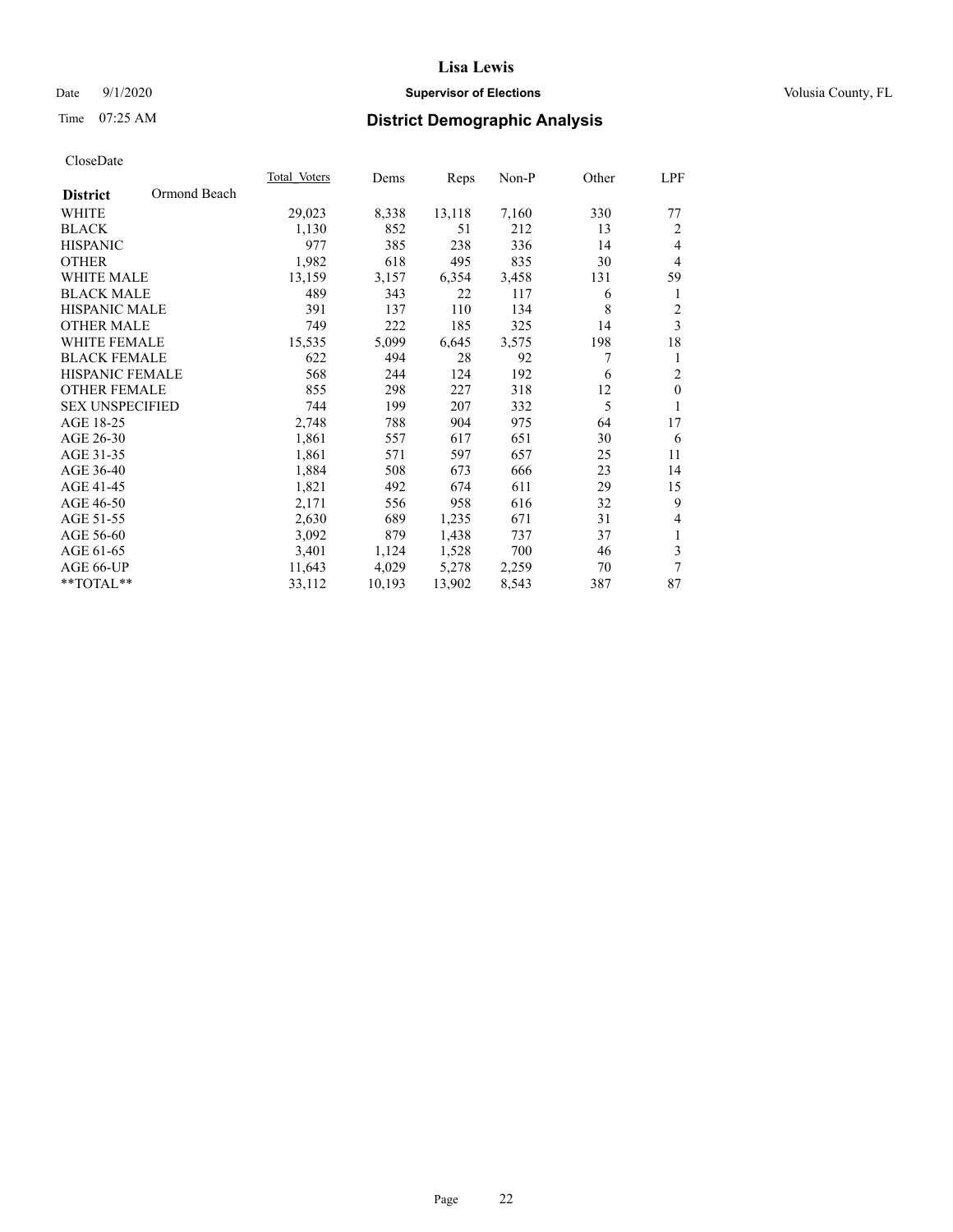# Date  $9/1/2020$  **Supervisor of Elections Supervisor of Elections** Volusia County, FL

# Time 07:25 AM **District Demographic Analysis**

|                        |              | Total Voters | Dems   | Reps   | Non-P | Other | LPF            |
|------------------------|--------------|--------------|--------|--------|-------|-------|----------------|
| <b>District</b>        | Ormond Beach |              |        |        |       |       |                |
| WHITE                  |              | 29,023       | 8,338  | 13,118 | 7,160 | 330   | 77             |
| <b>BLACK</b>           |              | 1,130        | 852    | 51     | 212   | 13    | 2              |
| <b>HISPANIC</b>        |              | 977          | 385    | 238    | 336   | 14    | $\overline{4}$ |
| <b>OTHER</b>           |              | 1,982        | 618    | 495    | 835   | 30    | $\overline{4}$ |
| <b>WHITE MALE</b>      |              | 13,159       | 3,157  | 6,354  | 3,458 | 131   | 59             |
| <b>BLACK MALE</b>      |              | 489          | 343    | 22     | 117   | 6     | 1              |
| <b>HISPANIC MALE</b>   |              | 391          | 137    | 110    | 134   | 8     | $\mathfrak{2}$ |
| <b>OTHER MALE</b>      |              | 749          | 222    | 185    | 325   | 14    | 3              |
| WHITE FEMALE           |              | 15,535       | 5,099  | 6,645  | 3,575 | 198   | 18             |
| <b>BLACK FEMALE</b>    |              | 622          | 494    | 28     | 92    | 7     | 1              |
| HISPANIC FEMALE        |              | 568          | 244    | 124    | 192   | 6     | $\overline{2}$ |
| <b>OTHER FEMALE</b>    |              | 855          | 298    | 227    | 318   | 12    | $\mathbf{0}$   |
| <b>SEX UNSPECIFIED</b> |              | 744          | 199    | 207    | 332   | 5     | 1              |
| AGE 18-25              |              | 2,748        | 788    | 904    | 975   | 64    | 17             |
| AGE 26-30              |              | 1,861        | 557    | 617    | 651   | 30    | 6              |
| AGE 31-35              |              | 1,861        | 571    | 597    | 657   | 25    | 11             |
| AGE 36-40              |              | 1,884        | 508    | 673    | 666   | 23    | 14             |
| AGE 41-45              |              | 1,821        | 492    | 674    | 611   | 29    | 15             |
| AGE 46-50              |              | 2,171        | 556    | 958    | 616   | 32    | 9              |
| AGE 51-55              |              | 2,630        | 689    | 1,235  | 671   | 31    | $\overline{4}$ |
| AGE 56-60              |              | 3,092        | 879    | 1,438  | 737   | 37    | 1              |
| AGE 61-65              |              | 3,401        | 1,124  | 1,528  | 700   | 46    | 3              |
| AGE 66-UP              |              | 11,643       | 4,029  | 5,278  | 2,259 | 70    | $\overline{7}$ |
| **TOTAL**              |              | 33,112       | 10,193 | 13,902 | 8,543 | 387   | 87             |
|                        |              |              |        |        |       |       |                |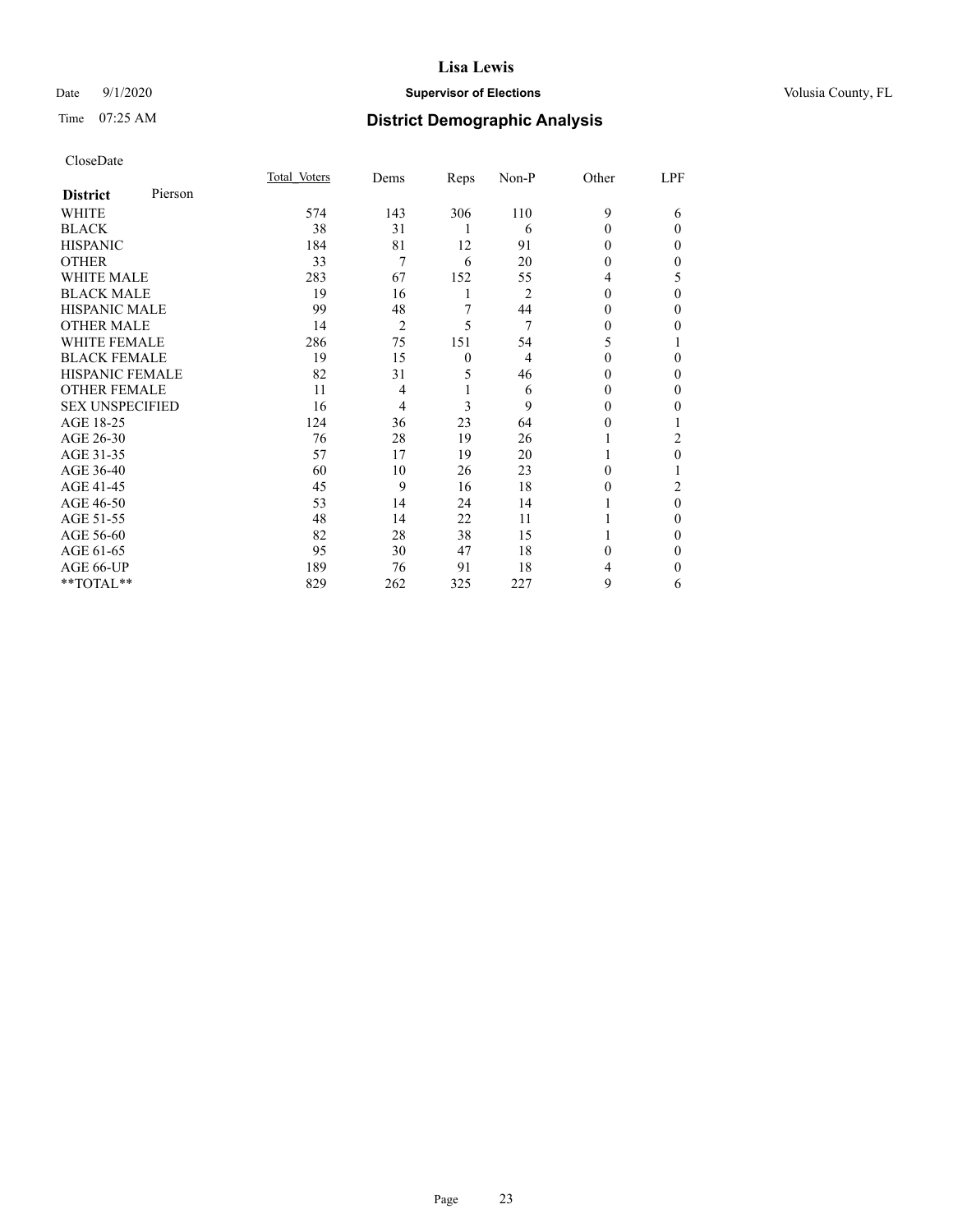# Date  $9/1/2020$  **Supervisor of Elections Supervisor of Elections** Volusia County, FL

| CloseDate |
|-----------|
|-----------|

|                        |         | Total Voters | Dems           | Reps         | Non-P | Other    | LPF      |
|------------------------|---------|--------------|----------------|--------------|-------|----------|----------|
| <b>District</b>        | Pierson |              |                |              |       |          |          |
| <b>WHITE</b>           |         | 574          | 143            | 306          | 110   | 9        | 6        |
| <b>BLACK</b>           |         | 38           | 31             | 1            | 6     | 0        | $\Omega$ |
| <b>HISPANIC</b>        |         | 184          | 81             | 12           | 91    | 0        | 0        |
| <b>OTHER</b>           |         | 33           | 7              | 6            | 20    | $\Omega$ | 0        |
| <b>WHITE MALE</b>      |         | 283          | 67             | 152          | 55    | 4        | 5        |
| <b>BLACK MALE</b>      |         | 19           | 16             | 1            | 2     | $\theta$ | 0        |
| <b>HISPANIC MALE</b>   |         | 99           | 48             | 7            | 44    | 0        | 0        |
| <b>OTHER MALE</b>      |         | 14           | $\overline{2}$ | 5            | 7     | $\theta$ | 0        |
| <b>WHITE FEMALE</b>    |         | 286          | 75             | 151          | 54    | 5        |          |
| <b>BLACK FEMALE</b>    |         | 19           | 15             | $\mathbf{0}$ | 4     | 0        | 0        |
| <b>HISPANIC FEMALE</b> |         | 82           | 31             | 5            | 46    | 0        | 0        |
| <b>OTHER FEMALE</b>    |         | 11           | 4              |              | 6     | 0        | 0        |
| <b>SEX UNSPECIFIED</b> |         | 16           | 4              | 3            | 9     | 0        | 0        |
| AGE 18-25              |         | 124          | 36             | 23           | 64    | 0        |          |
| AGE 26-30              |         | 76           | 28             | 19           | 26    |          | 2        |
| AGE 31-35              |         | 57           | 17             | 19           | 20    |          | 0        |
| AGE 36-40              |         | 60           | 10             | 26           | 23    | 0        |          |
| AGE 41-45              |         | 45           | 9              | 16           | 18    | 0        | 2        |
| AGE 46-50              |         | 53           | 14             | 24           | 14    |          | $\theta$ |
| AGE 51-55              |         | 48           | 14             | 22           | 11    |          | 0        |
| AGE 56-60              |         | 82           | 28             | 38           | 15    |          | 0        |
| AGE 61-65              |         | 95           | 30             | 47           | 18    | 0        | 0        |
| AGE 66-UP              |         | 189          | 76             | 91           | 18    |          | 0        |
| **TOTAL**              |         | 829          | 262            | 325          | 227   | 9        | 6        |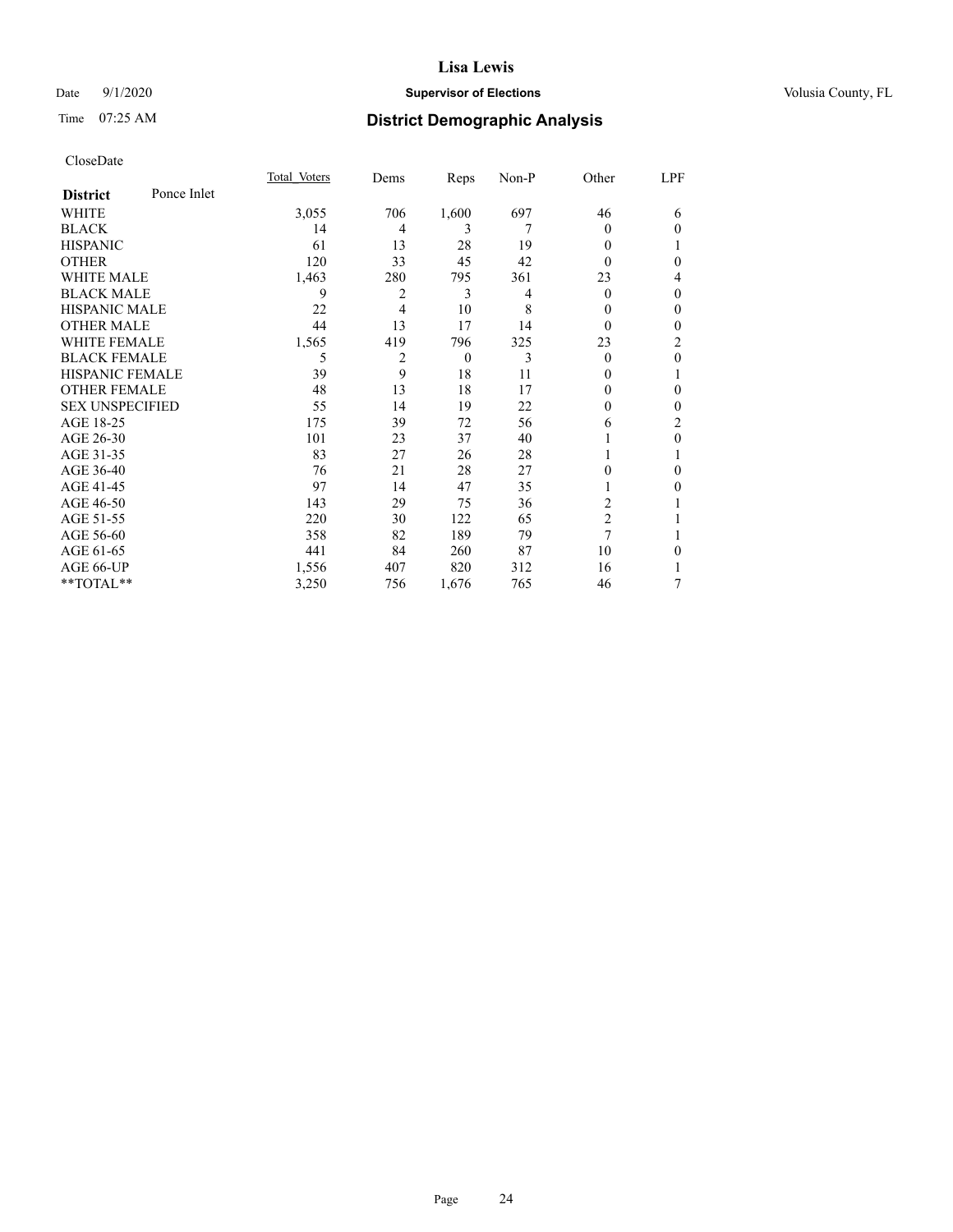# Date  $9/1/2020$  **Supervisor of Elections Supervisor of Elections** Volusia County, FL

# Time 07:25 AM **District Demographic Analysis**

|                        |             | Total Voters | Dems | Reps           | Non-P | Other          | LPF          |
|------------------------|-------------|--------------|------|----------------|-------|----------------|--------------|
| <b>District</b>        | Ponce Inlet |              |      |                |       |                |              |
| WHITE                  |             | 3,055        | 706  | 1,600          | 697   | 46             | 6            |
| <b>BLACK</b>           |             | 14           | 4    | 3              | 7     | 0              | $\Omega$     |
| <b>HISPANIC</b>        |             | 61           | 13   | 28             | 19    | 0              | 1            |
| <b>OTHER</b>           |             | 120          | 33   | 45             | 42    | 0              | 0            |
| <b>WHITE MALE</b>      |             | 1,463        | 280  | 795            | 361   | 23             | 4            |
| <b>BLACK MALE</b>      |             | 9            | 2    | 3              | 4     | 0              | $\mathbf{0}$ |
| <b>HISPANIC MALE</b>   |             | 22           | 4    | 10             | 8     | 0              | $\mathbf{0}$ |
| <b>OTHER MALE</b>      |             | 44           | 13   | 17             | 14    | 0              | 0            |
| <b>WHITE FEMALE</b>    |             | 1,565        | 419  | 796            | 325   | 23             | 2            |
| <b>BLACK FEMALE</b>    |             | 5            | 2    | $\overline{0}$ | 3     | 0              | $\theta$     |
| HISPANIC FEMALE        |             | 39           | 9    | 18             | 11    | 0              | 1            |
| <b>OTHER FEMALE</b>    |             | 48           | 13   | 18             | 17    | 0              | 0            |
| <b>SEX UNSPECIFIED</b> |             | 55           | 14   | 19             | 22    | 0              | 0            |
| AGE 18-25              |             | 175          | 39   | 72             | 56    | 6              | 2            |
| AGE 26-30              |             | 101          | 23   | 37             | 40    |                | $\theta$     |
| AGE 31-35              |             | 83           | 27   | 26             | 28    |                |              |
| AGE 36-40              |             | 76           | 21   | 28             | 27    | 0              | 0            |
| AGE 41-45              |             | 97           | 14   | 47             | 35    |                | 0            |
| AGE 46-50              |             | 143          | 29   | 75             | 36    | $\overline{c}$ |              |
| AGE 51-55              |             | 220          | 30   | 122            | 65    | $\overline{2}$ |              |
| AGE 56-60              |             | 358          | 82   | 189            | 79    | 7              |              |
| AGE 61-65              |             | 441          | 84   | 260            | 87    | 10             | $\theta$     |
| AGE 66-UP              |             | 1,556        | 407  | 820            | 312   | 16             |              |
| **TOTAL**              |             | 3,250        | 756  | 1,676          | 765   | 46             | 7            |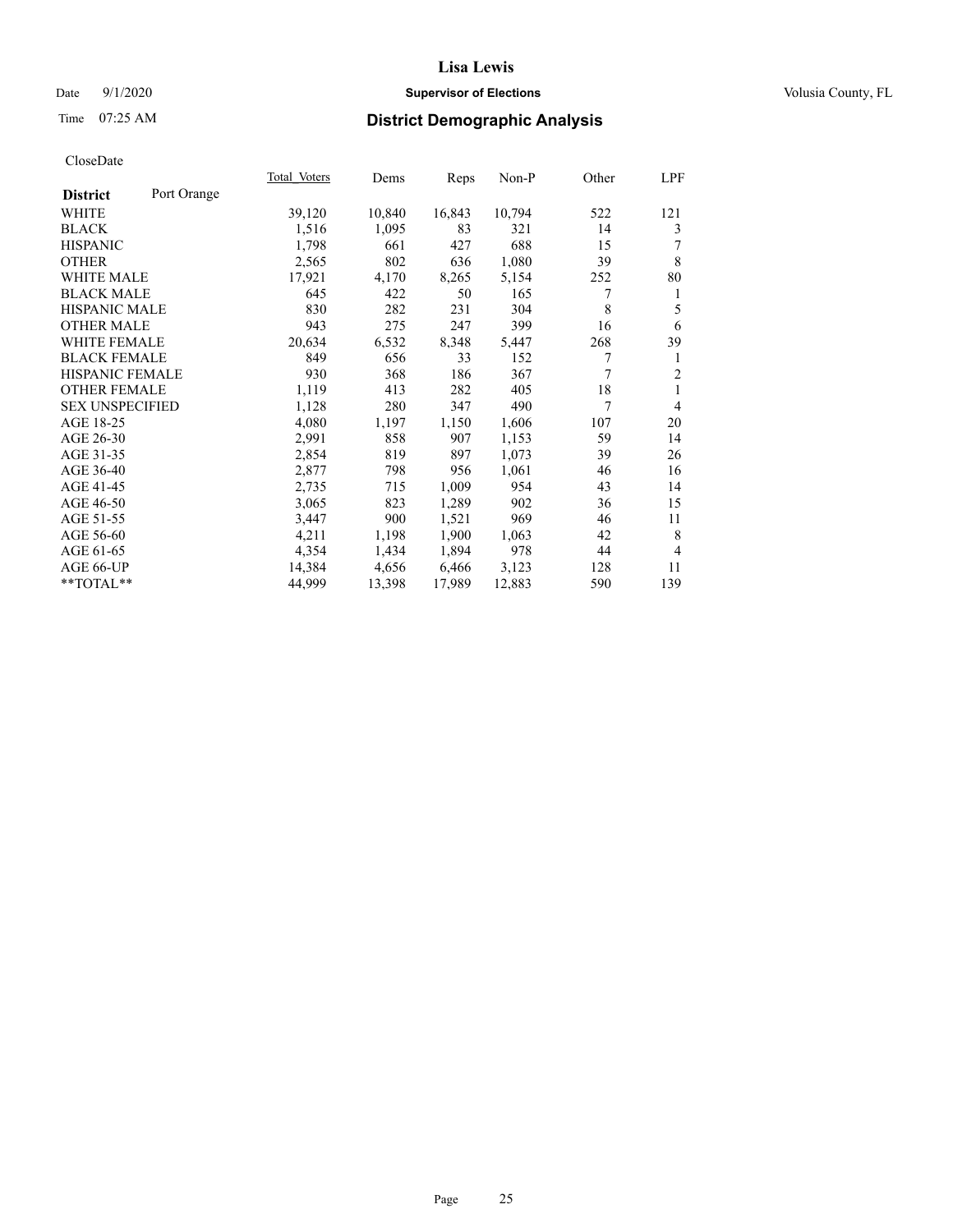# Date  $9/1/2020$  **Supervisor of Elections Supervisor of Elections** Volusia County, FL

# Time 07:25 AM **District Demographic Analysis**

|                        |             | Total Voters | Dems   | Reps   | Non-P  | Other | LPF            |
|------------------------|-------------|--------------|--------|--------|--------|-------|----------------|
| <b>District</b>        | Port Orange |              |        |        |        |       |                |
| WHITE                  |             | 39,120       | 10,840 | 16,843 | 10,794 | 522   | 121            |
| <b>BLACK</b>           |             | 1,516        | 1,095  | 83     | 321    | 14    | 3              |
| <b>HISPANIC</b>        |             | 1,798        | 661    | 427    | 688    | 15    |                |
| <b>OTHER</b>           |             | 2,565        | 802    | 636    | 1,080  | 39    | 8              |
| <b>WHITE MALE</b>      |             | 17,921       | 4,170  | 8,265  | 5,154  | 252   | 80             |
| <b>BLACK MALE</b>      |             | 645          | 422    | 50     | 165    | 7     | 1              |
| <b>HISPANIC MALE</b>   |             | 830          | 282    | 231    | 304    | 8     | 5              |
| <b>OTHER MALE</b>      |             | 943          | 275    | 247    | 399    | 16    | 6              |
| WHITE FEMALE           |             | 20,634       | 6,532  | 8,348  | 5,447  | 268   | 39             |
| <b>BLACK FEMALE</b>    |             | 849          | 656    | 33     | 152    | 7     | 1              |
| <b>HISPANIC FEMALE</b> |             | 930          | 368    | 186    | 367    | 7     | $\overline{2}$ |
| <b>OTHER FEMALE</b>    |             | 1,119        | 413    | 282    | 405    | 18    | 1              |
| <b>SEX UNSPECIFIED</b> |             | 1,128        | 280    | 347    | 490    | 7     | 4              |
| AGE 18-25              |             | 4,080        | 1,197  | 1,150  | 1,606  | 107   | 20             |
| AGE 26-30              |             | 2,991        | 858    | 907    | 1,153  | 59    | 14             |
| AGE 31-35              |             | 2,854        | 819    | 897    | 1,073  | 39    | 26             |
| AGE 36-40              |             | 2,877        | 798    | 956    | 1,061  | 46    | 16             |
| AGE 41-45              |             | 2,735        | 715    | 1,009  | 954    | 43    | 14             |
| AGE 46-50              |             | 3,065        | 823    | 1,289  | 902    | 36    | 15             |
| AGE 51-55              |             | 3,447        | 900    | 1,521  | 969    | 46    | 11             |
| AGE 56-60              |             | 4,211        | 1,198  | 1,900  | 1,063  | 42    | 8              |
| AGE 61-65              |             | 4,354        | 1,434  | 1,894  | 978    | 44    | 4              |
| AGE 66-UP              |             | 14,384       | 4,656  | 6,466  | 3,123  | 128   | 11             |
| $*$ $TOTAL**$          |             | 44,999       | 13,398 | 17,989 | 12,883 | 590   | 139            |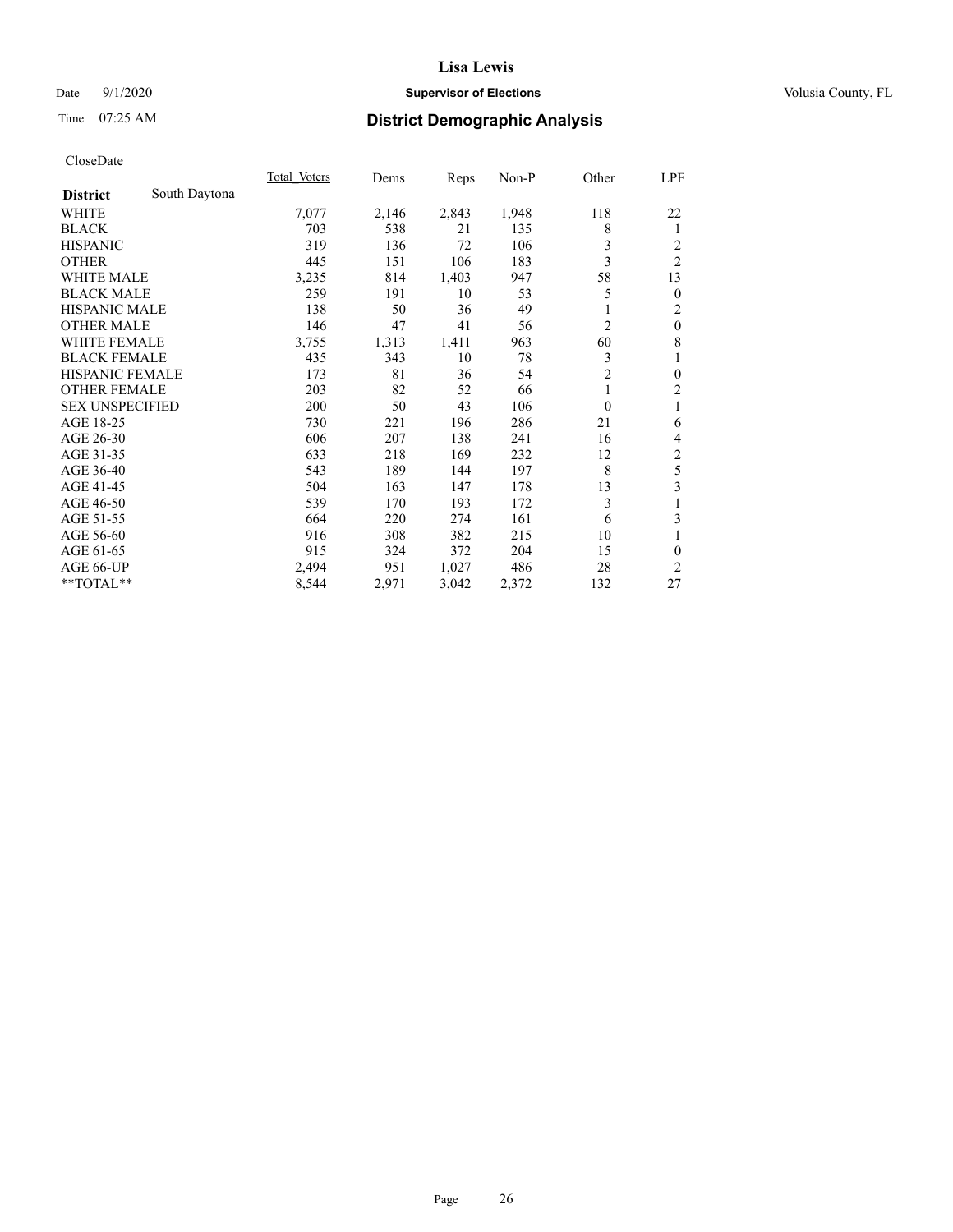# Date  $9/1/2020$  **Supervisor of Elections Supervisor of Elections** Volusia County, FL

# Time 07:25 AM **District Demographic Analysis**

|                        |               | Total Voters | Dems  | Reps  | Non-P | Other          | <u>LPF</u>     |
|------------------------|---------------|--------------|-------|-------|-------|----------------|----------------|
| <b>District</b>        | South Daytona |              |       |       |       |                |                |
| WHITE                  |               | 7,077        | 2,146 | 2,843 | 1,948 | 118            | 22             |
| <b>BLACK</b>           |               | 703          | 538   | 21    | 135   | 8              | 1              |
| <b>HISPANIC</b>        |               | 319          | 136   | 72    | 106   | 3              | 2              |
| <b>OTHER</b>           |               | 445          | 151   | 106   | 183   | 3              | $\overline{2}$ |
| <b>WHITE MALE</b>      |               | 3,235        | 814   | 1,403 | 947   | 58             | 13             |
| <b>BLACK MALE</b>      |               | 259          | 191   | 10    | 53    | 5              | $\mathbf{0}$   |
| <b>HISPANIC MALE</b>   |               | 138          | 50    | 36    | 49    |                | 2              |
| <b>OTHER MALE</b>      |               | 146          | 47    | 41    | 56    | $\overline{c}$ | $\mathbf{0}$   |
| <b>WHITE FEMALE</b>    |               | 3,755        | 1,313 | 1,411 | 963   | 60             | 8              |
| <b>BLACK FEMALE</b>    |               | 435          | 343   | 10    | 78    | 3              | 1              |
| <b>HISPANIC FEMALE</b> |               | 173          | 81    | 36    | 54    | $\overline{2}$ | $\mathbf{0}$   |
| <b>OTHER FEMALE</b>    |               | 203          | 82    | 52    | 66    | 1              | $\overline{2}$ |
| <b>SEX UNSPECIFIED</b> |               | 200          | 50    | 43    | 106   | $\theta$       | 1              |
| AGE 18-25              |               | 730          | 221   | 196   | 286   | 21             | 6              |
| AGE 26-30              |               | 606          | 207   | 138   | 241   | 16             | 4              |
| AGE 31-35              |               | 633          | 218   | 169   | 232   | 12             | $\overline{c}$ |
| AGE 36-40              |               | 543          | 189   | 144   | 197   | 8              | 5              |
| AGE 41-45              |               | 504          | 163   | 147   | 178   | 13             | 3              |
| AGE 46-50              |               | 539          | 170   | 193   | 172   | 3              | 1              |
| AGE 51-55              |               | 664          | 220   | 274   | 161   | 6              | 3              |
| AGE 56-60              |               | 916          | 308   | 382   | 215   | 10             | 1              |
| AGE 61-65              |               | 915          | 324   | 372   | 204   | 15             | $\theta$       |
| AGE 66-UP              |               | 2,494        | 951   | 1,027 | 486   | 28             | 2              |
| **TOTAL**              |               | 8,544        | 2,971 | 3,042 | 2,372 | 132            | 27             |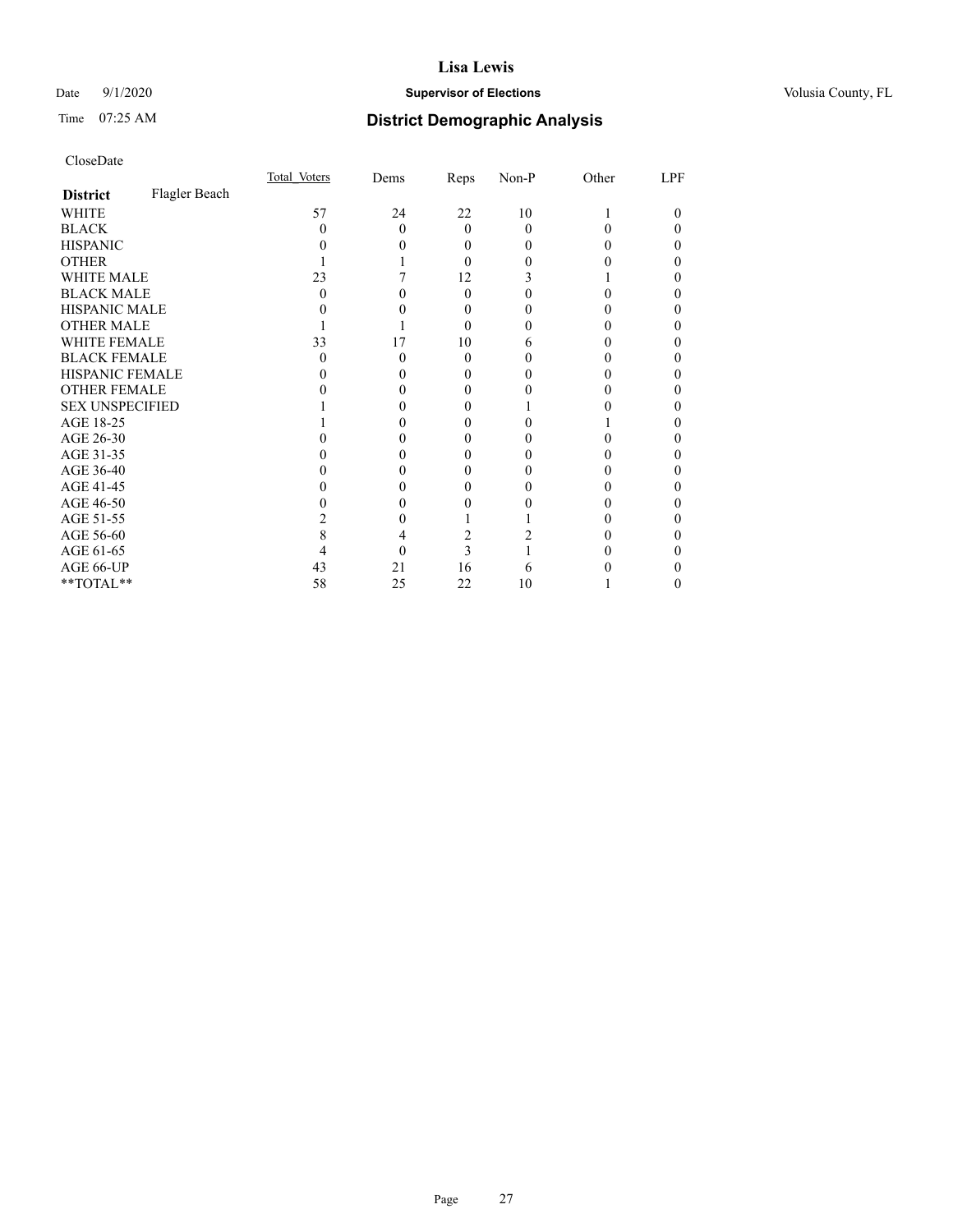# Date  $9/1/2020$  **Supervisor of Elections Supervisor of Elections** Volusia County, FL

# Time 07:25 AM **District Demographic Analysis**

|                        |               | Total Voters | Dems | Reps     | Non-P | Other | LPF |
|------------------------|---------------|--------------|------|----------|-------|-------|-----|
| <b>District</b>        | Flagler Beach |              |      |          |       |       |     |
| WHITE                  |               | 57           | 24   | 22       | 10    |       | 0   |
| <b>BLACK</b>           |               | 0            | 0    | $\theta$ | 0     |       |     |
| <b>HISPANIC</b>        |               |              | 0    | $\theta$ | 0     |       |     |
| <b>OTHER</b>           |               |              |      | 0        |       |       |     |
| WHITE MALE             |               | 23           |      | 12       |       |       | 0   |
| <b>BLACK MALE</b>      |               |              |      | 0        |       |       |     |
| <b>HISPANIC MALE</b>   |               |              |      | $_{0}$   |       |       |     |
| <b>OTHER MALE</b>      |               |              |      | 0        |       |       | 0   |
| WHITE FEMALE           |               | 33           | 17   | 10       | 6     |       |     |
| <b>BLACK FEMALE</b>    |               | $\theta$     | 0    | $\theta$ |       |       | 0   |
| HISPANIC FEMALE        |               |              |      | $_{0}$   |       |       |     |
| <b>OTHER FEMALE</b>    |               |              |      | 0        |       |       | 0   |
| <b>SEX UNSPECIFIED</b> |               |              |      |          |       |       |     |
| AGE 18-25              |               |              |      |          |       |       |     |
| AGE 26-30              |               |              |      |          |       |       |     |
| AGE 31-35              |               |              |      |          |       |       |     |
| AGE 36-40              |               |              |      | 0        |       |       | 0   |
| AGE 41-45              |               |              |      |          |       |       |     |
| AGE 46-50              |               |              |      | 0        |       | 0     | 0   |
| AGE 51-55              |               |              |      |          |       |       |     |
| AGE 56-60              |               | 8            |      |          |       |       |     |
| AGE 61-65              |               |              |      | 3        |       |       |     |
| AGE 66-UP              |               | 43           | 21   | 16       | 6     |       |     |
| **TOTAL**              |               | 58           | 25   | 22       | 10    |       | 0   |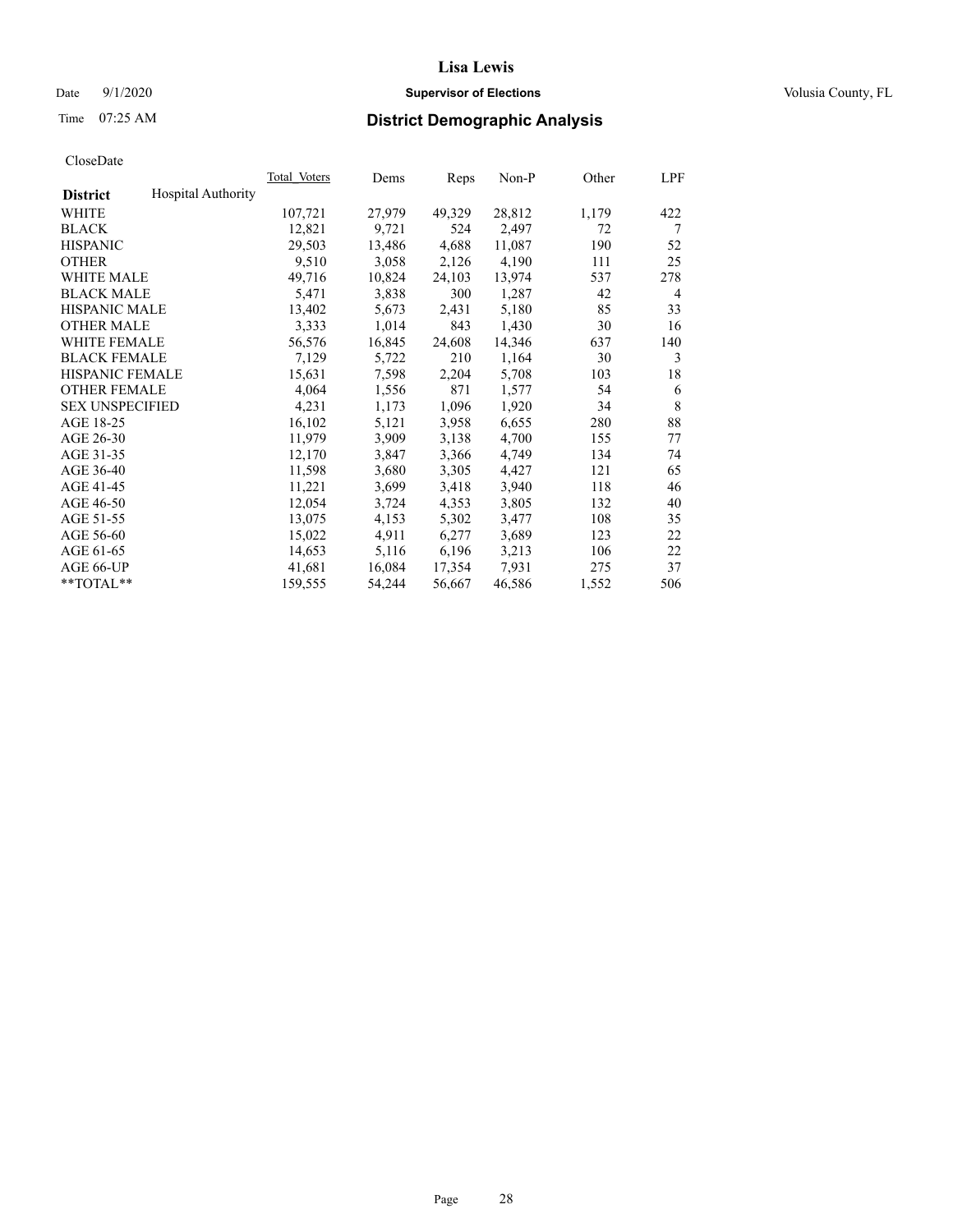# Date  $9/1/2020$  **Supervisor of Elections Supervisor of Elections** Volusia County, FL

# Time 07:25 AM **District Demographic Analysis**

|                        |                           | Total Voters | Dems   | Reps   | Non-P  | Other | LPF |
|------------------------|---------------------------|--------------|--------|--------|--------|-------|-----|
| <b>District</b>        | <b>Hospital Authority</b> |              |        |        |        |       |     |
| WHITE                  |                           | 107,721      | 27,979 | 49,329 | 28,812 | 1,179 | 422 |
| <b>BLACK</b>           |                           | 12,821       | 9,721  | 524    | 2,497  | 72    | 7   |
| <b>HISPANIC</b>        |                           | 29,503       | 13,486 | 4,688  | 11,087 | 190   | 52  |
| <b>OTHER</b>           |                           | 9,510        | 3,058  | 2,126  | 4,190  | 111   | 25  |
| WHITE MALE             |                           | 49,716       | 10,824 | 24,103 | 13,974 | 537   | 278 |
| <b>BLACK MALE</b>      |                           | 5,471        | 3,838  | 300    | 1,287  | 42    | 4   |
| <b>HISPANIC MALE</b>   |                           | 13,402       | 5,673  | 2,431  | 5,180  | 85    | 33  |
| <b>OTHER MALE</b>      |                           | 3,333        | 1,014  | 843    | 1,430  | 30    | 16  |
| <b>WHITE FEMALE</b>    |                           | 56,576       | 16,845 | 24,608 | 14,346 | 637   | 140 |
| <b>BLACK FEMALE</b>    |                           | 7,129        | 5,722  | 210    | 1,164  | 30    | 3   |
| <b>HISPANIC FEMALE</b> |                           | 15,631       | 7,598  | 2,204  | 5,708  | 103   | 18  |
| <b>OTHER FEMALE</b>    |                           | 4,064        | 1,556  | 871    | 1,577  | 54    | 6   |
| <b>SEX UNSPECIFIED</b> |                           | 4,231        | 1,173  | 1,096  | 1,920  | 34    | 8   |
| AGE 18-25              |                           | 16,102       | 5,121  | 3,958  | 6,655  | 280   | 88  |
| AGE 26-30              |                           | 11,979       | 3,909  | 3,138  | 4,700  | 155   | 77  |
| AGE 31-35              |                           | 12,170       | 3,847  | 3,366  | 4,749  | 134   | 74  |
| AGE 36-40              |                           | 11,598       | 3,680  | 3,305  | 4,427  | 121   | 65  |
| AGE 41-45              |                           | 11,221       | 3,699  | 3,418  | 3,940  | 118   | 46  |
| AGE 46-50              |                           | 12,054       | 3,724  | 4,353  | 3,805  | 132   | 40  |
| AGE 51-55              |                           | 13,075       | 4,153  | 5,302  | 3,477  | 108   | 35  |
| AGE 56-60              |                           | 15,022       | 4,911  | 6,277  | 3,689  | 123   | 22  |
| AGE 61-65              |                           | 14,653       | 5,116  | 6,196  | 3,213  | 106   | 22  |
| AGE 66-UP              |                           | 41,681       | 16,084 | 17,354 | 7,931  | 275   | 37  |
| $*$ TOTAL $*$          |                           | 159,555      | 54,244 | 56,667 | 46,586 | 1,552 | 506 |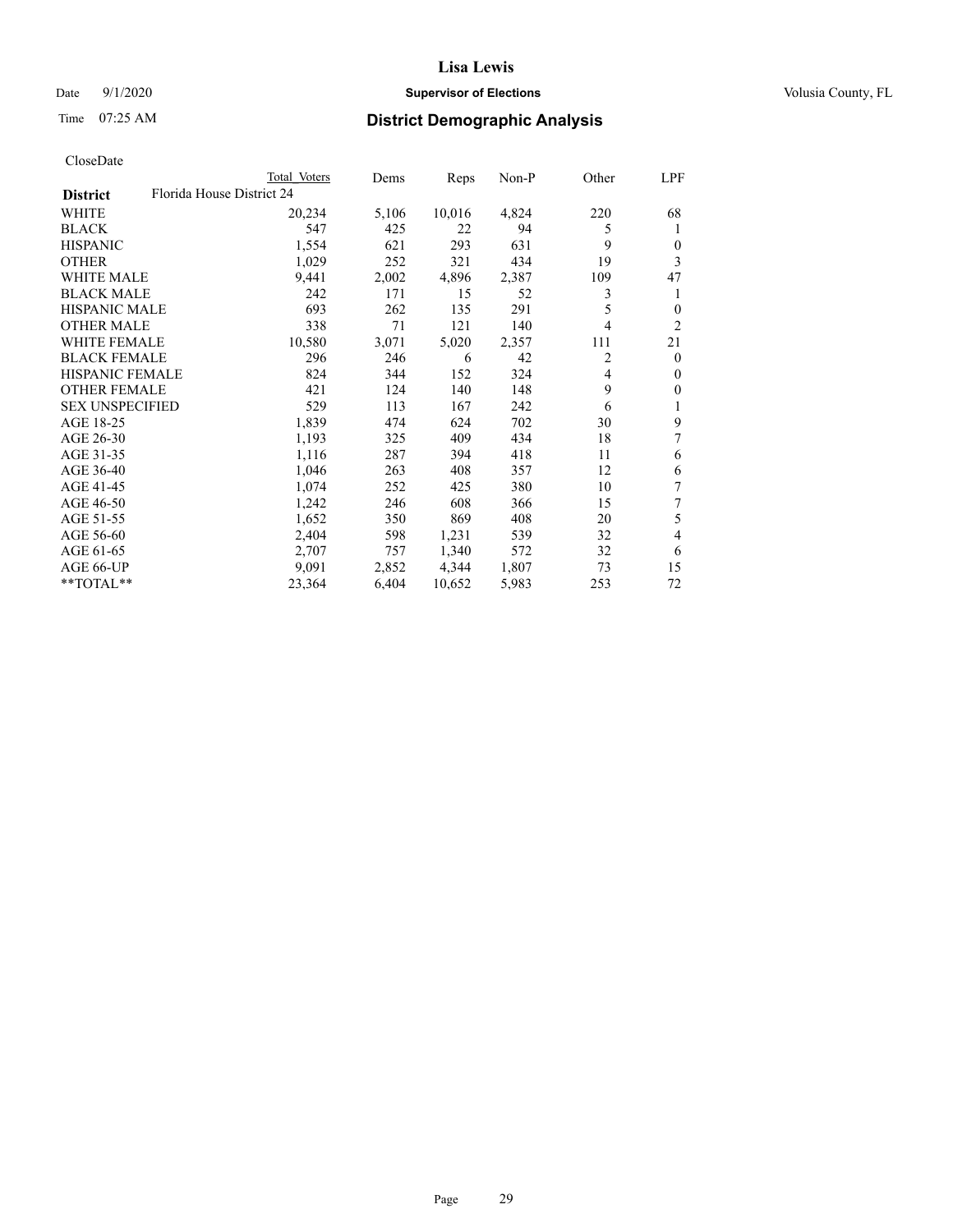# Date  $9/1/2020$  **Supervisor of Elections Supervisor of Elections** Volusia County, FL

| CloseDate |
|-----------|
|-----------|

|                        |                           | Total Voters | Dems  | Reps   | $Non-P$ | Other | LPF            |
|------------------------|---------------------------|--------------|-------|--------|---------|-------|----------------|
| <b>District</b>        | Florida House District 24 |              |       |        |         |       |                |
| WHITE                  |                           | 20,234       | 5,106 | 10,016 | 4,824   | 220   | 68             |
| <b>BLACK</b>           |                           | 547          | 425   | 22     | 94      | 5     | 1              |
| <b>HISPANIC</b>        |                           | 1,554        | 621   | 293    | 631     | 9     | $\mathbf{0}$   |
| <b>OTHER</b>           |                           | 1,029        | 252   | 321    | 434     | 19    | 3              |
| <b>WHITE MALE</b>      |                           | 9,441        | 2,002 | 4,896  | 2,387   | 109   | 47             |
| <b>BLACK MALE</b>      |                           | 242          | 171   | 15     | 52      | 3     | 1              |
| <b>HISPANIC MALE</b>   |                           | 693          | 262   | 135    | 291     | 5     | $\theta$       |
| <b>OTHER MALE</b>      |                           | 338          | 71    | 121    | 140     | 4     | $\overline{2}$ |
| <b>WHITE FEMALE</b>    |                           | 10,580       | 3,071 | 5,020  | 2,357   | 111   | 21             |
| <b>BLACK FEMALE</b>    |                           | 296          | 246   | 6      | 42      | 2     | $\mathbf{0}$   |
| HISPANIC FEMALE        |                           | 824          | 344   | 152    | 324     | 4     | $\mathbf{0}$   |
| <b>OTHER FEMALE</b>    |                           | 421          | 124   | 140    | 148     | 9     | $\mathbf{0}$   |
| <b>SEX UNSPECIFIED</b> |                           | 529          | 113   | 167    | 242     | 6     | 1              |
| AGE 18-25              |                           | 1,839        | 474   | 624    | 702     | 30    | 9              |
| AGE 26-30              |                           | 1,193        | 325   | 409    | 434     | 18    | 7              |
| AGE 31-35              |                           | 1,116        | 287   | 394    | 418     | 11    | 6              |
| AGE 36-40              |                           | 1,046        | 263   | 408    | 357     | 12    | 6              |
| AGE 41-45              |                           | 1,074        | 252   | 425    | 380     | 10    | 7              |
| AGE 46-50              |                           | 1,242        | 246   | 608    | 366     | 15    | 7              |
| AGE 51-55              |                           | 1,652        | 350   | 869    | 408     | 20    | 5              |
| AGE 56-60              |                           | 2,404        | 598   | 1,231  | 539     | 32    | 4              |
| AGE 61-65              |                           | 2,707        | 757   | 1,340  | 572     | 32    | 6              |
| AGE 66-UP              |                           | 9.091        | 2,852 | 4,344  | 1,807   | 73    | 15             |
| **TOTAL**              |                           | 23,364       | 6,404 | 10,652 | 5,983   | 253   | 72             |
|                        |                           |              |       |        |         |       |                |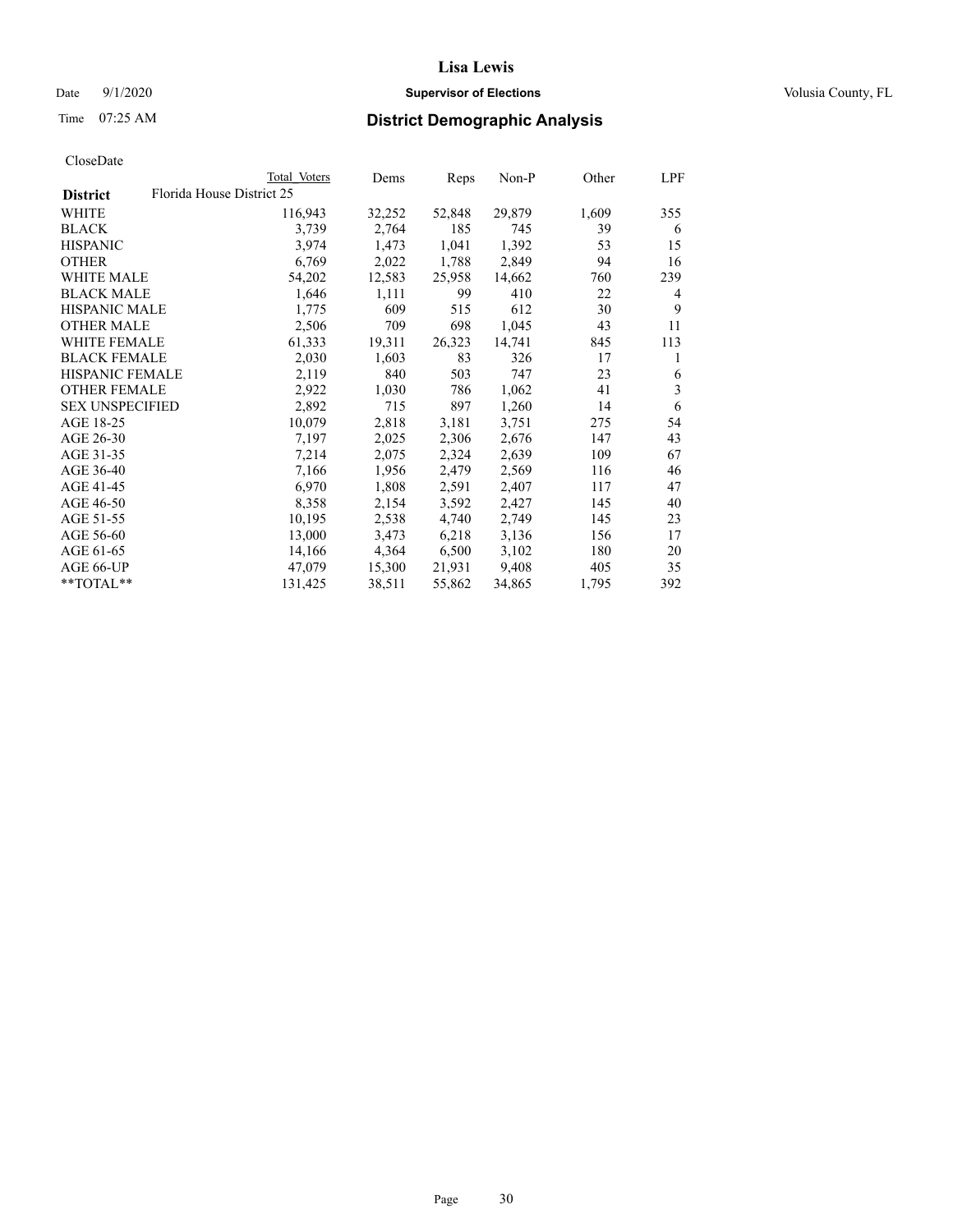# Date  $9/1/2020$  **Supervisor of Elections Supervisor of Elections** Volusia County, FL

|                        |                           | Total Voters | Dems   | Reps   | Non-P  | Other | LPF |
|------------------------|---------------------------|--------------|--------|--------|--------|-------|-----|
| <b>District</b>        | Florida House District 25 |              |        |        |        |       |     |
| WHITE                  |                           | 116,943      | 32,252 | 52,848 | 29,879 | 1,609 | 355 |
| <b>BLACK</b>           |                           | 3,739        | 2,764  | 185    | 745    | 39    | 6   |
| <b>HISPANIC</b>        |                           | 3,974        | 1,473  | 1,041  | 1,392  | 53    | 15  |
| <b>OTHER</b>           |                           | 6,769        | 2,022  | 1,788  | 2,849  | 94    | 16  |
| <b>WHITE MALE</b>      |                           | 54,202       | 12,583 | 25,958 | 14,662 | 760   | 239 |
| <b>BLACK MALE</b>      |                           | 1,646        | 1,111  | 99     | 410    | 22    | 4   |
| <b>HISPANIC MALE</b>   |                           | 1,775        | 609    | 515    | 612    | 30    | 9   |
| <b>OTHER MALE</b>      |                           | 2,506        | 709    | 698    | 1,045  | 43    | 11  |
| <b>WHITE FEMALE</b>    |                           | 61,333       | 19,311 | 26,323 | 14,741 | 845   | 113 |
| <b>BLACK FEMALE</b>    |                           | 2,030        | 1,603  | 83     | 326    | 17    | 1   |
| <b>HISPANIC FEMALE</b> |                           | 2,119        | 840    | 503    | 747    | 23    | 6   |
| <b>OTHER FEMALE</b>    |                           | 2,922        | 1,030  | 786    | 1,062  | 41    | 3   |
| <b>SEX UNSPECIFIED</b> |                           | 2,892        | 715    | 897    | 1,260  | 14    | 6   |
| AGE 18-25              |                           | 10,079       | 2,818  | 3,181  | 3,751  | 275   | 54  |
| AGE 26-30              |                           | 7,197        | 2,025  | 2,306  | 2,676  | 147   | 43  |
| AGE 31-35              |                           | 7,214        | 2,075  | 2,324  | 2,639  | 109   | 67  |
| AGE 36-40              |                           | 7,166        | 1,956  | 2,479  | 2,569  | 116   | 46  |
| AGE 41-45              |                           | 6,970        | 1,808  | 2,591  | 2,407  | 117   | 47  |
| AGE 46-50              |                           | 8,358        | 2,154  | 3,592  | 2,427  | 145   | 40  |
| AGE 51-55              |                           | 10,195       | 2,538  | 4,740  | 2,749  | 145   | 23  |
| AGE 56-60              |                           | 13,000       | 3,473  | 6,218  | 3,136  | 156   | 17  |
| AGE 61-65              |                           | 14,166       | 4,364  | 6,500  | 3,102  | 180   | 20  |
| AGE 66-UP              |                           | 47,079       | 15,300 | 21,931 | 9,408  | 405   | 35  |
| **TOTAL**              |                           | 131,425      | 38,511 | 55,862 | 34,865 | 1,795 | 392 |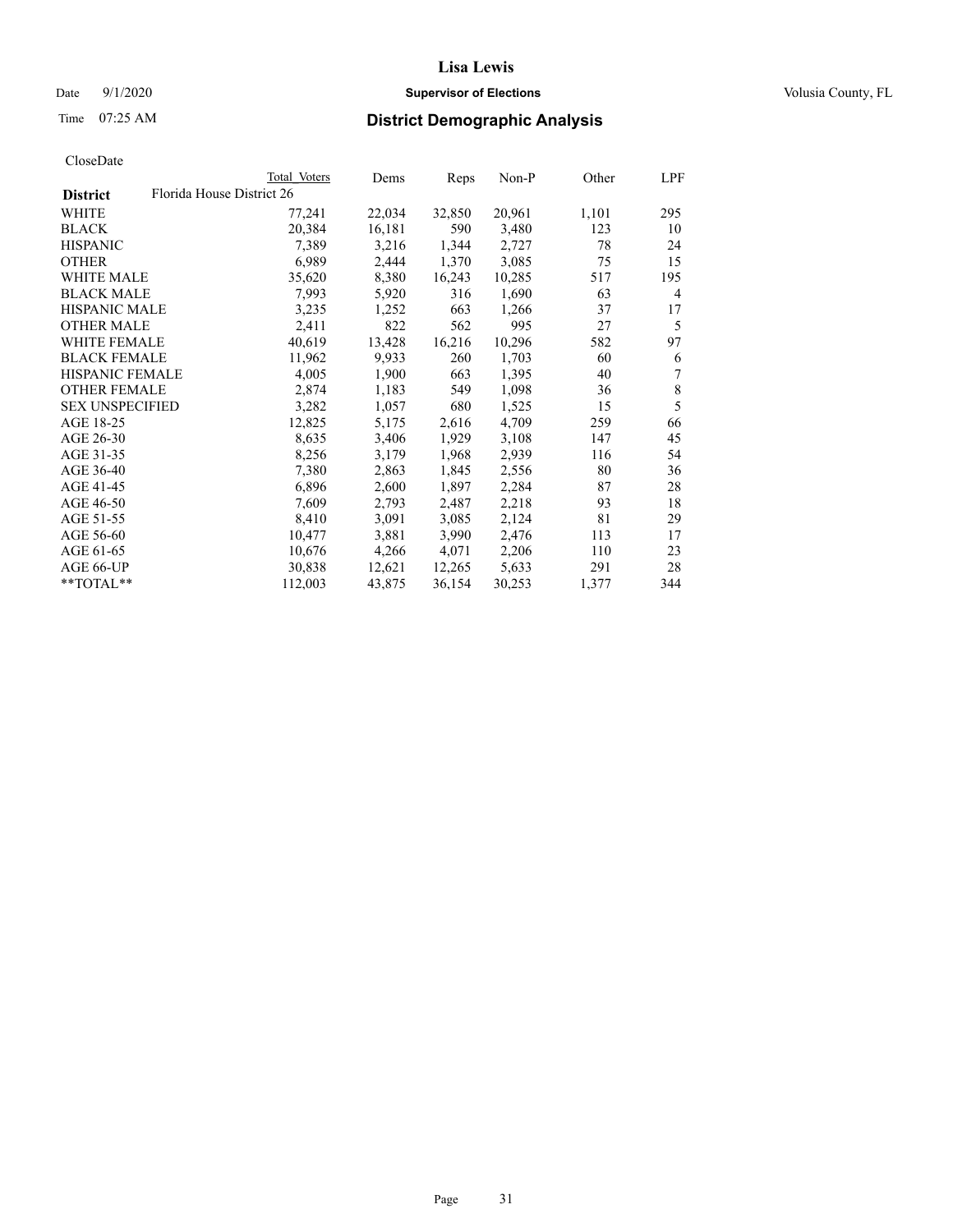# Date  $9/1/2020$  **Supervisor of Elections Supervisor of Elections** Volusia County, FL

|                        |                           | Total Voters | Dems   | Reps   | Non-P  | Other | LPF            |
|------------------------|---------------------------|--------------|--------|--------|--------|-------|----------------|
| <b>District</b>        | Florida House District 26 |              |        |        |        |       |                |
| WHITE                  |                           | 77,241       | 22,034 | 32,850 | 20,961 | 1,101 | 295            |
| <b>BLACK</b>           |                           | 20,384       | 16,181 | 590    | 3,480  | 123   | 10             |
| <b>HISPANIC</b>        |                           | 7,389        | 3,216  | 1,344  | 2,727  | 78    | 24             |
| <b>OTHER</b>           |                           | 6,989        | 2,444  | 1,370  | 3,085  | 75    | 15             |
| <b>WHITE MALE</b>      |                           | 35,620       | 8,380  | 16,243 | 10,285 | 517   | 195            |
| <b>BLACK MALE</b>      |                           | 7,993        | 5,920  | 316    | 1,690  | 63    | 4              |
| <b>HISPANIC MALE</b>   |                           | 3,235        | 1,252  | 663    | 1,266  | 37    | 17             |
| <b>OTHER MALE</b>      |                           | 2,411        | 822    | 562    | 995    | 27    | 5              |
| <b>WHITE FEMALE</b>    |                           | 40,619       | 13,428 | 16,216 | 10,296 | 582   | 97             |
| <b>BLACK FEMALE</b>    |                           | 11,962       | 9,933  | 260    | 1,703  | 60    | 6              |
| <b>HISPANIC FEMALE</b> |                           | 4,005        | 1,900  | 663    | 1,395  | 40    | $\overline{7}$ |
| <b>OTHER FEMALE</b>    |                           | 2,874        | 1,183  | 549    | 1,098  | 36    | $\,$ 8 $\,$    |
| <b>SEX UNSPECIFIED</b> |                           | 3,282        | 1,057  | 680    | 1,525  | 15    | 5              |
| AGE 18-25              |                           | 12,825       | 5,175  | 2,616  | 4,709  | 259   | 66             |
| AGE 26-30              |                           | 8,635        | 3,406  | 1,929  | 3,108  | 147   | 45             |
| AGE 31-35              |                           | 8,256        | 3,179  | 1,968  | 2,939  | 116   | 54             |
| AGE 36-40              |                           | 7,380        | 2,863  | 1,845  | 2,556  | 80    | 36             |
| AGE 41-45              |                           | 6,896        | 2,600  | 1,897  | 2,284  | 87    | 28             |
| AGE 46-50              |                           | 7,609        | 2,793  | 2,487  | 2,218  | 93    | 18             |
| AGE 51-55              |                           | 8,410        | 3,091  | 3,085  | 2,124  | 81    | 29             |
| AGE 56-60              |                           | 10,477       | 3,881  | 3,990  | 2,476  | 113   | 17             |
| AGE 61-65              |                           | 10,676       | 4,266  | 4,071  | 2,206  | 110   | 23             |
| AGE 66-UP              |                           | 30,838       | 12,621 | 12,265 | 5,633  | 291   | 28             |
| **TOTAL**              |                           | 112,003      | 43,875 | 36,154 | 30,253 | 1,377 | 344            |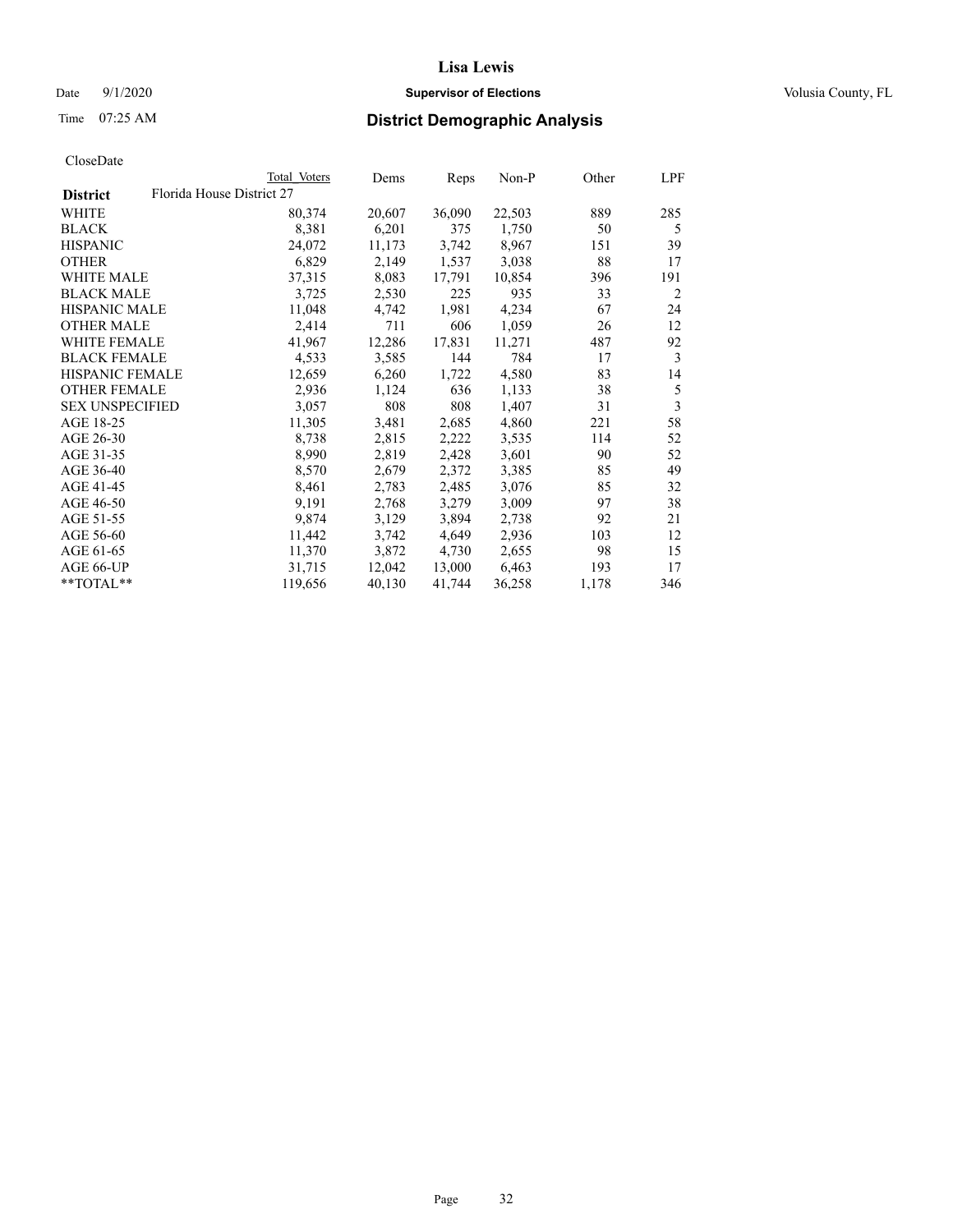# Date  $9/1/2020$  **Supervisor of Elections Supervisor of Elections** Volusia County, FL

|                                              | Total Voters | Dems   | Reps   | Non-P  | Other | LPF |
|----------------------------------------------|--------------|--------|--------|--------|-------|-----|
| Florida House District 27<br><b>District</b> |              |        |        |        |       |     |
| WHITE                                        | 80,374       | 20,607 | 36,090 | 22,503 | 889   | 285 |
| <b>BLACK</b>                                 | 8,381        | 6,201  | 375    | 1,750  | 50    | 5   |
| <b>HISPANIC</b>                              | 24,072       | 11,173 | 3,742  | 8,967  | 151   | 39  |
| <b>OTHER</b>                                 | 6,829        | 2,149  | 1,537  | 3,038  | 88    | 17  |
| <b>WHITE MALE</b>                            | 37,315       | 8,083  | 17,791 | 10,854 | 396   | 191 |
| <b>BLACK MALE</b>                            | 3,725        | 2,530  | 225    | 935    | 33    | 2   |
| <b>HISPANIC MALE</b>                         | 11,048       | 4,742  | 1,981  | 4,234  | 67    | 24  |
| <b>OTHER MALE</b>                            | 2,414        | 711    | 606    | 1,059  | 26    | 12  |
| <b>WHITE FEMALE</b>                          | 41,967       | 12,286 | 17,831 | 11,271 | 487   | 92  |
| <b>BLACK FEMALE</b>                          | 4,533        | 3,585  | 144    | 784    | 17    | 3   |
| HISPANIC FEMALE                              | 12,659       | 6,260  | 1,722  | 4,580  | 83    | 14  |
| <b>OTHER FEMALE</b>                          | 2,936        | 1,124  | 636    | 1,133  | 38    | 5   |
| <b>SEX UNSPECIFIED</b>                       | 3,057        | 808    | 808    | 1,407  | 31    | 3   |
| AGE 18-25                                    | 11,305       | 3,481  | 2,685  | 4,860  | 221   | 58  |
| AGE 26-30                                    | 8,738        | 2,815  | 2,222  | 3,535  | 114   | 52  |
| AGE 31-35                                    | 8,990        | 2,819  | 2,428  | 3,601  | 90    | 52  |
| AGE 36-40                                    | 8,570        | 2,679  | 2,372  | 3,385  | 85    | 49  |
| AGE 41-45                                    | 8,461        | 2,783  | 2,485  | 3,076  | 85    | 32  |
| AGE 46-50                                    | 9,191        | 2,768  | 3,279  | 3,009  | 97    | 38  |
| AGE 51-55                                    | 9,874        | 3,129  | 3,894  | 2,738  | 92    | 21  |
| AGE 56-60                                    | 11,442       | 3,742  | 4,649  | 2,936  | 103   | 12  |
| AGE 61-65                                    | 11,370       | 3,872  | 4,730  | 2,655  | 98    | 15  |
| AGE 66-UP                                    | 31,715       | 12,042 | 13,000 | 6,463  | 193   | 17  |
| **TOTAL**                                    | 119,656      | 40,130 | 41,744 | 36,258 | 1,178 | 346 |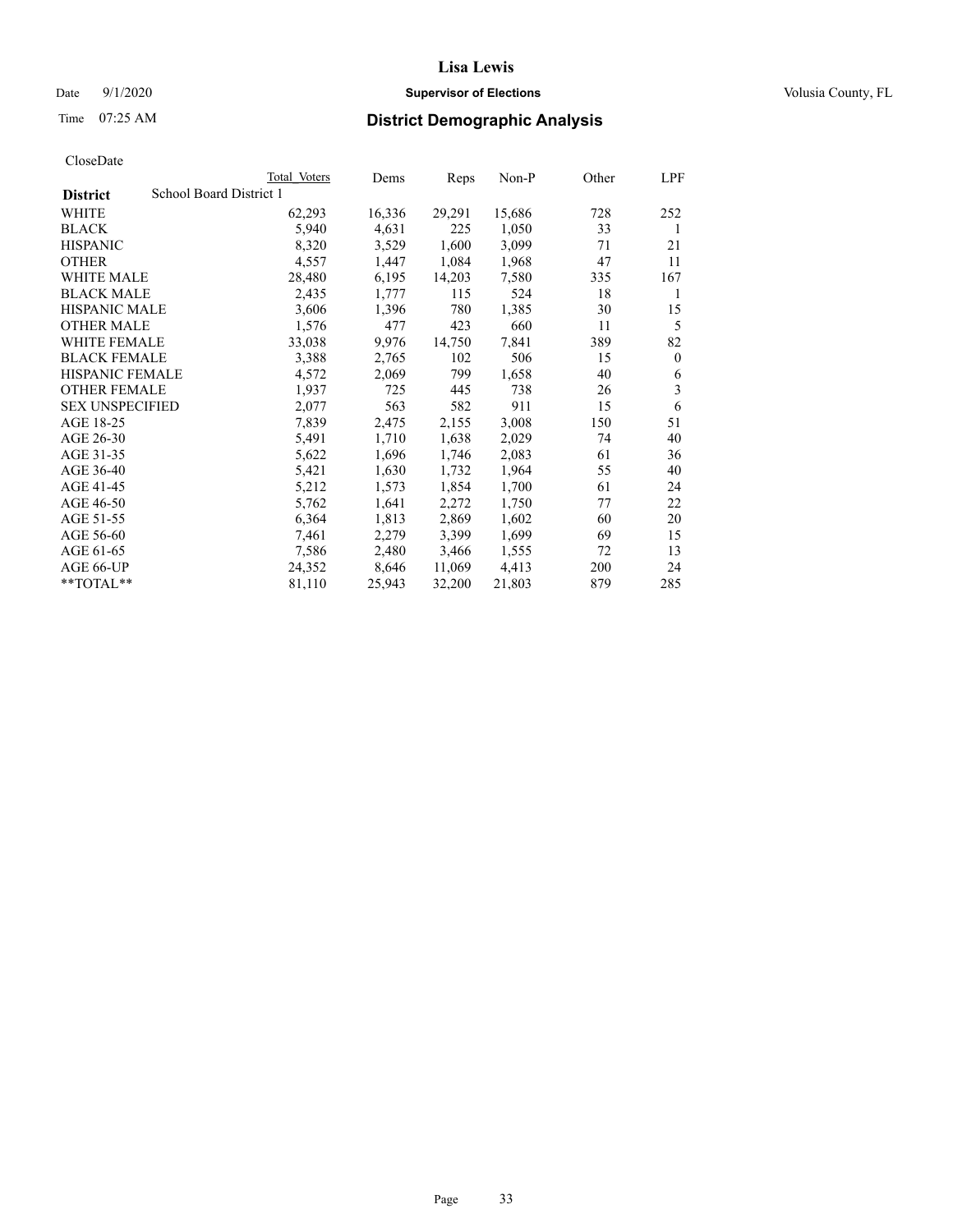# Date  $9/1/2020$  **Supervisor of Elections Supervisor of Elections** Volusia County, FL

# Time 07:25 AM **District Demographic Analysis**

|                        | Total Voters            | Dems   | Reps   | Non-P  | Other | LPF      |
|------------------------|-------------------------|--------|--------|--------|-------|----------|
| <b>District</b>        | School Board District 1 |        |        |        |       |          |
| WHITE                  | 62,293                  | 16,336 | 29,291 | 15,686 | 728   | 252      |
| <b>BLACK</b>           | 5,940                   | 4,631  | 225    | 1,050  | 33    | 1        |
| <b>HISPANIC</b>        | 8,320                   | 3,529  | 1,600  | 3,099  | 71    | 21       |
| <b>OTHER</b>           | 4,557                   | 1,447  | 1,084  | 1,968  | 47    | 11       |
| WHITE MALE             | 28,480                  | 6,195  | 14,203 | 7,580  | 335   | 167      |
| <b>BLACK MALE</b>      | 2,435                   | 1,777  | 115    | 524    | 18    | 1        |
| <b>HISPANIC MALE</b>   | 3,606                   | 1,396  | 780    | 1,385  | 30    | 15       |
| <b>OTHER MALE</b>      | 1,576                   | 477    | 423    | 660    | 11    | 5        |
| WHITE FEMALE           | 33,038                  | 9,976  | 14,750 | 7,841  | 389   | 82       |
| <b>BLACK FEMALE</b>    | 3,388                   | 2,765  | 102    | 506    | 15    | $\theta$ |
| <b>HISPANIC FEMALE</b> | 4,572                   | 2,069  | 799    | 1,658  | 40    | 6        |
| <b>OTHER FEMALE</b>    | 1,937                   | 725    | 445    | 738    | 26    | 3        |
| <b>SEX UNSPECIFIED</b> | 2,077                   | 563    | 582    | 911    | 15    | 6        |
| AGE 18-25              | 7,839                   | 2,475  | 2,155  | 3,008  | 150   | 51       |
| AGE 26-30              | 5,491                   | 1,710  | 1,638  | 2,029  | 74    | 40       |
| AGE 31-35              | 5,622                   | 1,696  | 1,746  | 2,083  | 61    | 36       |
| AGE 36-40              | 5,421                   | 1,630  | 1,732  | 1,964  | 55    | 40       |
| AGE 41-45              | 5,212                   | 1,573  | 1,854  | 1,700  | 61    | 24       |
| AGE 46-50              | 5,762                   | 1,641  | 2,272  | 1,750  | 77    | 22       |
| AGE 51-55              | 6,364                   | 1,813  | 2,869  | 1,602  | 60    | 20       |
| AGE 56-60              | 7,461                   | 2,279  | 3,399  | 1,699  | 69    | 15       |
| AGE 61-65              | 7,586                   | 2,480  | 3,466  | 1,555  | 72    | 13       |
| AGE 66-UP              | 24,352                  | 8,646  | 11,069 | 4,413  | 200   | 24       |
| $*$ $TOTAL**$          | 81,110                  | 25,943 | 32,200 | 21,803 | 879   | 285      |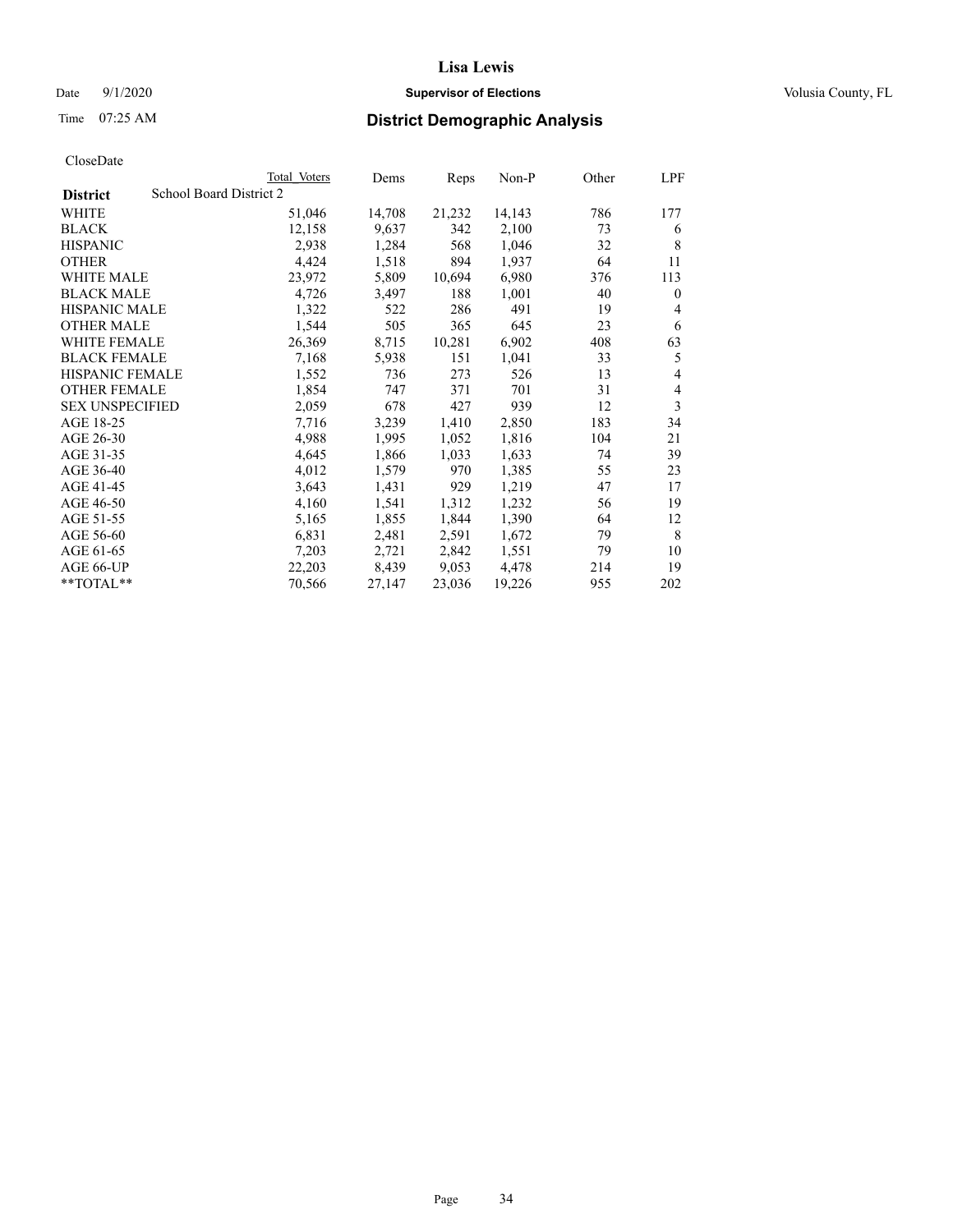# Date  $9/1/2020$  **Supervisor of Elections Supervisor of Elections** Volusia County, FL

# Time 07:25 AM **District Demographic Analysis**

| Total Voters            | Dems   | Reps   | $Non-P$ | Other | LPF          |
|-------------------------|--------|--------|---------|-------|--------------|
| School Board District 2 |        |        |         |       |              |
| 51,046                  | 14,708 | 21,232 | 14,143  | 786   | 177          |
| 12,158                  | 9,637  | 342    | 2,100   | 73    | 6            |
| 2,938                   | 1,284  | 568    | 1,046   | 32    | 8            |
| 4,424                   | 1,518  | 894    | 1,937   | 64    | 11           |
| 23,972                  | 5,809  | 10,694 | 6,980   | 376   | 113          |
| 4,726                   | 3,497  | 188    | 1,001   | 40    | $\mathbf{0}$ |
| 1,322                   | 522    | 286    | 491     | 19    | 4            |
| 1,544                   | 505    | 365    | 645     | 23    | 6            |
| 26,369                  | 8,715  | 10,281 | 6,902   | 408   | 63           |
| 7,168                   | 5,938  | 151    | 1,041   | 33    | 5            |
| 1,552                   | 736    | 273    | 526     | 13    | 4            |
| 1,854                   | 747    | 371    | 701     | 31    | 4            |
| 2,059                   | 678    | 427    | 939     | 12    | 3            |
| 7,716                   | 3,239  | 1,410  | 2,850   | 183   | 34           |
| 4,988                   | 1,995  | 1,052  | 1,816   | 104   | 21           |
| 4,645                   | 1,866  | 1,033  | 1,633   | 74    | 39           |
| 4,012                   | 1,579  | 970    | 1,385   | 55    | 23           |
| 3,643                   | 1,431  | 929    | 1,219   | 47    | 17           |
| 4,160                   | 1,541  | 1,312  | 1,232   | 56    | 19           |
| 5,165                   | 1,855  | 1,844  | 1,390   | 64    | 12           |
| 6,831                   | 2,481  | 2,591  | 1,672   | 79    | 8            |
| 7,203                   | 2,721  | 2,842  | 1,551   | 79    | 10           |
| 22,203                  | 8,439  | 9,053  | 4,478   | 214   | 19           |
| 70,566                  | 27,147 | 23,036 | 19,226  | 955   | 202          |
|                         |        |        |         |       |              |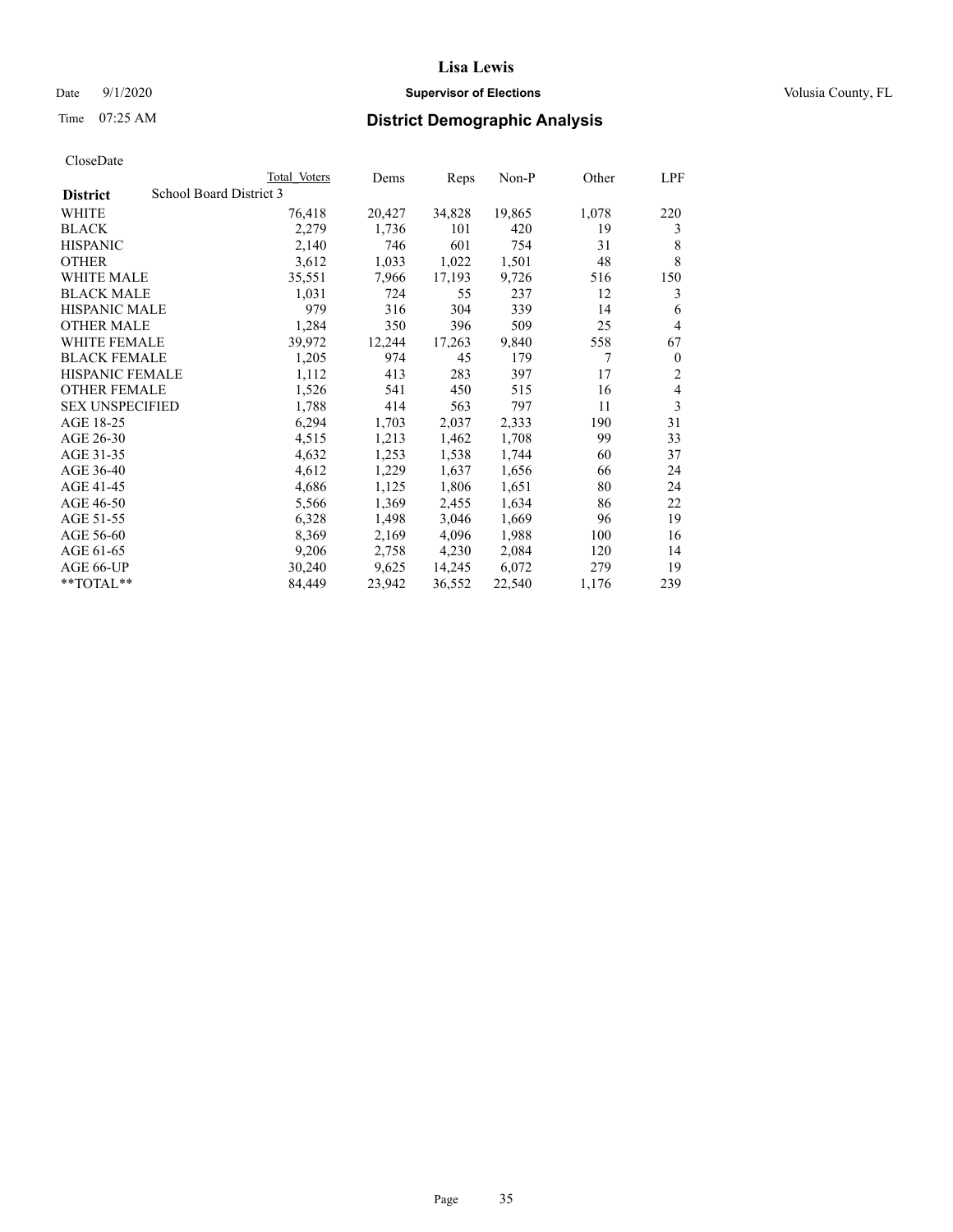# Date  $9/1/2020$  **Supervisor of Elections Supervisor of Elections** Volusia County, FL

# Time 07:25 AM **District Demographic Analysis**

|                                            | Total Voters | Dems   | Reps   | Non-P  | Other | LPF            |
|--------------------------------------------|--------------|--------|--------|--------|-------|----------------|
| School Board District 3<br><b>District</b> |              |        |        |        |       |                |
| WHITE                                      | 76,418       | 20,427 | 34,828 | 19,865 | 1,078 | 220            |
| <b>BLACK</b>                               | 2,279        | 1,736  | 101    | 420    | 19    | 3              |
| <b>HISPANIC</b>                            | 2,140        | 746    | 601    | 754    | 31    | 8              |
| <b>OTHER</b>                               | 3,612        | 1,033  | 1,022  | 1,501  | 48    | 8              |
| WHITE MALE                                 | 35,551       | 7,966  | 17,193 | 9,726  | 516   | 150            |
| <b>BLACK MALE</b>                          | 1,031        | 724    | 55     | 237    | 12    | 3              |
| <b>HISPANIC MALE</b>                       | 979          | 316    | 304    | 339    | 14    | 6              |
| <b>OTHER MALE</b>                          | 1,284        | 350    | 396    | 509    | 25    | $\overline{4}$ |
| WHITE FEMALE                               | 39,972       | 12,244 | 17,263 | 9,840  | 558   | 67             |
| <b>BLACK FEMALE</b>                        | 1,205        | 974    | 45     | 179    | 7     | $\theta$       |
| <b>HISPANIC FEMALE</b>                     | 1,112        | 413    | 283    | 397    | 17    | $\overline{2}$ |
| <b>OTHER FEMALE</b>                        | 1,526        | 541    | 450    | 515    | 16    | $\overline{4}$ |
| <b>SEX UNSPECIFIED</b>                     | 1,788        | 414    | 563    | 797    | 11    | 3              |
| AGE 18-25                                  | 6,294        | 1,703  | 2,037  | 2,333  | 190   | 31             |
| AGE 26-30                                  | 4,515        | 1,213  | 1,462  | 1,708  | 99    | 33             |
| AGE 31-35                                  | 4,632        | 1,253  | 1,538  | 1,744  | 60    | 37             |
| AGE 36-40                                  | 4,612        | 1,229  | 1,637  | 1,656  | 66    | 24             |
| AGE 41-45                                  | 4,686        | 1,125  | 1,806  | 1,651  | 80    | 24             |
| AGE 46-50                                  | 5,566        | 1,369  | 2,455  | 1,634  | 86    | 22             |
| AGE 51-55                                  | 6,328        | 1,498  | 3,046  | 1,669  | 96    | 19             |
| AGE 56-60                                  | 8,369        | 2,169  | 4,096  | 1,988  | 100   | 16             |
| AGE 61-65                                  | 9,206        | 2,758  | 4,230  | 2,084  | 120   | 14             |
| AGE 66-UP                                  | 30,240       | 9,625  | 14,245 | 6,072  | 279   | 19             |
| **TOTAL**                                  | 84,449       | 23,942 | 36,552 | 22,540 | 1,176 | 239            |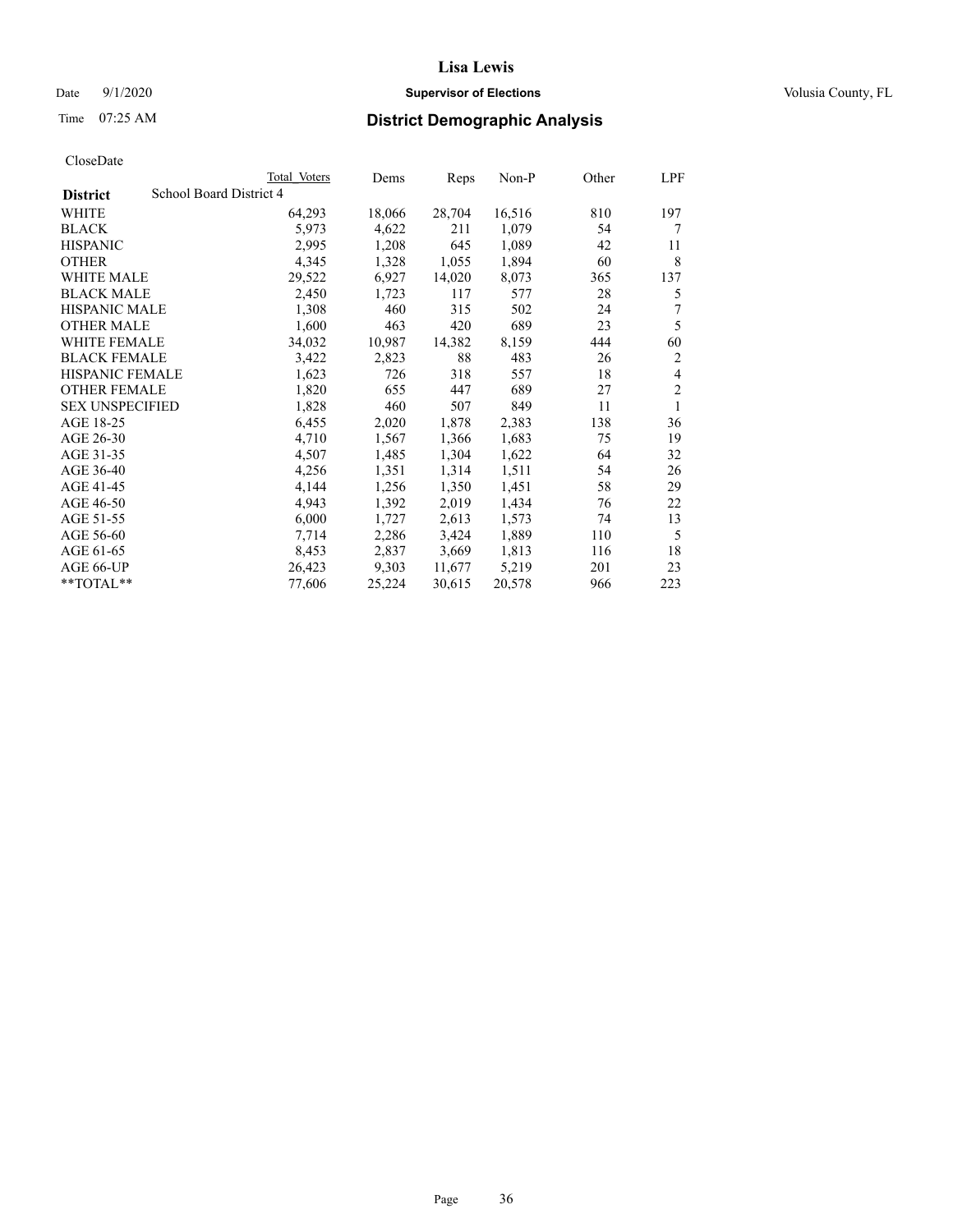# Date  $9/1/2020$  **Supervisor of Elections Supervisor of Elections** Volusia County, FL

# Time 07:25 AM **District Demographic Analysis**

|                                            | Total Voters | Dems   | Reps   | $Non-P$ | Other | LPF            |
|--------------------------------------------|--------------|--------|--------|---------|-------|----------------|
| School Board District 4<br><b>District</b> |              |        |        |         |       |                |
| WHITE                                      | 64,293       | 18,066 | 28,704 | 16,516  | 810   | 197            |
| <b>BLACK</b>                               | 5,973        | 4,622  | 211    | 1,079   | 54    | 7              |
| <b>HISPANIC</b>                            | 2,995        | 1,208  | 645    | 1,089   | 42    | 11             |
| <b>OTHER</b>                               | 4,345        | 1,328  | 1,055  | 1,894   | 60    | 8              |
| <b>WHITE MALE</b>                          | 29,522       | 6,927  | 14,020 | 8,073   | 365   | 137            |
| <b>BLACK MALE</b>                          | 2,450        | 1,723  | 117    | 577     | 28    | 5              |
| <b>HISPANIC MALE</b>                       | 1,308        | 460    | 315    | 502     | 24    | 7              |
| <b>OTHER MALE</b>                          | 1,600        | 463    | 420    | 689     | 23    | 5              |
| WHITE FEMALE                               | 34,032       | 10,987 | 14,382 | 8,159   | 444   | 60             |
| <b>BLACK FEMALE</b>                        | 3,422        | 2,823  | 88     | 483     | 26    | $\overline{2}$ |
| HISPANIC FEMALE                            | 1,623        | 726    | 318    | 557     | 18    | 4              |
| <b>OTHER FEMALE</b>                        | 1,820        | 655    | 447    | 689     | 27    | 2              |
| <b>SEX UNSPECIFIED</b>                     | 1,828        | 460    | 507    | 849     | 11    | 1              |
| AGE 18-25                                  | 6,455        | 2,020  | 1,878  | 2,383   | 138   | 36             |
| AGE 26-30                                  | 4,710        | 1,567  | 1,366  | 1,683   | 75    | 19             |
| AGE 31-35                                  | 4,507        | 1,485  | 1,304  | 1,622   | 64    | 32             |
| AGE 36-40                                  | 4,256        | 1,351  | 1,314  | 1,511   | 54    | 26             |
| AGE 41-45                                  | 4,144        | 1,256  | 1,350  | 1,451   | 58    | 29             |
| AGE 46-50                                  | 4,943        | 1,392  | 2,019  | 1,434   | 76    | 22             |
| AGE 51-55                                  | 6,000        | 1,727  | 2,613  | 1,573   | 74    | 13             |
| AGE 56-60                                  | 7,714        | 2,286  | 3,424  | 1,889   | 110   | 5              |
| AGE 61-65                                  | 8,453        | 2,837  | 3,669  | 1,813   | 116   | 18             |
| AGE 66-UP                                  | 26,423       | 9,303  | 11,677 | 5,219   | 201   | 23             |
| $*$ $TOTAL**$                              | 77,606       | 25,224 | 30,615 | 20,578  | 966   | 223            |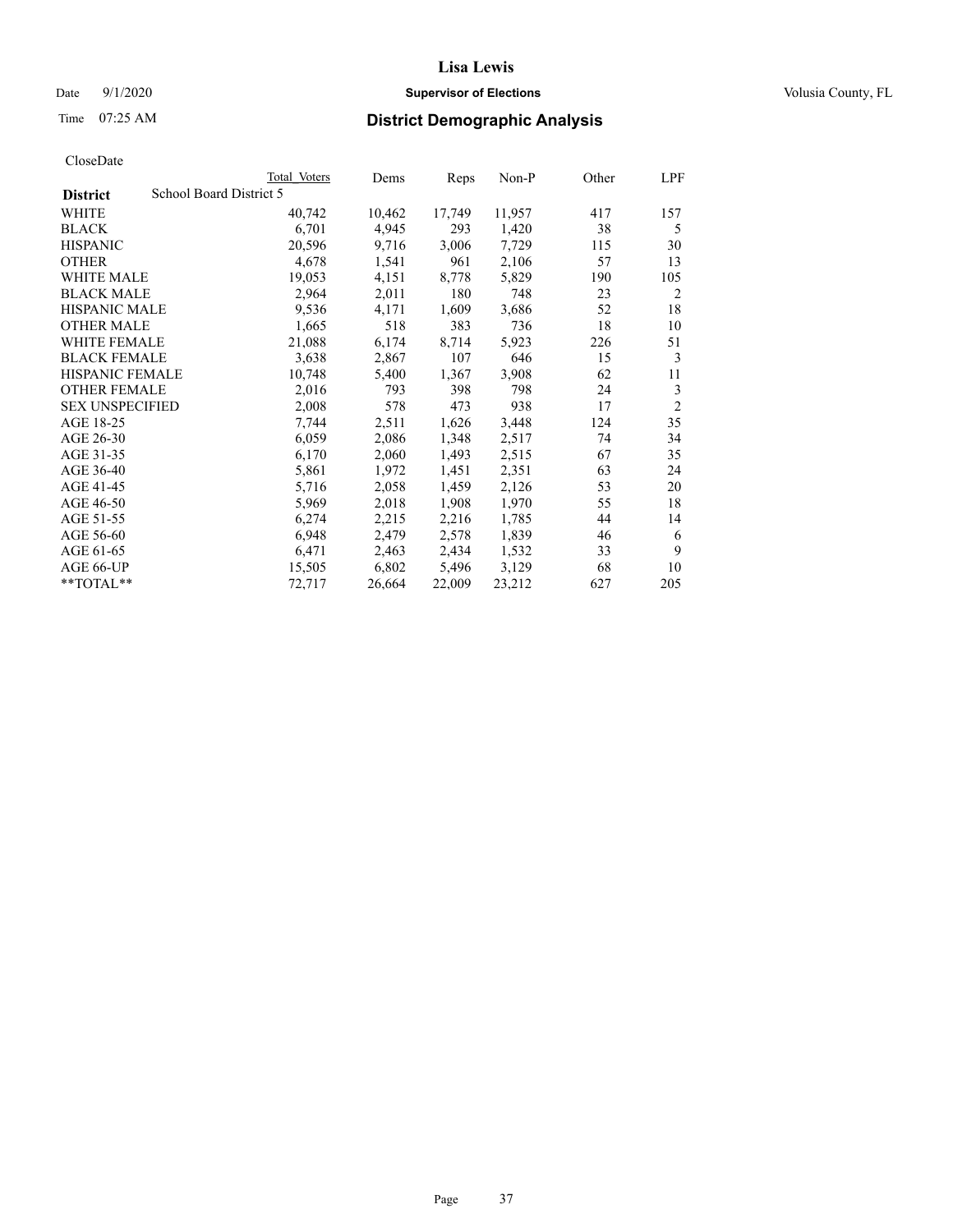# Date  $9/1/2020$  **Supervisor of Elections Supervisor of Elections** Volusia County, FL

# Time 07:25 AM **District Demographic Analysis**

|                        | Total Voters            | Dems   | Reps   | Non-P  | Other | LPF            |
|------------------------|-------------------------|--------|--------|--------|-------|----------------|
| <b>District</b>        | School Board District 5 |        |        |        |       |                |
| WHITE                  | 40,742                  | 10,462 | 17,749 | 11,957 | 417   | 157            |
| <b>BLACK</b>           | 6,701                   | 4,945  | 293    | 1,420  | 38    | 5              |
| <b>HISPANIC</b>        | 20,596                  | 9,716  | 3,006  | 7,729  | 115   | 30             |
| <b>OTHER</b>           | 4,678                   | 1,541  | 961    | 2,106  | 57    | 13             |
| WHITE MALE             | 19,053                  | 4,151  | 8,778  | 5,829  | 190   | 105            |
| <b>BLACK MALE</b>      | 2,964                   | 2,011  | 180    | 748    | 23    | 2              |
| <b>HISPANIC MALE</b>   | 9,536                   | 4,171  | 1,609  | 3,686  | 52    | 18             |
| <b>OTHER MALE</b>      | 1,665                   | 518    | 383    | 736    | 18    | 10             |
| WHITE FEMALE           | 21,088                  | 6,174  | 8,714  | 5,923  | 226   | 51             |
| <b>BLACK FEMALE</b>    | 3,638                   | 2,867  | 107    | 646    | 15    | 3              |
| <b>HISPANIC FEMALE</b> | 10,748                  | 5,400  | 1,367  | 3,908  | 62    | 11             |
| <b>OTHER FEMALE</b>    | 2,016                   | 793    | 398    | 798    | 24    | 3              |
| <b>SEX UNSPECIFIED</b> | 2,008                   | 578    | 473    | 938    | 17    | $\overline{2}$ |
| AGE 18-25              | 7,744                   | 2,511  | 1,626  | 3,448  | 124   | 35             |
| AGE 26-30              | 6,059                   | 2,086  | 1,348  | 2,517  | 74    | 34             |
| AGE 31-35              | 6,170                   | 2,060  | 1,493  | 2,515  | 67    | 35             |
| AGE 36-40              | 5,861                   | 1,972  | 1,451  | 2,351  | 63    | 24             |
| AGE 41-45              | 5,716                   | 2,058  | 1,459  | 2,126  | 53    | 20             |
| AGE 46-50              | 5,969                   | 2,018  | 1,908  | 1,970  | 55    | 18             |
| AGE 51-55              | 6,274                   | 2,215  | 2,216  | 1,785  | 44    | 14             |
| AGE 56-60              | 6,948                   | 2,479  | 2,578  | 1,839  | 46    | 6              |
| AGE 61-65              | 6,471                   | 2,463  | 2,434  | 1,532  | 33    | 9              |
| AGE 66-UP              | 15,505                  | 6,802  | 5,496  | 3,129  | 68    | 10             |
| **TOTAL**              | 72,717                  | 26,664 | 22,009 | 23,212 | 627   | 205            |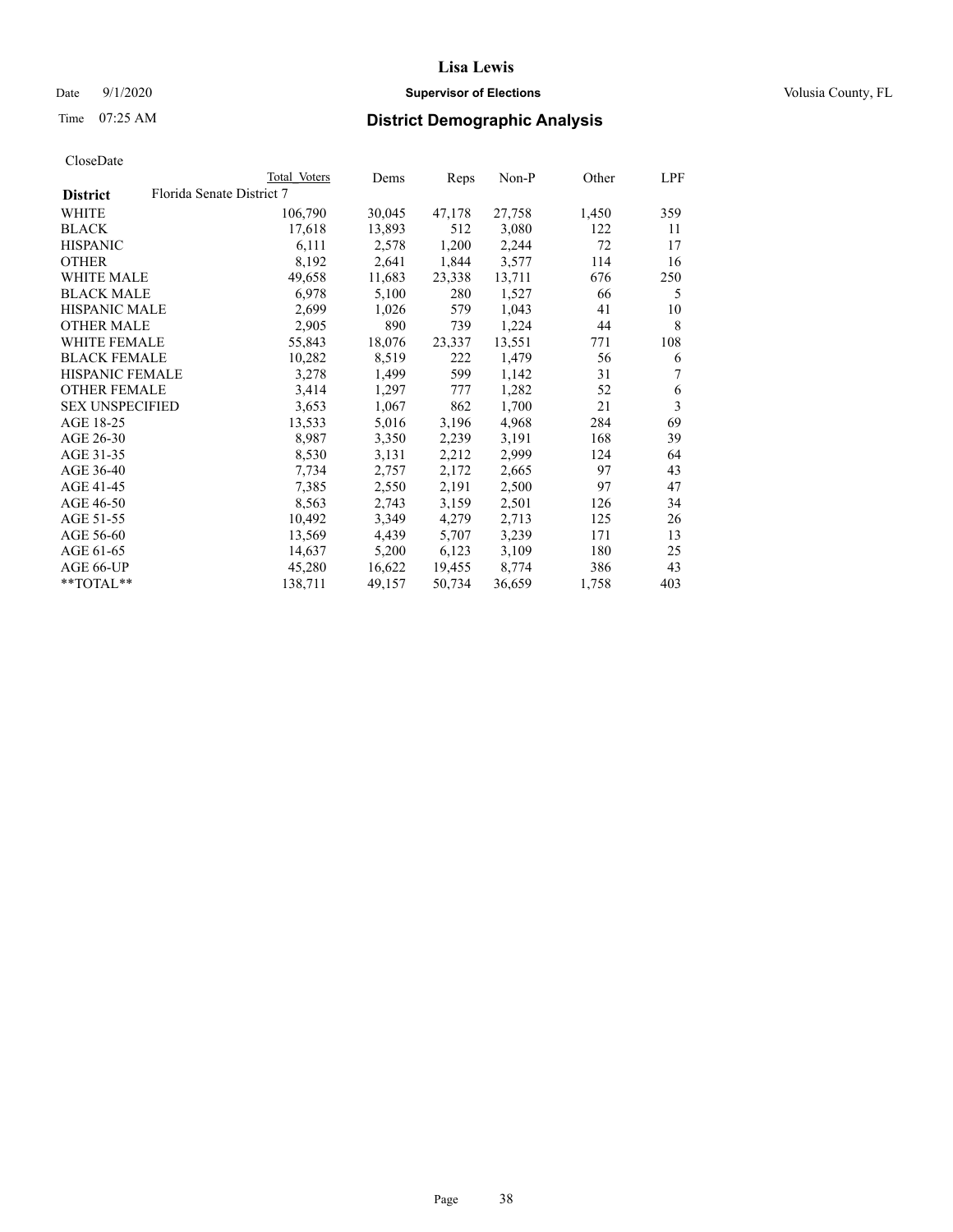# Date  $9/1/2020$  **Supervisor of Elections Supervisor of Elections** Volusia County, FL

# Time 07:25 AM **District Demographic Analysis**

|                        |                           | Total Voters | Dems   | Reps   | Non-P  | Other | LPF |
|------------------------|---------------------------|--------------|--------|--------|--------|-------|-----|
| <b>District</b>        | Florida Senate District 7 |              |        |        |        |       |     |
| WHITE                  |                           | 106,790      | 30,045 | 47,178 | 27,758 | 1,450 | 359 |
| <b>BLACK</b>           |                           | 17,618       | 13,893 | 512    | 3,080  | 122   | 11  |
| <b>HISPANIC</b>        |                           | 6,111        | 2,578  | 1,200  | 2,244  | 72    | 17  |
| <b>OTHER</b>           |                           | 8,192        | 2,641  | 1,844  | 3,577  | 114   | 16  |
| WHITE MALE             |                           | 49,658       | 11,683 | 23,338 | 13,711 | 676   | 250 |
| <b>BLACK MALE</b>      |                           | 6,978        | 5,100  | 280    | 1,527  | 66    | 5   |
| <b>HISPANIC MALE</b>   |                           | 2,699        | 1,026  | 579    | 1,043  | 41    | 10  |
| <b>OTHER MALE</b>      |                           | 2,905        | 890    | 739    | 1,224  | 44    | 8   |
| <b>WHITE FEMALE</b>    |                           | 55,843       | 18,076 | 23,337 | 13,551 | 771   | 108 |
| <b>BLACK FEMALE</b>    |                           | 10,282       | 8,519  | 222    | 1,479  | 56    | 6   |
| <b>HISPANIC FEMALE</b> |                           | 3,278        | 1,499  | 599    | 1,142  | 31    | 7   |
| <b>OTHER FEMALE</b>    |                           | 3,414        | 1,297  | 777    | 1,282  | 52    | 6   |
| <b>SEX UNSPECIFIED</b> |                           | 3,653        | 1,067  | 862    | 1,700  | 21    | 3   |
| AGE 18-25              |                           | 13,533       | 5,016  | 3,196  | 4,968  | 284   | 69  |
| AGE 26-30              |                           | 8,987        | 3,350  | 2,239  | 3,191  | 168   | 39  |
| AGE 31-35              |                           | 8,530        | 3,131  | 2,212  | 2,999  | 124   | 64  |
| AGE 36-40              |                           | 7,734        | 2,757  | 2,172  | 2,665  | 97    | 43  |
| AGE 41-45              |                           | 7,385        | 2,550  | 2,191  | 2,500  | 97    | 47  |
| AGE 46-50              |                           | 8,563        | 2,743  | 3,159  | 2,501  | 126   | 34  |
| AGE 51-55              |                           | 10,492       | 3,349  | 4,279  | 2,713  | 125   | 26  |
| AGE 56-60              |                           | 13,569       | 4,439  | 5,707  | 3,239  | 171   | 13  |
| AGE 61-65              |                           | 14,637       | 5,200  | 6,123  | 3,109  | 180   | 25  |
| AGE 66-UP              |                           | 45,280       | 16,622 | 19,455 | 8,774  | 386   | 43  |
| $*$ $TOTAL**$          |                           | 138,711      | 49,157 | 50,734 | 36,659 | 1,758 | 403 |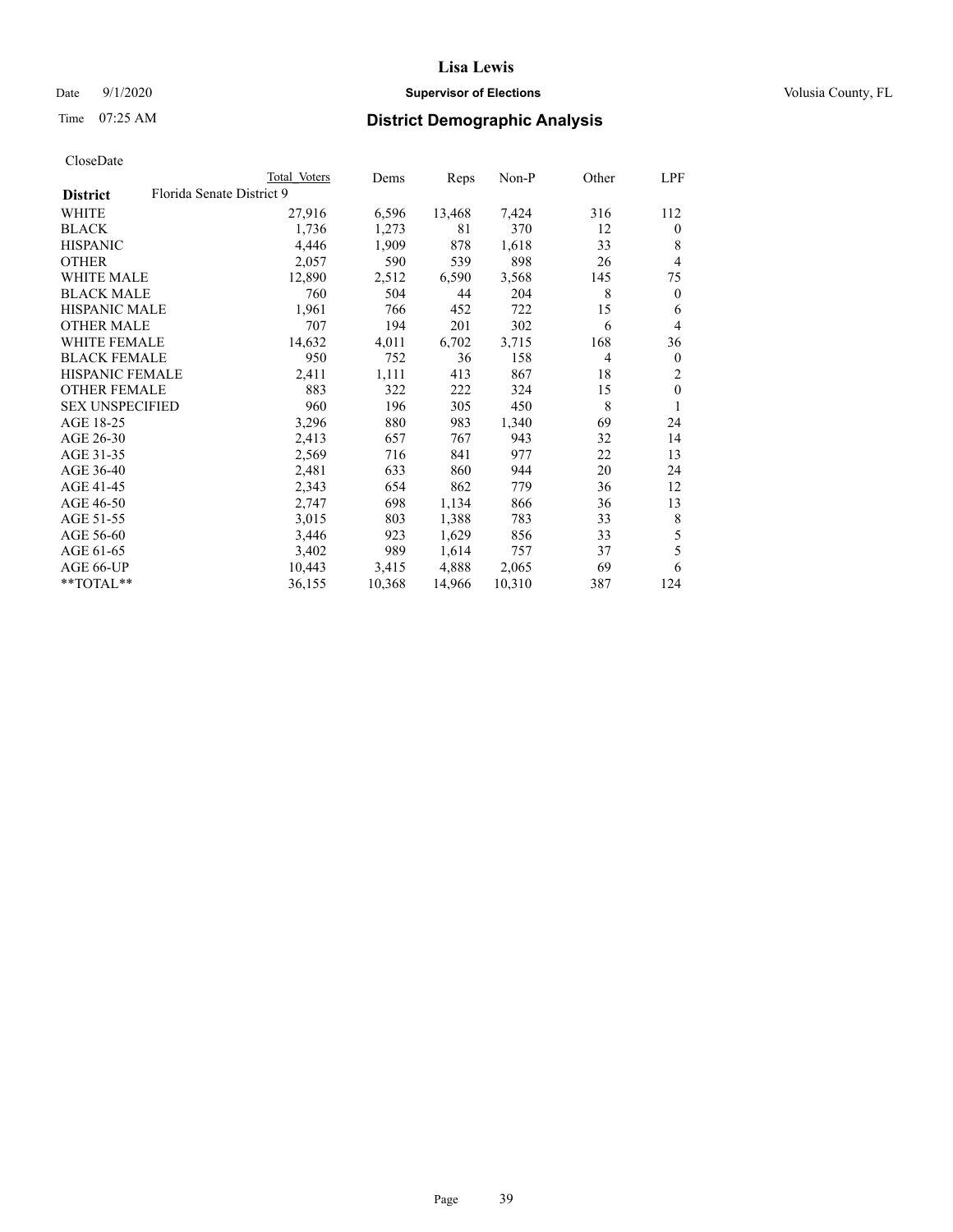# **Lisa Lewis** Date  $9/1/2020$  **Supervisor of Elections Supervisor of Elections** Volusia County, FL

|                        |                           | Total Voters | Dems   | Reps   | Non-P  | Other | LPF            |
|------------------------|---------------------------|--------------|--------|--------|--------|-------|----------------|
| <b>District</b>        | Florida Senate District 9 |              |        |        |        |       |                |
| WHITE                  |                           | 27,916       | 6,596  | 13,468 | 7,424  | 316   | 112            |
| BLACK                  |                           | 1,736        | 1,273  | 81     | 370    | 12    | $\mathbf{0}$   |
| <b>HISPANIC</b>        |                           | 4,446        | 1,909  | 878    | 1,618  | 33    | 8              |
| <b>OTHER</b>           |                           | 2,057        | 590    | 539    | 898    | 26    | $\overline{4}$ |
| <b>WHITE MALE</b>      |                           | 12,890       | 2,512  | 6,590  | 3,568  | 145   | 75             |
| <b>BLACK MALE</b>      |                           | 760          | 504    | 44     | 204    | 8     | $\mathbf{0}$   |
| <b>HISPANIC MALE</b>   |                           | 1,961        | 766    | 452    | 722    | 15    | 6              |
| OTHER MALE             |                           | 707          | 194    | 201    | 302    | 6     | $\overline{4}$ |
| <b>WHITE FEMALE</b>    |                           | 14,632       | 4,011  | 6,702  | 3,715  | 168   | 36             |
| <b>BLACK FEMALE</b>    |                           | 950          | 752    | 36     | 158    | 4     | $\mathbf{0}$   |
| HISPANIC FEMALE        |                           | 2,411        | 1,111  | 413    | 867    | 18    | 2              |
| <b>OTHER FEMALE</b>    |                           | 883          | 322    | 222    | 324    | 15    | $\mathbf{0}$   |
| <b>SEX UNSPECIFIED</b> |                           | 960          | 196    | 305    | 450    | 8     | 1              |
| AGE 18-25              |                           | 3,296        | 880    | 983    | 1,340  | 69    | 24             |
| AGE 26-30              |                           | 2,413        | 657    | 767    | 943    | 32    | 14             |
| AGE 31-35              |                           | 2,569        | 716    | 841    | 977    | 22    | 13             |
| AGE 36-40              |                           | 2,481        | 633    | 860    | 944    | 20    | 24             |
| AGE 41-45              |                           | 2,343        | 654    | 862    | 779    | 36    | 12             |
| AGE 46-50              |                           | 2,747        | 698    | 1,134  | 866    | 36    | 13             |
| AGE 51-55              |                           | 3,015        | 803    | 1,388  | 783    | 33    | 8              |
| AGE 56-60              |                           | 3,446        | 923    | 1,629  | 856    | 33    | 5              |
| AGE 61-65              |                           | 3,402        | 989    | 1,614  | 757    | 37    | 5              |
| AGE 66-UP              |                           | 10,443       | 3,415  | 4,888  | 2,065  | 69    | 6              |
| **TOTAL**              |                           | 36,155       | 10,368 | 14,966 | 10,310 | 387   | 124            |
|                        |                           |              |        |        |        |       |                |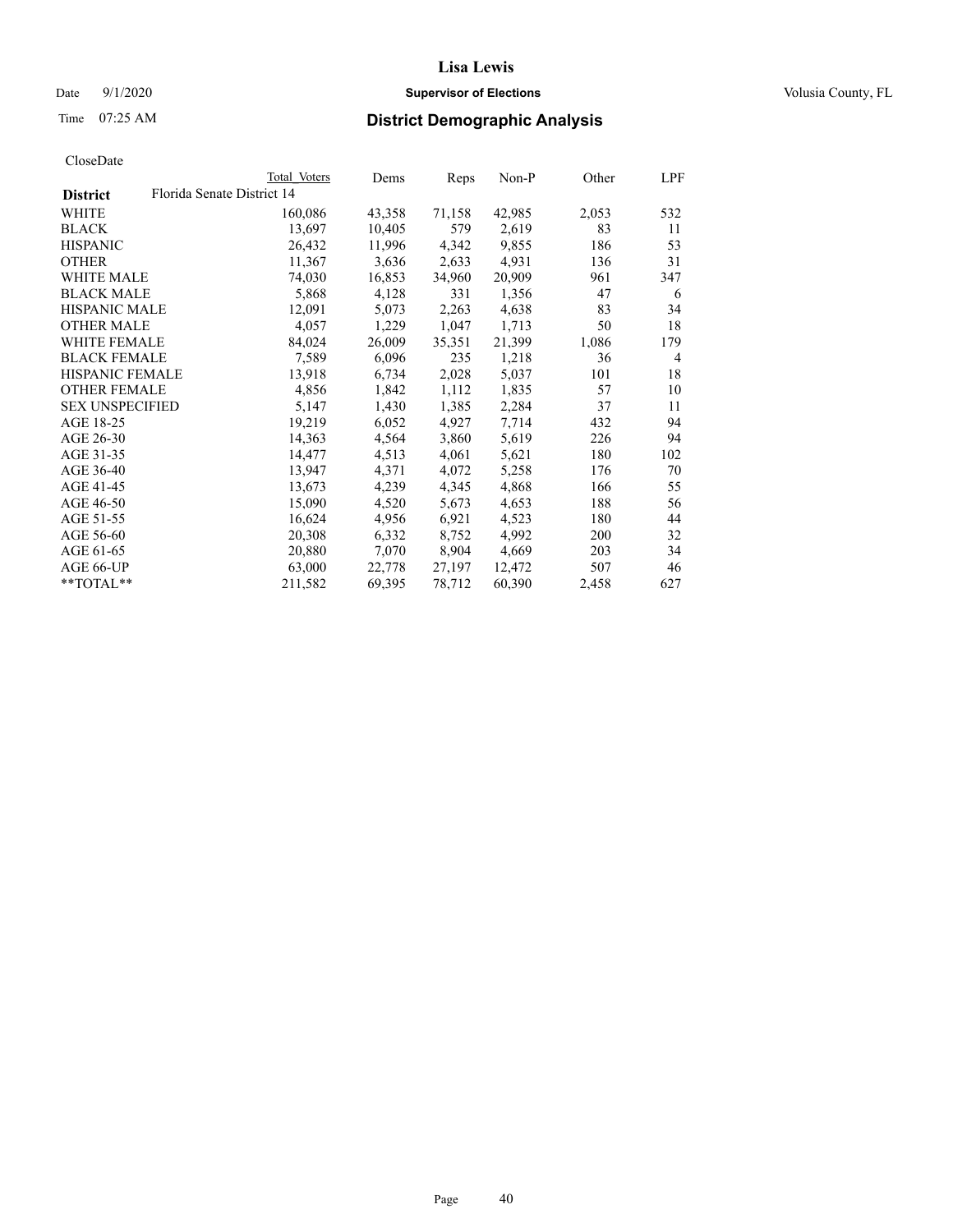# Date  $9/1/2020$  **Supervisor of Elections Supervisor of Elections** Volusia County, FL

# Time 07:25 AM **District Demographic Analysis**

|                        |                            | Total Voters | Dems   | Reps   | Non-P  | Other | LPF            |
|------------------------|----------------------------|--------------|--------|--------|--------|-------|----------------|
| <b>District</b>        | Florida Senate District 14 |              |        |        |        |       |                |
| WHITE                  |                            | 160,086      | 43,358 | 71,158 | 42,985 | 2,053 | 532            |
| <b>BLACK</b>           |                            | 13,697       | 10,405 | 579    | 2,619  | 83    | 11             |
| <b>HISPANIC</b>        |                            | 26,432       | 11,996 | 4,342  | 9,855  | 186   | 53             |
| <b>OTHER</b>           |                            | 11,367       | 3,636  | 2,633  | 4,931  | 136   | 31             |
| <b>WHITE MALE</b>      |                            | 74,030       | 16,853 | 34,960 | 20,909 | 961   | 347            |
| <b>BLACK MALE</b>      |                            | 5,868        | 4,128  | 331    | 1,356  | 47    | 6              |
| <b>HISPANIC MALE</b>   |                            | 12,091       | 5,073  | 2,263  | 4,638  | 83    | 34             |
| <b>OTHER MALE</b>      |                            | 4,057        | 1,229  | 1,047  | 1,713  | 50    | 18             |
| <b>WHITE FEMALE</b>    |                            | 84,024       | 26,009 | 35,351 | 21,399 | 1,086 | 179            |
| <b>BLACK FEMALE</b>    |                            | 7,589        | 6,096  | 235    | 1,218  | 36    | $\overline{4}$ |
| <b>HISPANIC FEMALE</b> |                            | 13,918       | 6,734  | 2,028  | 5,037  | 101   | 18             |
| <b>OTHER FEMALE</b>    |                            | 4,856        | 1,842  | 1,112  | 1,835  | 57    | 10             |
| <b>SEX UNSPECIFIED</b> |                            | 5,147        | 1,430  | 1,385  | 2,284  | 37    | 11             |
| AGE 18-25              |                            | 19,219       | 6,052  | 4,927  | 7,714  | 432   | 94             |
| AGE 26-30              |                            | 14,363       | 4,564  | 3,860  | 5,619  | 226   | 94             |
| AGE 31-35              |                            | 14,477       | 4,513  | 4,061  | 5,621  | 180   | 102            |
| AGE 36-40              |                            | 13,947       | 4,371  | 4,072  | 5,258  | 176   | 70             |
| AGE 41-45              |                            | 13,673       | 4,239  | 4,345  | 4,868  | 166   | 55             |
| AGE 46-50              |                            | 15,090       | 4,520  | 5,673  | 4,653  | 188   | 56             |
| AGE 51-55              |                            | 16,624       | 4,956  | 6,921  | 4,523  | 180   | 44             |
| AGE 56-60              |                            | 20,308       | 6,332  | 8,752  | 4,992  | 200   | 32             |
| AGE 61-65              |                            | 20,880       | 7,070  | 8,904  | 4,669  | 203   | 34             |
| AGE 66-UP              |                            | 63,000       | 22,778 | 27,197 | 12,472 | 507   | 46             |
| $*$ $TOTAL**$          |                            | 211,582      | 69,395 | 78,712 | 60,390 | 2,458 | 627            |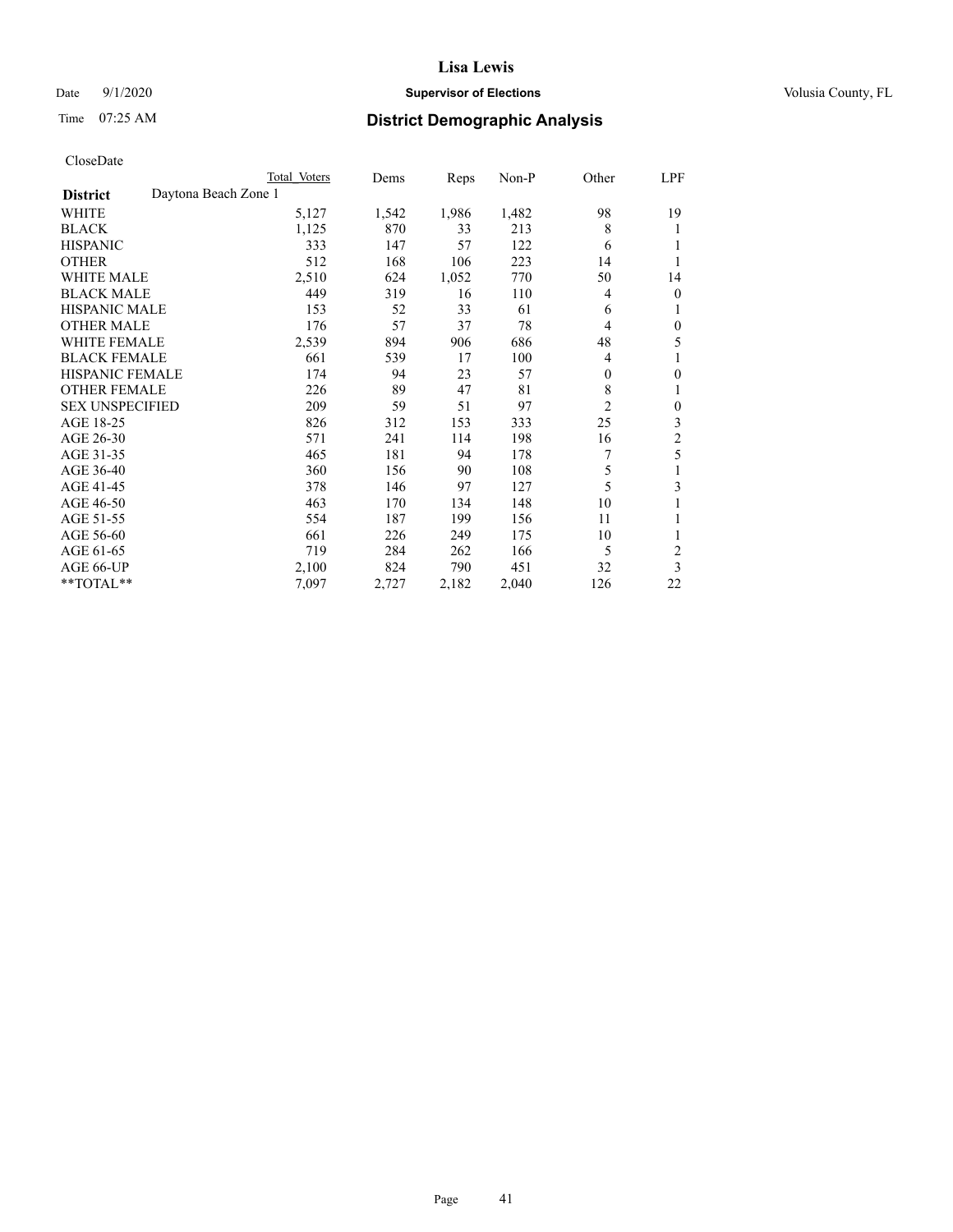# Date  $9/1/2020$  **Supervisor of Elections Supervisor of Elections** Volusia County, FL

# Time 07:25 AM **District Demographic Analysis**

|                        |                      | Total Voters | Dems  | Reps  | Non-P | Other          | LPF            |
|------------------------|----------------------|--------------|-------|-------|-------|----------------|----------------|
| <b>District</b>        | Daytona Beach Zone 1 |              |       |       |       |                |                |
| WHITE                  |                      | 5,127        | 1,542 | 1,986 | 1,482 | 98             | 19             |
| <b>BLACK</b>           |                      | 1,125        | 870   | 33    | 213   | 8              | 1              |
| <b>HISPANIC</b>        |                      | 333          | 147   | 57    | 122   | 6              | 1              |
| <b>OTHER</b>           |                      | 512          | 168   | 106   | 223   | 14             |                |
| <b>WHITE MALE</b>      |                      | 2,510        | 624   | 1,052 | 770   | 50             | 14             |
| <b>BLACK MALE</b>      |                      | 449          | 319   | 16    | 110   | 4              | $\mathbf{0}$   |
| <b>HISPANIC MALE</b>   |                      | 153          | 52    | 33    | 61    | 6              | 1              |
| <b>OTHER MALE</b>      |                      | 176          | 57    | 37    | 78    | 4              | $\mathbf{0}$   |
| WHITE FEMALE           |                      | 2,539        | 894   | 906   | 686   | 48             | 5              |
| <b>BLACK FEMALE</b>    |                      | 661          | 539   | 17    | 100   | $\overline{4}$ | 1              |
| <b>HISPANIC FEMALE</b> |                      | 174          | 94    | 23    | 57    | $\theta$       | $\theta$       |
| <b>OTHER FEMALE</b>    |                      | 226          | 89    | 47    | 81    | 8              | 1              |
| <b>SEX UNSPECIFIED</b> |                      | 209          | 59    | 51    | 97    | $\overline{2}$ | $\theta$       |
| AGE 18-25              |                      | 826          | 312   | 153   | 333   | 25             | 3              |
| AGE 26-30              |                      | 571          | 241   | 114   | 198   | 16             | $\mathfrak{2}$ |
| AGE 31-35              |                      | 465          | 181   | 94    | 178   | 7              | 5              |
| AGE 36-40              |                      | 360          | 156   | 90    | 108   | 5              |                |
| AGE 41-45              |                      | 378          | 146   | 97    | 127   | 5              | 3              |
| AGE 46-50              |                      | 463          | 170   | 134   | 148   | 10             | 1              |
| AGE 51-55              |                      | 554          | 187   | 199   | 156   | 11             | 1              |
| AGE 56-60              |                      | 661          | 226   | 249   | 175   | 10             |                |
| AGE 61-65              |                      | 719          | 284   | 262   | 166   | 5              | $\overline{2}$ |
| AGE 66-UP              |                      | 2,100        | 824   | 790   | 451   | 32             | 3              |
| **TOTAL**              |                      | 7,097        | 2,727 | 2,182 | 2,040 | 126            | 22             |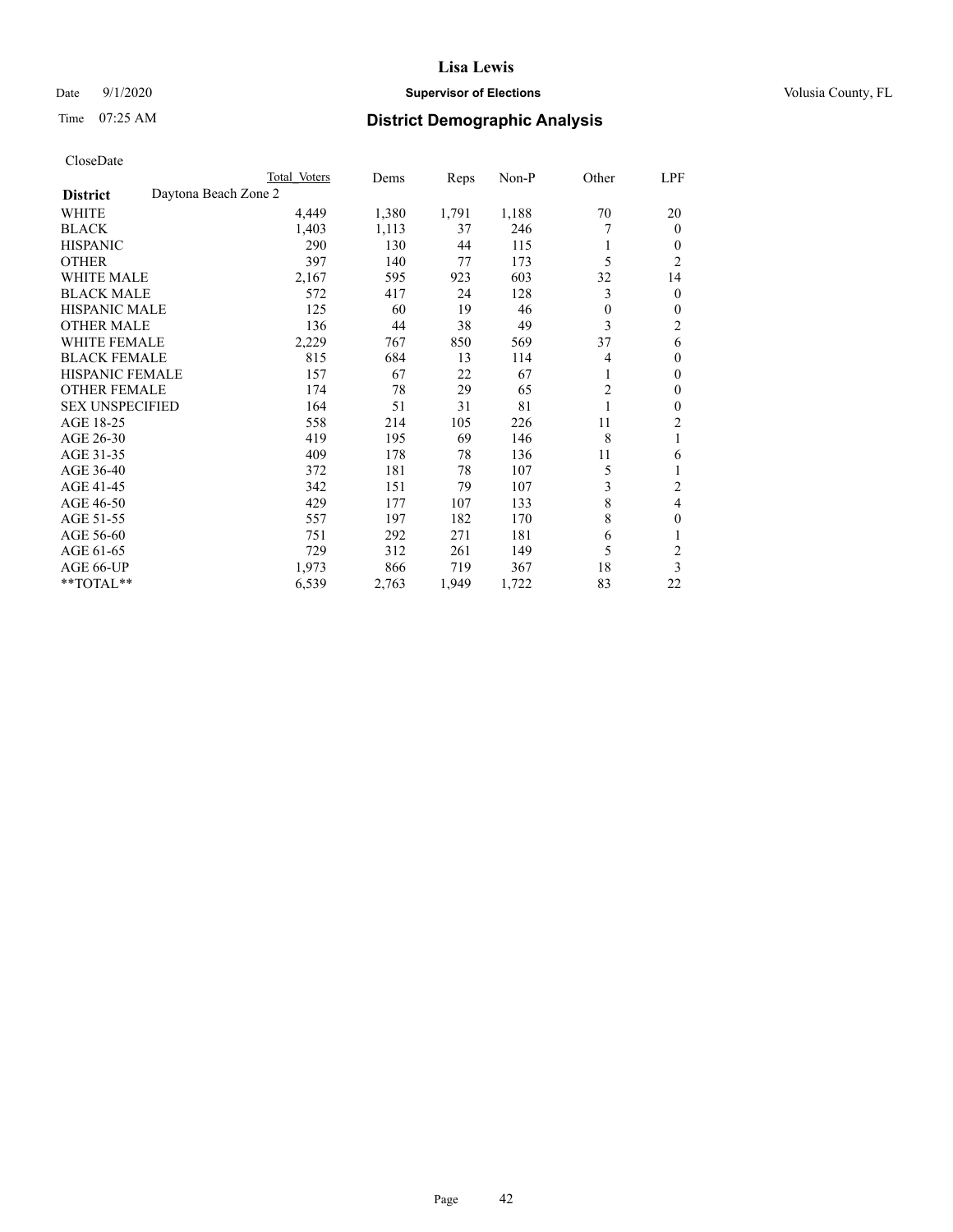# Date  $9/1/2020$  **Supervisor of Elections Supervisor of Elections** Volusia County, FL

# Time 07:25 AM **District Demographic Analysis**

| Total Voters         | Dems  | Reps  | $Non-P$ | Other          | LPF            |
|----------------------|-------|-------|---------|----------------|----------------|
| Daytona Beach Zone 2 |       |       |         |                |                |
| 4,449                | 1,380 | 1,791 | 1,188   | 70             | 20             |
| 1,403                | 1,113 | 37    | 246     |                | $\Omega$       |
| 290                  | 130   | 44    | 115     |                | 0              |
| 397                  | 140   | 77    | 173     | 5              | $\overline{2}$ |
| 2,167                | 595   | 923   | 603     | 32             | 14             |
| 572                  | 417   | 24    | 128     | 3              | 0              |
| 125                  | 60    | 19    | 46      | $\overline{0}$ | 0              |
| 136                  | 44    | 38    | 49      | 3              | 2              |
| 2,229                | 767   | 850   | 569     | 37             | 6              |
| 815                  | 684   | 13    | 114     | 4              | 0              |
| 157                  | 67    | 22    | 67      | 1              | 0              |
| 174                  | 78    | 29    | 65      | $\overline{c}$ | 0              |
| 164                  | 51    | 31    | 81      |                | 0              |
| 558                  | 214   | 105   | 226     | 11             | 2              |
| 419                  | 195   | 69    | 146     | 8              | 1              |
| 409                  | 178   | 78    | 136     | 11             | 6              |
| 372                  | 181   | 78    | 107     | 5              |                |
| 342                  | 151   | 79    | 107     | 3              | 2              |
| 429                  | 177   | 107   | 133     | 8              | 4              |
| 557                  | 197   | 182   | 170     | 8              | 0              |
| 751                  | 292   | 271   | 181     | 6              | 1              |
| 729                  | 312   | 261   | 149     | 5              | $\overline{c}$ |
| 1,973                | 866   | 719   | 367     | 18             | 3              |
| 6,539                | 2,763 | 1,949 | 1,722   | 83             | 22             |
|                      |       |       |         |                |                |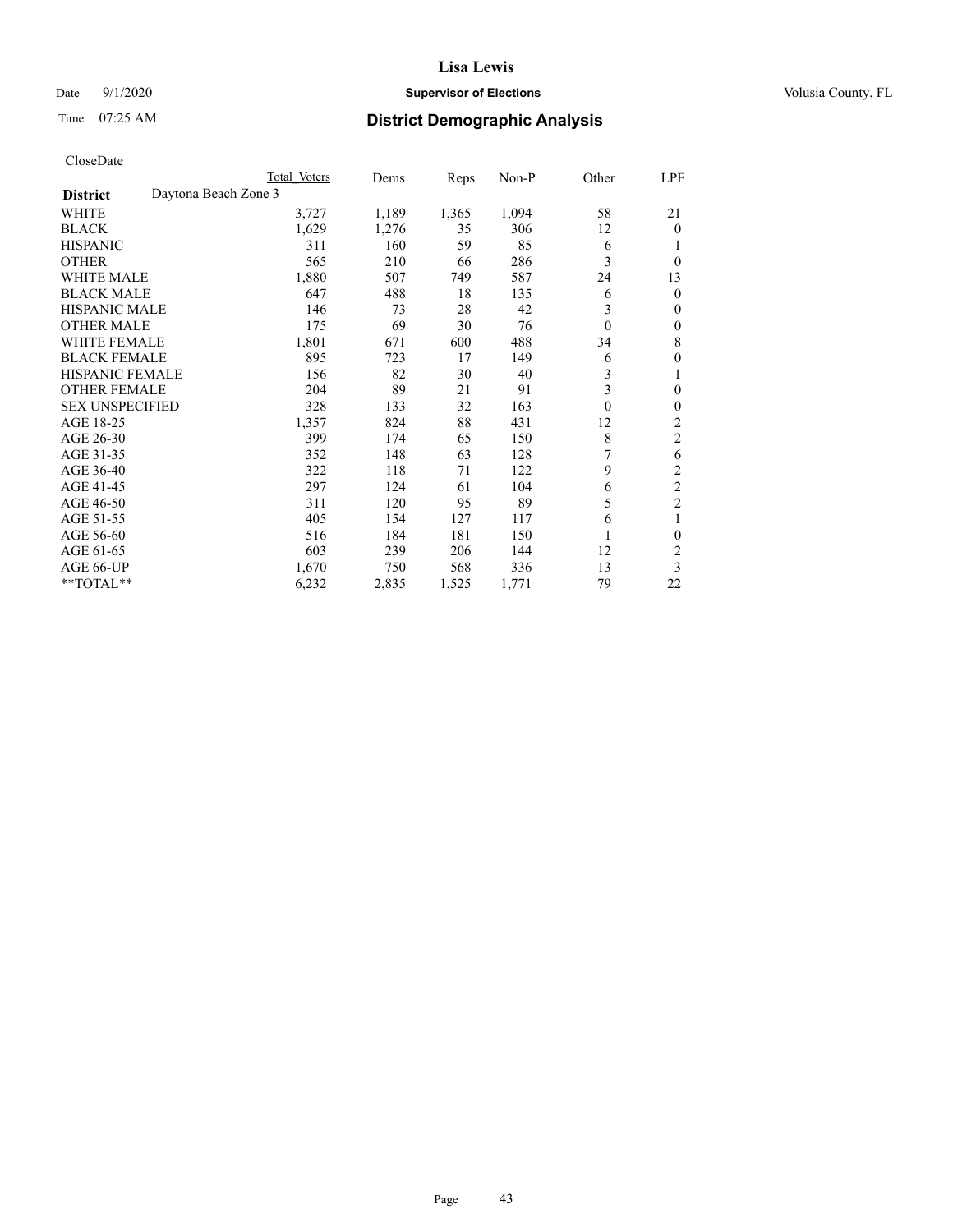# Date  $9/1/2020$  **Supervisor of Elections Supervisor of Elections** Volusia County, FL

# Time 07:25 AM **District Demographic Analysis**

|                        |                      | Total Voters | Dems  | Reps  | Non-P | Other        | LPF            |
|------------------------|----------------------|--------------|-------|-------|-------|--------------|----------------|
| <b>District</b>        | Daytona Beach Zone 3 |              |       |       |       |              |                |
| WHITE                  |                      | 3,727        | 1,189 | 1,365 | 1,094 | 58           | 21             |
| <b>BLACK</b>           |                      | 1,629        | 1,276 | 35    | 306   | 12           | $\mathbf{0}$   |
| <b>HISPANIC</b>        |                      | 311          | 160   | 59    | 85    | 6            |                |
| <b>OTHER</b>           |                      | 565          | 210   | 66    | 286   | 3            | 0              |
| <b>WHITE MALE</b>      |                      | 1,880        | 507   | 749   | 587   | 24           | 13             |
| <b>BLACK MALE</b>      |                      | 647          | 488   | 18    | 135   | 6            | $\theta$       |
| <b>HISPANIC MALE</b>   |                      | 146          | 73    | 28    | 42    | 3            | $\theta$       |
| <b>OTHER MALE</b>      |                      | 175          | 69    | 30    | 76    | $\theta$     | $\mathbf{0}$   |
| WHITE FEMALE           |                      | 1,801        | 671   | 600   | 488   | 34           | 8              |
| <b>BLACK FEMALE</b>    |                      | 895          | 723   | 17    | 149   | 6            | $\theta$       |
| <b>HISPANIC FEMALE</b> |                      | 156          | 82    | 30    | 40    | 3            | 1              |
| <b>OTHER FEMALE</b>    |                      | 204          | 89    | 21    | 91    | 3            | $\theta$       |
| <b>SEX UNSPECIFIED</b> |                      | 328          | 133   | 32    | 163   | $\mathbf{0}$ | $\theta$       |
| AGE 18-25              |                      | 1,357        | 824   | 88    | 431   | 12           | $\overline{2}$ |
| AGE 26-30              |                      | 399          | 174   | 65    | 150   | 8            | $\overline{c}$ |
| AGE 31-35              |                      | 352          | 148   | 63    | 128   | 7            | 6              |
| AGE 36-40              |                      | 322          | 118   | 71    | 122   | 9            | $\overline{c}$ |
| AGE 41-45              |                      | 297          | 124   | 61    | 104   | 6            | $\overline{c}$ |
| AGE 46-50              |                      | 311          | 120   | 95    | 89    | 5            | $\overline{2}$ |
| AGE 51-55              |                      | 405          | 154   | 127   | 117   | 6            | 1              |
| AGE 56-60              |                      | 516          | 184   | 181   | 150   |              | $\theta$       |
| AGE 61-65              |                      | 603          | 239   | 206   | 144   | 12           | $\overline{2}$ |
| AGE 66-UP              |                      | 1,670        | 750   | 568   | 336   | 13           | 3              |
| **TOTAL**              |                      | 6,232        | 2,835 | 1,525 | 1,771 | 79           | 22             |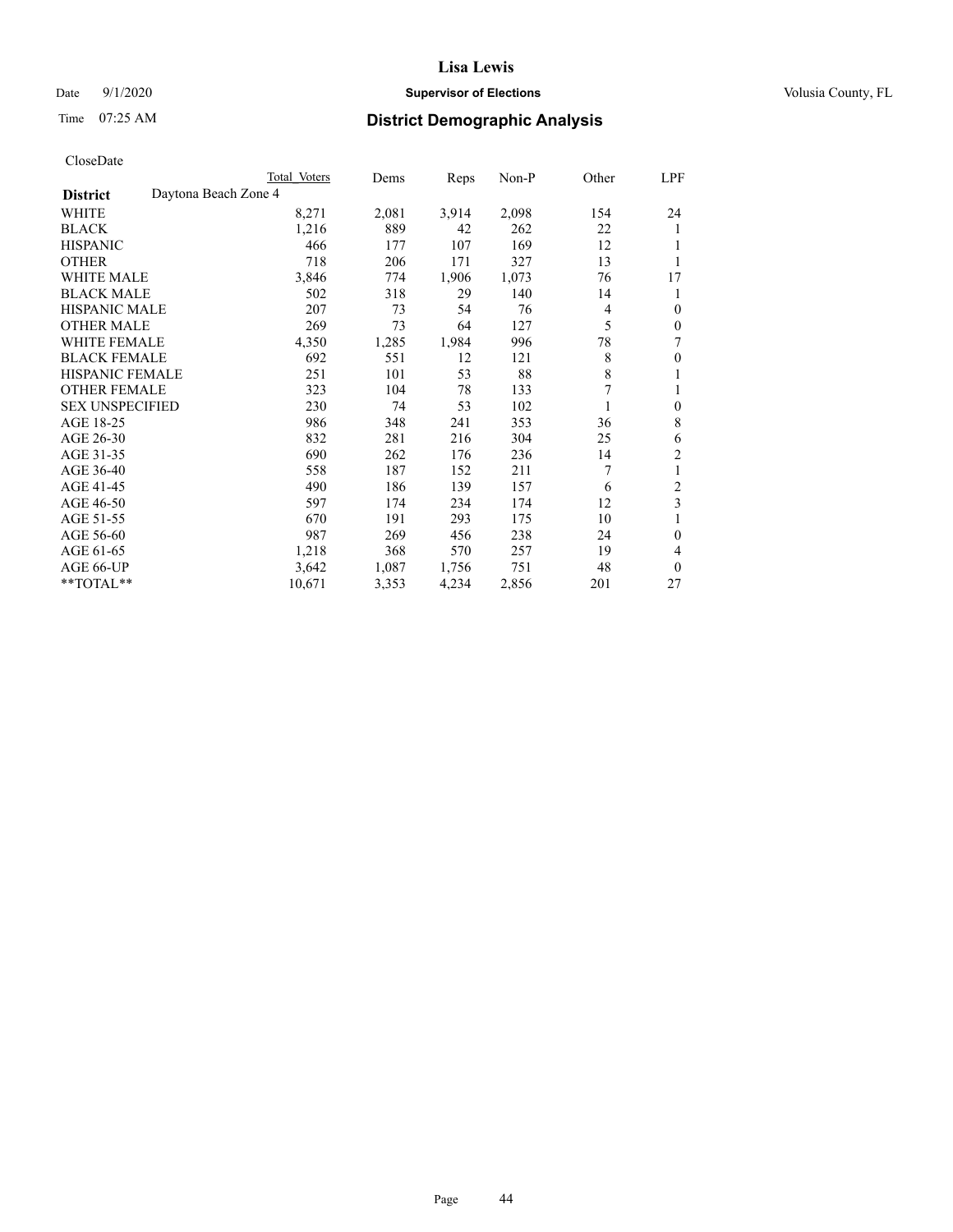# Date  $9/1/2020$  **Supervisor of Elections Supervisor of Elections** Volusia County, FL

# Time 07:25 AM **District Demographic Analysis**

|                                         | Total Voters | Dems  | Reps  | $Non-P$ | Other       | LPF            |
|-----------------------------------------|--------------|-------|-------|---------|-------------|----------------|
| Daytona Beach Zone 4<br><b>District</b> |              |       |       |         |             |                |
| WHITE                                   | 8,271        | 2,081 | 3,914 | 2,098   | 154         | 24             |
| <b>BLACK</b>                            | 1,216        | 889   | 42    | 262     | 22          | 1              |
| <b>HISPANIC</b>                         | 466          | 177   | 107   | 169     | 12          |                |
| <b>OTHER</b>                            | 718          | 206   | 171   | 327     | 13          | 1              |
| <b>WHITE MALE</b>                       | 3,846        | 774   | 1,906 | 1,073   | 76          | 17             |
| <b>BLACK MALE</b>                       | 502          | 318   | 29    | 140     | 14          | 1              |
| <b>HISPANIC MALE</b>                    | 207          | 73    | 54    | 76      | 4           | $\theta$       |
| <b>OTHER MALE</b>                       | 269          | 73    | 64    | 127     | 5           | $\theta$       |
| <b>WHITE FEMALE</b>                     | 4,350        | 1,285 | 1,984 | 996     | 78          | 7              |
| <b>BLACK FEMALE</b>                     | 692          | 551   | 12    | 121     | 8           | $\theta$       |
| <b>HISPANIC FEMALE</b>                  | 251          | 101   | 53    | 88      | $\,$ 8 $\,$ | 1              |
| <b>OTHER FEMALE</b>                     | 323          | 104   | 78    | 133     | 7           | 1              |
| <b>SEX UNSPECIFIED</b>                  | 230          | 74    | 53    | 102     |             | $\theta$       |
| AGE 18-25                               | 986          | 348   | 241   | 353     | 36          | 8              |
| AGE 26-30                               | 832          | 281   | 216   | 304     | 25          | 6              |
| AGE 31-35                               | 690          | 262   | 176   | 236     | 14          | $\overline{2}$ |
| AGE 36-40                               | 558          | 187   | 152   | 211     | 7           | 1              |
| AGE 41-45                               | 490          | 186   | 139   | 157     | 6           | $\overline{c}$ |
| AGE 46-50                               | 597          | 174   | 234   | 174     | 12          | 3              |
| AGE 51-55                               | 670          | 191   | 293   | 175     | 10          | 1              |
| AGE 56-60                               | 987          | 269   | 456   | 238     | 24          | $\theta$       |
| AGE 61-65                               | 1,218        | 368   | 570   | 257     | 19          | 4              |
| AGE 66-UP                               | 3,642        | 1,087 | 1,756 | 751     | 48          | $\theta$       |
| **TOTAL**                               | 10,671       | 3,353 | 4,234 | 2,856   | 201         | 27             |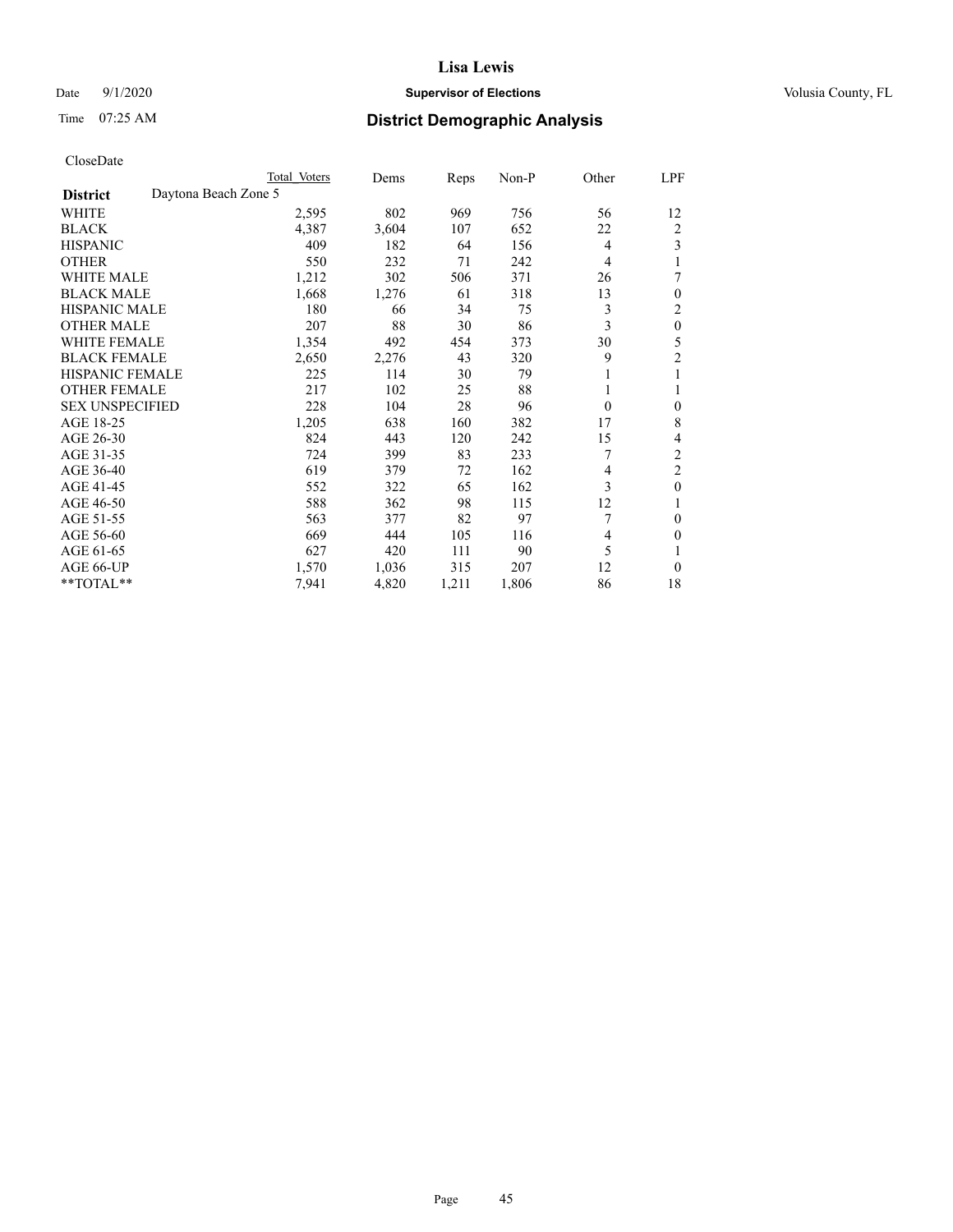# Date  $9/1/2020$  **Supervisor of Elections Supervisor of Elections** Volusia County, FL

| CloseDate |
|-----------|
|-----------|

|                                         | Total Voters | Dems  | Reps  | $Non-P$ | Other    | LPF            |
|-----------------------------------------|--------------|-------|-------|---------|----------|----------------|
| Daytona Beach Zone 5<br><b>District</b> |              |       |       |         |          |                |
| WHITE                                   | 2,595        | 802   | 969   | 756     | 56       | 12             |
| <b>BLACK</b>                            | 4,387        | 3,604 | 107   | 652     | 22       | 2              |
| <b>HISPANIC</b>                         | 409          | 182   | 64    | 156     | 4        | 3              |
| <b>OTHER</b>                            | 550          | 232   | 71    | 242     | 4        |                |
| <b>WHITE MALE</b>                       | 1,212        | 302   | 506   | 371     | 26       |                |
| <b>BLACK MALE</b>                       | 1,668        | 1,276 | 61    | 318     | 13       | $\theta$       |
| <b>HISPANIC MALE</b>                    | 180          | 66    | 34    | 75      | 3        | 2              |
| <b>OTHER MALE</b>                       | 207          | 88    | 30    | 86      | 3        | $\mathbf{0}$   |
| <b>WHITE FEMALE</b>                     | 1,354        | 492   | 454   | 373     | 30       | 5              |
| <b>BLACK FEMALE</b>                     | 2,650        | 2,276 | 43    | 320     | 9        | 2              |
| HISPANIC FEMALE                         | 225          | 114   | 30    | 79      |          |                |
| <b>OTHER FEMALE</b>                     | 217          | 102   | 25    | 88      |          |                |
| <b>SEX UNSPECIFIED</b>                  | 228          | 104   | 28    | 96      | $\theta$ | $\theta$       |
| AGE 18-25                               | 1,205        | 638   | 160   | 382     | 17       | 8              |
| AGE 26-30                               | 824          | 443   | 120   | 242     | 15       | 4              |
| AGE 31-35                               | 724          | 399   | 83    | 233     | 7        | $\overline{2}$ |
| AGE 36-40                               | 619          | 379   | 72    | 162     | 4        | $\overline{c}$ |
| AGE 41-45                               | 552          | 322   | 65    | 162     | 3        | $\mathbf{0}$   |
| AGE 46-50                               | 588          | 362   | 98    | 115     | 12       |                |
| AGE 51-55                               | 563          | 377   | 82    | 97      | 7        | $\theta$       |
| AGE 56-60                               | 669          | 444   | 105   | 116     | 4        | $\Omega$       |
| AGE 61-65                               | 627          | 420   | 111   | 90      | 5        |                |
| AGE 66-UP                               | 1,570        | 1,036 | 315   | 207     | 12       | $\theta$       |
| **TOTAL**                               | 7,941        | 4,820 | 1,211 | 1,806   | 86       | 18             |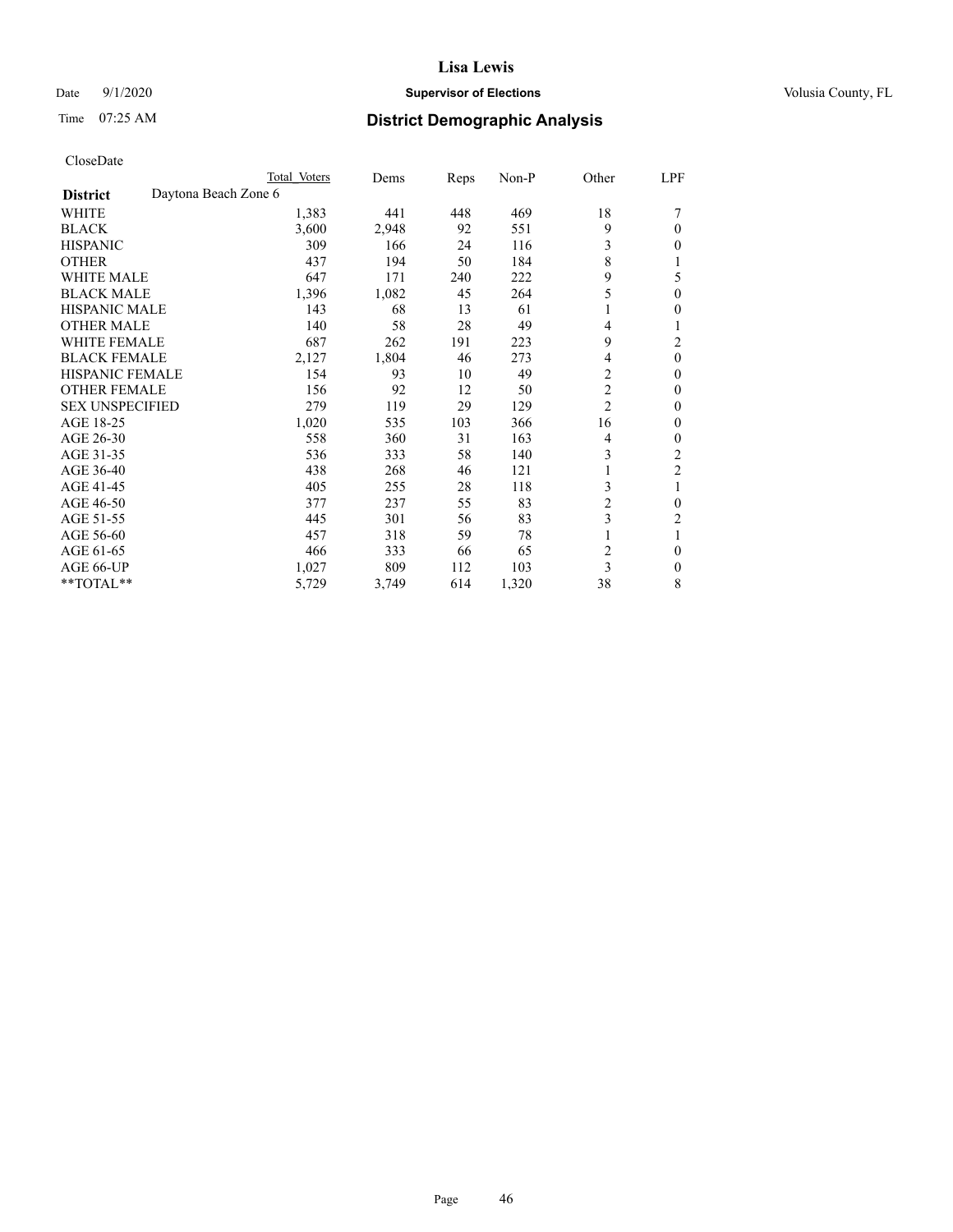# Date  $9/1/2020$  **Supervisor of Elections Supervisor of Elections** Volusia County, FL

| CloseDate |
|-----------|
|-----------|

|                                         | Total Voters | Dems  | Reps | Non-P | Other          | LPF            |
|-----------------------------------------|--------------|-------|------|-------|----------------|----------------|
| Daytona Beach Zone 6<br><b>District</b> |              |       |      |       |                |                |
| WHITE                                   | 1,383        | 441   | 448  | 469   | 18             |                |
| <b>BLACK</b>                            | 3,600        | 2,948 | 92   | 551   | 9              | 0              |
| <b>HISPANIC</b>                         | 309          | 166   | 24   | 116   | 3              | 0              |
| <b>OTHER</b>                            | 437          | 194   | 50   | 184   | 8              |                |
| <b>WHITE MALE</b>                       | 647          | 171   | 240  | 222   | 9              | 5              |
| <b>BLACK MALE</b>                       | 1,396        | 1,082 | 45   | 264   | 5              | 0              |
| <b>HISPANIC MALE</b>                    | 143          | 68    | 13   | 61    |                | 0              |
| <b>OTHER MALE</b>                       | 140          | 58    | 28   | 49    | 4              |                |
| <b>WHITE FEMALE</b>                     | 687          | 262   | 191  | 223   | 9              | 2              |
| <b>BLACK FEMALE</b>                     | 2,127        | 1,804 | 46   | 273   | 4              | $\mathbf{0}$   |
| <b>HISPANIC FEMALE</b>                  | 154          | 93    | 10   | 49    | 2              | 0              |
| <b>OTHER FEMALE</b>                     | 156          | 92    | 12   | 50    | 2              | 0              |
| <b>SEX UNSPECIFIED</b>                  | 279          | 119   | 29   | 129   | $\overline{2}$ | 0              |
| AGE 18-25                               | 1,020        | 535   | 103  | 366   | 16             | 0              |
| AGE 26-30                               | 558          | 360   | 31   | 163   | 4              | 0              |
| AGE 31-35                               | 536          | 333   | 58   | 140   | 3              | $\overline{2}$ |
| AGE 36-40                               | 438          | 268   | 46   | 121   |                | $\overline{2}$ |
| AGE 41-45                               | 405          | 255   | 28   | 118   | 3              | 1              |
| AGE 46-50                               | 377          | 237   | 55   | 83    | 2              | 0              |
| AGE 51-55                               | 445          | 301   | 56   | 83    | 3              | 2              |
| AGE 56-60                               | 457          | 318   | 59   | 78    |                |                |
| AGE 61-65                               | 466          | 333   | 66   | 65    | 2              | $\mathbf{0}$   |
| AGE 66-UP                               | 1,027        | 809   | 112  | 103   | 3              | 0              |
| **TOTAL**                               | 5,729        | 3,749 | 614  | 1,320 | 38             | 8              |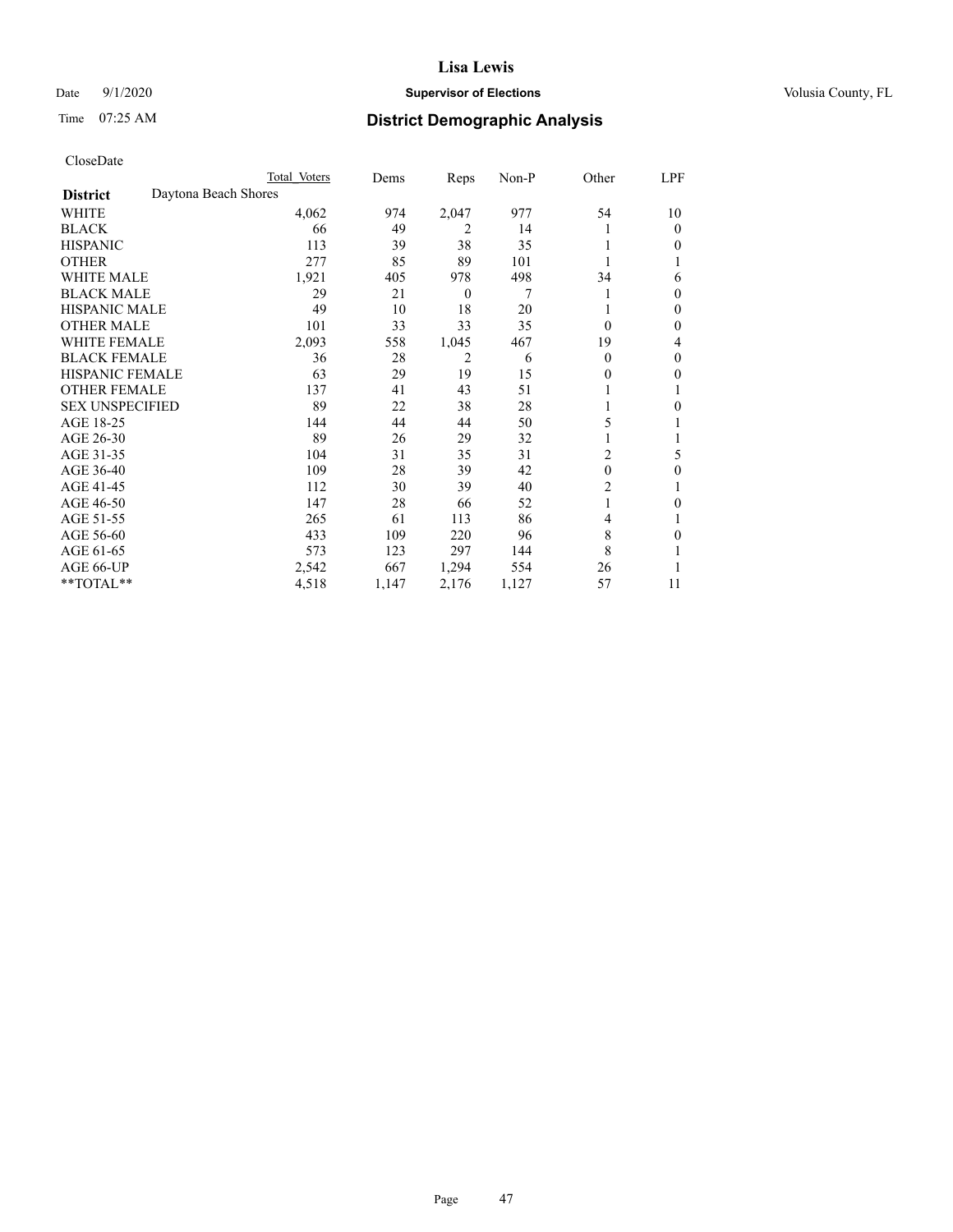# Date  $9/1/2020$  **Supervisor of Elections Supervisor of Elections** Volusia County, FL

# Time 07:25 AM **District Demographic Analysis**

|                                         | Total Voters | Dems  | Reps           | $Non-P$ | Other          | LPF |
|-----------------------------------------|--------------|-------|----------------|---------|----------------|-----|
| Daytona Beach Shores<br><b>District</b> |              |       |                |         |                |     |
| WHITE                                   | 4,062        | 974   | 2,047          | 977     | 54             | 10  |
| <b>BLACK</b>                            | 66           | 49    | 2              | 14      |                | 0   |
| <b>HISPANIC</b>                         | 113          | 39    | 38             | 35      |                | 0   |
| <b>OTHER</b>                            | 277          | 85    | 89             | 101     |                |     |
| <b>WHITE MALE</b>                       | 1,921        | 405   | 978            | 498     | 34             | 6   |
| <b>BLACK MALE</b>                       | 29           | 21    | $\theta$       | 7       |                | 0   |
| <b>HISPANIC MALE</b>                    | 49           | 10    | 18             | 20      |                | 0   |
| <b>OTHER MALE</b>                       | 101          | 33    | 33             | 35      | $\Omega$       | 0   |
| <b>WHITE FEMALE</b>                     | 2,093        | 558   | 1,045          | 467     | 19             | 4   |
| <b>BLACK FEMALE</b>                     | 36           | 28    | $\overline{2}$ | 6       | $\theta$       | 0   |
| <b>HISPANIC FEMALE</b>                  | 63           | 29    | 19             | 15      | $\theta$       | 0   |
| <b>OTHER FEMALE</b>                     | 137          | 41    | 43             | 51      |                |     |
| <b>SEX UNSPECIFIED</b>                  | 89           | 22    | 38             | 28      |                | 0   |
| AGE 18-25                               | 144          | 44    | 44             | 50      | 5              |     |
| AGE 26-30                               | 89           | 26    | 29             | 32      |                |     |
| AGE 31-35                               | 104          | 31    | 35             | 31      | $\overline{2}$ | 5   |
| AGE 36-40                               | 109          | 28    | 39             | 42      | $\theta$       | 0   |
| AGE 41-45                               | 112          | 30    | 39             | 40      | 2              | 1   |
| AGE 46-50                               | 147          | 28    | 66             | 52      |                | 0   |
| AGE 51-55                               | 265          | 61    | 113            | 86      | $\overline{4}$ |     |
| AGE 56-60                               | 433          | 109   | 220            | 96      | 8              | 0   |
| AGE 61-65                               | 573          | 123   | 297            | 144     | 8              |     |
| AGE 66-UP                               | 2,542        | 667   | 1,294          | 554     | 26             |     |
| **TOTAL**                               | 4,518        | 1,147 | 2,176          | 1,127   | 57             | 11  |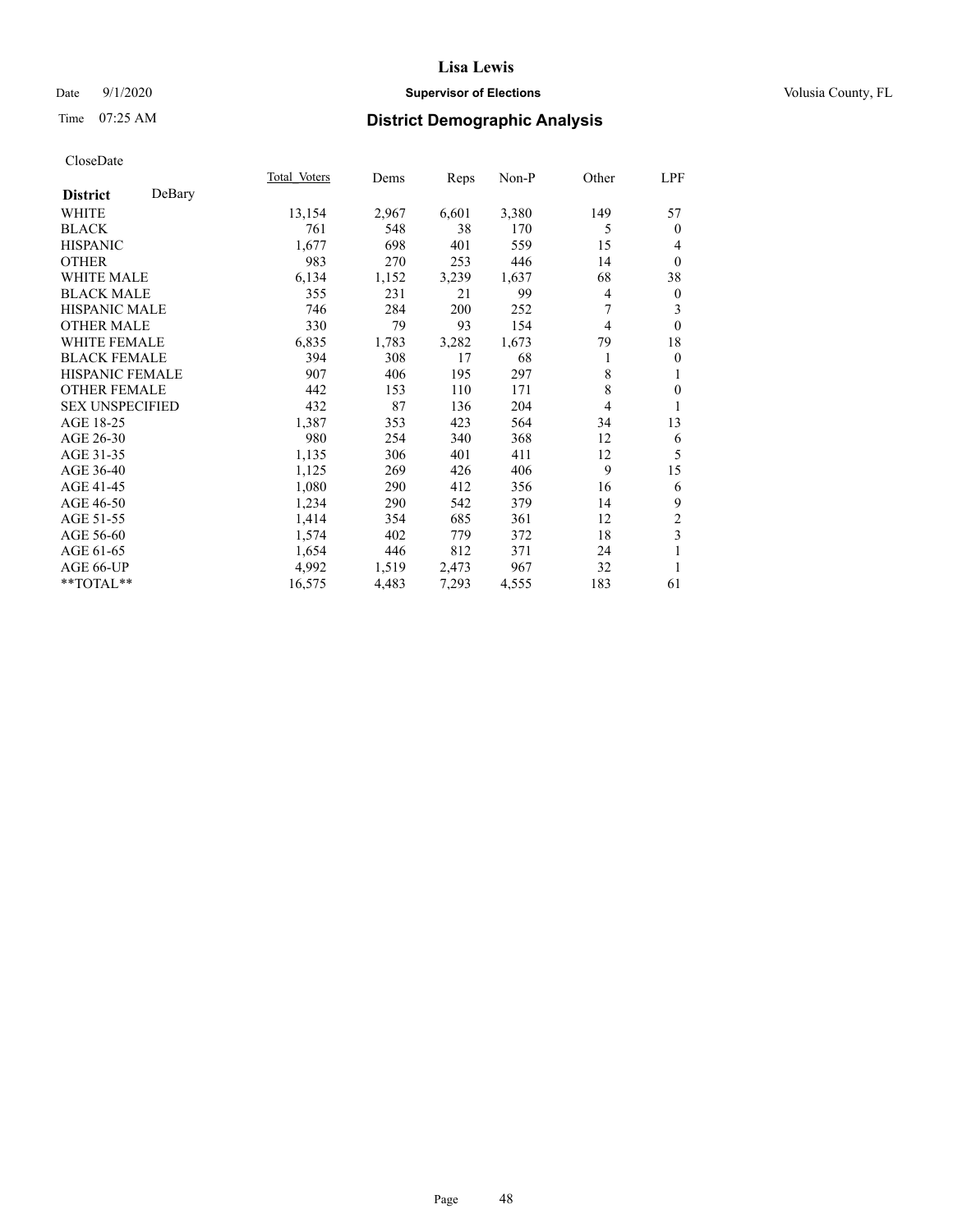# Date  $9/1/2020$  **Supervisor of Elections Supervisor of Elections** Volusia County, FL

# Time 07:25 AM **District Demographic Analysis**

|                        |        | Total Voters | Dems  | Reps  | Non-P | Other | LPF              |
|------------------------|--------|--------------|-------|-------|-------|-------|------------------|
| <b>District</b>        | DeBary |              |       |       |       |       |                  |
| WHITE                  |        | 13,154       | 2,967 | 6,601 | 3,380 | 149   | 57               |
| <b>BLACK</b>           |        | 761          | 548   | 38    | 170   | 5     | $\mathbf{0}$     |
| <b>HISPANIC</b>        |        | 1,677        | 698   | 401   | 559   | 15    | 4                |
| <b>OTHER</b>           |        | 983          | 270   | 253   | 446   | 14    | $\mathbf{0}$     |
| <b>WHITE MALE</b>      |        | 6,134        | 1,152 | 3,239 | 1,637 | 68    | 38               |
| <b>BLACK MALE</b>      |        | 355          | 231   | 21    | 99    | 4     | $\boldsymbol{0}$ |
| <b>HISPANIC MALE</b>   |        | 746          | 284   | 200   | 252   | 7     | 3                |
| <b>OTHER MALE</b>      |        | 330          | 79    | 93    | 154   | 4     | $\theta$         |
| <b>WHITE FEMALE</b>    |        | 6,835        | 1,783 | 3,282 | 1,673 | 79    | 18               |
| <b>BLACK FEMALE</b>    |        | 394          | 308   | 17    | 68    | 1     | $\mathbf{0}$     |
| <b>HISPANIC FEMALE</b> |        | 907          | 406   | 195   | 297   | 8     | 1                |
| <b>OTHER FEMALE</b>    |        | 442          | 153   | 110   | 171   | 8     | $\mathbf{0}$     |
| <b>SEX UNSPECIFIED</b> |        | 432          | 87    | 136   | 204   | 4     | 1                |
| AGE 18-25              |        | 1,387        | 353   | 423   | 564   | 34    | 13               |
| AGE 26-30              |        | 980          | 254   | 340   | 368   | 12    | 6                |
| AGE 31-35              |        | 1,135        | 306   | 401   | 411   | 12    | 5                |
| AGE 36-40              |        | 1,125        | 269   | 426   | 406   | 9     | 15               |
| AGE 41-45              |        | 1,080        | 290   | 412   | 356   | 16    | 6                |
| AGE 46-50              |        | 1,234        | 290   | 542   | 379   | 14    | 9                |
| AGE 51-55              |        | 1,414        | 354   | 685   | 361   | 12    | $\overline{c}$   |
| AGE 56-60              |        | 1,574        | 402   | 779   | 372   | 18    | 3                |
| AGE 61-65              |        | 1,654        | 446   | 812   | 371   | 24    | 1                |
| AGE 66-UP              |        | 4,992        | 1,519 | 2,473 | 967   | 32    | 1                |
| $*$ $TOTAL**$          |        | 16,575       | 4,483 | 7,293 | 4,555 | 183   | 61               |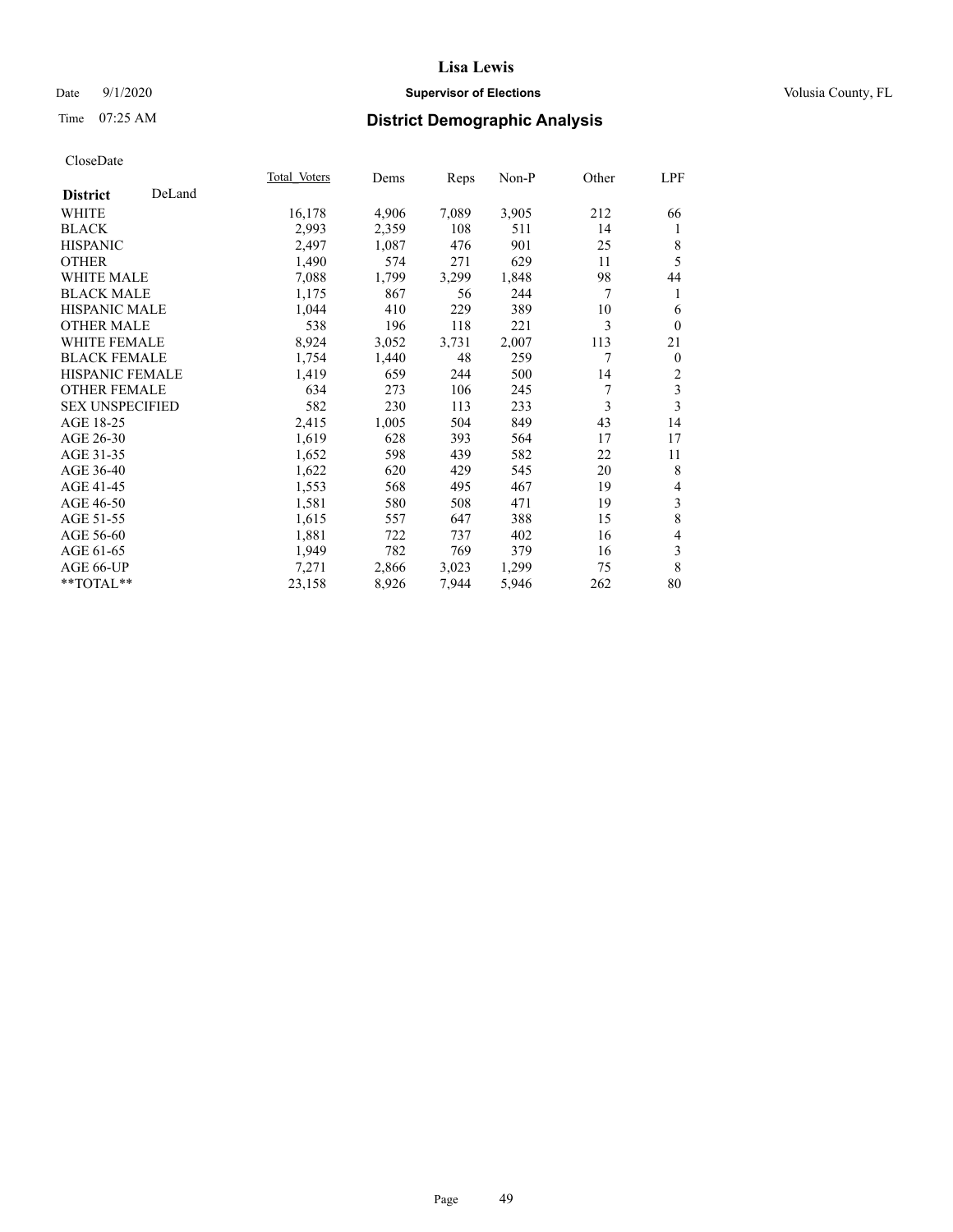# Date  $9/1/2020$  **Supervisor of Elections Supervisor of Elections** Volusia County, FL

# Time 07:25 AM **District Demographic Analysis**

|                        |        | Total Voters | Dems  | Reps  | Non-P | Other | LPF            |
|------------------------|--------|--------------|-------|-------|-------|-------|----------------|
| <b>District</b>        | DeLand |              |       |       |       |       |                |
| WHITE                  |        | 16,178       | 4,906 | 7,089 | 3,905 | 212   | 66             |
| <b>BLACK</b>           |        | 2,993        | 2,359 | 108   | 511   | 14    | 1              |
| <b>HISPANIC</b>        |        | 2,497        | 1,087 | 476   | 901   | 25    | 8              |
| <b>OTHER</b>           |        | 1,490        | 574   | 271   | 629   | 11    | 5              |
| WHITE MALE             |        | 7,088        | 1,799 | 3,299 | 1,848 | 98    | 44             |
| <b>BLACK MALE</b>      |        | 1,175        | 867   | 56    | 244   | 7     | 1              |
| <b>HISPANIC MALE</b>   |        | 1,044        | 410   | 229   | 389   | 10    | 6              |
| <b>OTHER MALE</b>      |        | 538          | 196   | 118   | 221   | 3     | $\mathbf{0}$   |
| WHITE FEMALE           |        | 8,924        | 3,052 | 3,731 | 2,007 | 113   | 21             |
| <b>BLACK FEMALE</b>    |        | 1,754        | 1,440 | 48    | 259   | 7     | $\overline{0}$ |
| <b>HISPANIC FEMALE</b> |        | 1,419        | 659   | 244   | 500   | 14    | 2              |
| <b>OTHER FEMALE</b>    |        | 634          | 273   | 106   | 245   | 7     | 3              |
| <b>SEX UNSPECIFIED</b> |        | 582          | 230   | 113   | 233   | 3     | 3              |
| AGE 18-25              |        | 2,415        | 1,005 | 504   | 849   | 43    | 14             |
| AGE 26-30              |        | 1,619        | 628   | 393   | 564   | 17    | 17             |
| AGE 31-35              |        | 1,652        | 598   | 439   | 582   | 22    | 11             |
| AGE 36-40              |        | 1,622        | 620   | 429   | 545   | 20    | 8              |
| AGE 41-45              |        | 1,553        | 568   | 495   | 467   | 19    | 4              |
| AGE 46-50              |        | 1,581        | 580   | 508   | 471   | 19    | 3              |
| AGE 51-55              |        | 1,615        | 557   | 647   | 388   | 15    | 8              |
| AGE 56-60              |        | 1,881        | 722   | 737   | 402   | 16    | $\overline{4}$ |
| AGE 61-65              |        | 1,949        | 782   | 769   | 379   | 16    | 3              |
| AGE 66-UP              |        | 7,271        | 2,866 | 3,023 | 1,299 | 75    | 8              |
| **TOTAL**              |        | 23,158       | 8,926 | 7,944 | 5,946 | 262   | 80             |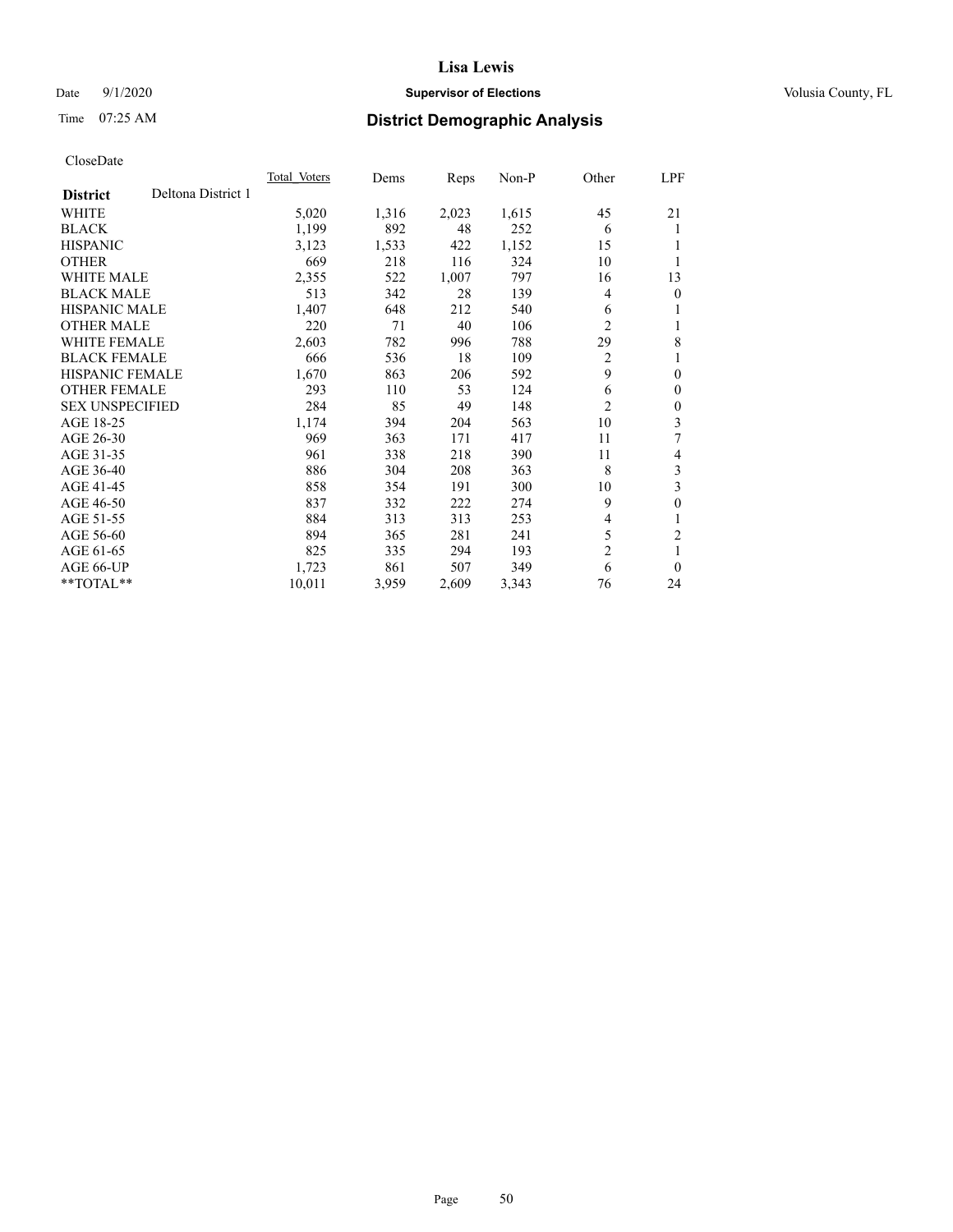# Date  $9/1/2020$  **Supervisor of Elections Supervisor of Elections** Volusia County, FL

# Time 07:25 AM **District Demographic Analysis**

|                                       | Total Voters | Dems  | Reps  | $Non-P$ | Other          | <u>LPF</u>     |
|---------------------------------------|--------------|-------|-------|---------|----------------|----------------|
| Deltona District 1<br><b>District</b> |              |       |       |         |                |                |
| WHITE                                 | 5,020        | 1,316 | 2,023 | 1,615   | 45             | 21             |
| <b>BLACK</b>                          | 1,199        | 892   | 48    | 252     | 6              | 1              |
| <b>HISPANIC</b>                       | 3,123        | 1,533 | 422   | 1,152   | 15             | 1              |
| <b>OTHER</b>                          | 669          | 218   | 116   | 324     | 10             | 1              |
| <b>WHITE MALE</b>                     | 2,355        | 522   | 1,007 | 797     | 16             | 13             |
| <b>BLACK MALE</b>                     | 513          | 342   | 28    | 139     | 4              | $\theta$       |
| <b>HISPANIC MALE</b>                  | 1,407        | 648   | 212   | 540     | 6              | 1              |
| <b>OTHER MALE</b>                     | 220          | 71    | 40    | 106     | $\overline{c}$ | 1              |
| <b>WHITE FEMALE</b>                   | 2,603        | 782   | 996   | 788     | 29             | 8              |
| <b>BLACK FEMALE</b>                   | 666          | 536   | 18    | 109     | $\overline{2}$ | 1              |
| <b>HISPANIC FEMALE</b>                | 1,670        | 863   | 206   | 592     | 9              | $\mathbf{0}$   |
| <b>OTHER FEMALE</b>                   | 293          | 110   | 53    | 124     | 6              | $\mathbf{0}$   |
| <b>SEX UNSPECIFIED</b>                | 284          | 85    | 49    | 148     | 2              | $\mathbf{0}$   |
| AGE 18-25                             | 1,174        | 394   | 204   | 563     | 10             | 3              |
| AGE 26-30                             | 969          | 363   | 171   | 417     | 11             | 7              |
| AGE 31-35                             | 961          | 338   | 218   | 390     | 11             | 4              |
| AGE 36-40                             | 886          | 304   | 208   | 363     | 8              | 3              |
| AGE 41-45                             | 858          | 354   | 191   | 300     | 10             | 3              |
| AGE 46-50                             | 837          | 332   | 222   | 274     | 9              | $\mathbf{0}$   |
| AGE 51-55                             | 884          | 313   | 313   | 253     | 4              | 1              |
| AGE 56-60                             | 894          | 365   | 281   | 241     | 5              | $\overline{2}$ |
| AGE 61-65                             | 825          | 335   | 294   | 193     | $\overline{c}$ | 1              |
| AGE 66-UP                             | 1,723        | 861   | 507   | 349     | 6              | $\theta$       |
| $*$ $TOTAL**$                         | 10,011       | 3,959 | 2,609 | 3,343   | 76             | 24             |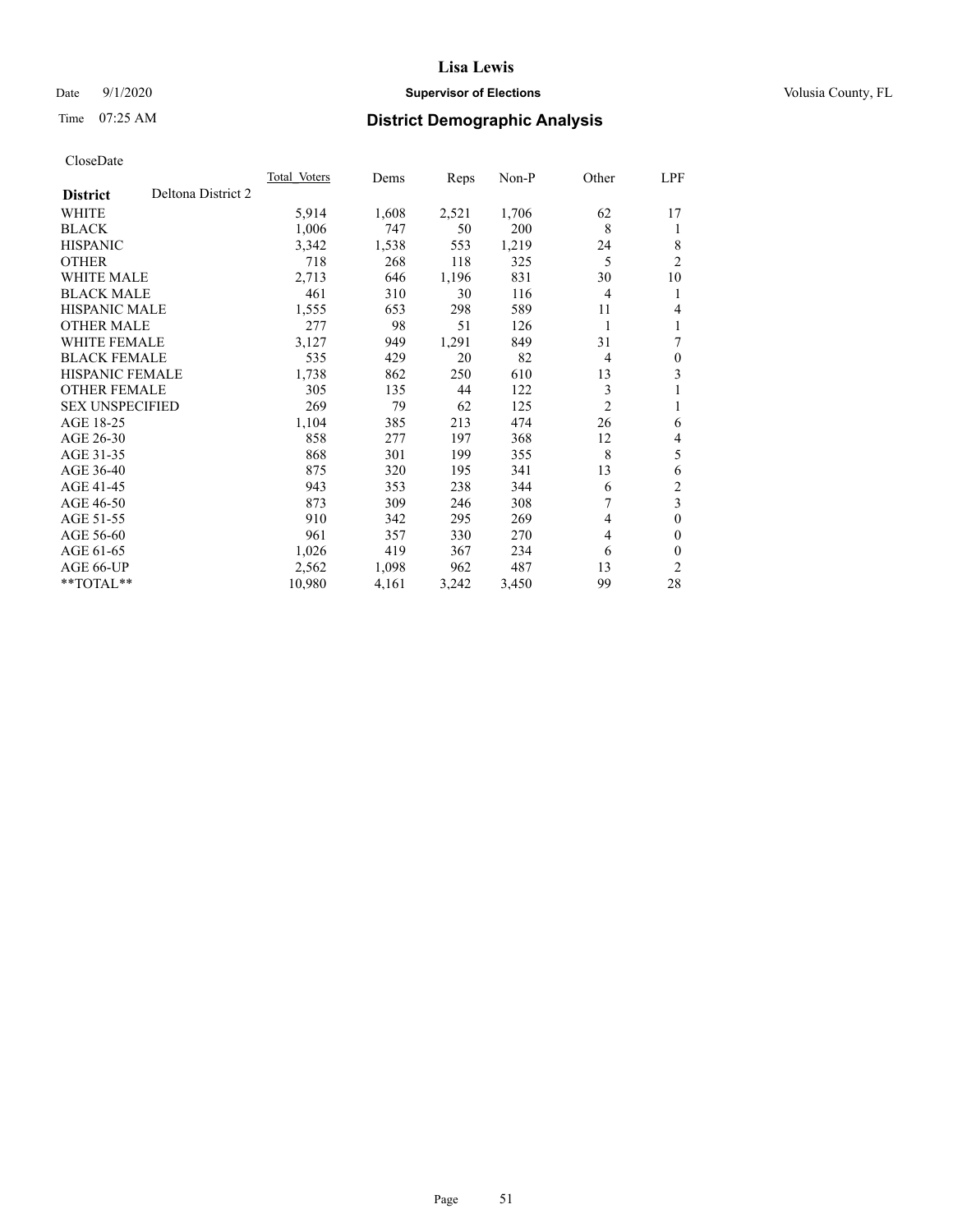# Date  $9/1/2020$  **Supervisor of Elections Supervisor of Elections** Volusia County, FL

# Time 07:25 AM **District Demographic Analysis**

|                                       | Total Voters | Dems  | Reps  | Non-P | Other          | LPF            |
|---------------------------------------|--------------|-------|-------|-------|----------------|----------------|
| Deltona District 2<br><b>District</b> |              |       |       |       |                |                |
| WHITE                                 | 5,914        | 1,608 | 2,521 | 1,706 | 62             | 17             |
| <b>BLACK</b>                          | 1,006        | 747   | 50    | 200   | 8              | 1              |
| <b>HISPANIC</b>                       | 3,342        | 1,538 | 553   | 1,219 | 24             | 8              |
| <b>OTHER</b>                          | 718          | 268   | 118   | 325   | 5              | $\overline{2}$ |
| <b>WHITE MALE</b>                     | 2,713        | 646   | 1,196 | 831   | 30             | 10             |
| <b>BLACK MALE</b>                     | 461          | 310   | 30    | 116   | 4              | 1              |
| HISPANIC MALE                         | 1,555        | 653   | 298   | 589   | 11             | 4              |
| <b>OTHER MALE</b>                     | 277          | 98    | 51    | 126   | 1              | 1              |
| <b>WHITE FEMALE</b>                   | 3,127        | 949   | 1,291 | 849   | 31             | 7              |
| <b>BLACK FEMALE</b>                   | 535          | 429   | 20    | 82    | 4              | $\mathbf{0}$   |
| <b>HISPANIC FEMALE</b>                | 1,738        | 862   | 250   | 610   | 13             | 3              |
| <b>OTHER FEMALE</b>                   | 305          | 135   | 44    | 122   | 3              | 1              |
| <b>SEX UNSPECIFIED</b>                | 269          | 79    | 62    | 125   | $\overline{2}$ | 1              |
| AGE 18-25                             | 1,104        | 385   | 213   | 474   | 26             | 6              |
| AGE 26-30                             | 858          | 277   | 197   | 368   | 12             | 4              |
| AGE 31-35                             | 868          | 301   | 199   | 355   | 8              | 5              |
| AGE 36-40                             | 875          | 320   | 195   | 341   | 13             | 6              |
| AGE 41-45                             | 943          | 353   | 238   | 344   | 6              | $\overline{c}$ |
| AGE 46-50                             | 873          | 309   | 246   | 308   | 7              | $\overline{3}$ |
| AGE 51-55                             | 910          | 342   | 295   | 269   | 4              | $\mathbf{0}$   |
| AGE 56-60                             | 961          | 357   | 330   | 270   | 4              | $\theta$       |
| AGE 61-65                             | 1,026        | 419   | 367   | 234   | 6              | $\theta$       |
| AGE 66-UP                             | 2,562        | 1,098 | 962   | 487   | 13             | 2              |
| $*$ $TOTAL**$                         | 10,980       | 4,161 | 3,242 | 3,450 | 99             | 28             |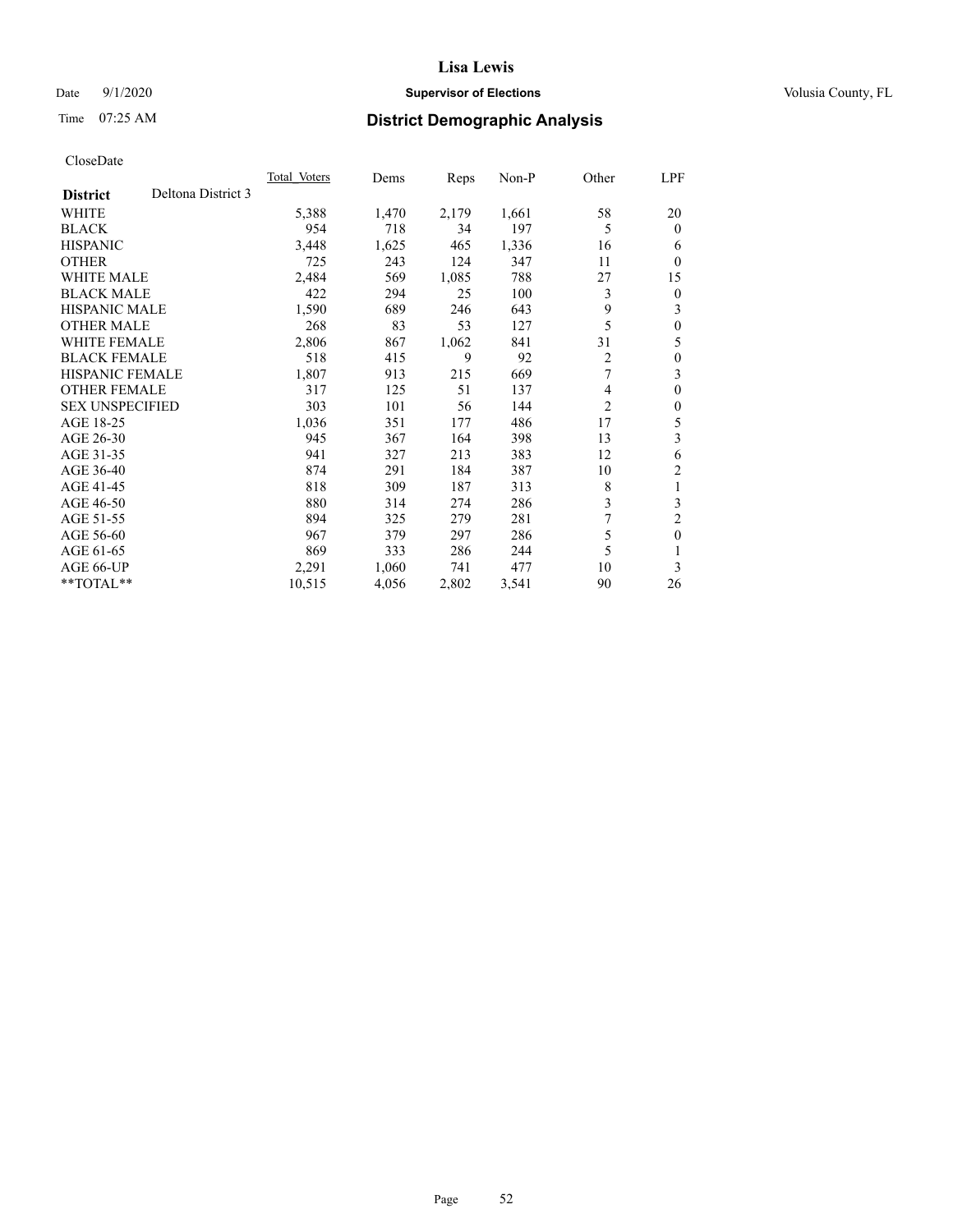# Date  $9/1/2020$  **Supervisor of Elections Supervisor of Elections** Volusia County, FL

# Time 07:25 AM **District Demographic Analysis**

|                                       | <b>Total Voters</b> | Dems  | Reps  | $Non-P$ | Other          | LPF            |
|---------------------------------------|---------------------|-------|-------|---------|----------------|----------------|
| Deltona District 3<br><b>District</b> |                     |       |       |         |                |                |
| <b>WHITE</b>                          | 5,388               | 1,470 | 2,179 | 1,661   | 58             | 20             |
| <b>BLACK</b>                          | 954                 | 718   | 34    | 197     | 5              | $\theta$       |
| <b>HISPANIC</b>                       | 3,448               | 1,625 | 465   | 1,336   | 16             | 6              |
| <b>OTHER</b>                          | 725                 | 243   | 124   | 347     | 11             | $\theta$       |
| <b>WHITE MALE</b>                     | 2,484               | 569   | 1,085 | 788     | 27             | 15             |
| <b>BLACK MALE</b>                     | 422                 | 294   | 25    | 100     | 3              | $\mathbf{0}$   |
| <b>HISPANIC MALE</b>                  | 1,590               | 689   | 246   | 643     | 9              | 3              |
| <b>OTHER MALE</b>                     | 268                 | 83    | 53    | 127     | 5              | $\theta$       |
| <b>WHITE FEMALE</b>                   | 2,806               | 867   | 1,062 | 841     | 31             | 5              |
| <b>BLACK FEMALE</b>                   | 518                 | 415   | 9     | 92      | 2              | $\theta$       |
| <b>HISPANIC FEMALE</b>                | 1,807               | 913   | 215   | 669     | 7              | 3              |
| <b>OTHER FEMALE</b>                   | 317                 | 125   | 51    | 137     | 4              | $\theta$       |
| <b>SEX UNSPECIFIED</b>                | 303                 | 101   | 56    | 144     | $\overline{c}$ | $\theta$       |
| AGE 18-25                             | 1,036               | 351   | 177   | 486     | 17             | 5              |
| AGE 26-30                             | 945                 | 367   | 164   | 398     | 13             | 3              |
| AGE 31-35                             | 941                 | 327   | 213   | 383     | 12             | 6              |
| AGE 36-40                             | 874                 | 291   | 184   | 387     | 10             | $\overline{2}$ |
| AGE 41-45                             | 818                 | 309   | 187   | 313     | 8              | 1              |
| AGE 46-50                             | 880                 | 314   | 274   | 286     | 3              | 3              |
| AGE 51-55                             | 894                 | 325   | 279   | 281     | 7              | $\overline{c}$ |
| AGE 56-60                             | 967                 | 379   | 297   | 286     | 5              | $\theta$       |
| AGE 61-65                             | 869                 | 333   | 286   | 244     | 5              |                |
| AGE 66-UP                             | 2,291               | 1,060 | 741   | 477     | 10             | 3              |
| $*$ $TOTAL**$                         | 10,515              | 4,056 | 2,802 | 3,541   | 90             | 26             |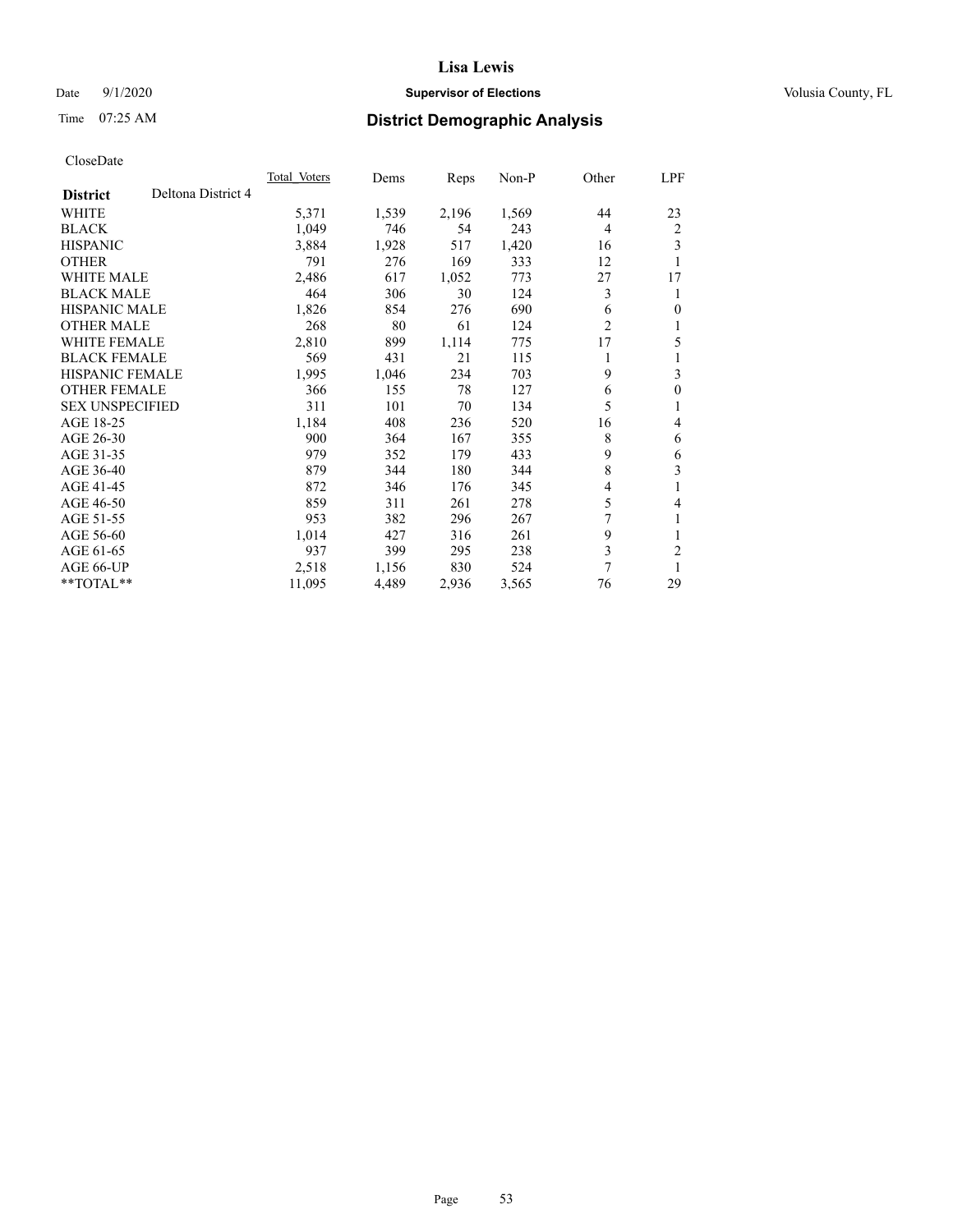# Date  $9/1/2020$  **Supervisor of Elections Supervisor of Elections** Volusia County, FL

# Time 07:25 AM **District Demographic Analysis**

|                        |                    | Total Voters | Dems  | Reps  | Non-P | Other          | LPF            |
|------------------------|--------------------|--------------|-------|-------|-------|----------------|----------------|
| <b>District</b>        | Deltona District 4 |              |       |       |       |                |                |
| WHITE                  |                    | 5,371        | 1,539 | 2,196 | 1,569 | 44             | 23             |
| <b>BLACK</b>           |                    | 1,049        | 746   | 54    | 243   | $\overline{4}$ | 2              |
| <b>HISPANIC</b>        |                    | 3,884        | 1,928 | 517   | 1,420 | 16             | 3              |
| <b>OTHER</b>           |                    | 791          | 276   | 169   | 333   | 12             | 1              |
| WHITE MALE             |                    | 2,486        | 617   | 1,052 | 773   | 27             | 17             |
| <b>BLACK MALE</b>      |                    | 464          | 306   | 30    | 124   | 3              | 1              |
| <b>HISPANIC MALE</b>   |                    | 1,826        | 854   | 276   | 690   | 6              | $\theta$       |
| <b>OTHER MALE</b>      |                    | 268          | 80    | 61    | 124   | $\overline{2}$ | 1              |
| WHITE FEMALE           |                    | 2,810        | 899   | 1,114 | 775   | 17             | 5              |
| <b>BLACK FEMALE</b>    |                    | 569          | 431   | 21    | 115   |                | 1              |
| <b>HISPANIC FEMALE</b> |                    | 1,995        | 1,046 | 234   | 703   | 9              | 3              |
| <b>OTHER FEMALE</b>    |                    | 366          | 155   | 78    | 127   | 6              | $\mathbf{0}$   |
| <b>SEX UNSPECIFIED</b> |                    | 311          | 101   | 70    | 134   | 5              | 1              |
| AGE 18-25              |                    | 1,184        | 408   | 236   | 520   | 16             | 4              |
| AGE 26-30              |                    | 900          | 364   | 167   | 355   | 8              | 6              |
| AGE 31-35              |                    | 979          | 352   | 179   | 433   | 9              | 6              |
| AGE 36-40              |                    | 879          | 344   | 180   | 344   | 8              | 3              |
| AGE 41-45              |                    | 872          | 346   | 176   | 345   | 4              | 1              |
| AGE 46-50              |                    | 859          | 311   | 261   | 278   | 5              | 4              |
| AGE 51-55              |                    | 953          | 382   | 296   | 267   | 7              | 1              |
| AGE 56-60              |                    | 1,014        | 427   | 316   | 261   | 9              | 1              |
| AGE 61-65              |                    | 937          | 399   | 295   | 238   | 3              | $\overline{2}$ |
| AGE 66-UP              |                    | 2,518        | 1,156 | 830   | 524   | 7              |                |
| $*$ $TOTAL**$          |                    | 11,095       | 4,489 | 2,936 | 3,565 | 76             | 29             |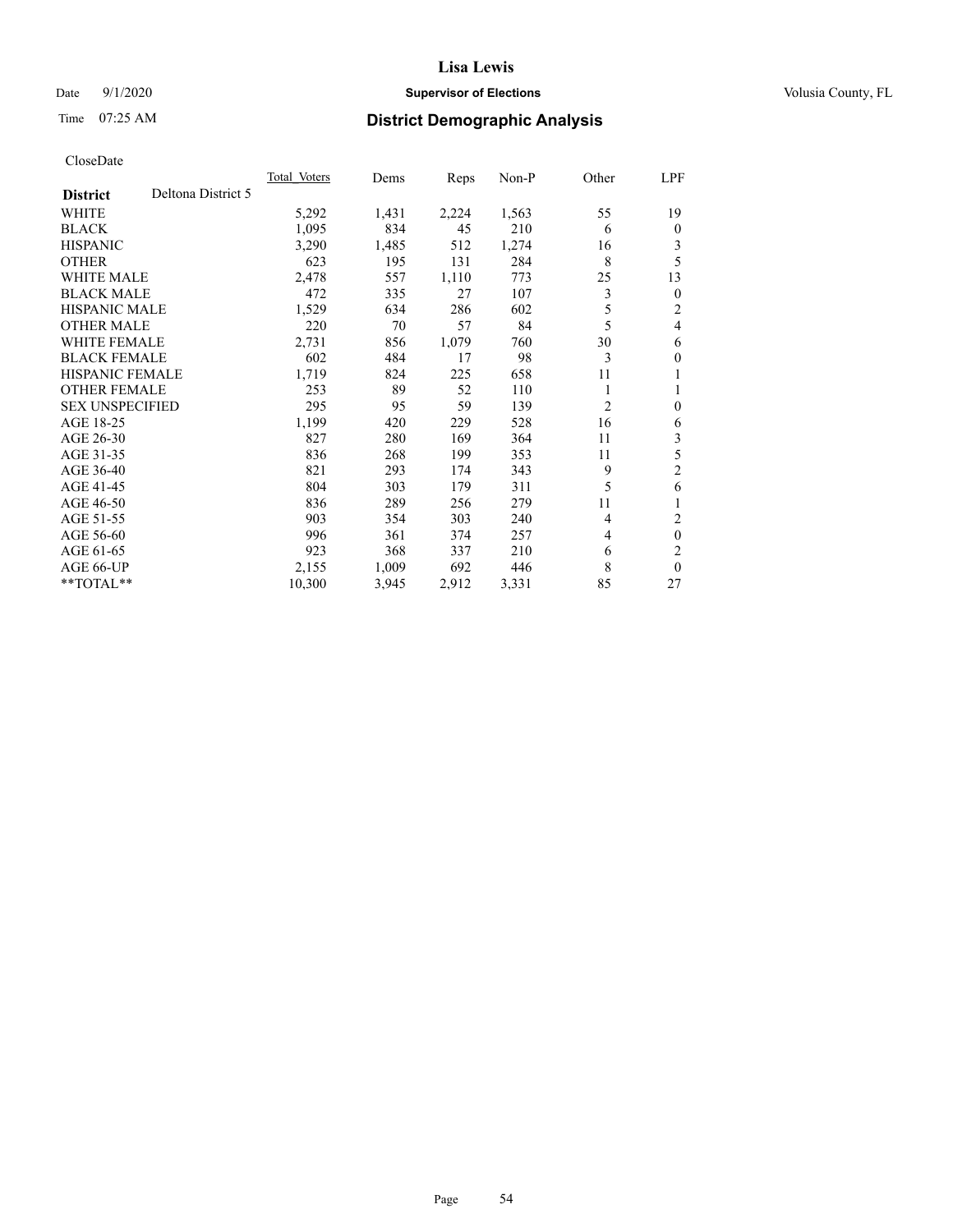# Date  $9/1/2020$  **Supervisor of Elections Supervisor of Elections** Volusia County, FL

# Time 07:25 AM **District Demographic Analysis**

|                                       | <b>Total Voters</b> | Dems  | Reps  | $Non-P$ | Other | LPF            |
|---------------------------------------|---------------------|-------|-------|---------|-------|----------------|
| Deltona District 5<br><b>District</b> |                     |       |       |         |       |                |
| WHITE                                 | 5,292               | 1,431 | 2,224 | 1,563   | 55    | 19             |
| <b>BLACK</b>                          | 1,095               | 834   | 45    | 210     | 6     | $\mathbf{0}$   |
| <b>HISPANIC</b>                       | 3,290               | 1,485 | 512   | 1,274   | 16    | 3              |
| <b>OTHER</b>                          | 623                 | 195   | 131   | 284     | 8     | 5              |
| <b>WHITE MALE</b>                     | 2,478               | 557   | 1,110 | 773     | 25    | 13             |
| <b>BLACK MALE</b>                     | 472                 | 335   | 27    | 107     | 3     | $\theta$       |
| <b>HISPANIC MALE</b>                  | 1,529               | 634   | 286   | 602     | 5     | 2              |
| <b>OTHER MALE</b>                     | 220                 | 70    | 57    | 84      | 5     | 4              |
| WHITE FEMALE                          | 2,731               | 856   | 1,079 | 760     | 30    | 6              |
| <b>BLACK FEMALE</b>                   | 602                 | 484   | 17    | 98      | 3     | $\theta$       |
| <b>HISPANIC FEMALE</b>                | 1,719               | 824   | 225   | 658     | 11    | 1              |
| <b>OTHER FEMALE</b>                   | 253                 | 89    | 52    | 110     | 1     | 1              |
| <b>SEX UNSPECIFIED</b>                | 295                 | 95    | 59    | 139     | 2     | $\theta$       |
| AGE 18-25                             | 1,199               | 420   | 229   | 528     | 16    | 6              |
| AGE 26-30                             | 827                 | 280   | 169   | 364     | 11    | 3              |
| AGE 31-35                             | 836                 | 268   | 199   | 353     | 11    | 5              |
| AGE 36-40                             | 821                 | 293   | 174   | 343     | 9     | $\overline{2}$ |
| AGE 41-45                             | 804                 | 303   | 179   | 311     | 5     | 6              |
| AGE 46-50                             | 836                 | 289   | 256   | 279     | 11    |                |
| AGE 51-55                             | 903                 | 354   | 303   | 240     | 4     | 2              |
| AGE 56-60                             | 996                 | 361   | 374   | 257     | 4     | $\theta$       |
| AGE 61-65                             | 923                 | 368   | 337   | 210     | 6     | $\overline{c}$ |
| AGE 66-UP                             | 2,155               | 1,009 | 692   | 446     | 8     | $\theta$       |
| $*$ $TOTAL**$                         | 10,300              | 3,945 | 2,912 | 3,331   | 85    | 27             |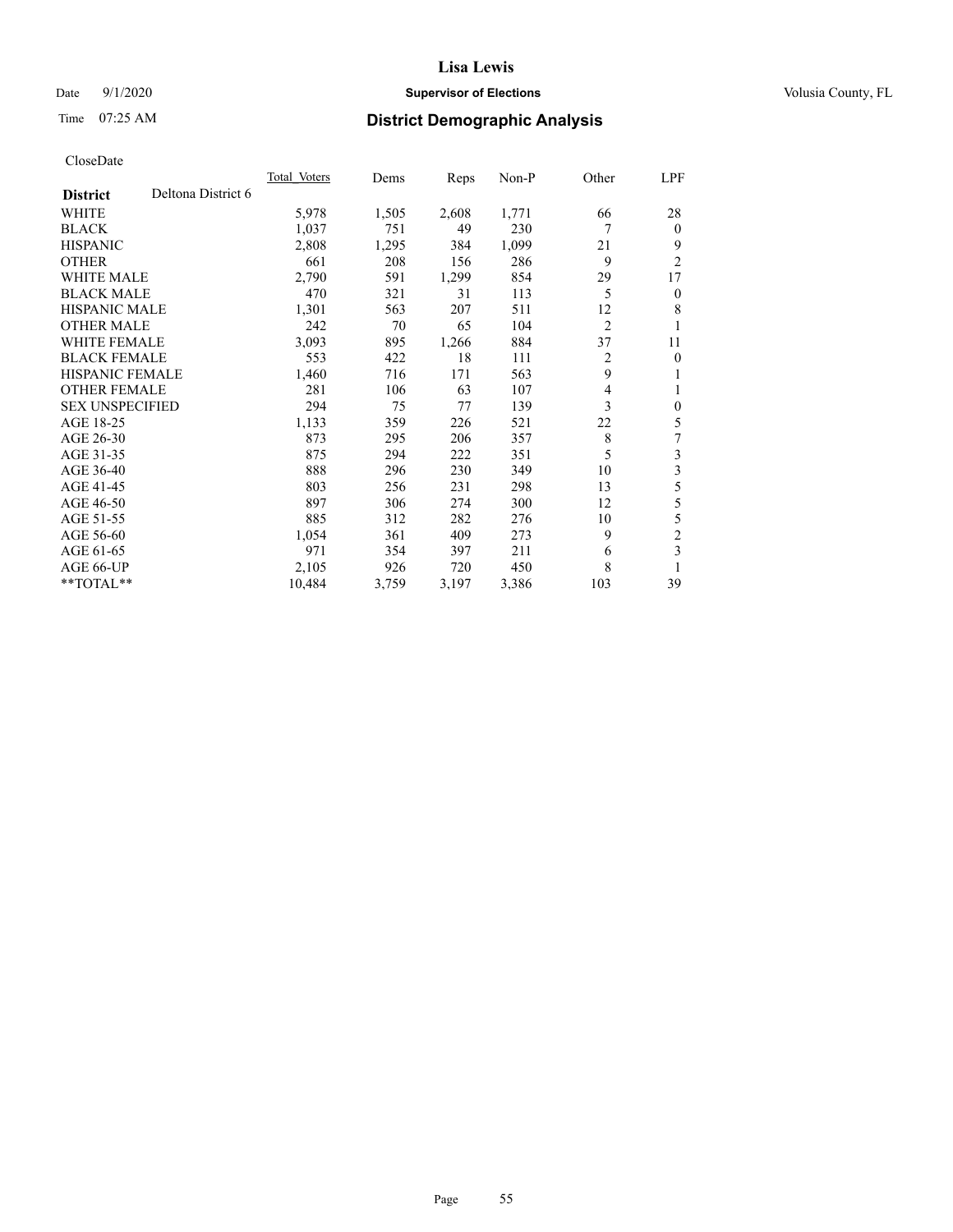# Date  $9/1/2020$  **Supervisor of Elections Supervisor of Elections** Volusia County, FL

# Time 07:25 AM **District Demographic Analysis**

|                        |                    | <b>Total Voters</b> | Dems  | Reps  | $Non-P$ | Other          | LPF                     |
|------------------------|--------------------|---------------------|-------|-------|---------|----------------|-------------------------|
| <b>District</b>        | Deltona District 6 |                     |       |       |         |                |                         |
| WHITE                  |                    | 5,978               | 1,505 | 2,608 | 1,771   | 66             | 28                      |
| <b>BLACK</b>           |                    | 1,037               | 751   | 49    | 230     | 7              | $\theta$                |
| <b>HISPANIC</b>        |                    | 2,808               | 1,295 | 384   | 1,099   | 21             | 9                       |
| <b>OTHER</b>           |                    | 661                 | 208   | 156   | 286     | 9              | $\overline{2}$          |
| <b>WHITE MALE</b>      |                    | 2,790               | 591   | 1,299 | 854     | 29             | 17                      |
| <b>BLACK MALE</b>      |                    | 470                 | 321   | 31    | 113     | 5              | $\overline{0}$          |
| <b>HISPANIC MALE</b>   |                    | 1,301               | 563   | 207   | 511     | 12             | 8                       |
| <b>OTHER MALE</b>      |                    | 242                 | 70    | 65    | 104     | $\overline{2}$ | 1                       |
| <b>WHITE FEMALE</b>    |                    | 3,093               | 895   | 1,266 | 884     | 37             | 11                      |
| <b>BLACK FEMALE</b>    |                    | 553                 | 422   | 18    | 111     | 2              | $\theta$                |
| <b>HISPANIC FEMALE</b> |                    | 1,460               | 716   | 171   | 563     | 9              | 1                       |
| <b>OTHER FEMALE</b>    |                    | 281                 | 106   | 63    | 107     | 4              | 1                       |
| <b>SEX UNSPECIFIED</b> |                    | 294                 | 75    | 77    | 139     | 3              | $\theta$                |
| AGE 18-25              |                    | 1,133               | 359   | 226   | 521     | 22             | 5                       |
| AGE 26-30              |                    | 873                 | 295   | 206   | 357     | 8              | 7                       |
| AGE 31-35              |                    | 875                 | 294   | 222   | 351     | 5              | 3                       |
| AGE 36-40              |                    | 888                 | 296   | 230   | 349     | 10             | $\overline{\mathbf{3}}$ |
| AGE 41-45              |                    | 803                 | 256   | 231   | 298     | 13             | 5                       |
| AGE 46-50              |                    | 897                 | 306   | 274   | 300     | 12             | 5                       |
| AGE 51-55              |                    | 885                 | 312   | 282   | 276     | 10             | 5                       |
| AGE 56-60              |                    | 1,054               | 361   | 409   | 273     | 9              | $\overline{c}$          |
| AGE 61-65              |                    | 971                 | 354   | 397   | 211     | 6              | 3                       |
| AGE 66-UP              |                    | 2,105               | 926   | 720   | 450     | 8              | 1                       |
| $*$ $TOTAL**$          |                    | 10,484              | 3,759 | 3,197 | 3,386   | 103            | 39                      |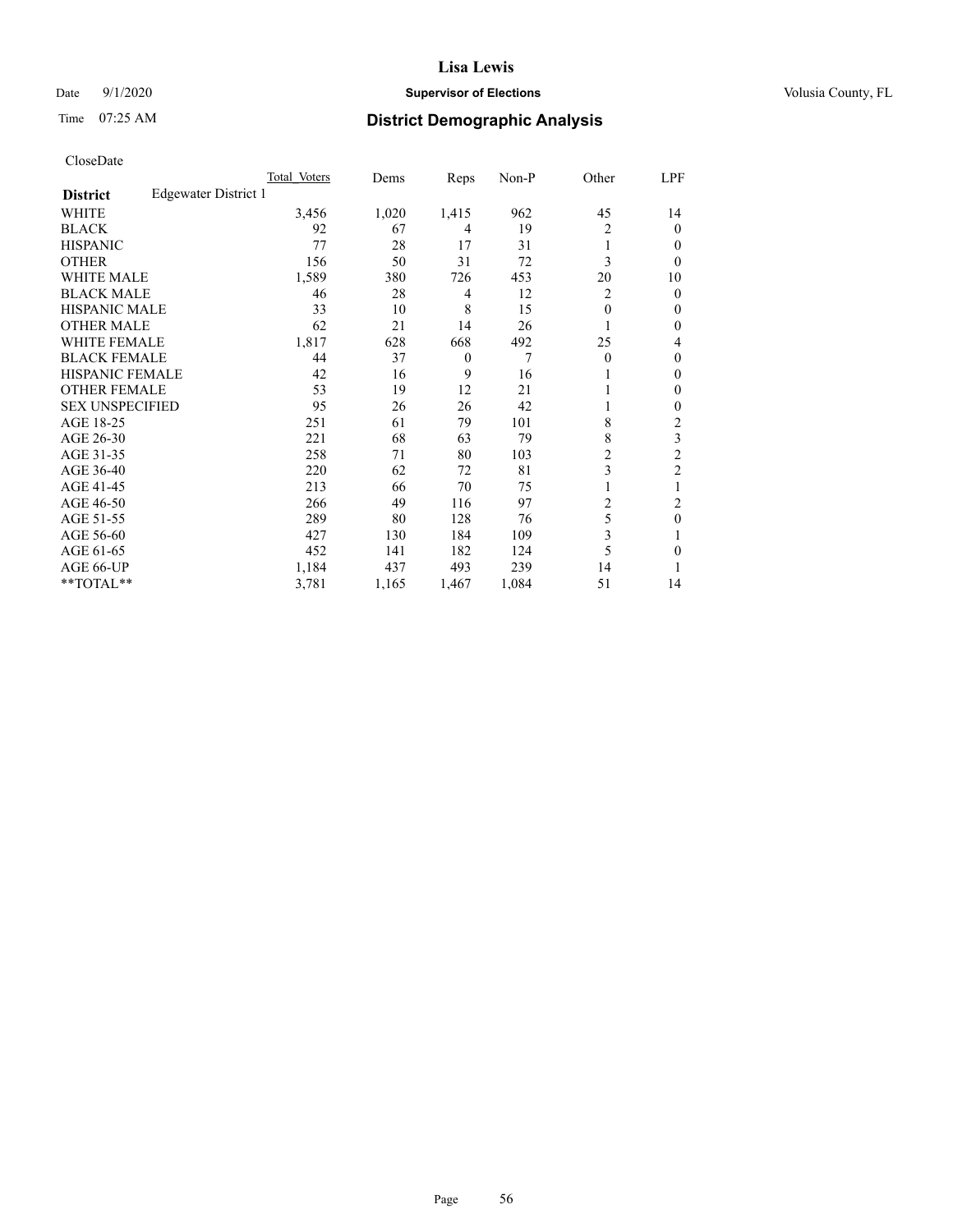# Date  $9/1/2020$  **Supervisor of Elections Supervisor of Elections** Volusia County, FL

# Time 07:25 AM **District Demographic Analysis**

|                        |                      | Total Voters | Dems  | Reps     | Non-P | Other    | LPF            |
|------------------------|----------------------|--------------|-------|----------|-------|----------|----------------|
| <b>District</b>        | Edgewater District 1 |              |       |          |       |          |                |
| WHITE                  |                      | 3,456        | 1,020 | 1,415    | 962   | 45       | 14             |
| <b>BLACK</b>           |                      | 92           | 67    | 4        | 19    | 2        | $\mathbf{0}$   |
| <b>HISPANIC</b>        |                      | 77           | 28    | 17       | 31    | 1        | $\Omega$       |
| <b>OTHER</b>           |                      | 156          | 50    | 31       | 72    | 3        | 0              |
| <b>WHITE MALE</b>      |                      | 1,589        | 380   | 726      | 453   | 20       | 10             |
| <b>BLACK MALE</b>      |                      | 46           | 28    | 4        | 12    | 2        | $\theta$       |
| <b>HISPANIC MALE</b>   |                      | 33           | 10    | 8        | 15    | $\theta$ | $\mathbf{0}$   |
| <b>OTHER MALE</b>      |                      | 62           | 21    | 14       | 26    | 1        | $\mathbf{0}$   |
| <b>WHITE FEMALE</b>    |                      | 1,817        | 628   | 668      | 492   | 25       | 4              |
| <b>BLACK FEMALE</b>    |                      | 44           | 37    | $\theta$ | 7     | $\theta$ | $\mathbf{0}$   |
| <b>HISPANIC FEMALE</b> |                      | 42           | 16    | 9        | 16    |          | $\Omega$       |
| <b>OTHER FEMALE</b>    |                      | 53           | 19    | 12       | 21    |          | $\Omega$       |
| <b>SEX UNSPECIFIED</b> |                      | 95           | 26    | 26       | 42    |          | $\theta$       |
| AGE 18-25              |                      | 251          | 61    | 79       | 101   | 8        | $\overline{c}$ |
| AGE 26-30              |                      | 221          | 68    | 63       | 79    | 8        | 3              |
| AGE 31-35              |                      | 258          | 71    | 80       | 103   | 2        | $\overline{c}$ |
| AGE 36-40              |                      | 220          | 62    | 72       | 81    | 3        | 2              |
| AGE 41-45              |                      | 213          | 66    | 70       | 75    |          |                |
| AGE 46-50              |                      | 266          | 49    | 116      | 97    | 2        | 2              |
| AGE 51-55              |                      | 289          | 80    | 128      | 76    | 5        | $\theta$       |
| AGE 56-60              |                      | 427          | 130   | 184      | 109   | 3        |                |
| AGE 61-65              |                      | 452          | 141   | 182      | 124   | 5        | $\theta$       |
| AGE 66-UP              |                      | 1,184        | 437   | 493      | 239   | 14       |                |
| **TOTAL**              |                      | 3,781        | 1,165 | 1,467    | 1,084 | 51       | 14             |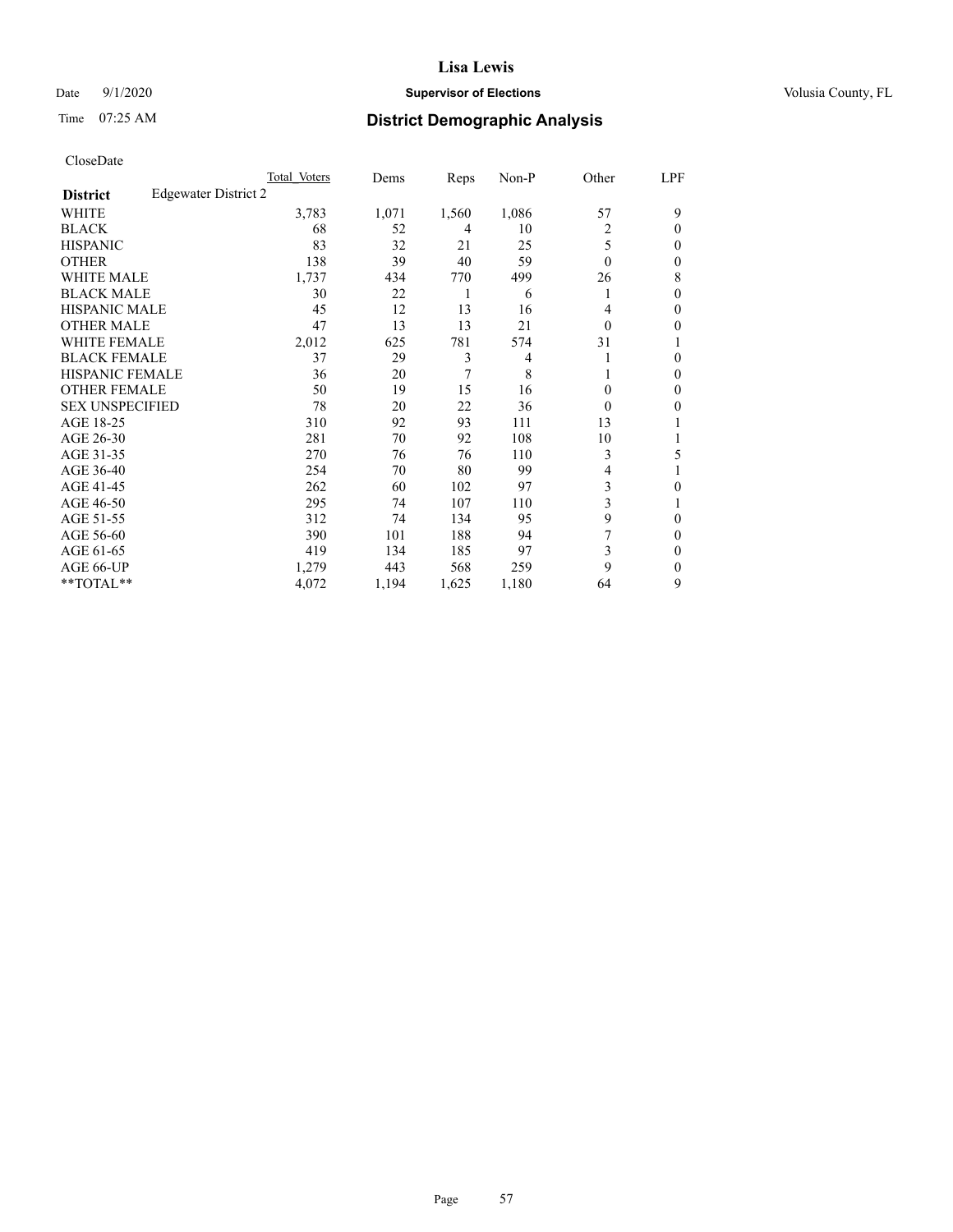# Date  $9/1/2020$  **Supervisor of Elections Supervisor of Elections** Volusia County, FL

# Time 07:25 AM **District Demographic Analysis**

|                        |                      | Total Voters | Dems  | Reps  | Non-P | Other    | LPF    |
|------------------------|----------------------|--------------|-------|-------|-------|----------|--------|
| <b>District</b>        | Edgewater District 2 |              |       |       |       |          |        |
| WHITE                  |                      | 3,783        | 1,071 | 1,560 | 1,086 | 57       | 9      |
| <b>BLACK</b>           |                      | 68           | 52    | 4     | 10    | 2        | 0      |
| <b>HISPANIC</b>        |                      | 83           | 32    | 21    | 25    | 5        | $_{0}$ |
| <b>OTHER</b>           |                      | 138          | 39    | 40    | 59    | $\Omega$ | 0      |
| <b>WHITE MALE</b>      |                      | 1,737        | 434   | 770   | 499   | 26       | 8      |
| <b>BLACK MALE</b>      |                      | 30           | 22    | 1     | 6     |          | 0      |
| <b>HISPANIC MALE</b>   |                      | 45           | 12    | 13    | 16    | 4        | 0      |
| <b>OTHER MALE</b>      |                      | 47           | 13    | 13    | 21    | $\Omega$ | 0      |
| <b>WHITE FEMALE</b>    |                      | 2,012        | 625   | 781   | 574   | 31       |        |
| <b>BLACK FEMALE</b>    |                      | 37           | 29    | 3     | 4     |          | 0      |
| <b>HISPANIC FEMALE</b> |                      | 36           | 20    | 7     | 8     |          | 0      |
| <b>OTHER FEMALE</b>    |                      | 50           | 19    | 15    | 16    | $\Omega$ | 0      |
| <b>SEX UNSPECIFIED</b> |                      | 78           | 20    | 22    | 36    | $\Omega$ | 0      |
| AGE 18-25              |                      | 310          | 92    | 93    | 111   | 13       |        |
| AGE 26-30              |                      | 281          | 70    | 92    | 108   | 10       |        |
| AGE 31-35              |                      | 270          | 76    | 76    | 110   | 3        | 5      |
| AGE 36-40              |                      | 254          | 70    | 80    | 99    | 4        |        |
| AGE 41-45              |                      | 262          | 60    | 102   | 97    | 3        | 0      |
| AGE 46-50              |                      | 295          | 74    | 107   | 110   | 3        |        |
| AGE 51-55              |                      | 312          | 74    | 134   | 95    | 9        | 0      |
| AGE 56-60              |                      | 390          | 101   | 188   | 94    | 7        | 0      |
| AGE 61-65              |                      | 419          | 134   | 185   | 97    | 3        | 0      |
| AGE 66-UP              |                      | 1,279        | 443   | 568   | 259   | 9        | 0      |
| **TOTAL**              |                      | 4,072        | 1,194 | 1,625 | 1,180 | 64       | 9      |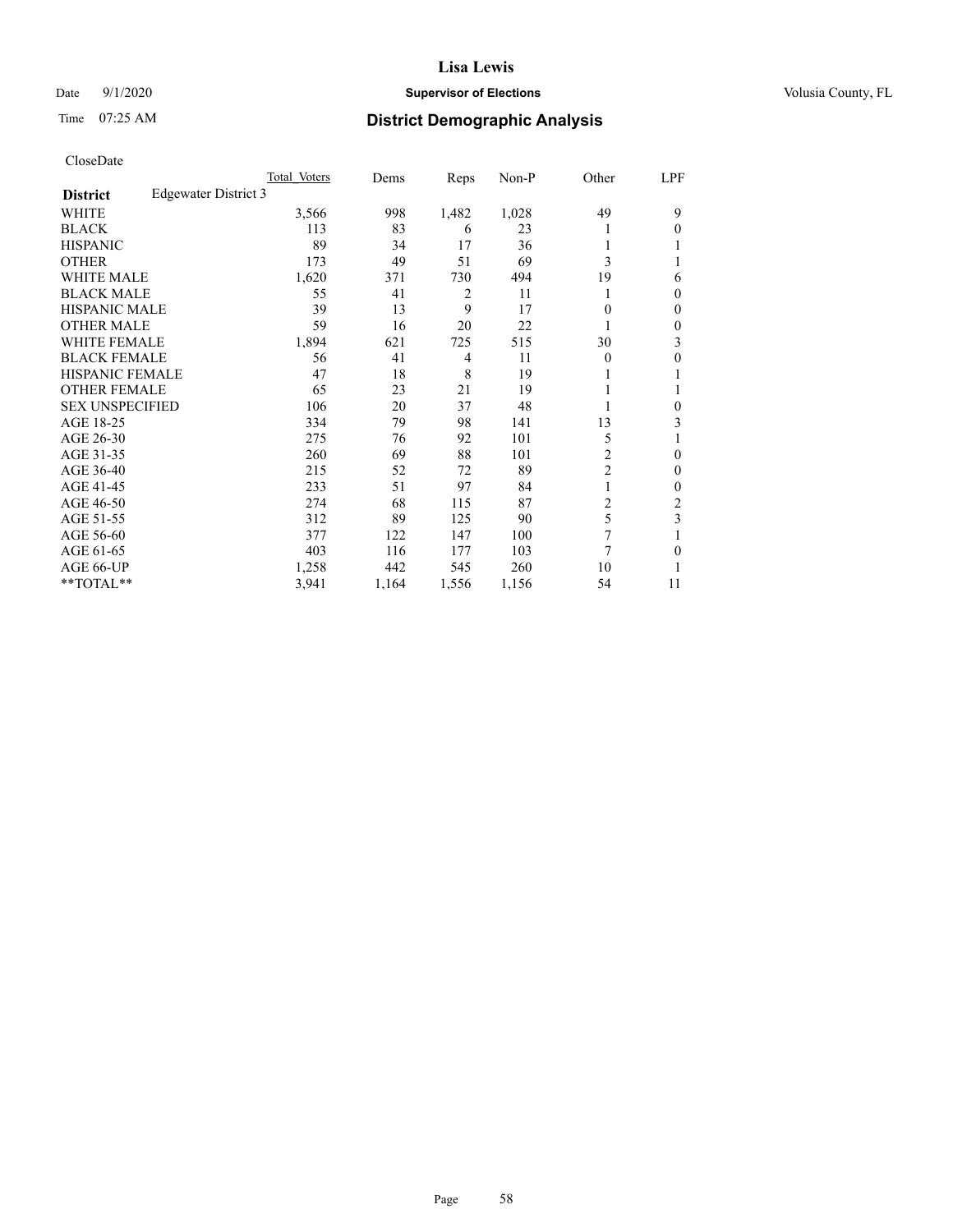# Date  $9/1/2020$  **Supervisor of Elections Supervisor of Elections** Volusia County, FL

# Time 07:25 AM **District Demographic Analysis**

|                        |                      | Total Voters | Dems  | Reps  | Non-P | Other                   | LPF          |
|------------------------|----------------------|--------------|-------|-------|-------|-------------------------|--------------|
| <b>District</b>        | Edgewater District 3 |              |       |       |       |                         |              |
| WHITE                  |                      | 3,566        | 998   | 1,482 | 1,028 | 49                      | 9            |
| <b>BLACK</b>           |                      | 113          | 83    | 6     | 23    |                         | $\Omega$     |
| <b>HISPANIC</b>        |                      | 89           | 34    | 17    | 36    |                         |              |
| <b>OTHER</b>           |                      | 173          | 49    | 51    | 69    | 3                       |              |
| <b>WHITE MALE</b>      |                      | 1,620        | 371   | 730   | 494   | 19                      | 6            |
| <b>BLACK MALE</b>      |                      | 55           | 41    | 2     | 11    |                         | $\mathbf{0}$ |
| <b>HISPANIC MALE</b>   |                      | 39           | 13    | 9     | 17    | 0                       | $\mathbf{0}$ |
| <b>OTHER MALE</b>      |                      | 59           | 16    | 20    | 22    |                         | 0            |
| WHITE FEMALE           |                      | 1,894        | 621   | 725   | 515   | 30                      | 3            |
| <b>BLACK FEMALE</b>    |                      | 56           | 41    | 4     | 11    | 0                       | 0            |
| <b>HISPANIC FEMALE</b> |                      | 47           | 18    | 8     | 19    |                         | 1            |
| <b>OTHER FEMALE</b>    |                      | 65           | 23    | 21    | 19    |                         |              |
| <b>SEX UNSPECIFIED</b> |                      | 106          | 20    | 37    | 48    |                         | 0            |
| AGE 18-25              |                      | 334          | 79    | 98    | 141   | 13                      | 3            |
| AGE 26-30              |                      | 275          | 76    | 92    | 101   | 5                       | 1            |
| AGE 31-35              |                      | 260          | 69    | 88    | 101   | 2                       | 0            |
| AGE 36-40              |                      | 215          | 52    | 72    | 89    | $\overline{\mathbf{c}}$ | 0            |
| AGE 41-45              |                      | 233          | 51    | 97    | 84    |                         | 0            |
| AGE 46-50              |                      | 274          | 68    | 115   | 87    | 2                       | 2            |
| AGE 51-55              |                      | 312          | 89    | 125   | 90    | 5                       | 3            |
| AGE 56-60              |                      | 377          | 122   | 147   | 100   | 7                       |              |
| AGE 61-65              |                      | 403          | 116   | 177   | 103   | 7                       | 0            |
| AGE 66-UP              |                      | 1,258        | 442   | 545   | 260   | 10                      |              |
| **TOTAL**              |                      | 3,941        | 1,164 | 1,556 | 1,156 | 54                      | 11           |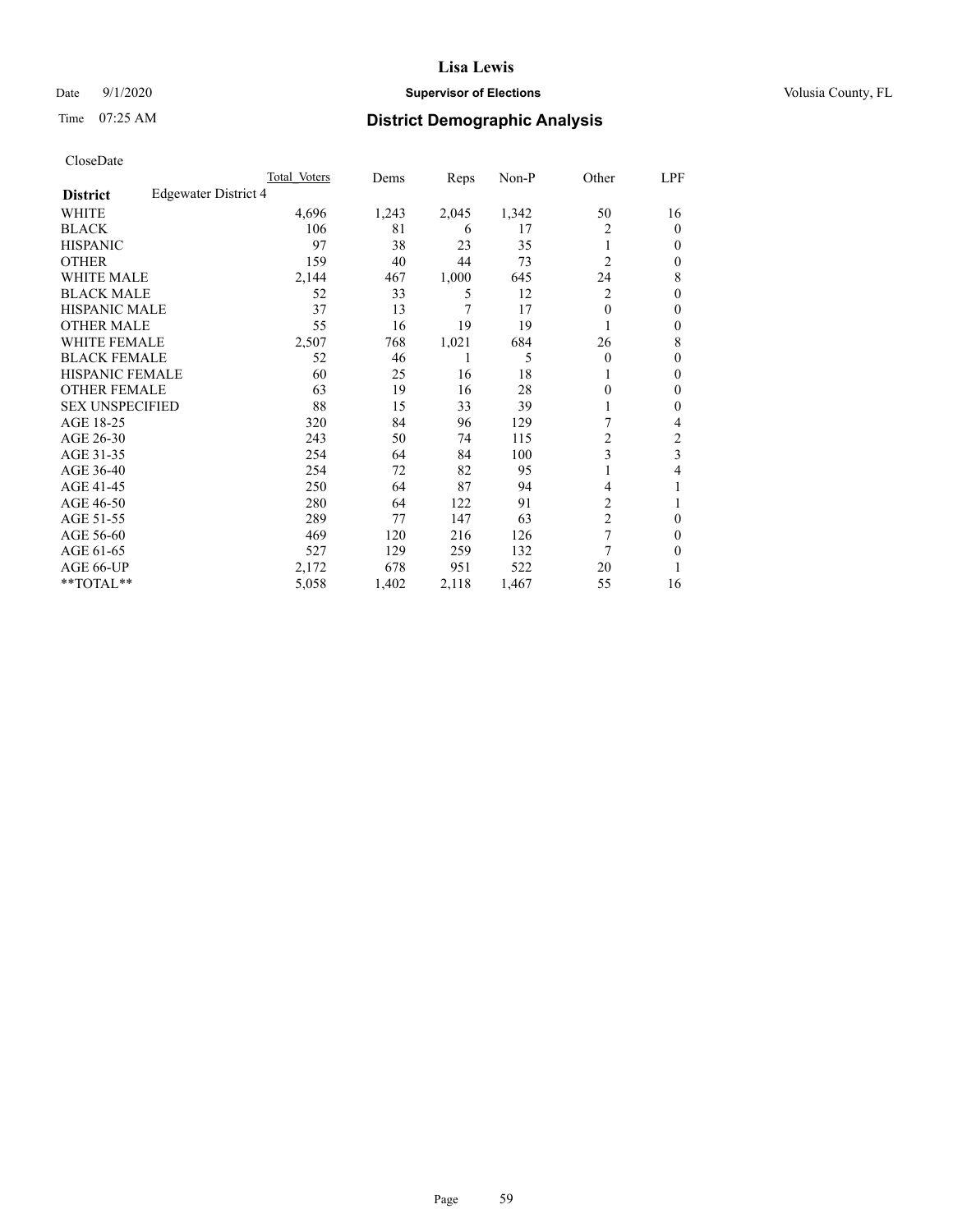# Date  $9/1/2020$  **Supervisor of Elections Supervisor of Elections** Volusia County, FL

# Time 07:25 AM **District Demographic Analysis**

|                        |                      | Total Voters | Dems  | Reps  | Non-P | Other          | LPF            |
|------------------------|----------------------|--------------|-------|-------|-------|----------------|----------------|
| <b>District</b>        | Edgewater District 4 |              |       |       |       |                |                |
| WHITE                  |                      | 4,696        | 1,243 | 2,045 | 1,342 | 50             | 16             |
| <b>BLACK</b>           |                      | 106          | 81    | 6     | 17    | 2              | $\mathbf{0}$   |
| <b>HISPANIC</b>        |                      | 97           | 38    | 23    | 35    | 1              | 0              |
| <b>OTHER</b>           |                      | 159          | 40    | 44    | 73    | $\overline{2}$ | 0              |
| <b>WHITE MALE</b>      |                      | 2,144        | 467   | 1,000 | 645   | 24             | 8              |
| <b>BLACK MALE</b>      |                      | 52           | 33    | 5     | 12    | 2              | $\theta$       |
| <b>HISPANIC MALE</b>   |                      | 37           | 13    | 7     | 17    | 0              | $\theta$       |
| <b>OTHER MALE</b>      |                      | 55           | 16    | 19    | 19    | 1              | $\mathbf{0}$   |
| WHITE FEMALE           |                      | 2,507        | 768   | 1,021 | 684   | 26             | 8              |
| <b>BLACK FEMALE</b>    |                      | 52           | 46    | 1     | 5     | 0              | $\theta$       |
| HISPANIC FEMALE        |                      | 60           | 25    | 16    | 18    |                | 0              |
| <b>OTHER FEMALE</b>    |                      | 63           | 19    | 16    | 28    | 0              | 0              |
| <b>SEX UNSPECIFIED</b> |                      | 88           | 15    | 33    | 39    |                | $\theta$       |
| AGE 18-25              |                      | 320          | 84    | 96    | 129   | 7              | 4              |
| AGE 26-30              |                      | 243          | 50    | 74    | 115   | 2              | $\overline{c}$ |
| AGE 31-35              |                      | 254          | 64    | 84    | 100   | 3              | 3              |
| AGE 36-40              |                      | 254          | 72    | 82    | 95    |                | 4              |
| AGE 41-45              |                      | 250          | 64    | 87    | 94    | 4              |                |
| AGE 46-50              |                      | 280          | 64    | 122   | 91    | 2              | 1              |
| AGE 51-55              |                      | 289          | 77    | 147   | 63    | $\overline{2}$ | 0              |
| AGE 56-60              |                      | 469          | 120   | 216   | 126   | 7              | 0              |
| AGE 61-65              |                      | 527          | 129   | 259   | 132   | 7              | 0              |
| AGE 66-UP              |                      | 2,172        | 678   | 951   | 522   | 20             |                |
| **TOTAL**              |                      | 5,058        | 1,402 | 2,118 | 1,467 | 55             | 16             |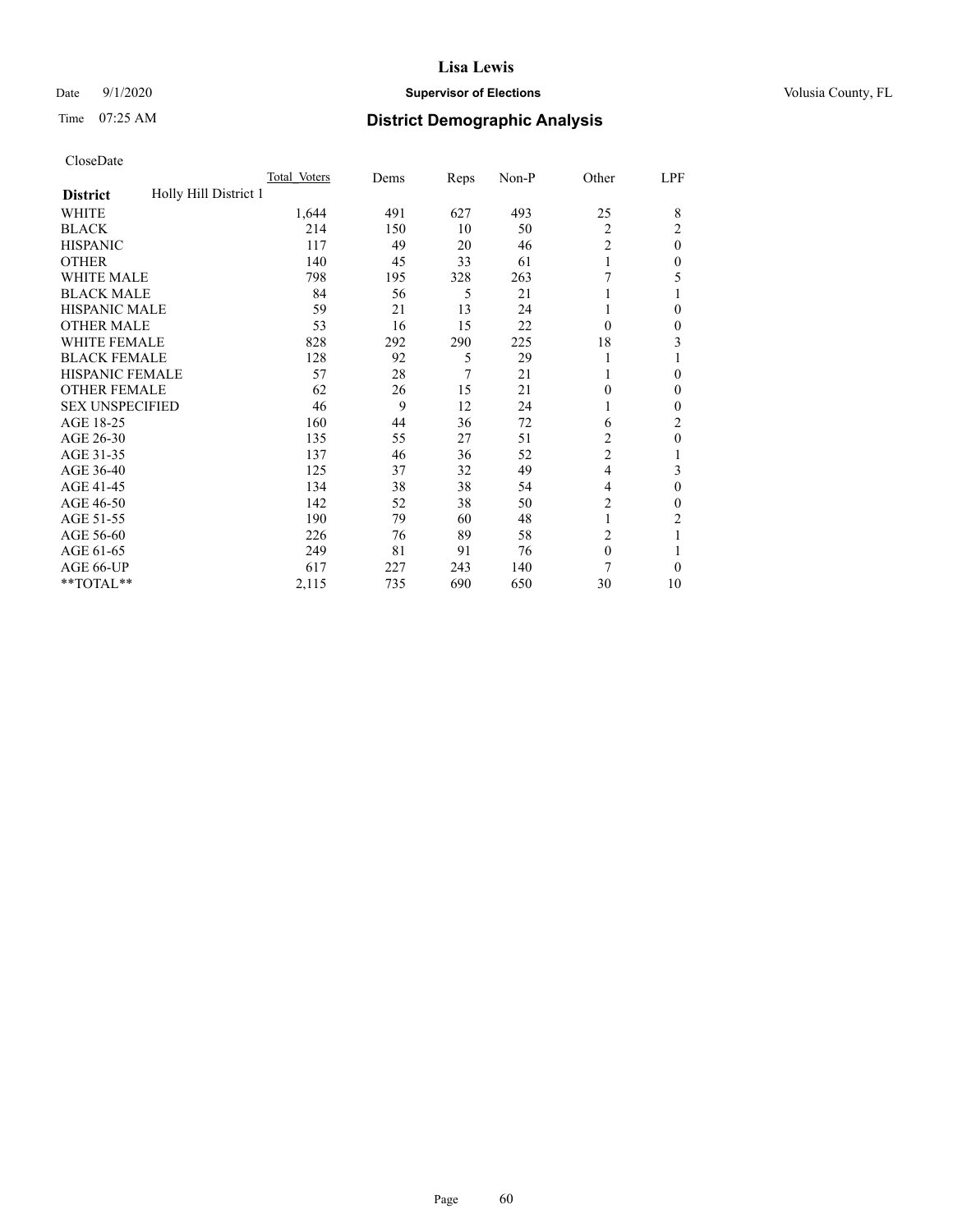# Date  $9/1/2020$  **Supervisor of Elections Supervisor of Elections** Volusia County, FL

# Time 07:25 AM **District Demographic Analysis**

|                                          | Total Voters | Dems | Reps | Non-P | Other          | LPF            |
|------------------------------------------|--------------|------|------|-------|----------------|----------------|
| Holly Hill District 1<br><b>District</b> |              |      |      |       |                |                |
| WHITE                                    | 1,644        | 491  | 627  | 493   | 25             | 8              |
| <b>BLACK</b>                             | 214          | 150  | 10   | 50    | $\overline{2}$ | 2              |
| <b>HISPANIC</b>                          | 117          | 49   | 20   | 46    | 2              | $\Omega$       |
| <b>OTHER</b>                             | 140          | 45   | 33   | 61    |                | 0              |
| <b>WHITE MALE</b>                        | 798          | 195  | 328  | 263   | 7              | 5              |
| <b>BLACK MALE</b>                        | 84           | 56   | 5    | 21    |                |                |
| <b>HISPANIC MALE</b>                     | 59           | 21   | 13   | 24    |                | 0              |
| <b>OTHER MALE</b>                        | 53           | 16   | 15   | 22    | $\Omega$       | 0              |
| <b>WHITE FEMALE</b>                      | 828          | 292  | 290  | 225   | 18             | 3              |
| <b>BLACK FEMALE</b>                      | 128          | 92   | 5    | 29    |                |                |
| <b>HISPANIC FEMALE</b>                   | 57           | 28   | 7    | 21    |                | 0              |
| <b>OTHER FEMALE</b>                      | 62           | 26   | 15   | 21    | $\Omega$       | 0              |
| <b>SEX UNSPECIFIED</b>                   | 46           | 9    | 12   | 24    |                | 0              |
| AGE 18-25                                | 160          | 44   | 36   | 72    | 6              | $\overline{c}$ |
| AGE 26-30                                | 135          | 55   | 27   | 51    | $\overline{2}$ | 0              |
| AGE 31-35                                | 137          | 46   | 36   | 52    | $\overline{c}$ |                |
| AGE 36-40                                | 125          | 37   | 32   | 49    | 4              | 3              |
| AGE 41-45                                | 134          | 38   | 38   | 54    | 4              | 0              |
| AGE 46-50                                | 142          | 52   | 38   | 50    | 2              | 0              |
| AGE 51-55                                | 190          | 79   | 60   | 48    | 1              | 2              |
| AGE 56-60                                | 226          | 76   | 89   | 58    | $\overline{c}$ |                |
| AGE 61-65                                | 249          | 81   | 91   | 76    | $\mathbf{0}$   |                |
| AGE 66-UP                                | 617          | 227  | 243  | 140   | 7              | 0              |
| **TOTAL**                                | 2,115        | 735  | 690  | 650   | 30             | 10             |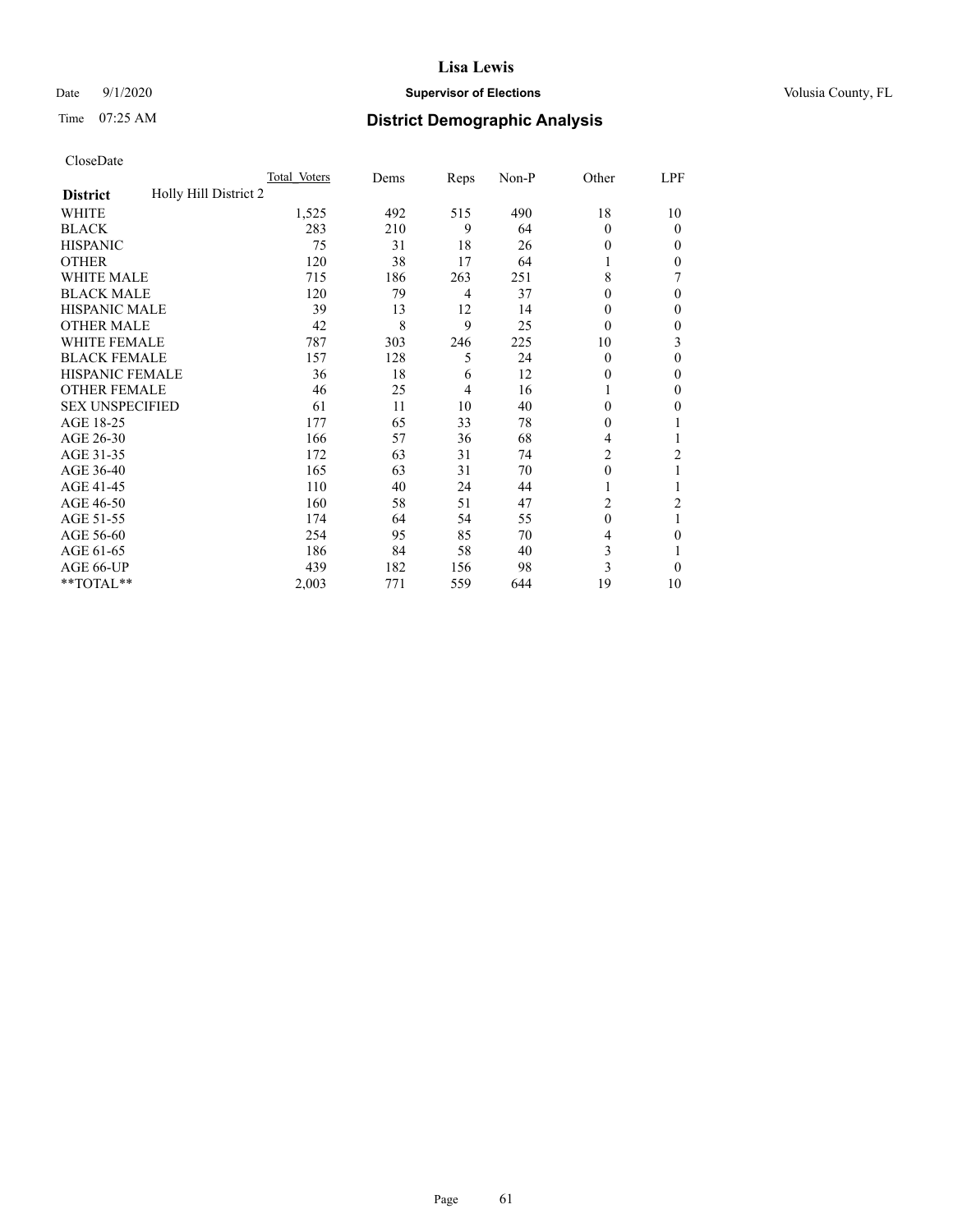# Date  $9/1/2020$  **Supervisor of Elections Supervisor of Elections** Volusia County, FL

# Time 07:25 AM **District Demographic Analysis**

|                                          | Total Voters | Dems | Reps | Non-P | Other    | LPF            |
|------------------------------------------|--------------|------|------|-------|----------|----------------|
| Holly Hill District 2<br><b>District</b> |              |      |      |       |          |                |
| WHITE                                    | 1,525        | 492  | 515  | 490   | 18       | 10             |
| <b>BLACK</b>                             | 283          | 210  | 9    | 64    | $\Omega$ | 0              |
| <b>HISPANIC</b>                          | 75           | 31   | 18   | 26    | 0        | $_{0}$         |
| <b>OTHER</b>                             | 120          | 38   | 17   | 64    |          | 0              |
| WHITE MALE                               | 715          | 186  | 263  | 251   | 8        | 7              |
| <b>BLACK MALE</b>                        | 120          | 79   | 4    | 37    | 0        | 0              |
| <b>HISPANIC MALE</b>                     | 39           | 13   | 12   | 14    | 0        | 0              |
| <b>OTHER MALE</b>                        | 42           | 8    | 9    | 25    | 0        | 0              |
| WHITE FEMALE                             | 787          | 303  | 246  | 225   | 10       | 3              |
| <b>BLACK FEMALE</b>                      | 157          | 128  | 5    | 24    | $\Omega$ | 0              |
| <b>HISPANIC FEMALE</b>                   | 36           | 18   | 6    | 12    | 0        | 0              |
| <b>OTHER FEMALE</b>                      | 46           | 25   | 4    | 16    |          | 0              |
| <b>SEX UNSPECIFIED</b>                   | 61           | 11   | 10   | 40    | 0        | 0              |
| AGE 18-25                                | 177          | 65   | 33   | 78    | 0        |                |
| AGE 26-30                                | 166          | 57   | 36   | 68    | 4        |                |
| AGE 31-35                                | 172          | 63   | 31   | 74    | 2        | $\overline{c}$ |
| AGE 36-40                                | 165          | 63   | 31   | 70    | 0        |                |
| AGE 41-45                                | 110          | 40   | 24   | 44    |          |                |
| AGE 46-50                                | 160          | 58   | 51   | 47    | 2        | 2              |
| AGE 51-55                                | 174          | 64   | 54   | 55    | 0        | 1              |
| AGE 56-60                                | 254          | 95   | 85   | 70    | 4        | 0              |
| AGE 61-65                                | 186          | 84   | 58   | 40    | 3        |                |
| AGE 66-UP                                | 439          | 182  | 156  | 98    | 3        | 0              |
| **TOTAL**                                | 2,003        | 771  | 559  | 644   | 19       | 10             |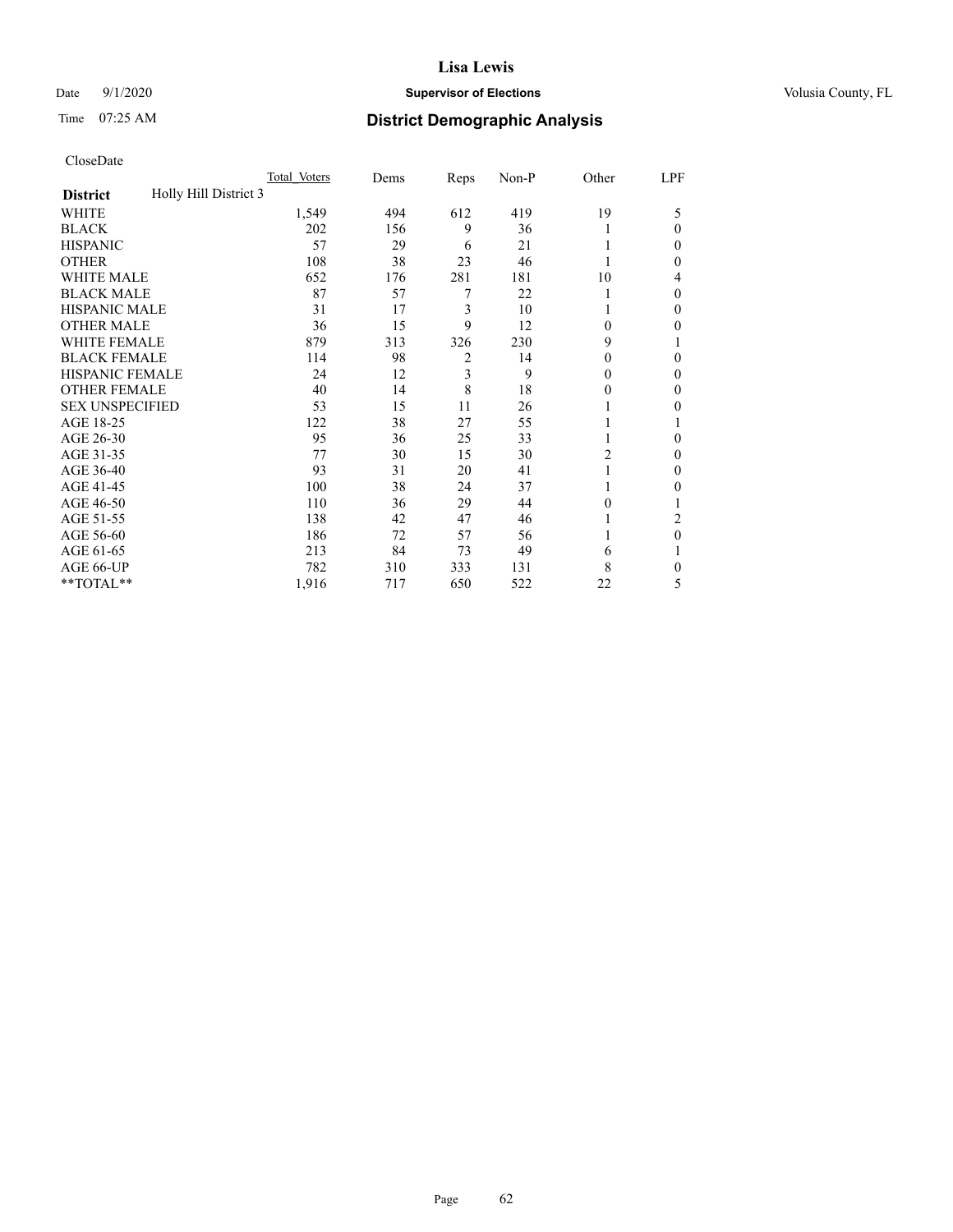# Date  $9/1/2020$  **Supervisor of Elections Supervisor of Elections** Volusia County, FL

# Time 07:25 AM **District Demographic Analysis**

|                                          | Total Voters | Dems | Reps           | Non-P | Other          | LPF |
|------------------------------------------|--------------|------|----------------|-------|----------------|-----|
| Holly Hill District 3<br><b>District</b> |              |      |                |       |                |     |
| WHITE                                    | 1,549        | 494  | 612            | 419   | 19             | 5   |
| <b>BLACK</b>                             | 202          | 156  | 9              | 36    |                | 0   |
| <b>HISPANIC</b>                          | 57           | 29   | 6              | 21    |                | 0   |
| <b>OTHER</b>                             | 108          | 38   | 23             | 46    |                | 0   |
| WHITE MALE                               | 652          | 176  | 281            | 181   | 10             | 4   |
| <b>BLACK MALE</b>                        | 87           | 57   | 7              | 22    |                | 0   |
| <b>HISPANIC MALE</b>                     | 31           | 17   | 3              | 10    |                | 0   |
| <b>OTHER MALE</b>                        | 36           | 15   | 9              | 12    | 0              | 0   |
| WHITE FEMALE                             | 879          | 313  | 326            | 230   | 9              |     |
| <b>BLACK FEMALE</b>                      | 114          | 98   | $\overline{2}$ | 14    | 0              | 0   |
| <b>HISPANIC FEMALE</b>                   | 24           | 12   | 3              | 9     | 0              | 0   |
| <b>OTHER FEMALE</b>                      | 40           | 14   | 8              | 18    | $_{0}$         | 0   |
| <b>SEX UNSPECIFIED</b>                   | 53           | 15   | 11             | 26    |                | 0   |
| AGE 18-25                                | 122          | 38   | 27             | 55    |                |     |
| AGE 26-30                                | 95           | 36   | 25             | 33    | 1              | 0   |
| AGE 31-35                                | 77           | 30   | 15             | 30    | $\overline{2}$ | 0   |
| AGE 36-40                                | 93           | 31   | 20             | 41    |                | 0   |
| AGE 41-45                                | 100          | 38   | 24             | 37    |                | 0   |
| AGE 46-50                                | 110          | 36   | 29             | 44    | 0              |     |
| AGE 51-55                                | 138          | 42   | 47             | 46    |                | 2   |
| AGE 56-60                                | 186          | 72   | 57             | 56    |                | 0   |
| AGE 61-65                                | 213          | 84   | 73             | 49    | 6              |     |
| AGE 66-UP                                | 782          | 310  | 333            | 131   | 8              | 0   |
| **TOTAL**                                | 1,916        | 717  | 650            | 522   | 22             | 5   |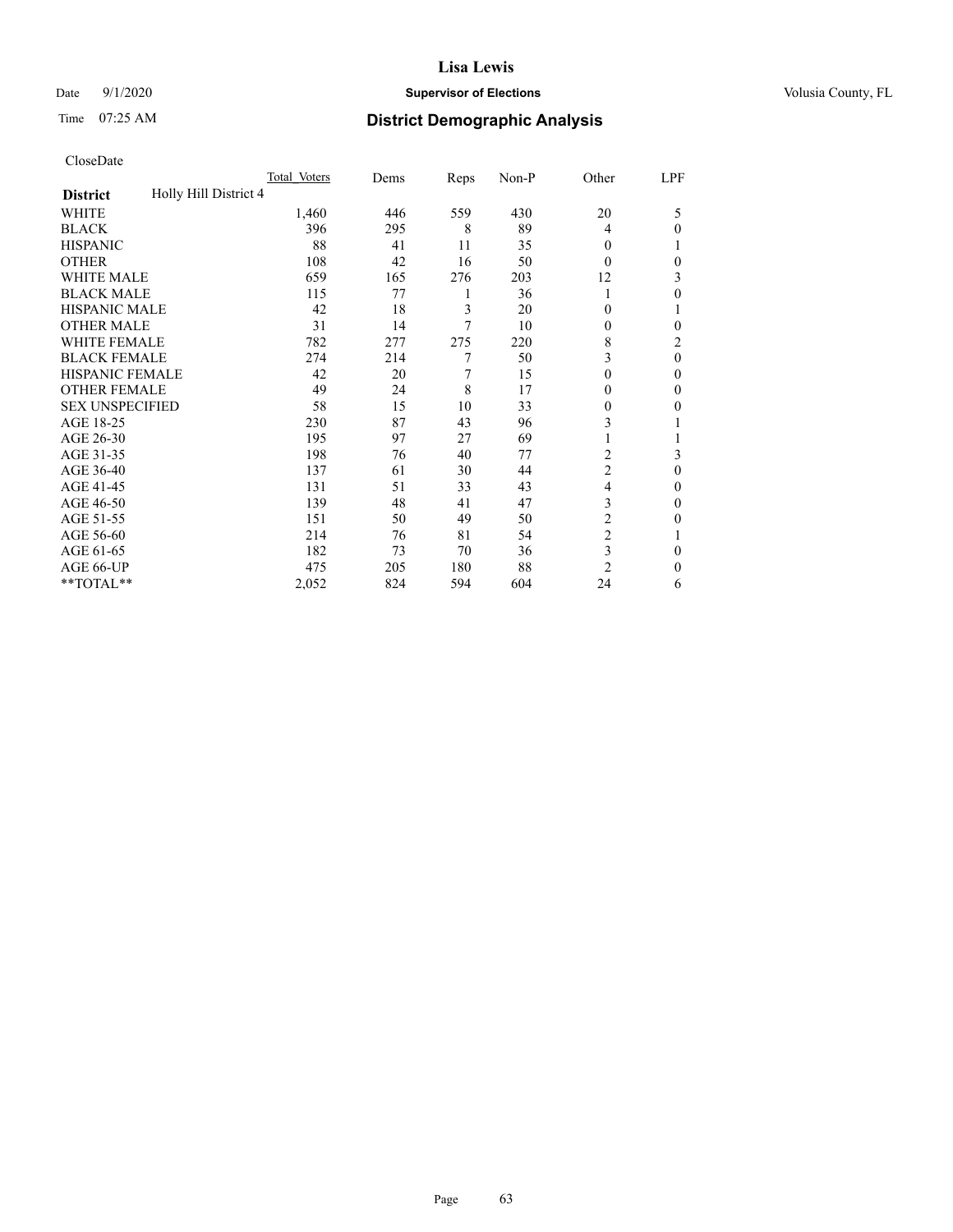# Date  $9/1/2020$  **Supervisor of Elections Supervisor of Elections** Volusia County, FL

# Time 07:25 AM **District Demographic Analysis**

|                                          | Total Voters | Dems | Reps | Non-P | Other          | LPF      |
|------------------------------------------|--------------|------|------|-------|----------------|----------|
| Holly Hill District 4<br><b>District</b> |              |      |      |       |                |          |
| WHITE                                    | 1,460        | 446  | 559  | 430   | 20             | 5        |
| <b>BLACK</b>                             | 396          | 295  | 8    | 89    | 4              | $\Omega$ |
| <b>HISPANIC</b>                          | 88           | 41   | 11   | 35    | $\theta$       |          |
| <b>OTHER</b>                             | 108          | 42   | 16   | 50    | $\Omega$       | 0        |
| <b>WHITE MALE</b>                        | 659          | 165  | 276  | 203   | 12             | 3        |
| <b>BLACK MALE</b>                        | 115          | 77   | 1    | 36    | 1              | $\theta$ |
| <b>HISPANIC MALE</b>                     | 42           | 18   | 3    | 20    | $\theta$       |          |
| <b>OTHER MALE</b>                        | 31           | 14   | 7    | 10    | $\theta$       | 0        |
| <b>WHITE FEMALE</b>                      | 782          | 277  | 275  | 220   | 8              | 2        |
| <b>BLACK FEMALE</b>                      | 274          | 214  | 7    | 50    | 3              | $\theta$ |
| <b>HISPANIC FEMALE</b>                   | 42           | 20   | 7    | 15    | $\theta$       | 0        |
| <b>OTHER FEMALE</b>                      | 49           | 24   | 8    | 17    | $\theta$       | $\Omega$ |
| <b>SEX UNSPECIFIED</b>                   | 58           | 15   | 10   | 33    | $\theta$       | 0        |
| AGE 18-25                                | 230          | 87   | 43   | 96    | 3              |          |
| AGE 26-30                                | 195          | 97   | 27   | 69    | 1              |          |
| AGE 31-35                                | 198          | 76   | 40   | 77    | 2              | 3        |
| AGE 36-40                                | 137          | 61   | 30   | 44    | $\overline{c}$ | $\theta$ |
| AGE 41-45                                | 131          | 51   | 33   | 43    | $\overline{4}$ | 0        |
| AGE 46-50                                | 139          | 48   | 41   | 47    | 3              | $\Omega$ |
| AGE 51-55                                | 151          | 50   | 49   | 50    | $\overline{c}$ | 0        |
| AGE 56-60                                | 214          | 76   | 81   | 54    | $\overline{c}$ |          |
| AGE 61-65                                | 182          | 73   | 70   | 36    | 3              | $\theta$ |
| AGE 66-UP                                | 475          | 205  | 180  | 88    | $\overline{2}$ | $\Omega$ |
| **TOTAL**                                | 2,052        | 824  | 594  | 604   | 24             | 6        |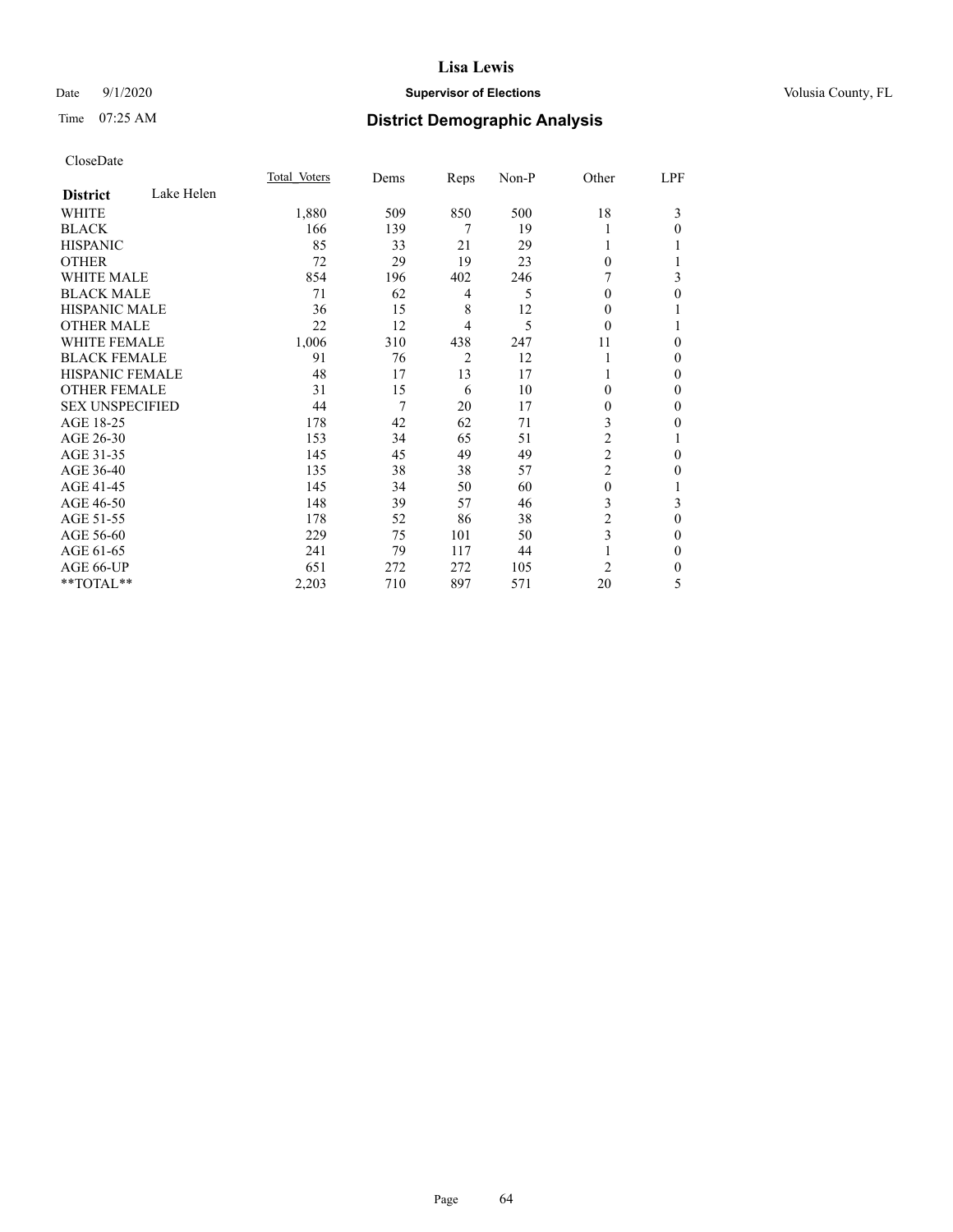# Date  $9/1/2020$  **Supervisor of Elections Supervisor of Elections** Volusia County, FL

# Time 07:25 AM **District Demographic Analysis**

|                        |            | Total Voters | Dems | Reps           | Non-P | Other          | LPF              |
|------------------------|------------|--------------|------|----------------|-------|----------------|------------------|
| <b>District</b>        | Lake Helen |              |      |                |       |                |                  |
| WHITE                  |            | 1,880        | 509  | 850            | 500   | 18             | 3                |
| <b>BLACK</b>           |            | 166          | 139  | 7              | 19    |                | $\theta$         |
| <b>HISPANIC</b>        |            | 85           | 33   | 21             | 29    |                |                  |
| <b>OTHER</b>           |            | 72           | 29   | 19             | 23    | $\theta$       |                  |
| <b>WHITE MALE</b>      |            | 854          | 196  | 402            | 246   |                | 3                |
| <b>BLACK MALE</b>      |            | 71           | 62   | 4              | 5     | $\Omega$       | 0                |
| <b>HISPANIC MALE</b>   |            | 36           | 15   | 8              | 12    | 0              | 1                |
| <b>OTHER MALE</b>      |            | 22           | 12   | 4              | 5     | $\Omega$       | 1                |
| <b>WHITE FEMALE</b>    |            | 1,006        | 310  | 438            | 247   | 11             | 0                |
| <b>BLACK FEMALE</b>    |            | 91           | 76   | $\overline{2}$ | 12    |                | 0                |
| <b>HISPANIC FEMALE</b> |            | 48           | 17   | 13             | 17    |                | $\Omega$         |
| <b>OTHER FEMALE</b>    |            | 31           | 15   | 6              | 10    | 0              | $\theta$         |
| <b>SEX UNSPECIFIED</b> |            | 44           | 7    | 20             | 17    | 0              | $\theta$         |
| AGE 18-25              |            | 178          | 42   | 62             | 71    | 3              | $\theta$         |
| AGE 26-30              |            | 153          | 34   | 65             | 51    | $\overline{2}$ | 1                |
| AGE 31-35              |            | 145          | 45   | 49             | 49    | $\overline{c}$ | $\boldsymbol{0}$ |
| AGE 36-40              |            | 135          | 38   | 38             | 57    | $\overline{2}$ | $\theta$         |
| AGE 41-45              |            | 145          | 34   | 50             | 60    | $\theta$       |                  |
| AGE 46-50              |            | 148          | 39   | 57             | 46    | 3              | 3                |
| AGE 51-55              |            | 178          | 52   | 86             | 38    | $\overline{c}$ | $\theta$         |
| AGE 56-60              |            | 229          | 75   | 101            | 50    | 3              | $\theta$         |
| AGE 61-65              |            | 241          | 79   | 117            | 44    |                | $\theta$         |
| AGE 66-UP              |            | 651          | 272  | 272            | 105   | $\overline{c}$ | 0                |
| **TOTAL**              |            | 2,203        | 710  | 897            | 571   | 20             | 5                |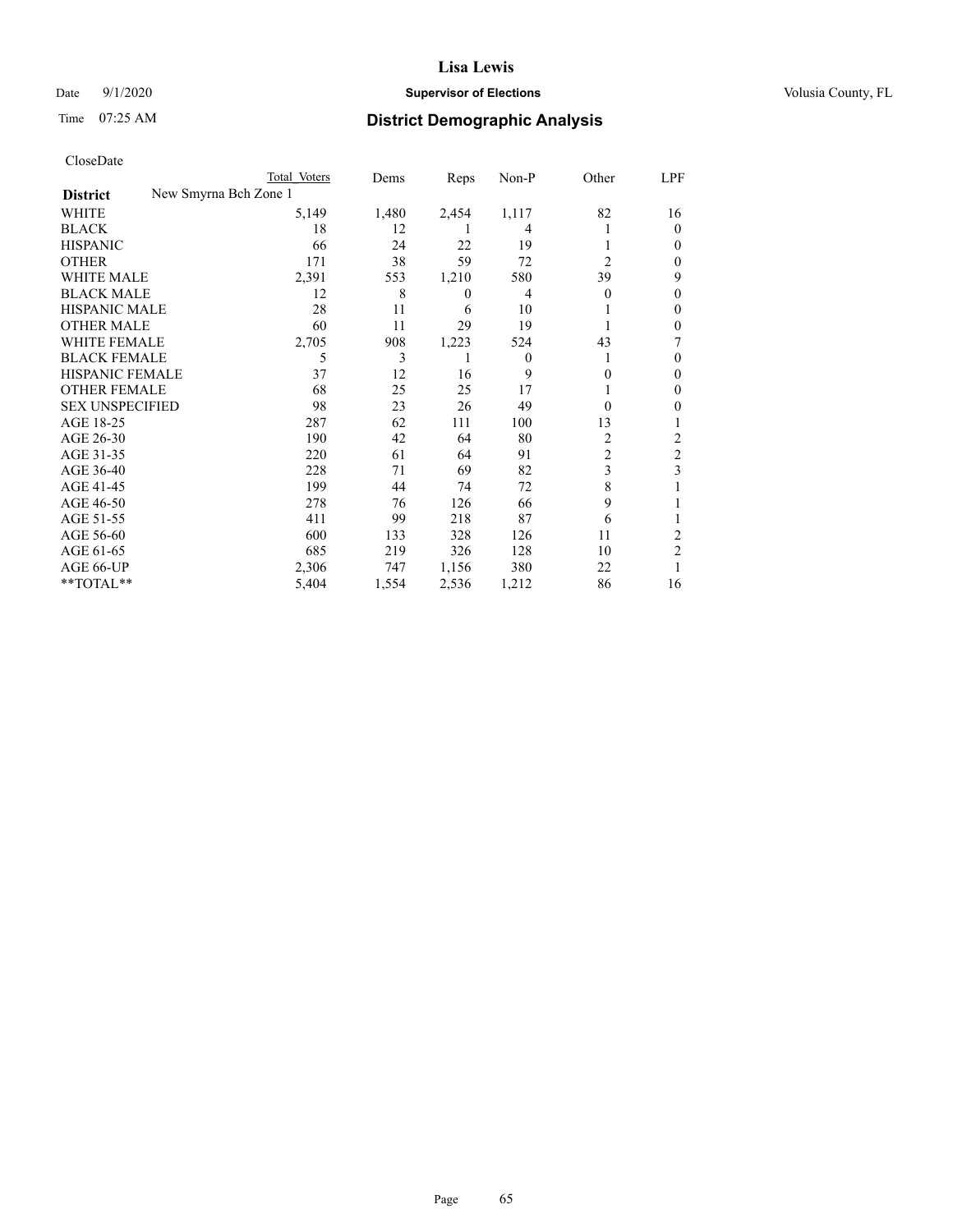# Date  $9/1/2020$  **Supervisor of Elections Supervisor of Elections** Volusia County, FL

| CloseDate |
|-----------|
|-----------|

|                                          | Total Voters | Dems  | Reps             | Non-P    | Other          | LPF      |
|------------------------------------------|--------------|-------|------------------|----------|----------------|----------|
| New Smyrna Bch Zone 1<br><b>District</b> |              |       |                  |          |                |          |
| WHITE                                    | 5,149        | 1,480 | 2,454            | 1,117    | 82             | 16       |
| BLACK                                    | 18           | 12    |                  | 4        |                | $\theta$ |
| HISPANIC                                 | 66           | 24    | 22               | 19       |                | $_{0}$   |
| OTHER                                    | 171          | 38    | 59               | 72       | $\overline{2}$ | 0        |
| WHITE MALE                               | 2,391        | 553   | 1,210            | 580      | 39             | 9        |
| BLACK MALE                               | 12           | 8     | $\boldsymbol{0}$ | 4        | $\Omega$       | $_{0}$   |
| HISPANIC MALE                            | 28           | 11    | 6                | 10       |                | 0        |
| OTHER MALE                               | 60           | 11    | 29               | 19       |                | 0        |
| WHITE FEMALE                             | 2,705        | 908   | 1,223            | 524      | 43             |          |
| BLACK FEMALE                             | 5            | 3     |                  | $\Omega$ |                | $_{0}$   |
| HISPANIC FEMALE                          | 37           | 12    | 16               | 9        | 0              | 0        |
| OTHER FEMALE                             | 68           | 25    | 25               | 17       |                | $_{0}$   |
| <b>SEX UNSPECIFIED</b>                   | 98           | 23    | 26               | 49       | $\Omega$       | 0        |
| AGE 18-25                                | 287          | 62    | 111              | 100      | 13             |          |
| AGE 26-30                                | 190          | 42    | 64               | 80       | 2              | 2        |
| AGE 31-35                                | 220          | 61    | 64               | 91       | $\overline{c}$ | 2        |
| AGE 36-40                                | 228          | 71    | 69               | 82       | 3              | 3        |
| AGE 41-45                                | 199          | 44    | 74               | 72       | 8              |          |
| AGE 46-50                                | 278          | 76    | 126              | 66       | 9              |          |
| AGE 51-55                                | 411          | 99    | 218              | 87       | 6              |          |
| AGE 56-60                                | 600          | 133   | 328              | 126      | 11             | 2        |
| AGE 61-65                                | 685          | 219   | 326              | 128      | 10             | 2        |
| AGE 66-UP                                | 2,306        | 747   | 1,156            | 380      | 22             |          |
| $*$ $TOTAL**$                            | 5,404        | 1,554 | 2,536            | 1,212    | 86             | 16       |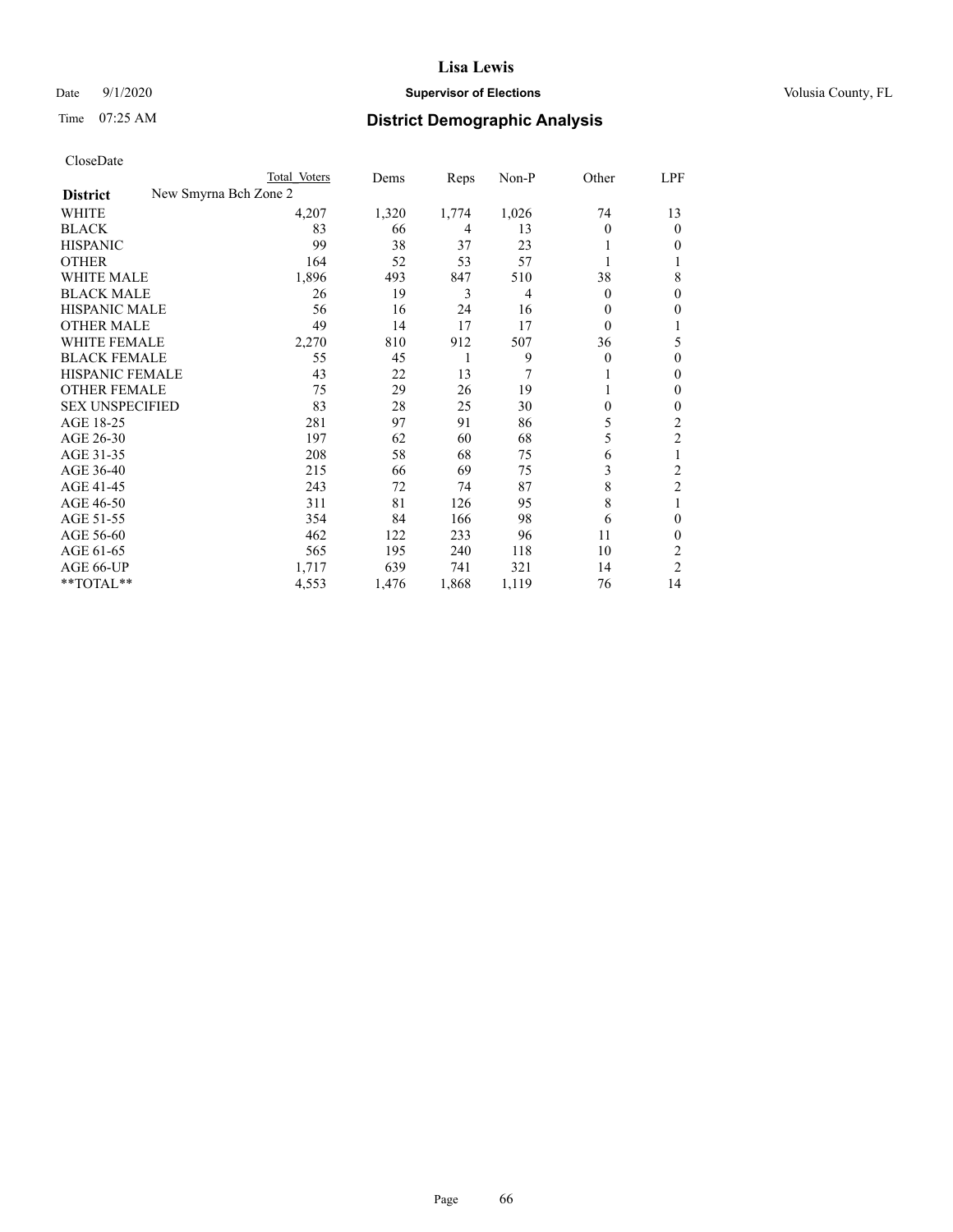# Date  $9/1/2020$  **Supervisor of Elections Supervisor of Elections** Volusia County, FL

| CloseDate |
|-----------|
|-----------|

| Total Voters | Dems                  | Reps  | Non-P          | Other        | LPF            |
|--------------|-----------------------|-------|----------------|--------------|----------------|
|              |                       |       |                |              |                |
| 4,207        | 1,320                 | 1,774 | 1,026          | 74           | 13             |
| 83           | 66                    | 4     | 13             | $\Omega$     | $\theta$       |
| 99           | 38                    | 37    | 23             |              | 0              |
| 164          | 52                    | 53    | 57             |              | 1              |
| 1,896        | 493                   | 847   | 510            | 38           | 8              |
| 26           | 19                    | 3     | $\overline{4}$ | $\mathbf{0}$ | 0              |
| 56           | 16                    | 24    | 16             | 0            | 0              |
| 49           | 14                    | 17    | 17             | $\theta$     |                |
| 2,270        | 810                   | 912   | 507            | 36           | 5              |
| 55           | 45                    | 1     | 9              | 0            | $\theta$       |
| 43           | 22                    | 13    | 7              |              | $\mathbf{0}$   |
| 75           | 29                    | 26    | 19             |              | $\mathbf{0}$   |
| 83           | 28                    | 25    | 30             | 0            | 0              |
| 281          | 97                    | 91    | 86             | 5            | 2              |
| 197          | 62                    | 60    | 68             | 5            | 2              |
| 208          | 58                    | 68    | 75             | 6            | 1              |
| 215          | 66                    | 69    | 75             | 3            | $\overline{2}$ |
| 243          | 72                    | 74    | 87             | 8            | $\overline{2}$ |
| 311          | 81                    | 126   | 95             | 8            |                |
| 354          | 84                    | 166   | 98             | 6            | $\theta$       |
| 462          | 122                   | 233   | 96             | 11           | $\Omega$       |
| 565          | 195                   | 240   | 118            | 10           | $\overline{c}$ |
| 1,717        | 639                   | 741   | 321            | 14           | $\overline{2}$ |
| 4,553        | 1,476                 | 1,868 | 1,119          | 76           | 14             |
|              | New Smyrna Bch Zone 2 |       |                |              |                |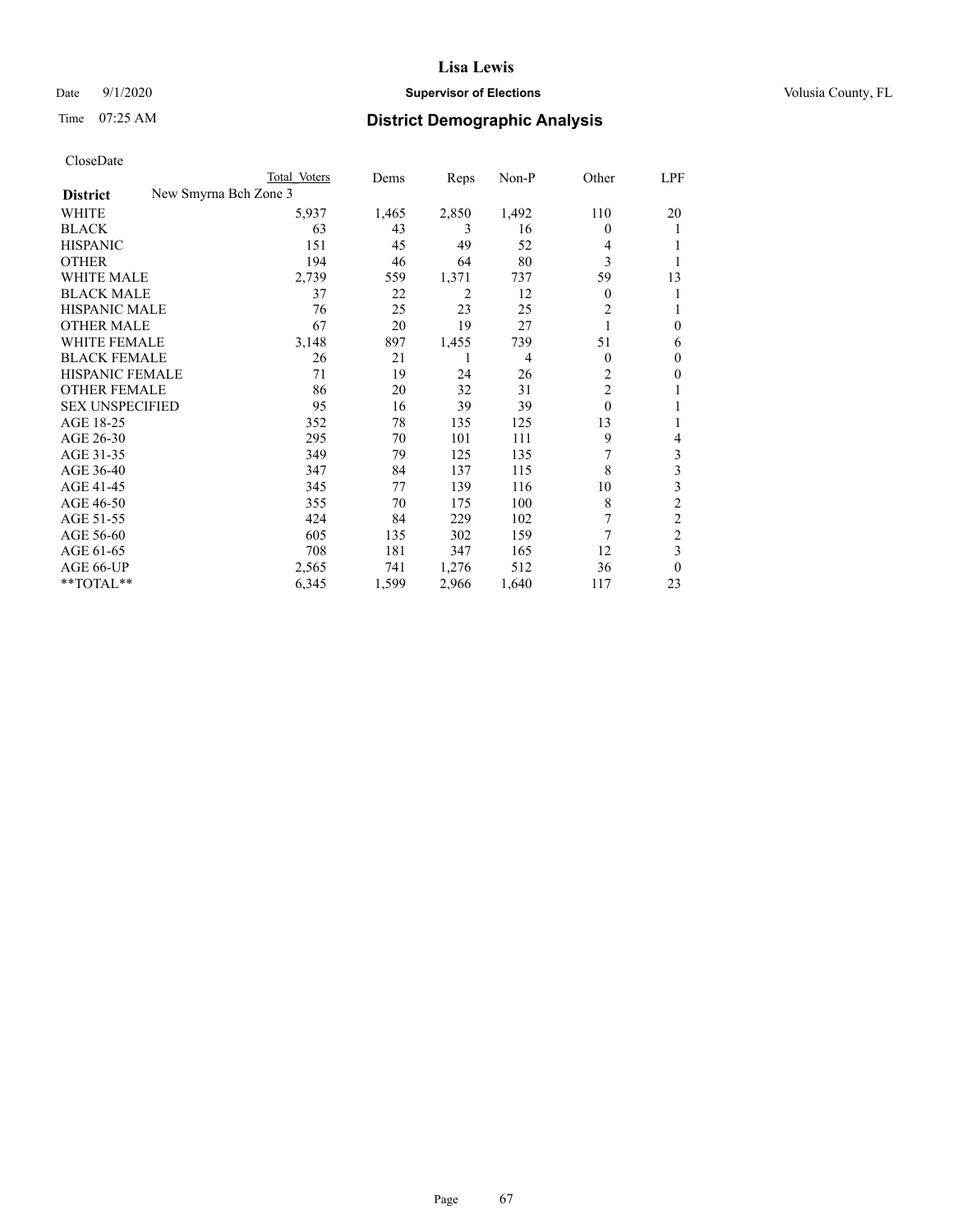# Date  $9/1/2020$  **Supervisor of Elections Supervisor of Elections** Volusia County, FL

| CloseDate |
|-----------|
|-----------|

|                                          | Total Voters | Dems  | Reps  | Non-P          | Other          | LPF              |
|------------------------------------------|--------------|-------|-------|----------------|----------------|------------------|
| New Smyrna Bch Zone 3<br><b>District</b> |              |       |       |                |                |                  |
| WHITE                                    | 5,937        | 1,465 | 2,850 | 1,492          | 110            | 20               |
| <b>BLACK</b>                             | 63           | 43    | 3     | 16             | $\theta$       | 1                |
| <b>HISPANIC</b>                          | 151          | 45    | 49    | 52             | 4              |                  |
| <b>OTHER</b>                             | 194          | 46    | 64    | 80             | 3              |                  |
| <b>WHITE MALE</b>                        | 2,739        | 559   | 1,371 | 737            | 59             | 13               |
| <b>BLACK MALE</b>                        | 37           | 22    | 2     | 12             | $\mathbf{0}$   | 1                |
| HISPANIC MALE                            | 76           | 25    | 23    | 25             | 2              | 1                |
| <b>OTHER MALE</b>                        | 67           | 20    | 19    | 27             |                | $\boldsymbol{0}$ |
| <b>WHITE FEMALE</b>                      | 3,148        | 897   | 1,455 | 739            | 51             | 6                |
| <b>BLACK FEMALE</b>                      | 26           | 21    | 1     | $\overline{4}$ | $\theta$       | 0                |
| HISPANIC FEMALE                          | 71           | 19    | 24    | 26             | 2              | 0                |
| <b>OTHER FEMALE</b>                      | 86           | 20    | 32    | 31             | $\overline{c}$ | 1                |
| <b>SEX UNSPECIFIED</b>                   | 95           | 16    | 39    | 39             | $\mathbf{0}$   | 1                |
| AGE 18-25                                | 352          | 78    | 135   | 125            | 13             |                  |
| AGE 26-30                                | 295          | 70    | 101   | 111            | 9              | 4                |
| AGE 31-35                                | 349          | 79    | 125   | 135            |                | 3                |
| AGE 36-40                                | 347          | 84    | 137   | 115            | 8              | 3                |
| AGE 41-45                                | 345          | 77    | 139   | 116            | 10             | 3                |
| AGE 46-50                                | 355          | 70    | 175   | 100            | 8              | $\overline{c}$   |
| AGE 51-55                                | 424          | 84    | 229   | 102            | 7              | $\mathfrak{2}$   |
| AGE 56-60                                | 605          | 135   | 302   | 159            | 7              | $\overline{c}$   |
| AGE 61-65                                | 708          | 181   | 347   | 165            | 12             | 3                |
| AGE 66-UP                                | 2,565        | 741   | 1,276 | 512            | 36             | $\theta$         |
| **TOTAL**                                | 6,345        | 1,599 | 2,966 | 1,640          | 117            | 23               |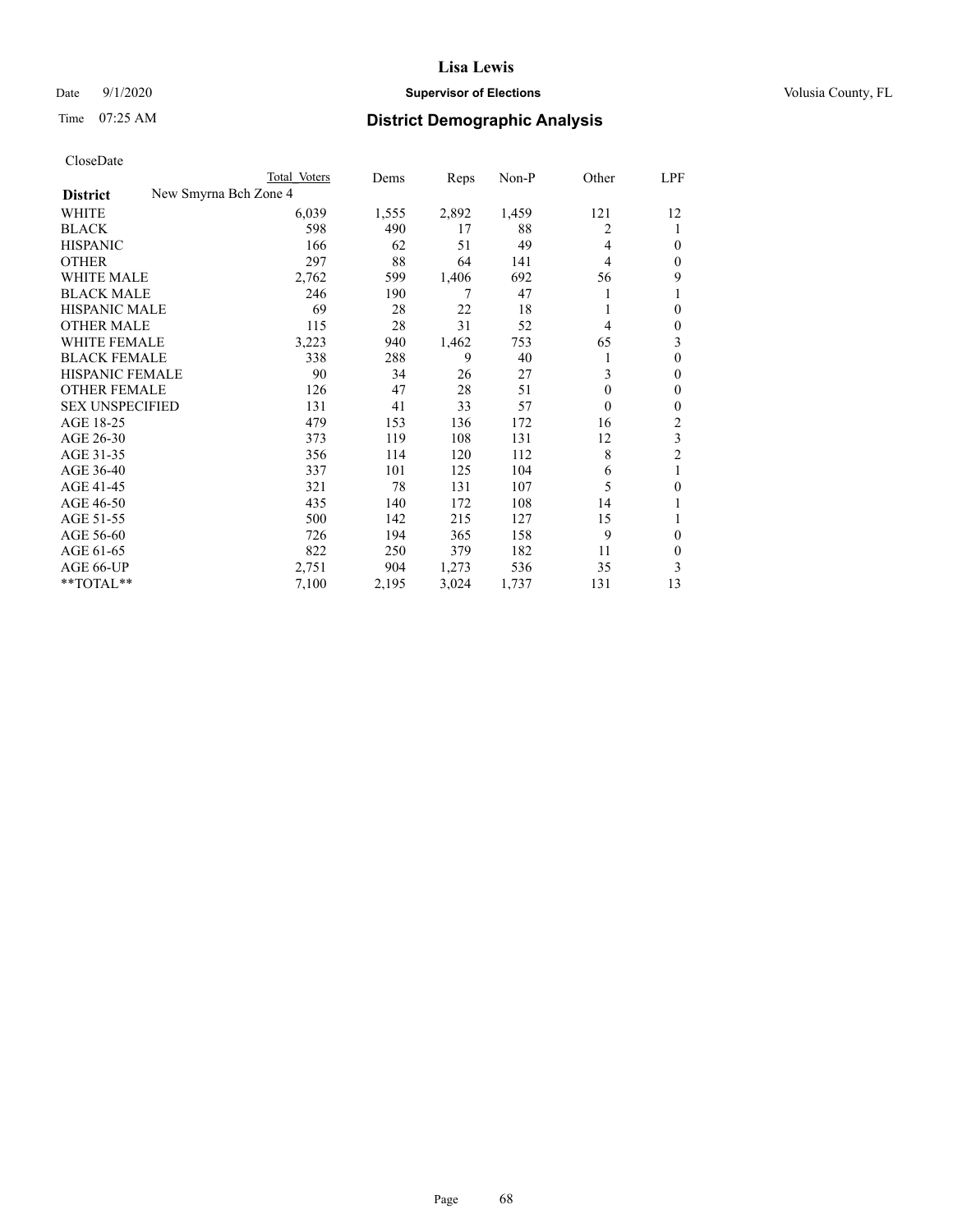# Date  $9/1/2020$  **Supervisor of Elections Supervisor of Elections** Volusia County, FL

# Time 07:25 AM **District Demographic Analysis**

|                        | Total Voters          | Dems  | Reps  | Non-P | Other    | LPF            |
|------------------------|-----------------------|-------|-------|-------|----------|----------------|
| <b>District</b>        | New Smyrna Bch Zone 4 |       |       |       |          |                |
| WHITE                  | 6,039                 | 1,555 | 2,892 | 1,459 | 121      | 12             |
| <b>BLACK</b>           | 598                   | 490   | 17    | 88    | 2        | 1              |
| <b>HISPANIC</b>        | 166                   | 62    | 51    | 49    | 4        | $\Omega$       |
| <b>OTHER</b>           | 297                   | 88    | 64    | 141   | 4        | $\Omega$       |
| <b>WHITE MALE</b>      | 2,762                 | 599   | 1,406 | 692   | 56       | 9              |
| <b>BLACK MALE</b>      | 246                   | 190   | 7     | 47    |          | 1              |
| <b>HISPANIC MALE</b>   | 69                    | 28    | 22    | 18    |          | $\theta$       |
| <b>OTHER MALE</b>      | 115                   | 28    | 31    | 52    | 4        | $\mathbf{0}$   |
| WHITE FEMALE           | 3,223                 | 940   | 1,462 | 753   | 65       | 3              |
| <b>BLACK FEMALE</b>    | 338                   | 288   | 9     | 40    |          | $\theta$       |
| <b>HISPANIC FEMALE</b> | 90                    | 34    | 26    | 27    | 3        | $\theta$       |
| <b>OTHER FEMALE</b>    | 126                   | 47    | 28    | 51    | $\theta$ | $\theta$       |
| <b>SEX UNSPECIFIED</b> | 131                   | 41    | 33    | 57    | $\theta$ | $\theta$       |
| AGE 18-25              | 479                   | 153   | 136   | 172   | 16       | 2              |
| AGE 26-30              | 373                   | 119   | 108   | 131   | 12       | 3              |
| AGE 31-35              | 356                   | 114   | 120   | 112   | 8        | $\overline{2}$ |
| AGE 36-40              | 337                   | 101   | 125   | 104   | 6        | 1              |
| AGE 41-45              | 321                   | 78    | 131   | 107   | 5        | $\theta$       |
| AGE 46-50              | 435                   | 140   | 172   | 108   | 14       | 1              |
| AGE 51-55              | 500                   | 142   | 215   | 127   | 15       | 1              |
| AGE 56-60              | 726                   | 194   | 365   | 158   | 9        | $\theta$       |
| AGE 61-65              | 822                   | 250   | 379   | 182   | 11       | $\theta$       |
| AGE 66-UP              | 2,751                 | 904   | 1,273 | 536   | 35       | 3              |
| **TOTAL**              | 7,100                 | 2,195 | 3,024 | 1,737 | 131      | 13             |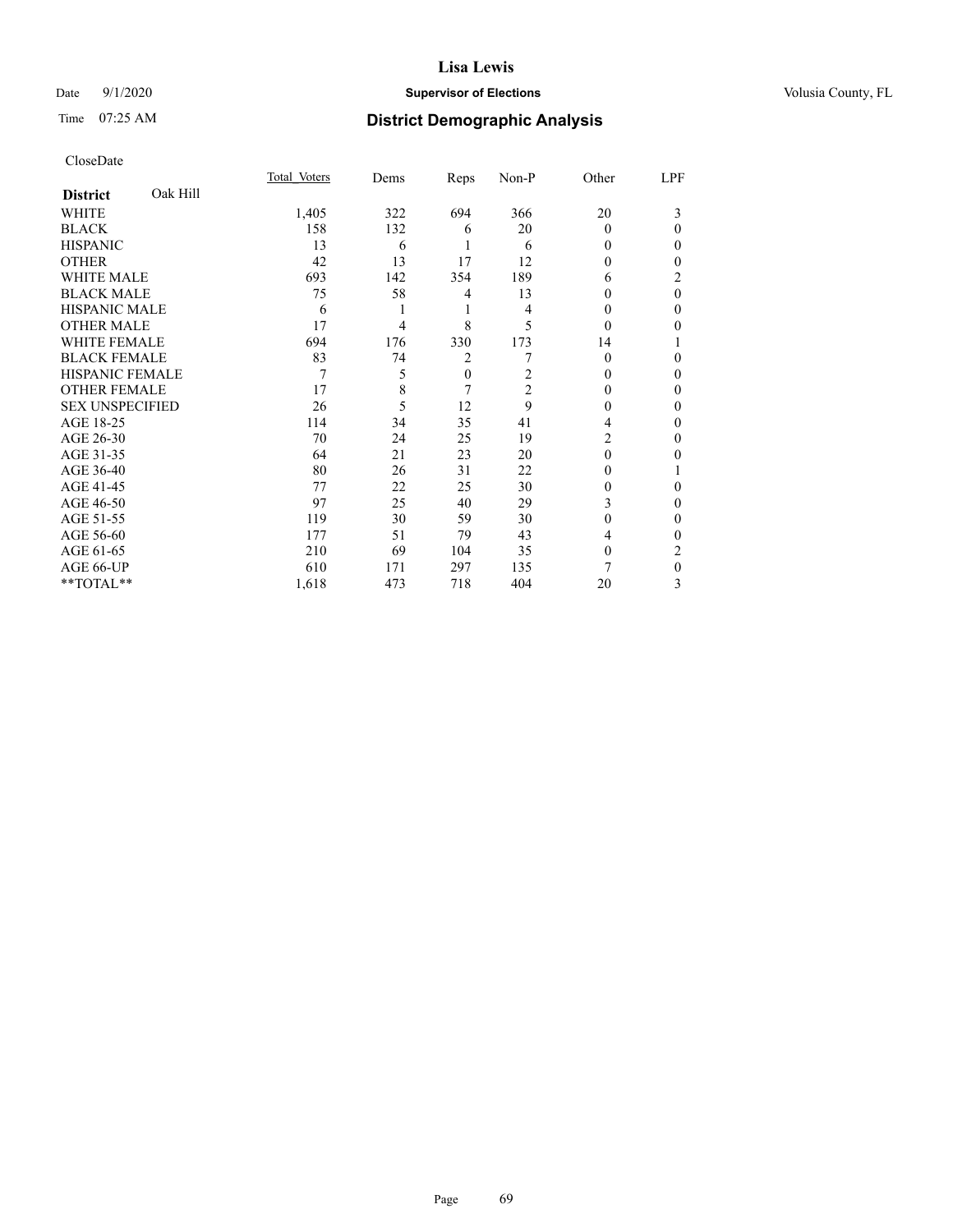# Date  $9/1/2020$  **Supervisor of Elections Supervisor of Elections** Volusia County, FL

# Time 07:25 AM **District Demographic Analysis**

|                        |          | Total Voters | Dems | Reps         | Non-P          | Other    | LPF      |
|------------------------|----------|--------------|------|--------------|----------------|----------|----------|
| <b>District</b>        | Oak Hill |              |      |              |                |          |          |
| WHITE                  |          | 1,405        | 322  | 694          | 366            | 20       | 3        |
| <b>BLACK</b>           |          | 158          | 132  | 6            | 20             | $\Omega$ | 0        |
| <b>HISPANIC</b>        |          | 13           | 6    |              | 6              | 0        | 0        |
| <b>OTHER</b>           |          | 42           | 13   | 17           | 12             | 0        | 0        |
| WHITE MALE             |          | 693          | 142  | 354          | 189            | 6        | 2        |
| <b>BLACK MALE</b>      |          | 75           | 58   | 4            | 13             | 0        | $\theta$ |
| <b>HISPANIC MALE</b>   |          | 6            |      | 1            | 4              | $_{0}$   | 0        |
| <b>OTHER MALE</b>      |          | 17           | 4    | 8            | 5              | $\Omega$ | 0        |
| WHITE FEMALE           |          | 694          | 176  | 330          | 173            | 14       |          |
| <b>BLACK FEMALE</b>    |          | 83           | 74   | 2            |                | 0        | 0        |
| <b>HISPANIC FEMALE</b> |          | 7            | 5    | $\mathbf{0}$ | 2              | 0        | 0        |
| <b>OTHER FEMALE</b>    |          | 17           | 8    | 7            | $\overline{2}$ | 0        | 0        |
| <b>SEX UNSPECIFIED</b> |          | 26           | 5    | 12           | 9              | $_{0}$   | 0        |
| AGE 18-25              |          | 114          | 34   | 35           | 41             | 4        | 0        |
| AGE 26-30              |          | 70           | 24   | 25           | 19             | 2        | 0        |
| AGE 31-35              |          | 64           | 21   | 23           | 20             | 0        | 0        |
| AGE 36-40              |          | 80           | 26   | 31           | 22             | 0        |          |
| AGE 41-45              |          | 77           | 22   | 25           | 30             | 0        | 0        |
| AGE 46-50              |          | 97           | 25   | 40           | 29             | 3        | 0        |
| AGE 51-55              |          | 119          | 30   | 59           | 30             | 0        | 0        |
| AGE 56-60              |          | 177          | 51   | 79           | 43             | 4        | 0        |
| AGE 61-65              |          | 210          | 69   | 104          | 35             | 0        | 2        |
| AGE 66-UP              |          | 610          | 171  | 297          | 135            | 7        | 0        |
| **TOTAL**              |          | 1,618        | 473  | 718          | 404            | 20       | 3        |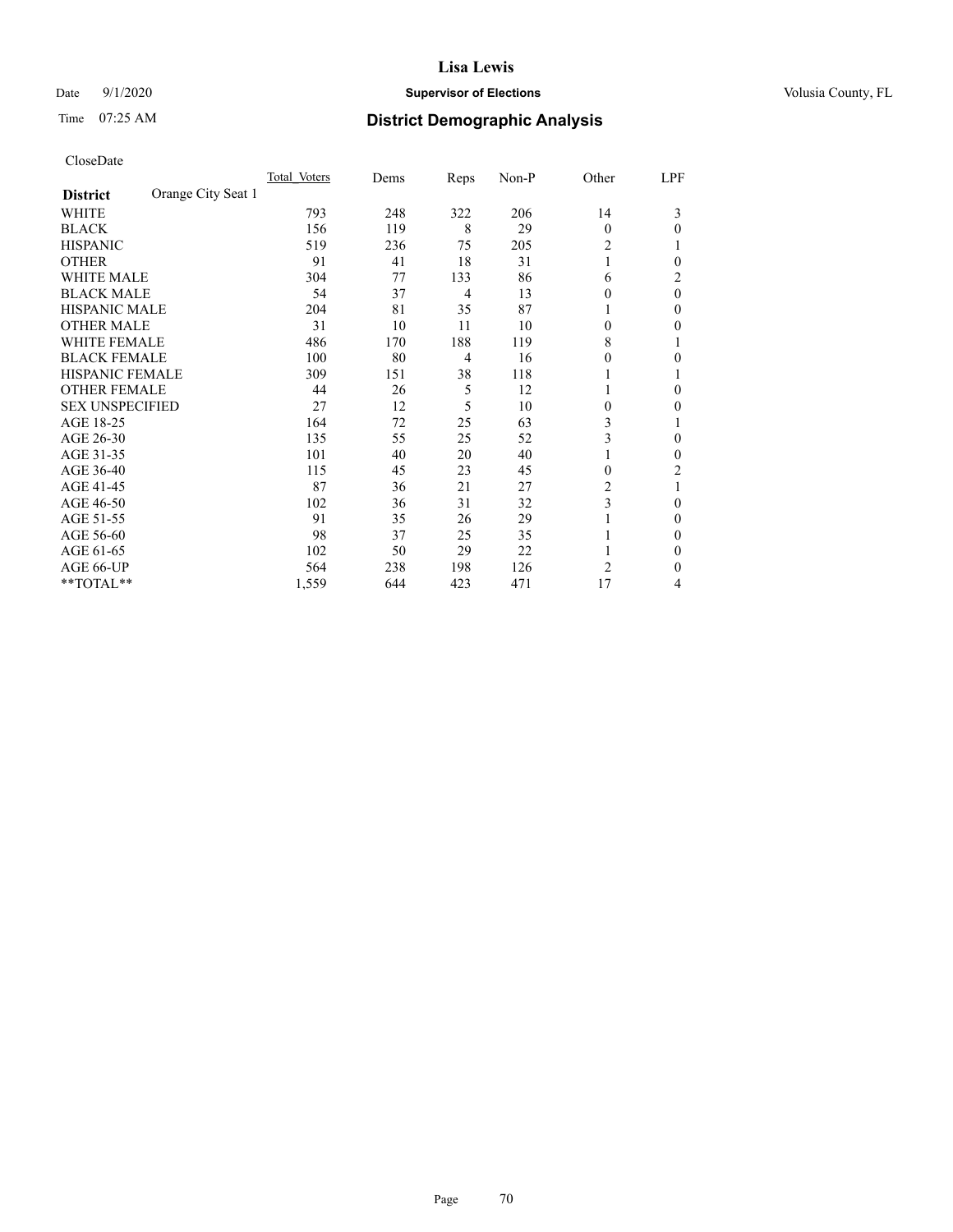# Date  $9/1/2020$  **Supervisor of Elections Supervisor of Elections** Volusia County, FL

# Time 07:25 AM **District Demographic Analysis**

|                        |                    | Total Voters | Dems | Reps | Non-P | Other    | LPF      |
|------------------------|--------------------|--------------|------|------|-------|----------|----------|
| <b>District</b>        | Orange City Seat 1 |              |      |      |       |          |          |
| WHITE                  |                    | 793          | 248  | 322  | 206   | 14       | 3        |
| <b>BLACK</b>           |                    | 156          | 119  | 8    | 29    | $\theta$ | 0        |
| <b>HISPANIC</b>        |                    | 519          | 236  | 75   | 205   | 2        |          |
| <b>OTHER</b>           |                    | 91           | 41   | 18   | 31    | 1        | 0        |
| <b>WHITE MALE</b>      |                    | 304          | 77   | 133  | 86    | 6        | 2        |
| <b>BLACK MALE</b>      |                    | 54           | 37   | 4    | 13    | $\theta$ | $\theta$ |
| <b>HISPANIC MALE</b>   |                    | 204          | 81   | 35   | 87    | 1        | 0        |
| <b>OTHER MALE</b>      |                    | 31           | 10   | 11   | 10    | $\theta$ | 0        |
| <b>WHITE FEMALE</b>    |                    | 486          | 170  | 188  | 119   | 8        |          |
| <b>BLACK FEMALE</b>    |                    | 100          | 80   | 4    | 16    | $\theta$ | 0        |
| <b>HISPANIC FEMALE</b> |                    | 309          | 151  | 38   | 118   |          |          |
| <b>OTHER FEMALE</b>    |                    | 44           | 26   | 5    | 12    | 1        | 0        |
| <b>SEX UNSPECIFIED</b> |                    | 27           | 12   | 5    | 10    | $\theta$ | 0        |
| AGE 18-25              |                    | 164          | 72   | 25   | 63    | 3        |          |
| AGE 26-30              |                    | 135          | 55   | 25   | 52    | 3        | $\Omega$ |
| AGE 31-35              |                    | 101          | 40   | 20   | 40    | 1        | 0        |
| AGE 36-40              |                    | 115          | 45   | 23   | 45    | $\theta$ | 2        |
| AGE 41-45              |                    | 87           | 36   | 21   | 27    | 2        |          |
| AGE 46-50              |                    | 102          | 36   | 31   | 32    | 3        | $\Omega$ |
| AGE 51-55              |                    | 91           | 35   | 26   | 29    |          | 0        |
| AGE 56-60              |                    | 98           | 37   | 25   | 35    |          | 0        |
| AGE 61-65              |                    | 102          | 50   | 29   | 22    |          | 0        |
| AGE 66-UP              |                    | 564          | 238  | 198  | 126   | 2        | 0        |
| **TOTAL**              |                    | 1,559        | 644  | 423  | 471   | 17       | 4        |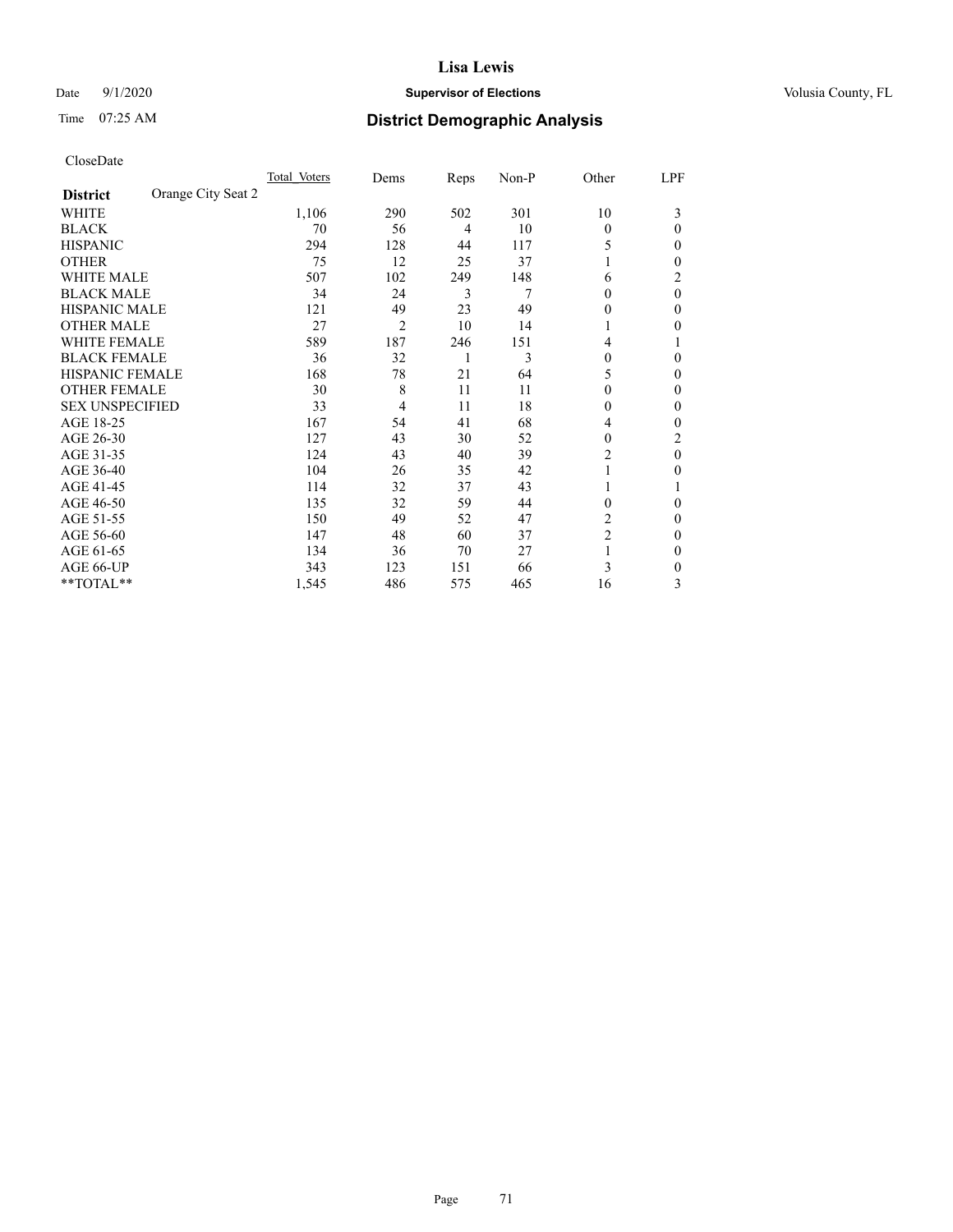# Date  $9/1/2020$  **Supervisor of Elections Supervisor of Elections** Volusia County, FL

# Time 07:25 AM **District Demographic Analysis**

|                        | Total Voters       | Dems | Reps | Non-P | Other          | LPF      |
|------------------------|--------------------|------|------|-------|----------------|----------|
| <b>District</b>        | Orange City Seat 2 |      |      |       |                |          |
| WHITE                  | 1,106              | 290  | 502  | 301   | 10             | 3        |
| <b>BLACK</b>           | 70                 | 56   | 4    | 10    | $\theta$       | 0        |
| <b>HISPANIC</b>        | 294                | 128  | 44   | 117   | 5              | 0        |
| <b>OTHER</b>           | 75                 | 12   | 25   | 37    | 1              | 0        |
| <b>WHITE MALE</b>      | 507                | 102  | 249  | 148   | 6              | 2        |
| <b>BLACK MALE</b>      | 34                 | 24   | 3    | 7     | $\theta$       | $\theta$ |
| <b>HISPANIC MALE</b>   | 121                | 49   | 23   | 49    | 0              | 0        |
| <b>OTHER MALE</b>      | 27                 | 2    | 10   | 14    | 1              | 0        |
| <b>WHITE FEMALE</b>    | 589                | 187  | 246  | 151   | 4              |          |
| <b>BLACK FEMALE</b>    | 36                 | 32   | 1    | 3     | $\theta$       | 0        |
| <b>HISPANIC FEMALE</b> | 168                | 78   | 21   | 64    | 5              | 0        |
| <b>OTHER FEMALE</b>    | 30                 | 8    | 11   | 11    | $\theta$       | 0        |
| <b>SEX UNSPECIFIED</b> | 33                 | 4    | 11   | 18    | $\theta$       | 0        |
| AGE 18-25              | 167                | 54   | 41   | 68    | 4              | 0        |
| AGE 26-30              | 127                | 43   | 30   | 52    | $\mathbf{0}$   | 2        |
| AGE 31-35              | 124                | 43   | 40   | 39    | $\overline{2}$ | $\theta$ |
| AGE 36-40              | 104                | 26   | 35   | 42    | 1              | 0        |
| AGE 41-45              | 114                | 32   | 37   | 43    |                |          |
| AGE 46-50              | 135                | 32   | 59   | 44    | $\theta$       | $\Omega$ |
| AGE 51-55              | 150                | 49   | 52   | 47    | 2              | 0        |
| AGE 56-60              | 147                | 48   | 60   | 37    | $\overline{c}$ | 0        |
| AGE 61-65              | 134                | 36   | 70   | 27    | 1              | 0        |
| AGE 66-UP              | 343                | 123  | 151  | 66    | 3              | 0        |
| **TOTAL**              | 1,545              | 486  | 575  | 465   | 16             | 3        |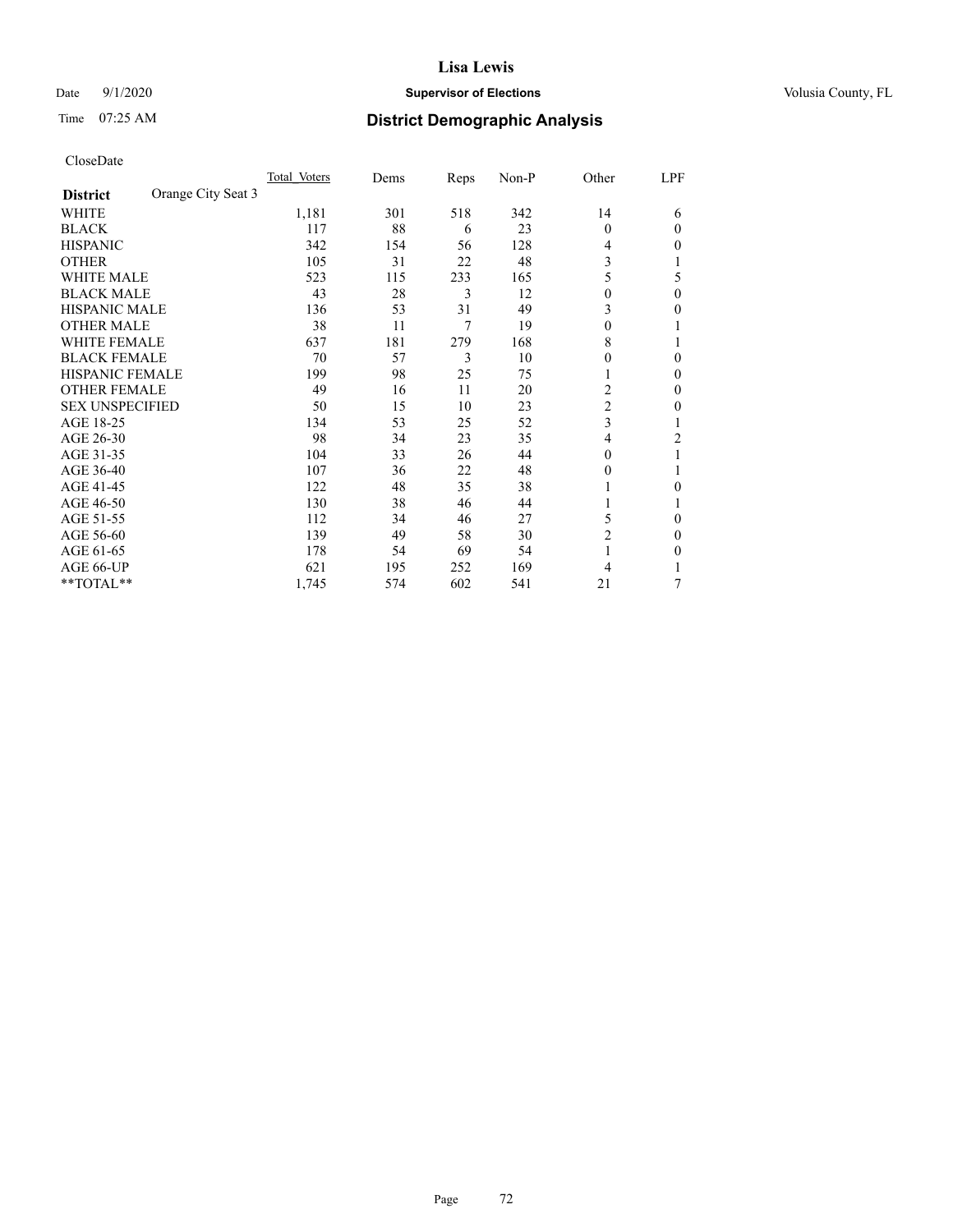# Date  $9/1/2020$  **Supervisor of Elections Supervisor of Elections** Volusia County, FL

# Time 07:25 AM **District Demographic Analysis**

|                        | Total Voters       | Dems | Reps | Non-P | Other          | LPF      |
|------------------------|--------------------|------|------|-------|----------------|----------|
| <b>District</b>        | Orange City Seat 3 |      |      |       |                |          |
| WHITE                  | 1,181              | 301  | 518  | 342   | 14             | 6        |
| <b>BLACK</b>           | 117                | 88   | 6    | 23    | $\Omega$       | $\Omega$ |
| <b>HISPANIC</b>        | 342                | 154  | 56   | 128   | 4              | 0        |
| <b>OTHER</b>           | 105                | 31   | 22   | 48    | 3              |          |
| WHITE MALE             | 523                | 115  | 233  | 165   | 5              | 5        |
| <b>BLACK MALE</b>      | 43                 | 28   | 3    | 12    | $\Omega$       | $\theta$ |
| HISPANIC MALE          | 136                | 53   | 31   | 49    | 3              | 0        |
| <b>OTHER MALE</b>      | 38                 | 11   | 7    | 19    | $\mathbf{0}$   |          |
| WHITE FEMALE           | 637                | 181  | 279  | 168   | 8              |          |
| <b>BLACK FEMALE</b>    | 70                 | 57   | 3    | 10    | $\Omega$       | 0        |
| <b>HISPANIC FEMALE</b> | 199                | 98   | 25   | 75    | 1              | 0        |
| <b>OTHER FEMALE</b>    | 49                 | 16   | 11   | 20    | 2              | 0        |
| <b>SEX UNSPECIFIED</b> | 50                 | 15   | 10   | 23    | $\overline{c}$ | 0        |
| AGE 18-25              | 134                | 53   | 25   | 52    | 3              |          |
| AGE 26-30              | 98                 | 34   | 23   | 35    | 4              | 2        |
| AGE 31-35              | 104                | 33   | 26   | 44    | $\Omega$       |          |
| AGE 36-40              | 107                | 36   | 22   | 48    | $\theta$       |          |
| AGE 41-45              | 122                | 48   | 35   | 38    |                | 0        |
| AGE 46-50              | 130                | 38   | 46   | 44    | 1              |          |
| AGE 51-55              | 112                | 34   | 46   | 27    | 5              | 0        |
| AGE 56-60              | 139                | 49   | 58   | 30    | $\overline{2}$ | 0        |
| AGE 61-65              | 178                | 54   | 69   | 54    | 1              | 0        |
| AGE 66-UP              | 621                | 195  | 252  | 169   | 4              |          |
| **TOTAL**              | 1,745              | 574  | 602  | 541   | 21             | 7        |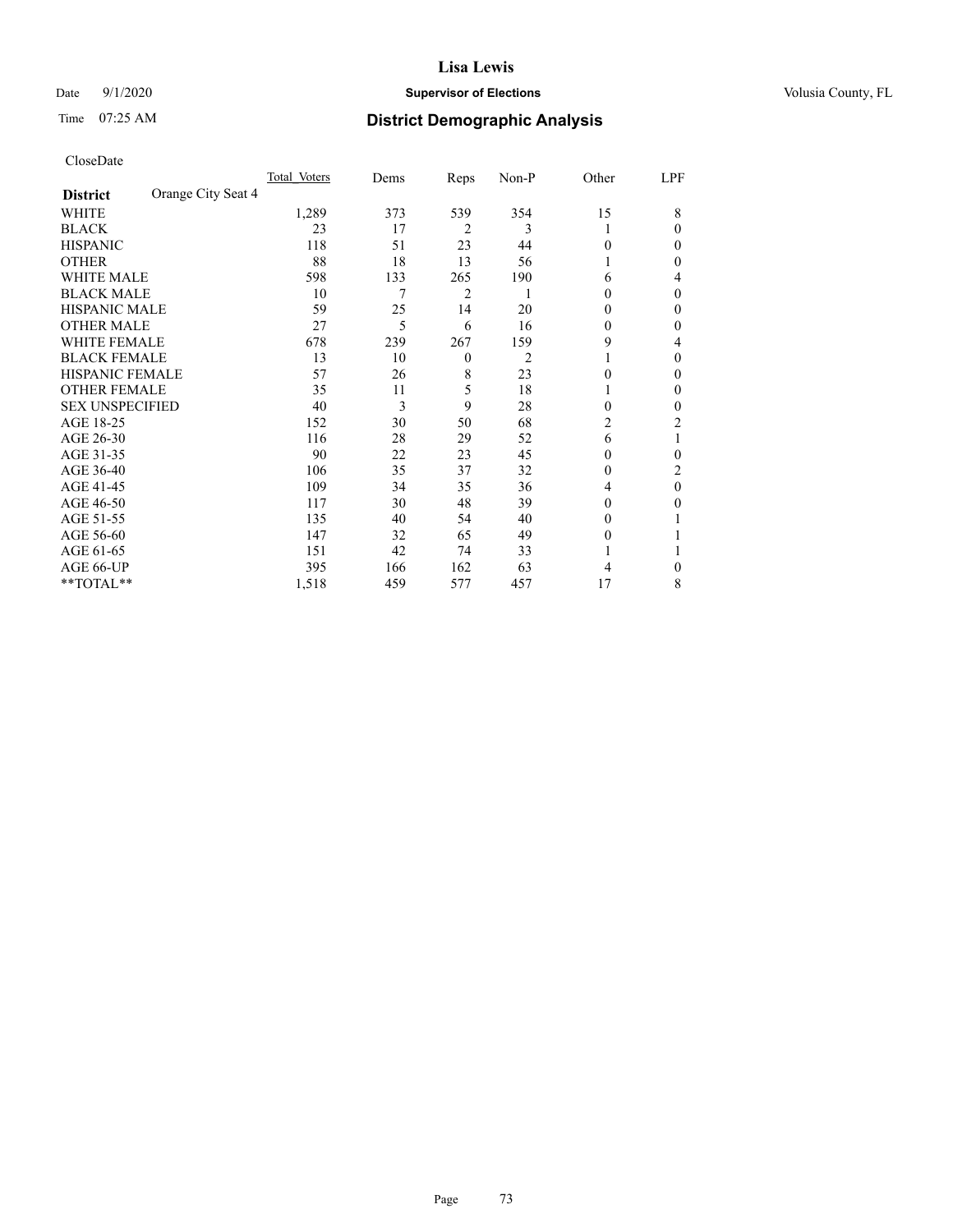# Date  $9/1/2020$  **Supervisor of Elections Supervisor of Elections** Volusia County, FL

# Time 07:25 AM **District Demographic Analysis**

|                        |                    | Total Voters | Dems | Reps           | Non-P | Other  | LPF |
|------------------------|--------------------|--------------|------|----------------|-------|--------|-----|
| <b>District</b>        | Orange City Seat 4 |              |      |                |       |        |     |
| WHITE                  |                    | 1,289        | 373  | 539            | 354   | 15     | 8   |
| <b>BLACK</b>           |                    | 23           | 17   | $\overline{2}$ | 3     |        | 0   |
| <b>HISPANIC</b>        |                    | 118          | 51   | 23             | 44    | 0      | 0   |
| <b>OTHER</b>           |                    | 88           | 18   | 13             | 56    |        | 0   |
| WHITE MALE             |                    | 598          | 133  | 265            | 190   | 6      | 4   |
| <b>BLACK MALE</b>      |                    | 10           | 7    | 2              | 1     | $_{0}$ | 0   |
| <b>HISPANIC MALE</b>   |                    | 59           | 25   | 14             | 20    | $_{0}$ | 0   |
| <b>OTHER MALE</b>      |                    | 27           | 5    | 6              | 16    | 0      | 0   |
| WHITE FEMALE           |                    | 678          | 239  | 267            | 159   | 9      | 4   |
| <b>BLACK FEMALE</b>    |                    | 13           | 10   | $\overline{0}$ | 2     |        | 0   |
| <b>HISPANIC FEMALE</b> |                    | 57           | 26   | 8              | 23    | 0      | 0   |
| <b>OTHER FEMALE</b>    |                    | 35           | 11   | 5              | 18    |        | 0   |
| <b>SEX UNSPECIFIED</b> |                    | 40           | 3    | 9              | 28    | 0      | 0   |
| AGE 18-25              |                    | 152          | 30   | 50             | 68    | 2      | 2   |
| AGE 26-30              |                    | 116          | 28   | 29             | 52    | 6      | 1   |
| AGE 31-35              |                    | 90           | 22   | 23             | 45    | 0      | 0   |
| AGE 36-40              |                    | 106          | 35   | 37             | 32    | 0      | 2   |
| AGE 41-45              |                    | 109          | 34   | 35             | 36    | 4      | 0   |
| AGE 46-50              |                    | 117          | 30   | 48             | 39    | 0      | 0   |
| AGE 51-55              |                    | 135          | 40   | 54             | 40    | $_{0}$ |     |
| AGE 56-60              |                    | 147          | 32   | 65             | 49    | $_{0}$ |     |
| AGE 61-65              |                    | 151          | 42   | 74             | 33    |        |     |
| AGE 66-UP              |                    | 395          | 166  | 162            | 63    | 4      | 0   |
| **TOTAL**              |                    | 1,518        | 459  | 577            | 457   | 17     | 8   |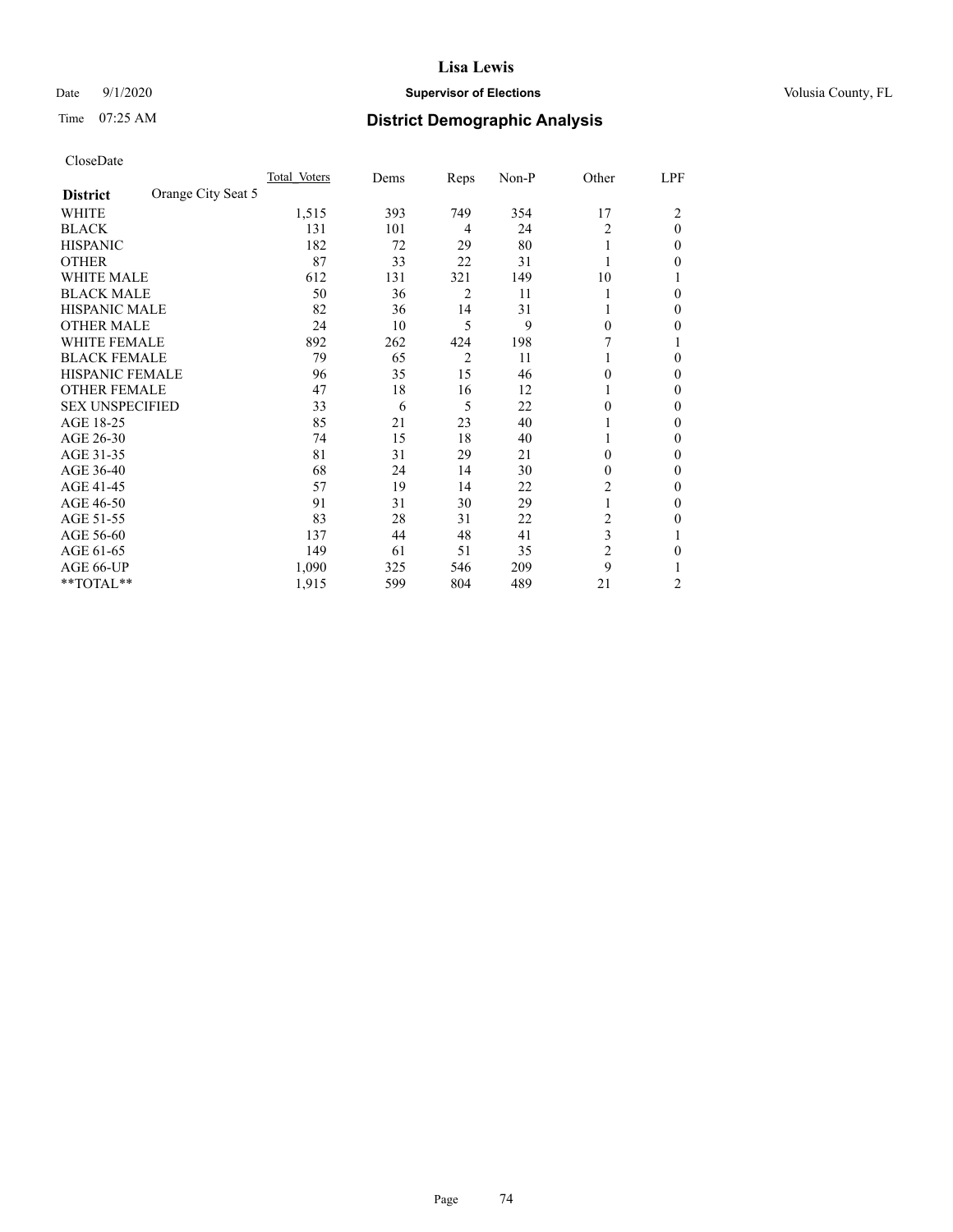# Date  $9/1/2020$  **Supervisor of Elections Supervisor of Elections** Volusia County, FL

# Time 07:25 AM **District Demographic Analysis**

|                        |                    | Total Voters | Dems | Reps           | Non-P | Other          | LPF      |
|------------------------|--------------------|--------------|------|----------------|-------|----------------|----------|
| <b>District</b>        | Orange City Seat 5 |              |      |                |       |                |          |
| WHITE                  |                    | 1,515        | 393  | 749            | 354   | 17             | 2        |
| <b>BLACK</b>           |                    | 131          | 101  | 4              | 24    | 2              | $\theta$ |
| <b>HISPANIC</b>        |                    | 182          | 72   | 29             | 80    | 1              | 0        |
| <b>OTHER</b>           |                    | 87           | 33   | 22             | 31    |                | 0        |
| WHITE MALE             |                    | 612          | 131  | 321            | 149   | 10             |          |
| <b>BLACK MALE</b>      |                    | 50           | 36   | 2              | 11    |                | 0        |
| <b>HISPANIC MALE</b>   |                    | 82           | 36   | 14             | 31    |                | 0        |
| <b>OTHER MALE</b>      |                    | 24           | 10   | 5              | 9     | $\Omega$       | 0        |
| WHITE FEMALE           |                    | 892          | 262  | 424            | 198   |                |          |
| <b>BLACK FEMALE</b>    |                    | 79           | 65   | $\overline{2}$ | 11    |                | 0        |
| <b>HISPANIC FEMALE</b> |                    | 96           | 35   | 15             | 46    | $\Omega$       | 0        |
| <b>OTHER FEMALE</b>    |                    | 47           | 18   | 16             | 12    | 1              | 0        |
| <b>SEX UNSPECIFIED</b> |                    | 33           | 6    | 5              | 22    | 0              | 0        |
| AGE 18-25              |                    | 85           | 21   | 23             | 40    |                | 0        |
| AGE 26-30              |                    | 74           | 15   | 18             | 40    | 1              | 0        |
| AGE 31-35              |                    | 81           | 31   | 29             | 21    | 0              | 0        |
| AGE 36-40              |                    | 68           | 24   | 14             | 30    | $\theta$       | 0        |
| AGE 41-45              |                    | 57           | 19   | 14             | 22    | 2              | 0        |
| AGE 46-50              |                    | 91           | 31   | 30             | 29    | 1              | 0        |
| AGE 51-55              |                    | 83           | 28   | 31             | 22    | 2              | 0        |
| AGE 56-60              |                    | 137          | 44   | 48             | 41    | 3              |          |
| AGE 61-65              |                    | 149          | 61   | 51             | 35    | $\overline{2}$ | 0        |
| AGE 66-UP              |                    | 1,090        | 325  | 546            | 209   | 9              |          |
| **TOTAL**              |                    | 1,915        | 599  | 804            | 489   | 21             | 2        |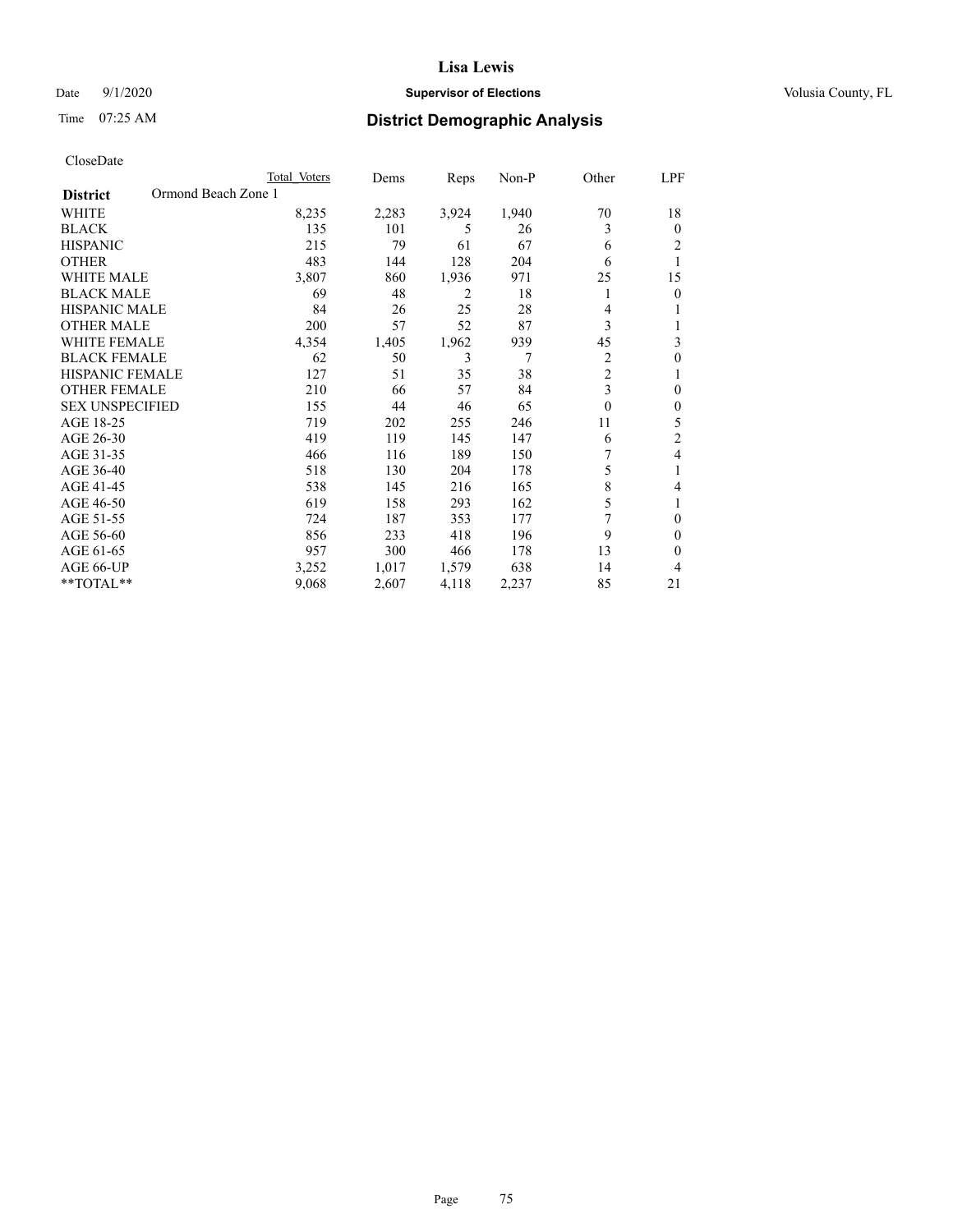# Date  $9/1/2020$  **Supervisor of Elections Supervisor of Elections** Volusia County, FL

# Time 07:25 AM **District Demographic Analysis**

|                                        | Total Voters | Dems  | Reps  | $Non-P$ | Other          | LPF            |
|----------------------------------------|--------------|-------|-------|---------|----------------|----------------|
| Ormond Beach Zone 1<br><b>District</b> |              |       |       |         |                |                |
| <b>WHITE</b>                           | 8,235        | 2,283 | 3,924 | 1,940   | 70             | 18             |
| <b>BLACK</b>                           | 135          | 101   | 5     | 26      | 3              | $\theta$       |
| <b>HISPANIC</b>                        | 215          | 79    | 61    | 67      | 6              | $\overline{2}$ |
| <b>OTHER</b>                           | 483          | 144   | 128   | 204     | 6              |                |
| <b>WHITE MALE</b>                      | 3,807        | 860   | 1,936 | 971     | 25             | 15             |
| <b>BLACK MALE</b>                      | 69           | 48    | 2     | 18      | 1              | $\theta$       |
| HISPANIC MALE                          | 84           | 26    | 25    | 28      | 4              |                |
| <b>OTHER MALE</b>                      | 200          | 57    | 52    | 87      | 3              |                |
| <b>WHITE FEMALE</b>                    | 4,354        | 1,405 | 1,962 | 939     | 45             | 3              |
| <b>BLACK FEMALE</b>                    | 62           | 50    | 3     | 7       | $\overline{c}$ | $\theta$       |
| <b>HISPANIC FEMALE</b>                 | 127          | 51    | 35    | 38      | $\overline{c}$ | 1              |
| <b>OTHER FEMALE</b>                    | 210          | 66    | 57    | 84      | 3              | $\theta$       |
| <b>SEX UNSPECIFIED</b>                 | 155          | 44    | 46    | 65      | $\theta$       | $\theta$       |
| AGE 18-25                              | 719          | 202   | 255   | 246     | 11             | 5              |
| AGE 26-30                              | 419          | 119   | 145   | 147     | 6              | $\overline{2}$ |
| AGE 31-35                              | 466          | 116   | 189   | 150     | 7              | 4              |
| AGE 36-40                              | 518          | 130   | 204   | 178     | 5              |                |
| AGE 41-45                              | 538          | 145   | 216   | 165     | 8              | 4              |
| AGE 46-50                              | 619          | 158   | 293   | 162     | 5              |                |
| AGE 51-55                              | 724          | 187   | 353   | 177     | 7              | $\theta$       |
| AGE 56-60                              | 856          | 233   | 418   | 196     | 9              | $\Omega$       |
| AGE 61-65                              | 957          | 300   | 466   | 178     | 13             | $\theta$       |
| AGE 66-UP                              | 3,252        | 1,017 | 1,579 | 638     | 14             | 4              |
| $*$ $TOTAL**$                          | 9,068        | 2,607 | 4,118 | 2,237   | 85             | 21             |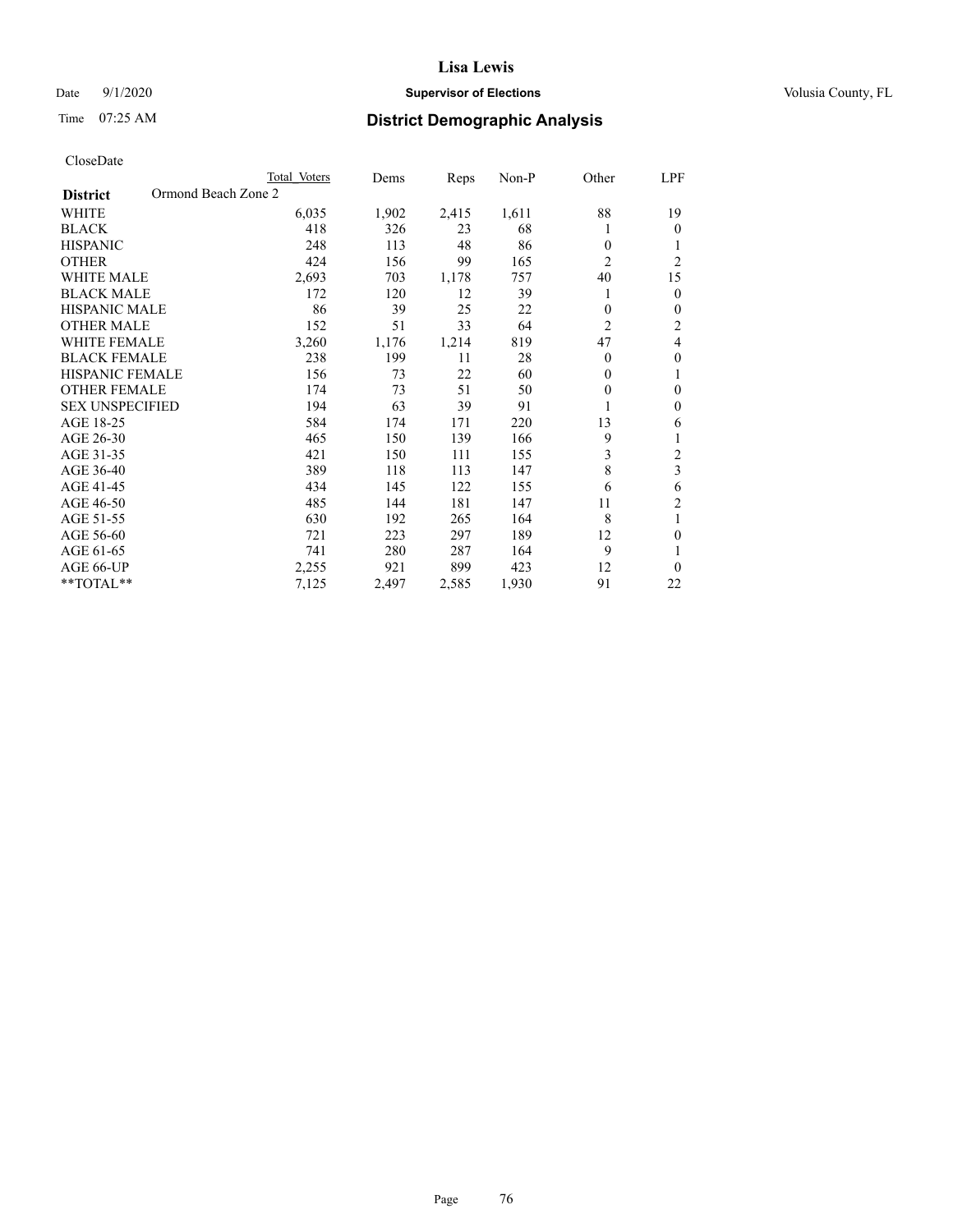# Date  $9/1/2020$  **Supervisor of Elections Supervisor of Elections** Volusia County, FL

# Time 07:25 AM **District Demographic Analysis**

|                                        | Total Voters | Dems  | Reps  | Non-P | Other          | LPF            |
|----------------------------------------|--------------|-------|-------|-------|----------------|----------------|
| Ormond Beach Zone 2<br><b>District</b> |              |       |       |       |                |                |
| WHITE                                  | 6,035        | 1,902 | 2,415 | 1,611 | 88             | 19             |
| <b>BLACK</b>                           | 418          | 326   | 23    | 68    |                | $\theta$       |
| <b>HISPANIC</b>                        | 248          | 113   | 48    | 86    | $\theta$       | 1              |
| <b>OTHER</b>                           | 424          | 156   | 99    | 165   | $\overline{2}$ | $\overline{2}$ |
| <b>WHITE MALE</b>                      | 2,693        | 703   | 1,178 | 757   | 40             | 15             |
| <b>BLACK MALE</b>                      | 172          | 120   | 12    | 39    |                | $\mathbf{0}$   |
| <b>HISPANIC MALE</b>                   | 86           | 39    | 25    | 22    | $\theta$       | $\theta$       |
| <b>OTHER MALE</b>                      | 152          | 51    | 33    | 64    | $\overline{2}$ | $\overline{c}$ |
| WHITE FEMALE                           | 3,260        | 1,176 | 1,214 | 819   | 47             | 4              |
| <b>BLACK FEMALE</b>                    | 238          | 199   | 11    | 28    | $\theta$       | $\theta$       |
| <b>HISPANIC FEMALE</b>                 | 156          | 73    | 22    | 60    | $\theta$       | 1              |
| <b>OTHER FEMALE</b>                    | 174          | 73    | 51    | 50    | $\theta$       | $\theta$       |
| <b>SEX UNSPECIFIED</b>                 | 194          | 63    | 39    | 91    |                | $\theta$       |
| AGE 18-25                              | 584          | 174   | 171   | 220   | 13             | 6              |
| AGE 26-30                              | 465          | 150   | 139   | 166   | 9              | 1              |
| AGE 31-35                              | 421          | 150   | 111   | 155   | 3              | $\overline{c}$ |
| AGE 36-40                              | 389          | 118   | 113   | 147   | 8              | 3              |
| AGE 41-45                              | 434          | 145   | 122   | 155   | 6              | 6              |
| AGE 46-50                              | 485          | 144   | 181   | 147   | 11             | $\overline{c}$ |
| AGE 51-55                              | 630          | 192   | 265   | 164   | 8              | 1              |
| AGE 56-60                              | 721          | 223   | 297   | 189   | 12             | $\theta$       |
| AGE 61-65                              | 741          | 280   | 287   | 164   | 9              | 1              |
| AGE 66-UP                              | 2,255        | 921   | 899   | 423   | 12             | $\theta$       |
| **TOTAL**                              | 7,125        | 2,497 | 2,585 | 1,930 | 91             | 22             |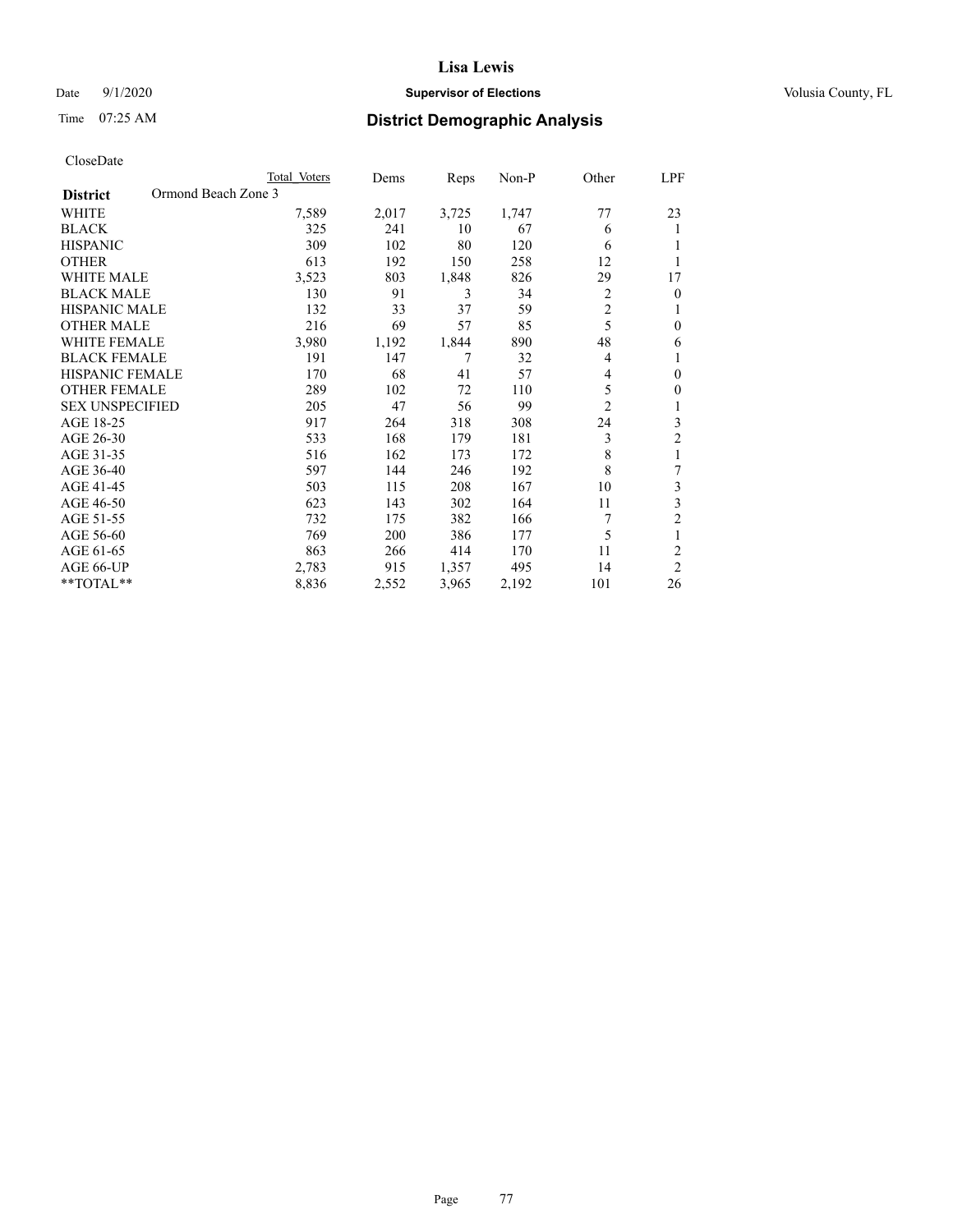# Date  $9/1/2020$  **Supervisor of Elections Supervisor of Elections** Volusia County, FL

# Time 07:25 AM **District Demographic Analysis**

|                                        | Total Voters | Dems  | Reps  | $Non-P$ | Other          | LPF            |
|----------------------------------------|--------------|-------|-------|---------|----------------|----------------|
| Ormond Beach Zone 3<br><b>District</b> |              |       |       |         |                |                |
| WHITE                                  | 7,589        | 2,017 | 3,725 | 1,747   | 77             | 23             |
| <b>BLACK</b>                           | 325          | 241   | 10    | 67      | 6              | 1              |
| <b>HISPANIC</b>                        | 309          | 102   | 80    | 120     | 6              |                |
| <b>OTHER</b>                           | 613          | 192   | 150   | 258     | 12             |                |
| <b>WHITE MALE</b>                      | 3,523        | 803   | 1,848 | 826     | 29             | 17             |
| <b>BLACK MALE</b>                      | 130          | 91    | 3     | 34      | 2              | $\theta$       |
| <b>HISPANIC MALE</b>                   | 132          | 33    | 37    | 59      | $\overline{c}$ | 1              |
| <b>OTHER MALE</b>                      | 216          | 69    | 57    | 85      | 5              | $\theta$       |
| <b>WHITE FEMALE</b>                    | 3,980        | 1,192 | 1,844 | 890     | 48             | 6              |
| <b>BLACK FEMALE</b>                    | 191          | 147   | 7     | 32      | 4              | 1              |
| <b>HISPANIC FEMALE</b>                 | 170          | 68    | 41    | 57      | 4              | $\theta$       |
| <b>OTHER FEMALE</b>                    | 289          | 102   | 72    | 110     | 5              | $\mathbf{0}$   |
| <b>SEX UNSPECIFIED</b>                 | 205          | 47    | 56    | 99      | $\overline{c}$ | 1              |
| AGE 18-25                              | 917          | 264   | 318   | 308     | 24             | 3              |
| AGE 26-30                              | 533          | 168   | 179   | 181     | 3              | $\overline{c}$ |
| AGE 31-35                              | 516          | 162   | 173   | 172     | 8              | 1              |
| AGE 36-40                              | 597          | 144   | 246   | 192     | 8              | 7              |
| AGE 41-45                              | 503          | 115   | 208   | 167     | 10             | 3              |
| AGE 46-50                              | 623          | 143   | 302   | 164     | 11             | 3              |
| AGE 51-55                              | 732          | 175   | 382   | 166     | 7              | $\overline{c}$ |
| AGE 56-60                              | 769          | 200   | 386   | 177     | 5              | 1              |
| AGE 61-65                              | 863          | 266   | 414   | 170     | 11             | $\overline{2}$ |
| AGE 66-UP                              | 2,783        | 915   | 1,357 | 495     | 14             | $\overline{2}$ |
| **TOTAL**                              | 8,836        | 2,552 | 3,965 | 2,192   | 101            | 26             |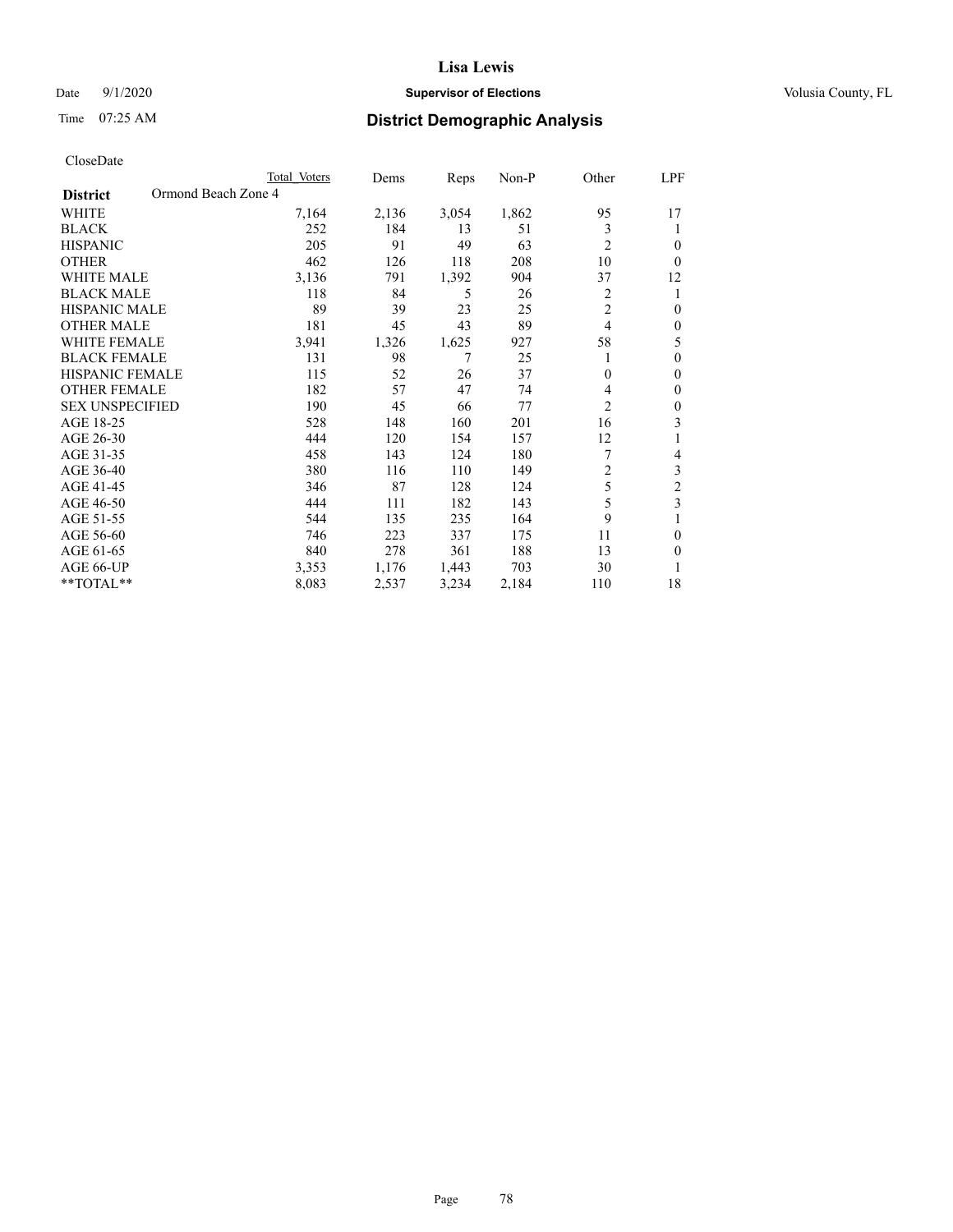# Date  $9/1/2020$  **Supervisor of Elections Supervisor of Elections** Volusia County, FL

# Time 07:25 AM **District Demographic Analysis**

| Total Voters | Dems                |       |       |                | LPF              |
|--------------|---------------------|-------|-------|----------------|------------------|
|              |                     |       |       |                |                  |
| 7,164        | 2,136               | 3,054 | 1,862 | 95             | 17               |
| 252          | 184                 | 13    | 51    | 3              | 1                |
| 205          | 91                  | 49    | 63    | $\overline{2}$ | $\theta$         |
| 462          | 126                 | 118   | 208   | 10             | $\theta$         |
| 3,136        | 791                 | 1,392 | 904   | 37             | 12               |
| 118          | 84                  | 5     | 26    | 2              | 1                |
| 89           | 39                  | 23    | 25    | $\overline{c}$ | $\theta$         |
| 181          | 45                  | 43    | 89    | 4              | $\theta$         |
| 3,941        | 1,326               | 1,625 | 927   | 58             | 5                |
| 131          | 98                  | 7     | 25    |                | $\theta$         |
| 115          | 52                  | 26    | 37    | $\mathbf{0}$   | $\theta$         |
| 182          | 57                  | 47    | 74    | 4              | $\mathbf{0}$     |
| 190          | 45                  | 66    | 77    | $\overline{c}$ | $\theta$         |
| 528          | 148                 | 160   | 201   | 16             | 3                |
| 444          | 120                 | 154   | 157   | 12             | 1                |
| 458          | 143                 | 124   | 180   | 7              | 4                |
| 380          | 116                 | 110   | 149   | $\overline{c}$ | 3                |
| 346          | 87                  | 128   | 124   | 5              | $\mathfrak{2}$   |
| 444          | 111                 | 182   | 143   | 5              | 3                |
| 544          | 135                 | 235   | 164   | 9              | 1                |
| 746          | 223                 | 337   | 175   | 11             | $\theta$         |
| 840          | 278                 | 361   | 188   | 13             | $\theta$         |
| 3,353        | 1,176               | 1,443 | 703   | 30             | 1                |
| 8,083        | 2,537               | 3,234 | 2,184 | 110            | 18               |
|              | Ormond Beach Zone 4 |       |       | Reps           | $Non-P$<br>Other |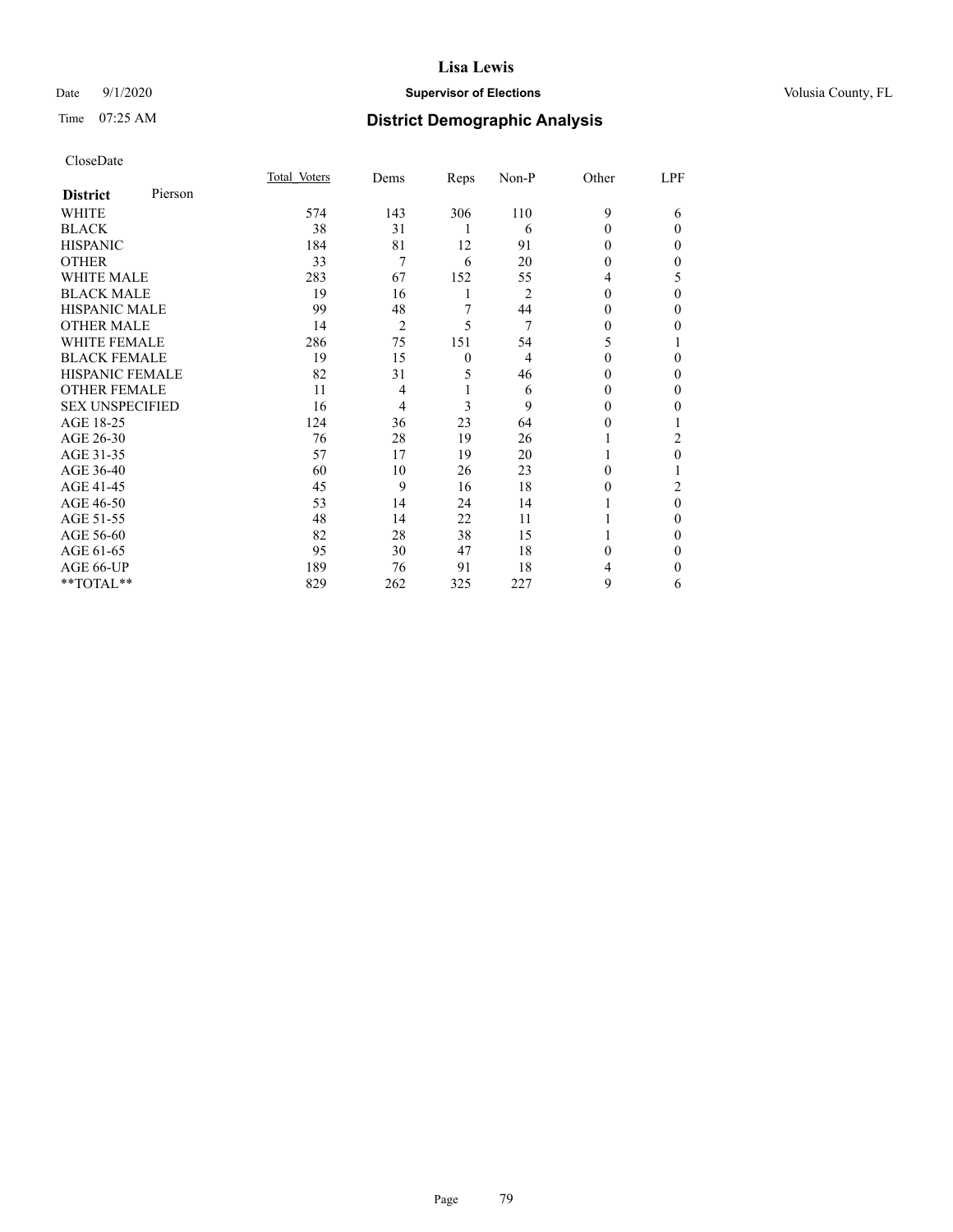# Date  $9/1/2020$  **Supervisor of Elections Supervisor of Elections** Volusia County, FL

# Time 07:25 AM **District Demographic Analysis**

| CloseDate |
|-----------|
|-----------|

|                        |         | Total Voters | Dems           | Reps         | Non-P          | Other    | LPF      |
|------------------------|---------|--------------|----------------|--------------|----------------|----------|----------|
| <b>District</b>        | Pierson |              |                |              |                |          |          |
| WHITE                  |         | 574          | 143            | 306          | 110            | 9        | 6        |
| <b>BLACK</b>           |         | 38           | 31             | 1            | 6              | $\theta$ | $\Omega$ |
| <b>HISPANIC</b>        |         | 184          | 81             | 12           | 91             | $\Omega$ | $\Omega$ |
| <b>OTHER</b>           |         | 33           | $\overline{7}$ | 6            | 20             | 0        | 0        |
| <b>WHITE MALE</b>      |         | 283          | 67             | 152          | 55             | 4        | 5        |
| <b>BLACK MALE</b>      |         | 19           | 16             | 1            | $\overline{2}$ | $\theta$ | $\Omega$ |
| <b>HISPANIC MALE</b>   |         | 99           | 48             | 7            | 44             | $_{0}$   | 0        |
| <b>OTHER MALE</b>      |         | 14           | $\overline{2}$ | 5            | 7              | 0        | 0        |
| WHITE FEMALE           |         | 286          | 75             | 151          | 54             | 5        |          |
| <b>BLACK FEMALE</b>    |         | 19           | 15             | $\mathbf{0}$ | 4              | $\Omega$ | $\Omega$ |
| <b>HISPANIC FEMALE</b> |         | 82           | 31             | 5            | 46             | 0        | 0        |
| <b>OTHER FEMALE</b>    |         | 11           | 4              | 1            | 6              | 0        | 0        |
| <b>SEX UNSPECIFIED</b> |         | 16           | 4              | 3            | 9              | $\theta$ | 0        |
| AGE 18-25              |         | 124          | 36             | 23           | 64             | 0        |          |
| AGE 26-30              |         | 76           | 28             | 19           | 26             |          | 2        |
| AGE 31-35              |         | 57           | 17             | 19           | 20             |          | 0        |
| AGE 36-40              |         | 60           | 10             | 26           | 23             | 0        |          |
| AGE 41-45              |         | 45           | 9              | 16           | 18             | $_{0}$   | 2        |
| AGE 46-50              |         | 53           | 14             | 24           | 14             |          | $\theta$ |
| AGE 51-55              |         | 48           | 14             | 22           | 11             |          | $\Omega$ |
| AGE 56-60              |         | 82           | 28             | 38           | 15             |          | 0        |
| AGE 61-65              |         | 95           | 30             | 47           | 18             | 0        | 0        |
| AGE 66-UP              |         | 189          | 76             | 91           | 18             |          | 0        |
| **TOTAL**              |         | 829          | 262            | 325          | 227            | 9        | 6        |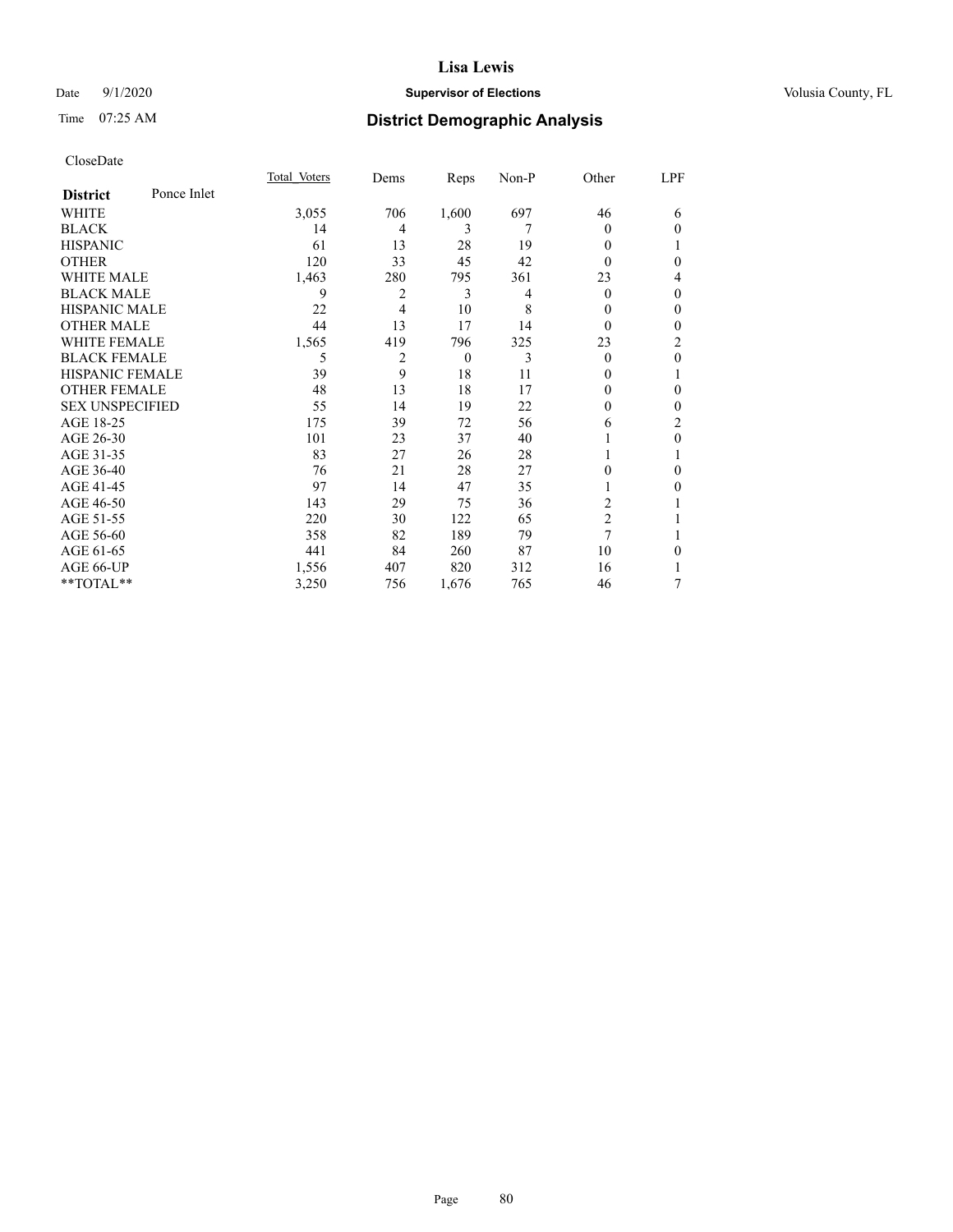# Date  $9/1/2020$  **Supervisor of Elections Supervisor of Elections** Volusia County, FL

# Time 07:25 AM **District Demographic Analysis**

|                        |             | Total Voters | Dems | Reps           | Non-P | Other          | LPF          |
|------------------------|-------------|--------------|------|----------------|-------|----------------|--------------|
| <b>District</b>        | Ponce Inlet |              |      |                |       |                |              |
| WHITE                  |             | 3,055        | 706  | 1,600          | 697   | 46             | 6            |
| <b>BLACK</b>           |             | 14           | 4    | 3              | 7     | 0              | $\Omega$     |
| <b>HISPANIC</b>        |             | 61           | 13   | 28             | 19    | 0              | 1            |
| <b>OTHER</b>           |             | 120          | 33   | 45             | 42    | 0              | 0            |
| <b>WHITE MALE</b>      |             | 1,463        | 280  | 795            | 361   | 23             | 4            |
| <b>BLACK MALE</b>      |             | 9            | 2    | 3              | 4     | 0              | $\mathbf{0}$ |
| <b>HISPANIC MALE</b>   |             | 22           | 4    | 10             | 8     | 0              | $\mathbf{0}$ |
| <b>OTHER MALE</b>      |             | 44           | 13   | 17             | 14    | 0              | 0            |
| <b>WHITE FEMALE</b>    |             | 1,565        | 419  | 796            | 325   | 23             | 2            |
| <b>BLACK FEMALE</b>    |             | 5            | 2    | $\overline{0}$ | 3     | 0              | $\theta$     |
| HISPANIC FEMALE        |             | 39           | 9    | 18             | 11    | 0              | 1            |
| <b>OTHER FEMALE</b>    |             | 48           | 13   | 18             | 17    | 0              | 0            |
| <b>SEX UNSPECIFIED</b> |             | 55           | 14   | 19             | 22    | 0              | 0            |
| AGE 18-25              |             | 175          | 39   | 72             | 56    | 6              | 2            |
| AGE 26-30              |             | 101          | 23   | 37             | 40    |                | $\theta$     |
| AGE 31-35              |             | 83           | 27   | 26             | 28    |                |              |
| AGE 36-40              |             | 76           | 21   | 28             | 27    | 0              | 0            |
| AGE 41-45              |             | 97           | 14   | 47             | 35    |                | 0            |
| AGE 46-50              |             | 143          | 29   | 75             | 36    | $\overline{c}$ |              |
| AGE 51-55              |             | 220          | 30   | 122            | 65    | $\overline{2}$ |              |
| AGE 56-60              |             | 358          | 82   | 189            | 79    | 7              |              |
| AGE 61-65              |             | 441          | 84   | 260            | 87    | 10             | $\theta$     |
| AGE 66-UP              |             | 1,556        | 407  | 820            | 312   | 16             |              |
| **TOTAL**              |             | 3,250        | 756  | 1,676          | 765   | 46             | 7            |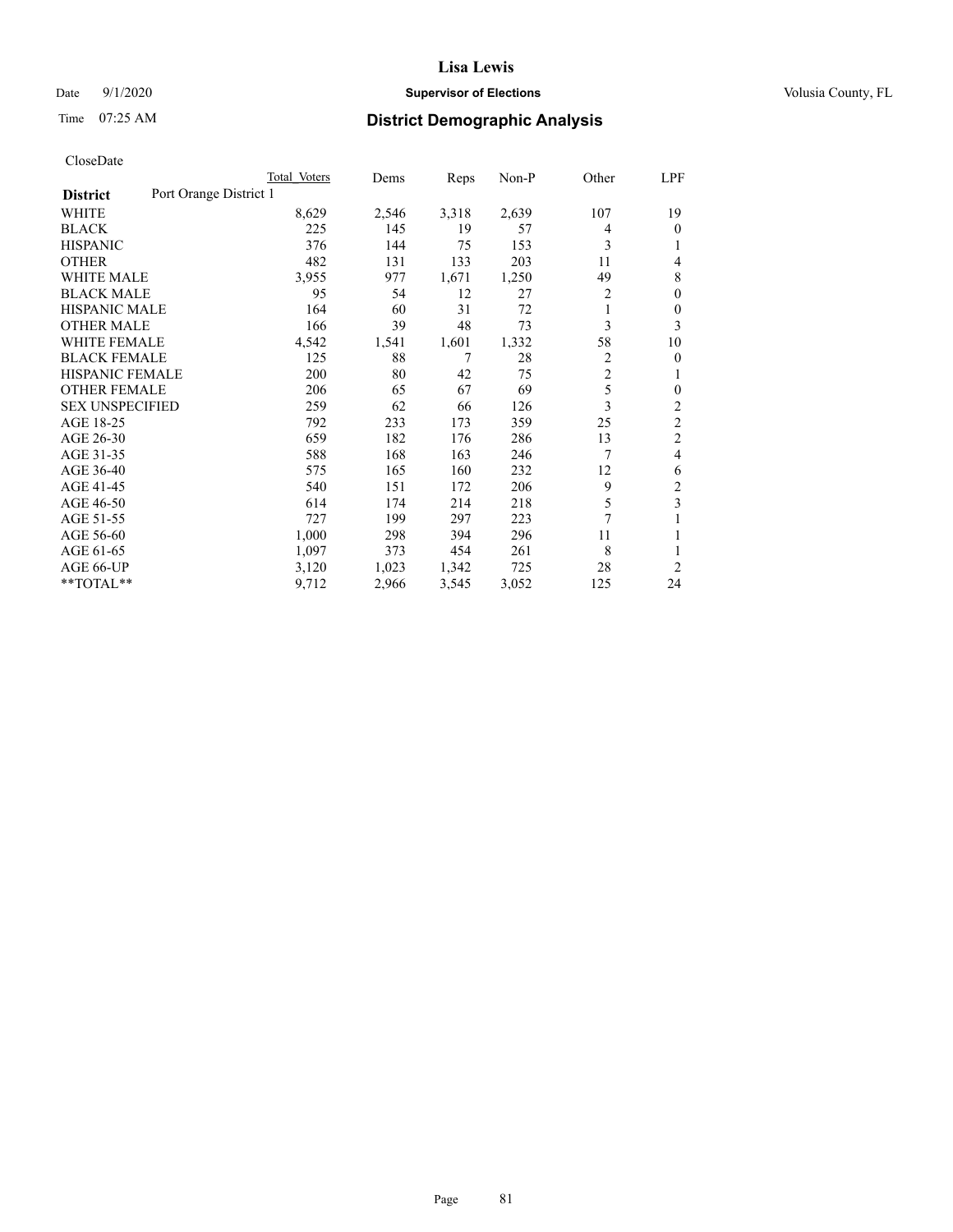# Date  $9/1/2020$  **Supervisor of Elections Supervisor of Elections** Volusia County, FL

# Time 07:25 AM **District Demographic Analysis**

|                        |                        | Total Voters | Dems  | Reps  | Non-P | Other          | LPF            |
|------------------------|------------------------|--------------|-------|-------|-------|----------------|----------------|
| <b>District</b>        | Port Orange District 1 |              |       |       |       |                |                |
| WHITE                  |                        | 8,629        | 2,546 | 3,318 | 2,639 | 107            | 19             |
| <b>BLACK</b>           |                        | 225          | 145   | 19    | 57    | 4              | $\mathbf{0}$   |
| <b>HISPANIC</b>        |                        | 376          | 144   | 75    | 153   | 3              | 1              |
| <b>OTHER</b>           |                        | 482          | 131   | 133   | 203   | 11             | 4              |
| <b>WHITE MALE</b>      |                        | 3,955        | 977   | 1,671 | 1,250 | 49             | 8              |
| <b>BLACK MALE</b>      |                        | 95           | 54    | 12    | 27    | 2              | $\theta$       |
| <b>HISPANIC MALE</b>   |                        | 164          | 60    | 31    | 72    | 1              | $\theta$       |
| <b>OTHER MALE</b>      |                        | 166          | 39    | 48    | 73    | 3              | 3              |
| WHITE FEMALE           |                        | 4,542        | 1,541 | 1,601 | 1,332 | 58             | 10             |
| <b>BLACK FEMALE</b>    |                        | 125          | 88    | 7     | 28    | 2              | 0              |
| <b>HISPANIC FEMALE</b> |                        | 200          | 80    | 42    | 75    | $\overline{2}$ | 1              |
| <b>OTHER FEMALE</b>    |                        | 206          | 65    | 67    | 69    | 5              | 0              |
| <b>SEX UNSPECIFIED</b> |                        | 259          | 62    | 66    | 126   | 3              | $\overline{c}$ |
| AGE 18-25              |                        | 792          | 233   | 173   | 359   | 25             | $\overline{2}$ |
| AGE 26-30              |                        | 659          | 182   | 176   | 286   | 13             | $\overline{2}$ |
| AGE 31-35              |                        | 588          | 168   | 163   | 246   | 7              | 4              |
| AGE 36-40              |                        | 575          | 165   | 160   | 232   | 12             | 6              |
| AGE 41-45              |                        | 540          | 151   | 172   | 206   | 9              | 2              |
| AGE 46-50              |                        | 614          | 174   | 214   | 218   | 5              | 3              |
| AGE 51-55              |                        | 727          | 199   | 297   | 223   | 7              | 1              |
| AGE 56-60              |                        | 1,000        | 298   | 394   | 296   | 11             |                |
| AGE 61-65              |                        | 1,097        | 373   | 454   | 261   | 8              | 1              |
| AGE 66-UP              |                        | 3,120        | 1,023 | 1,342 | 725   | 28             | $\overline{2}$ |
| **TOTAL**              |                        | 9,712        | 2,966 | 3,545 | 3,052 | 125            | 24             |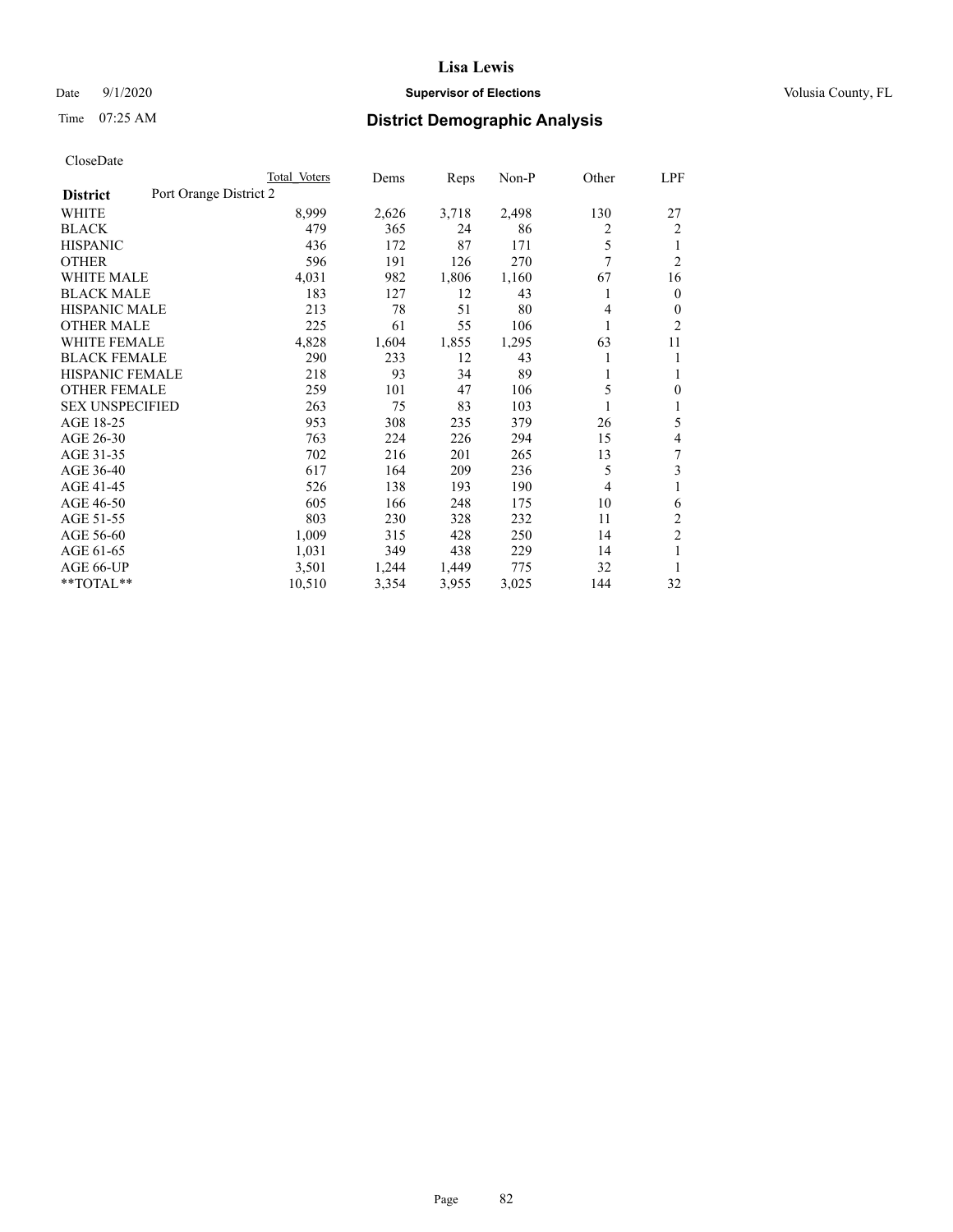# Date  $9/1/2020$  **Supervisor of Elections Supervisor of Elections** Volusia County, FL

# Time 07:25 AM **District Demographic Analysis**

|                                           | Total Voters | Dems  | Reps  | Non-P | Other          | LPF            |
|-------------------------------------------|--------------|-------|-------|-------|----------------|----------------|
| Port Orange District 2<br><b>District</b> |              |       |       |       |                |                |
| WHITE                                     | 8,999        | 2,626 | 3,718 | 2,498 | 130            | 27             |
| <b>BLACK</b>                              | 479          | 365   | 24    | 86    | $\overline{c}$ | 2              |
| <b>HISPANIC</b>                           | 436          | 172   | 87    | 171   | 5              | 1              |
| <b>OTHER</b>                              | 596          | 191   | 126   | 270   | 7              | $\overline{2}$ |
| <b>WHITE MALE</b>                         | 4,031        | 982   | 1,806 | 1,160 | 67             | 16             |
| <b>BLACK MALE</b>                         | 183          | 127   | 12    | 43    | 1              | $\overline{0}$ |
| <b>HISPANIC MALE</b>                      | 213          | 78    | 51    | 80    | 4              | $\theta$       |
| <b>OTHER MALE</b>                         | 225          | 61    | 55    | 106   | 1              | $\overline{2}$ |
| <b>WHITE FEMALE</b>                       | 4,828        | 1,604 | 1,855 | 1,295 | 63             | 11             |
| <b>BLACK FEMALE</b>                       | 290          | 233   | 12    | 43    |                | 1              |
| <b>HISPANIC FEMALE</b>                    | 218          | 93    | 34    | 89    | 1              | 1              |
| <b>OTHER FEMALE</b>                       | 259          | 101   | 47    | 106   | 5              | $\mathbf{0}$   |
| <b>SEX UNSPECIFIED</b>                    | 263          | 75    | 83    | 103   |                | 1              |
| AGE 18-25                                 | 953          | 308   | 235   | 379   | 26             | 5              |
| AGE 26-30                                 | 763          | 224   | 226   | 294   | 15             | 4              |
| AGE 31-35                                 | 702          | 216   | 201   | 265   | 13             | 7              |
| AGE 36-40                                 | 617          | 164   | 209   | 236   | 5              | 3              |
| AGE 41-45                                 | 526          | 138   | 193   | 190   | 4              | 1              |
| AGE 46-50                                 | 605          | 166   | 248   | 175   | 10             | 6              |
| AGE 51-55                                 | 803          | 230   | 328   | 232   | 11             | 2              |
| AGE 56-60                                 | 1,009        | 315   | 428   | 250   | 14             | $\overline{c}$ |
| AGE 61-65                                 | 1,031        | 349   | 438   | 229   | 14             | 1              |
| AGE 66-UP                                 | 3,501        | 1,244 | 1,449 | 775   | 32             | 1              |
| **TOTAL**                                 | 10,510       | 3,354 | 3,955 | 3,025 | 144            | 32             |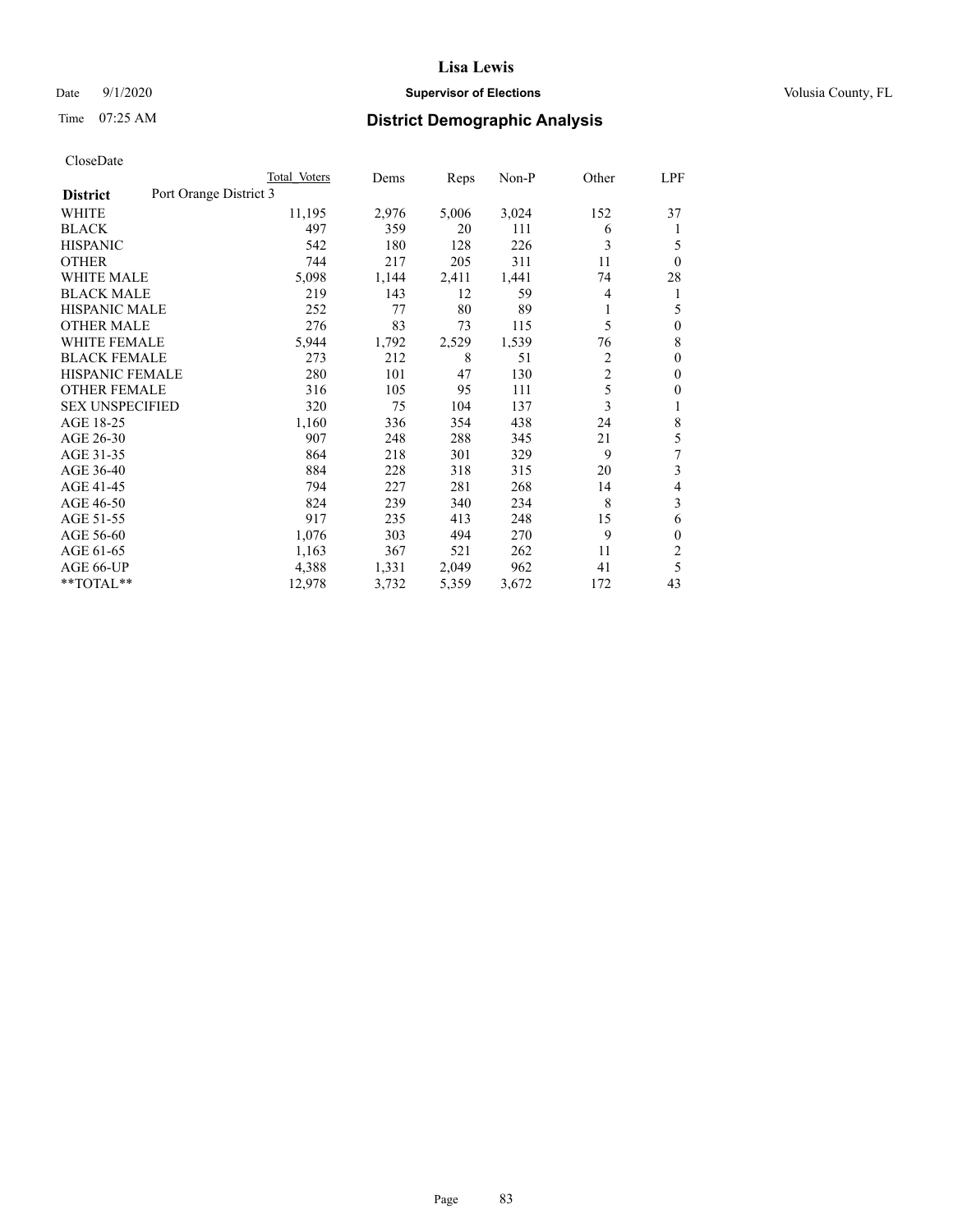# Date  $9/1/2020$  **Supervisor of Elections Supervisor of Elections** Volusia County, FL

# Time 07:25 AM **District Demographic Analysis**

|                                           | Total Voters | Dems  | Reps  | $Non-P$ | Other          | <u>LPF</u>     |
|-------------------------------------------|--------------|-------|-------|---------|----------------|----------------|
| Port Orange District 3<br><b>District</b> |              |       |       |         |                |                |
| WHITE                                     | 11,195       | 2,976 | 5,006 | 3,024   | 152            | 37             |
| <b>BLACK</b>                              | 497          | 359   | 20    | 111     | 6              | 1              |
| <b>HISPANIC</b>                           | 542          | 180   | 128   | 226     | 3              | 5              |
| <b>OTHER</b>                              | 744          | 217   | 205   | 311     | 11             | $\theta$       |
| <b>WHITE MALE</b>                         | 5,098        | 1,144 | 2,411 | 1,441   | 74             | 28             |
| <b>BLACK MALE</b>                         | 219          | 143   | 12    | 59      | 4              | 1              |
| <b>HISPANIC MALE</b>                      | 252          | 77    | 80    | 89      | 1              | 5              |
| <b>OTHER MALE</b>                         | 276          | 83    | 73    | 115     | 5              | $\mathbf{0}$   |
| <b>WHITE FEMALE</b>                       | 5,944        | 1,792 | 2,529 | 1,539   | 76             | 8              |
| <b>BLACK FEMALE</b>                       | 273          | 212   | 8     | 51      | $\overline{2}$ | $\mathbf{0}$   |
| <b>HISPANIC FEMALE</b>                    | 280          | 101   | 47    | 130     | $\overline{c}$ | $\mathbf{0}$   |
| <b>OTHER FEMALE</b>                       | 316          | 105   | 95    | 111     | 5              | $\overline{0}$ |
| <b>SEX UNSPECIFIED</b>                    | 320          | 75    | 104   | 137     | 3              | 1              |
| AGE 18-25                                 | 1,160        | 336   | 354   | 438     | 24             | 8              |
| AGE 26-30                                 | 907          | 248   | 288   | 345     | 21             | 5              |
| AGE 31-35                                 | 864          | 218   | 301   | 329     | 9              | 7              |
| AGE 36-40                                 | 884          | 228   | 318   | 315     | 20             | 3              |
| AGE 41-45                                 | 794          | 227   | 281   | 268     | 14             | 4              |
| AGE 46-50                                 | 824          | 239   | 340   | 234     | 8              | 3              |
| AGE 51-55                                 | 917          | 235   | 413   | 248     | 15             | 6              |
| AGE 56-60                                 | 1,076        | 303   | 494   | 270     | 9              | $\theta$       |
| AGE 61-65                                 | 1,163        | 367   | 521   | 262     | 11             | $\overline{2}$ |
| AGE 66-UP                                 | 4,388        | 1,331 | 2,049 | 962     | 41             | 5              |
| **TOTAL**                                 | 12,978       | 3,732 | 5,359 | 3,672   | 172            | 43             |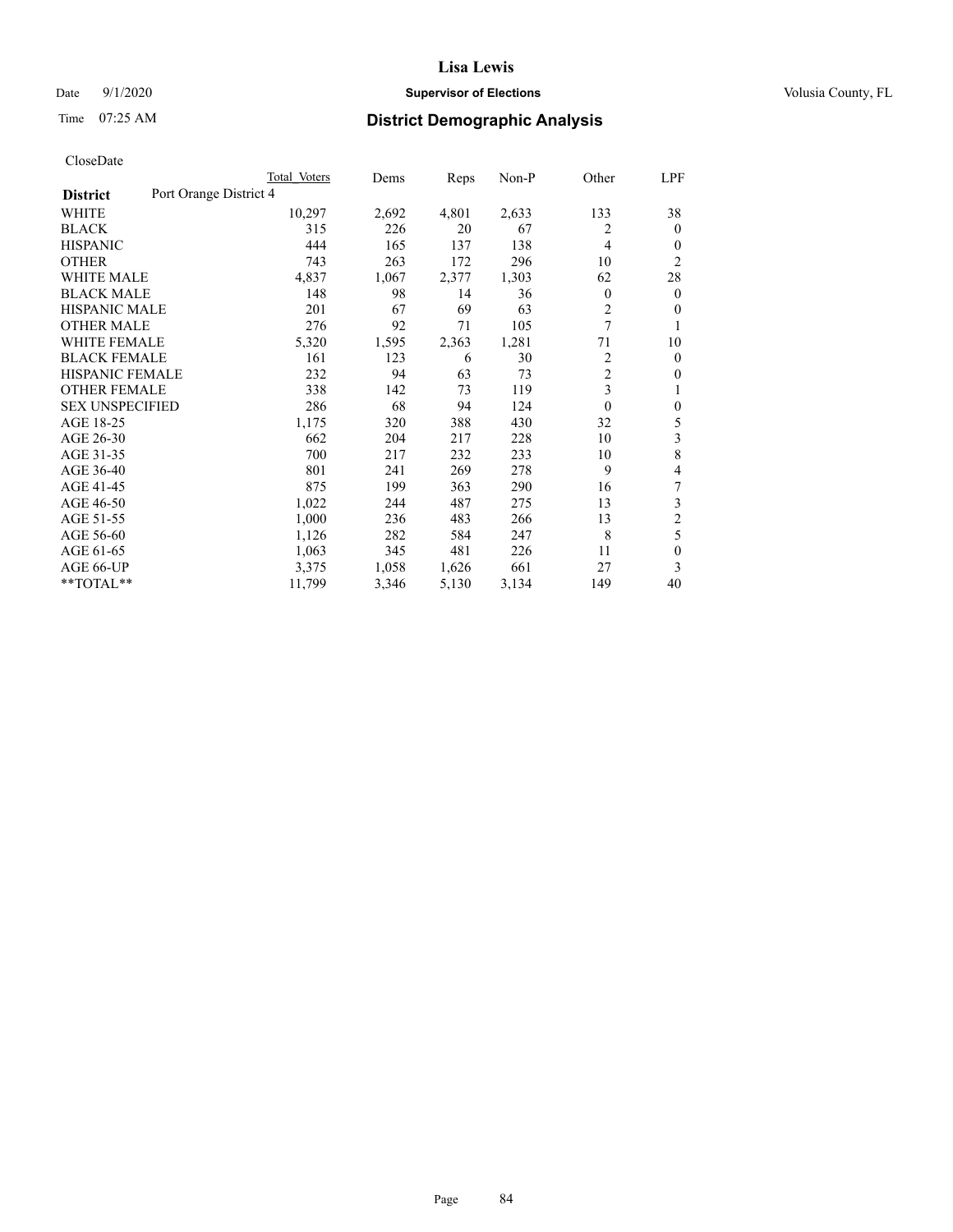# Date  $9/1/2020$  **Supervisor of Elections Supervisor of Elections** Volusia County, FL

# Time 07:25 AM **District Demographic Analysis**

|                                           | Total Voters | Dems  | Reps  | Non-P | Other          | LPF            |
|-------------------------------------------|--------------|-------|-------|-------|----------------|----------------|
| Port Orange District 4<br><b>District</b> |              |       |       |       |                |                |
| WHITE                                     | 10,297       | 2,692 | 4,801 | 2,633 | 133            | 38             |
| <b>BLACK</b>                              | 315          | 226   | 20    | 67    | 2              | $\mathbf{0}$   |
| <b>HISPANIC</b>                           | 444          | 165   | 137   | 138   | 4              | 0              |
| <b>OTHER</b>                              | 743          | 263   | 172   | 296   | 10             | $\overline{2}$ |
| <b>WHITE MALE</b>                         | 4,837        | 1,067 | 2,377 | 1,303 | 62             | 28             |
| <b>BLACK MALE</b>                         | 148          | 98    | 14    | 36    | $\mathbf{0}$   | $\mathbf{0}$   |
| <b>HISPANIC MALE</b>                      | 201          | 67    | 69    | 63    | 2              | 0              |
| <b>OTHER MALE</b>                         | 276          | 92    | 71    | 105   | 7              | 1              |
| WHITE FEMALE                              | 5,320        | 1,595 | 2,363 | 1,281 | 71             | 10             |
| <b>BLACK FEMALE</b>                       | 161          | 123   | 6     | 30    | 2              | $\mathbf{0}$   |
| <b>HISPANIC FEMALE</b>                    | 232          | 94    | 63    | 73    | $\overline{2}$ | 0              |
| <b>OTHER FEMALE</b>                       | 338          | 142   | 73    | 119   | 3              | 1              |
| <b>SEX UNSPECIFIED</b>                    | 286          | 68    | 94    | 124   | 0              | $\theta$       |
| AGE 18-25                                 | 1,175        | 320   | 388   | 430   | 32             | 5              |
| AGE 26-30                                 | 662          | 204   | 217   | 228   | 10             | 3              |
| AGE 31-35                                 | 700          | 217   | 232   | 233   | 10             | 8              |
| AGE 36-40                                 | 801          | 241   | 269   | 278   | 9              | 4              |
| AGE 41-45                                 | 875          | 199   | 363   | 290   | 16             | 7              |
| AGE 46-50                                 | 1,022        | 244   | 487   | 275   | 13             | 3              |
| AGE 51-55                                 | 1,000        | 236   | 483   | 266   | 13             | $\overline{c}$ |
| AGE 56-60                                 | 1,126        | 282   | 584   | 247   | 8              | 5              |
| AGE 61-65                                 | 1,063        | 345   | 481   | 226   | 11             | $\theta$       |
| AGE 66-UP                                 | 3,375        | 1,058 | 1,626 | 661   | 27             | 3              |
| **TOTAL**                                 | 11,799       | 3,346 | 5,130 | 3,134 | 149            | 40             |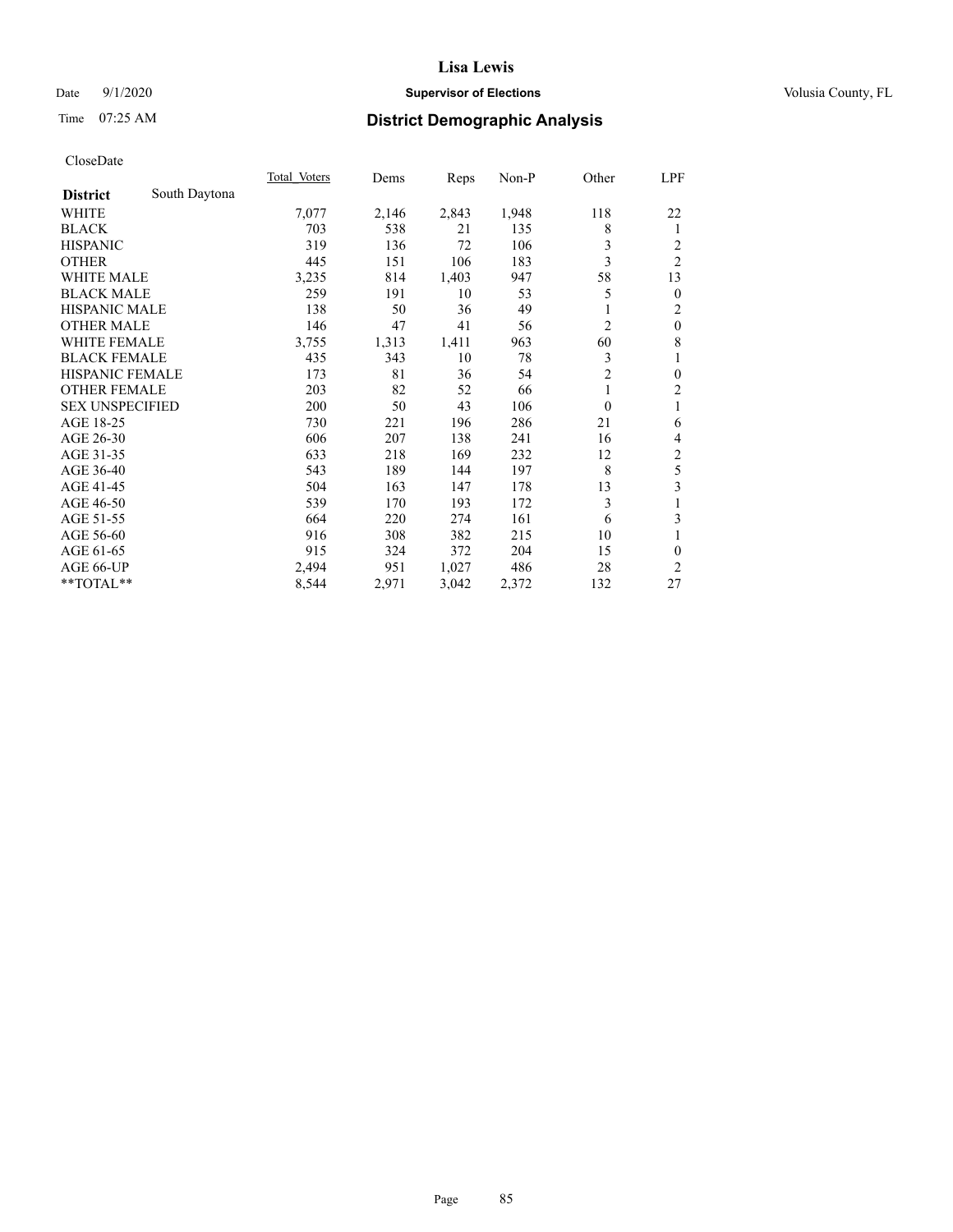# Date  $9/1/2020$  **Supervisor of Elections Supervisor of Elections** Volusia County, FL

# Time 07:25 AM **District Demographic Analysis**

|                                  | Total Voters | Dems  | Reps  | $Non-P$ | Other          | <u>LPF</u>     |
|----------------------------------|--------------|-------|-------|---------|----------------|----------------|
| South Daytona<br><b>District</b> |              |       |       |         |                |                |
| WHITE                            | 7,077        | 2,146 | 2,843 | 1,948   | 118            | 22             |
| <b>BLACK</b>                     | 703          | 538   | 21    | 135     | 8              | 1              |
| <b>HISPANIC</b>                  | 319          | 136   | 72    | 106     | 3              | 2              |
| <b>OTHER</b>                     | 445          | 151   | 106   | 183     | 3              | $\overline{2}$ |
| <b>WHITE MALE</b>                | 3,235        | 814   | 1,403 | 947     | 58             | 13             |
| <b>BLACK MALE</b>                | 259          | 191   | 10    | 53      | 5              | $\mathbf{0}$   |
| <b>HISPANIC MALE</b>             | 138          | 50    | 36    | 49      | 1              | 2              |
| <b>OTHER MALE</b>                | 146          | 47    | 41    | 56      | 2              | $\mathbf{0}$   |
| <b>WHITE FEMALE</b>              | 3,755        | 1,313 | 1,411 | 963     | 60             | 8              |
| <b>BLACK FEMALE</b>              | 435          | 343   | 10    | 78      | 3              | 1              |
| <b>HISPANIC FEMALE</b>           | 173          | 81    | 36    | 54      | $\overline{2}$ | $\mathbf{0}$   |
| <b>OTHER FEMALE</b>              | 203          | 82    | 52    | 66      | 1              | $\overline{2}$ |
| <b>SEX UNSPECIFIED</b>           | 200          | 50    | 43    | 106     | $\theta$       | 1              |
| AGE 18-25                        | 730          | 221   | 196   | 286     | 21             | 6              |
| AGE 26-30                        | 606          | 207   | 138   | 241     | 16             | 4              |
| AGE 31-35                        | 633          | 218   | 169   | 232     | 12             | $\overline{c}$ |
| AGE 36-40                        | 543          | 189   | 144   | 197     | 8              | 5              |
| AGE 41-45                        | 504          | 163   | 147   | 178     | 13             | 3              |
| AGE 46-50                        | 539          | 170   | 193   | 172     | 3              | 1              |
| AGE 51-55                        | 664          | 220   | 274   | 161     | 6              | 3              |
| AGE 56-60                        | 916          | 308   | 382   | 215     | 10             | 1              |
| AGE 61-65                        | 915          | 324   | 372   | 204     | 15             | $\theta$       |
| AGE 66-UP                        | 2,494        | 951   | 1,027 | 486     | 28             | 2              |
| **TOTAL**                        | 8,544        | 2,971 | 3,042 | 2,372   | 132            | 27             |